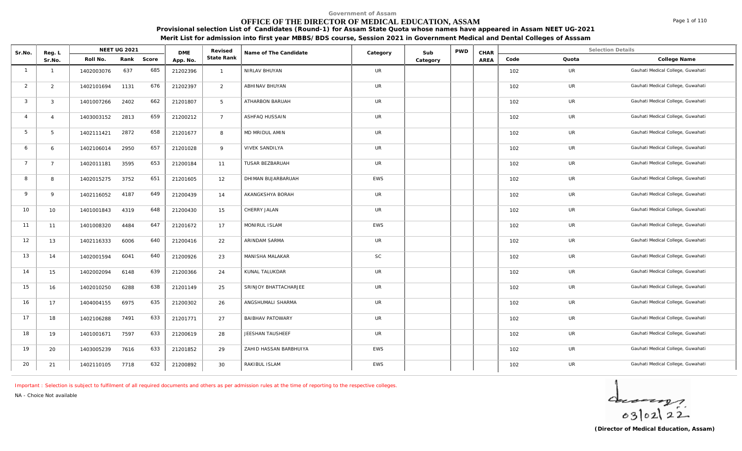# **OFFICE OF THE DIRECTOR OF MEDICAL EDUCATION, ASSAM**

**Provisional selection List of Candidates (Round-1) for Assam State Quota whose names have appeared in Assam NEET UG-2021 Merit List for admission into first year MBBS/BDS course, Session 2021 in Government Medical and Dental Colleges of Asssam**

| Sr.No.         | Reg. L         |            | <b>NEET UG 2021</b> |       | <b>DME</b> | Revised         | Name of The Candidate   | Category   | Sub      | <b>PWD</b> | CHAR |      | Selection Details |                                   |
|----------------|----------------|------------|---------------------|-------|------------|-----------------|-------------------------|------------|----------|------------|------|------|-------------------|-----------------------------------|
|                | Sr.No.         | Roll No.   | Rank                | Score | App. No.   | State Rank      |                         |            | Category |            | AREA | Code | Quota             | College Name                      |
| $\overline{1}$ | $\overline{1}$ | 1402003076 | 637                 | 685   | 21202396   | $\overline{1}$  | NIRLAV BHUYAN           | UR         |          |            |      | 102  | UR                | Gauhati Medical College, Guwahati |
| 2              | $\overline{2}$ | 1402101694 | 1131                | 676   | 21202397   | 2               | ABHINAV BHUYAN          | UR         |          |            |      | 102  | UR                | Gauhati Medical College, Guwahati |
| $\mathbf{3}$   | $\mathbf{3}$   | 1401007266 | 2402                | 662   | 21201807   | $5\overline{)}$ | ATHARBON BARUAH         | <b>UR</b>  |          |            |      | 102  | <b>UR</b>         | Gauhati Medical College, Guwahati |
| $\overline{4}$ | $\overline{4}$ | 1403003152 | 2813                | 659   | 21200212   | $7^{\circ}$     | ASHFAQ HUSSAIN          | <b>UR</b>  |          |            |      | 102  | <b>UR</b>         | Gauhati Medical College, Guwahati |
| 5              | 5 <sup>5</sup> | 1402111421 | 2872                | 658   | 21201677   | 8               | MD MRIDUL AMIN          | <b>UR</b>  |          |            |      | 102  | <b>UR</b>         | Gauhati Medical College, Guwahati |
| 6              | 6              | 1402106014 | 2950                | 657   | 21201028   | 9               | <b>VIVEK SANDILYA</b>   | UR         |          |            |      | 102  | UR                | Gauhati Medical College, Guwahati |
| $\overline{7}$ | $7^{\circ}$    | 1402011181 | 3595                | 653   | 21200184   | 11              | TUSAR BEZBARUAH         | UR         |          |            |      | 102  | UR                | Gauhati Medical College, Guwahati |
| 8              | 8              | 1402015275 | 3752                | 651   | 21201605   | 12 <sup>2</sup> | DHIMAN BUJARBARUAH      | <b>EWS</b> |          |            |      | 102  | UR                | Gauhati Medical College, Guwahati |
| 9              | 9              | 1402116052 | 4187                | 649   | 21200439   | 14              | AKANGKSHYA BORAH        | UR         |          |            |      | 102  | UR                | Gauhati Medical College, Guwahati |
| 10             | 10             | 1401001843 | 4319                | 648   | 21200430   | 15              | CHERRY JALAN            | <b>UR</b>  |          |            |      | 102  | UR                | Gauhati Medical College, Guwahati |
| 11             | 11             | 1401008320 | 4484                | 647   | 21201672   | 17              | MONIRUL ISLAM           | <b>EWS</b> |          |            |      | 102  | UR                | Gauhati Medical College, Guwahati |
| 12             | 13             | 1402116333 | 6006                | 640   | 21200416   | 22              | ARINDAM SARMA           | UR         |          |            |      | 102  | <b>UR</b>         | Gauhati Medical College, Guwahati |
| 13             | 14             | 1402001594 | 6041                | 640   | 21200926   | 23              | MANISHA MALAKAR         | <b>SC</b>  |          |            |      | 102  | <b>UR</b>         | Gauhati Medical College, Guwahati |
| 14             | 15             | 1402002094 | 6148                | 639   | 21200366   | 24              | KUNAL TALUKDAR          | <b>UR</b>  |          |            |      | 102  | UR                | Gauhati Medical College, Guwahati |
| 15             | 16             | 1402010250 | 6288                | 638   | 21201149   | 25              | SRINJOY BHATTACHARJEE   | UR         |          |            |      | 102  | UR                | Gauhati Medical College, Guwahati |
| 16             | 17             | 1404004155 | 6975                | 635   | 21200302   | 26              | ANGSHUMALI SHARMA       | UR         |          |            |      | 102  | <b>UR</b>         | Gauhati Medical College, Guwahati |
| 17             | 18             | 1402106288 | 7491                | 633   | 21201771   | 27              | <b>BAIBHAV PATOWARY</b> | <b>UR</b>  |          |            |      | 102  | <b>UR</b>         | Gauhati Medical College, Guwahati |
| 18             | 19             | 1401001671 | 7597                | 633   | 21200619   | 28              | JEESHAN TAUSHEEF        | UR         |          |            |      | 102  | UR                | Gauhati Medical College, Guwahati |
| 19             | 20             | 1403005239 | 7616                | 633   | 21201852   | 29              | ZAHID HASSAN BARBHUIYA  | EWS        |          |            |      | 102  | UR                | Gauhati Medical College, Guwahati |
| 20             | 21             | 1402110105 | 7718                | 632   | 21200892   | 30              | RAKIBUL ISLAM           | EWS        |          |            |      | 102  | UR                | Gauhati Medical College, Guwahati |

*Important : Selection is subject to fulfilment of all required documents and others as per admission rules at the time of reporting to the respective colleges.*

*NA - Choice Not available*



**(Director of Medical Education, Assam)**

Page 1 of 110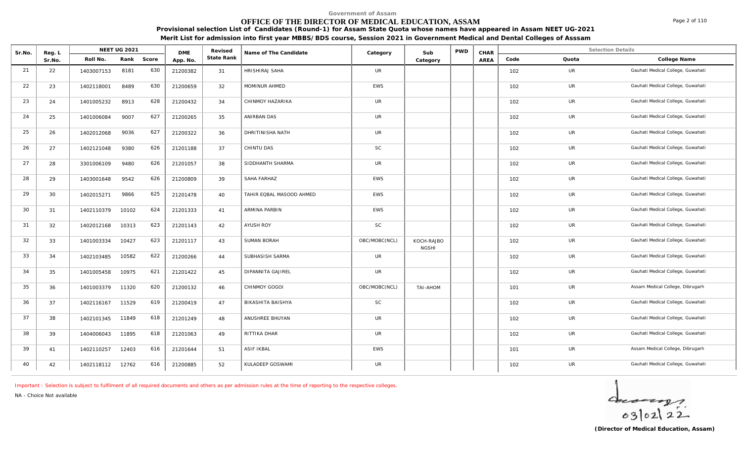# **OFFICE OF THE DIRECTOR OF MEDICAL EDUCATION, ASSAM**

**Provisional selection List of Candidates (Round-1) for Assam State Quota whose names have appeared in Assam NEET UG-2021 Merit List for admission into first year MBBS/BDS course, Session 2021 in Government Medical and Dental Colleges of Asssam**

| Sr.No. | Reg. L |            | NEET UG 2021 |       | <b>DME</b> | Revised    | Name of The Candidate    | Category      | Sub                        | <b>PWD</b> | CHAR |      |           | <b>Selection Details</b>          |
|--------|--------|------------|--------------|-------|------------|------------|--------------------------|---------------|----------------------------|------------|------|------|-----------|-----------------------------------|
|        | Sr.No. | Roll No.   | Rank         | Score | App. No.   | State Rank |                          |               | Category                   |            | AREA | Code | Quota     | College Name                      |
| 21     | 22     | 1403007153 | 8181         | 630   | 21200382   | 31         | <b>HRISHIRAJ SAHA</b>    | <b>UR</b>     |                            |            |      | 102  | <b>UR</b> | Gauhati Medical College, Guwahati |
| 22     | 23     | 1402118001 | 8489         | 630   | 21200659   | 32         | MOMINUR AHMED            | <b>EWS</b>    |                            |            |      | 102  | UR        | Gauhati Medical College, Guwahati |
| 23     | 24     | 1401005232 | 8913         | 628   | 21200432   | 34         | CHINMOY HAZARIKA         | UR            |                            |            |      | 102  | UR        | Gauhati Medical College, Guwahati |
| 24     | 25     | 1401006084 | 9007         | 627   | 21200265   | 35         | ANIRBAN DAS              | UR            |                            |            |      | 102  | UR        | Gauhati Medical College, Guwahati |
| 25     | 26     | 1402012068 | 9036         | 627   | 21200322   | 36         | DHRITINISHA NATH         | <b>UR</b>     |                            |            |      | 102  | UR        | Gauhati Medical College, Guwahati |
| 26     | 27     | 1402121048 | 9380         | 626   | 21201188   | 37         | CHINTU DAS               | SC            |                            |            |      | 102  | <b>UR</b> | Gauhati Medical College, Guwahati |
| 27     | 28     | 3301006109 | 9480         | 626   | 21201057   | 38         | SIDDHANTH SHARMA         | <b>UR</b>     |                            |            |      | 102  | UR        | Gauhati Medical College, Guwahati |
| 28     | 29     | 1403001648 | 9542         | 626   | 21200809   | 39         | SAHA FARHAZ              | EWS           |                            |            |      | 102  | UR        | Gauhati Medical College, Guwahati |
| 29     | 30     | 1402015271 | 9866         | 625   | 21201478   | 40         | TAHIR EQBAL MASOOD AHMED | <b>EWS</b>    |                            |            |      | 102  | UR        | Gauhati Medical College, Guwahati |
| 30     | 31     | 1402110379 | 10102        | 624   | 21201333   | 41         | ARMINA PARBIN            | <b>EWS</b>    |                            |            |      | 102  | <b>UR</b> | Gauhati Medical College, Guwahati |
| 31     | 32     | 1402012168 | 10313        | 623   | 21201143   | 42         | AYUSH ROY                | SC            |                            |            |      | 102  | <b>UR</b> | Gauhati Medical College, Guwahati |
| 32     | 33     | 1401003334 | 10427        | 623   | 21201117   | 43         | SUMAN BORAH              | OBC/MOBC(NCL) | KOCH-RAJBO<br><b>NGSHI</b> |            |      | 102  | UR        | Gauhati Medical College, Guwahati |
| 33     | 34     | 1402103485 | 10582        | 622   | 21200266   | 44         | SUBHASISH SARMA          | UR            |                            |            |      | 102  | UR        | Gauhati Medical College, Guwahati |
| 34     | 35     | 1401005458 | 10975        | 621   | 21201422   | 45         | DIPANNITA GAJIREL        | UR            |                            |            |      | 102  | UR        | Gauhati Medical College, Guwahati |
| 35     | 36     | 1401003379 | 11320        | 620   | 21200132   | 46         | CHINMOY GOGOI            | OBC/MOBC(NCL) | <b>TAI-AHOM</b>            |            |      | 101  | UR        | Assam Medical College, Dibrugarh  |
| 36     | 37     | 1402116167 | 11529        | 619   | 21200419   | 47         | BIKASHITA BAISHYA        | SC            |                            |            |      | 102  | <b>UR</b> | Gauhati Medical College, Guwahati |
| 37     | 38     | 1402101345 | 11849        | 618   | 21201249   | 48         | ANUSHREE BHUYAN          | <b>UR</b>     |                            |            |      | 102  | UR        | Gauhati Medical College, Guwahati |
| 38     | 39     | 1404006043 | 11895        | 618   | 21201063   | 49         | RITTIKA DHAR             | <b>UR</b>     |                            |            |      | 102  | UR        | Gauhati Medical College, Guwahati |
| 39     | 41     | 1402110257 | 12403        | 616   | 21201644   | 51         | <b>ASIF IKBAL</b>        | EWS           |                            |            |      | 101  | UR        | Assam Medical College, Dibrugarh  |
| 40     | 42     | 1402118112 | 12762        | 616   | 21200885   | 52         | KULADEEP GOSWAMI         | <b>UR</b>     |                            |            |      | 102  | <b>UR</b> | Gauhati Medical College, Guwahati |

*Important : Selection is subject to fulfilment of all required documents and others as per admission rules at the time of reporting to the respective colleges.*

*NA - Choice Not available*



Page 2 of 110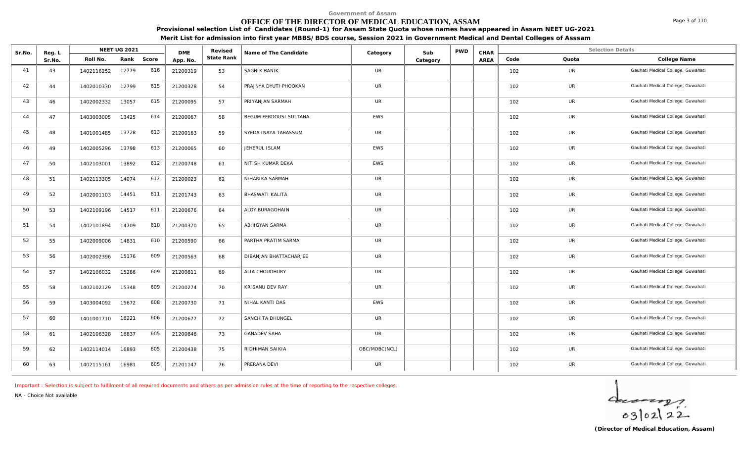# **OFFICE OF THE DIRECTOR OF MEDICAL EDUCATION, ASSAM**

**Provisional selection List of Candidates (Round-1) for Assam State Quota whose names have appeared in Assam NEET UG-2021 Merit List for admission into first year MBBS/BDS course, Session 2021 in Government Medical and Dental Colleges of Asssam**

| Sr.No. | Reg. L |            | <b>NEET UG 2021</b> |       | <b>DME</b> | Revised    | Name of The Candidate  | Category      | Sub      | <b>PWD</b> | CHAR |      | <b>Selection Details</b> |                                   |
|--------|--------|------------|---------------------|-------|------------|------------|------------------------|---------------|----------|------------|------|------|--------------------------|-----------------------------------|
|        | Sr.No. | Roll No.   | Rank                | Score | App. No.   | State Rank |                        |               | Category |            | AREA | Code | Quota                    | College Name                      |
| 41     | 43     | 1402116252 | 12779               | 616   | 21200319   | 53         | SAGNIK BANIK           | <b>UR</b>     |          |            |      | 102  | UR                       | Gauhati Medical College, Guwahati |
| 42     | 44     | 1402010330 | 12799               | 615   | 21200328   | 54         | PRAJNYA DYUTI PHOOKAN  | <b>UR</b>     |          |            |      | 102  | UR                       | Gauhati Medical College, Guwahati |
| 43     | 46     | 1402002332 | 13057               | 615   | 21200095   | 57         | PRIYANJAN SARMAH       | <b>UR</b>     |          |            |      | 102  | UR                       | Gauhati Medical College, Guwahati |
| 44     | 47     | 1403003005 | 13425               | 614   | 21200067   | 58         | BEGUM FERDOUSI SULTANA | <b>EWS</b>    |          |            |      | 102  | <b>UR</b>                | Gauhati Medical College, Guwahati |
| 45     | 48     | 1401001485 | 13728               | 613   | 21200163   | 59         | SYEDA INAYA TABASSUM   | UR            |          |            |      | 102  | <b>UR</b>                | Gauhati Medical College, Guwahati |
| 46     | 49     | 1402005296 | 13798               | 613   | 21200065   | 60         | JEHERUL ISLAM          | EWS           |          |            |      | 102  | UR                       | Gauhati Medical College, Guwahati |
| 47     | 50     | 1402103001 | 13892               | 612   | 21200748   | 61         | NITISH KUMAR DEKA      | EWS           |          |            |      | 102  | UR                       | Gauhati Medical College, Guwahati |
| 48     | 51     | 1402113305 | 14074               | 612   | 21200023   | 62         | NIHARIKA SARMAH        | <b>UR</b>     |          |            |      | 102  | UR                       | Gauhati Medical College, Guwahati |
| 49     | 52     | 1402001103 | 14451               | 611   | 21201743   | 63         | <b>BHASWATI KALITA</b> | <b>UR</b>     |          |            |      | 102  | UR                       | Gauhati Medical College, Guwahati |
| 50     | 53     | 1402109196 | 14517               | 611   | 21200676   | 64         | ALOY BURAGOHAIN        | <b>UR</b>     |          |            |      | 102  | UR                       | Gauhati Medical College, Guwahati |
| 51     | 54     | 1402101894 | 14709               | 610   | 21200370   | 65         | ABHIGYAN SARMA         | <b>UR</b>     |          |            |      | 102  | UR                       | Gauhati Medical College, Guwahati |
| 52     | 55     | 1402009006 | 14831               | 610   | 21200590   | 66         | PARTHA PRATIM SARMA    | <b>UR</b>     |          |            |      | 102  | UR                       | Gauhati Medical College, Guwahati |
| 53     | 56     | 1402002396 | 15176               | 609   | 21200563   | 68         | DIBANJAN BHATTACHARJEE | UR            |          |            |      | 102  | UR                       | Gauhati Medical College, Guwahati |
| 54     | 57     | 1402106032 | 15286               | 609   | 21200811   | 69         | ALIA CHOUDHURY         | UR            |          |            |      | 102  | UR                       | Gauhati Medical College, Guwahati |
| 55     | 58     | 1402102129 | 15348               | 609   | 21200274   | 70         | KRISANU DEV RAY        | <b>UR</b>     |          |            |      | 102  | <b>UR</b>                | Gauhati Medical College, Guwahati |
| 56     | 59     | 1403004092 | 15672               | 608   | 21200730   | 71         | NIHAL KANTI DAS        | <b>EWS</b>    |          |            |      | 102  | <b>UR</b>                | Gauhati Medical College, Guwahati |
| 57     | 60     | 1401001710 | 16221               | 606   | 21200677   | 72         | SANCHITA DHUNGEL       | <b>UR</b>     |          |            |      | 102  | <b>UR</b>                | Gauhati Medical College, Guwahati |
| 58     | 61     | 1402106328 | 16837               | 605   | 21200846   | 73         | <b>GANADEV SAHA</b>    | <b>UR</b>     |          |            |      | 102  | UR                       | Gauhati Medical College, Guwahati |
| 59     | 62     | 1402114014 | 16893               | 605   | 21200438   | 75         | RIDHIMAN SAIKIA        | OBC/MOBC(NCL) |          |            |      | 102  | <b>UR</b>                | Gauhati Medical College, Guwahati |
| 60     | 63     | 1402115161 | 16981               | 605   | 21201147   | 76         | PRERANA DEVI           | <b>UR</b>     |          |            |      | 102  | <b>UR</b>                | Gauhati Medical College, Guwahati |

*Important : Selection is subject to fulfilment of all required documents and others as per admission rules at the time of reporting to the respective colleges.*

*NA - Choice Not available*

 $40222$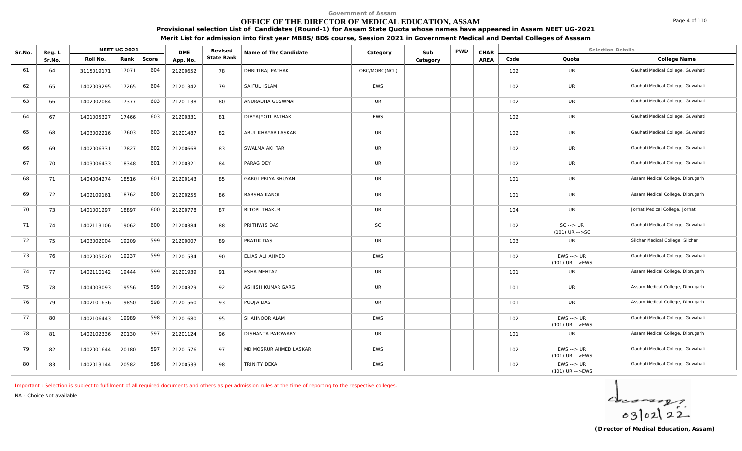### **OFFICE OF THE DIRECTOR OF MEDICAL EDUCATION, ASSAM**

**Provisional selection List of Candidates (Round-1) for Assam State Quota whose names have appeared in Assam NEET UG-2021**

**Merit List for admission into first year MBBS/BDS course, Session 2021 in Government Medical and Dental Colleges of Asssam**

| Sr.No. | Reg. L |            | <b>NEET UG 2021</b> |       | <b>DME</b> | Revised    | Name of The Candidate     | Category      | Sub      | <b>PWD</b> | CHAR |      | <b>Selection Details</b>                             |                                   |
|--------|--------|------------|---------------------|-------|------------|------------|---------------------------|---------------|----------|------------|------|------|------------------------------------------------------|-----------------------------------|
|        | Sr.No. | Roll No.   | Rank                | Score | App. No.   | State Rank |                           |               | Category |            | AREA | Code | Quota                                                | College Name                      |
| 61     | 64     | 3115019171 | 17071               | 604   | 21200652   | 78         | DHRITIRAJ PATHAK          | OBC/MOBC(NCL) |          |            |      | 102  | UR                                                   | Gauhati Medical College, Guwahati |
| 62     | 65     | 1402009295 | 17265               | 604   | 21201342   | 79         | SAIFUL ISLAM              | EWS           |          |            |      | 102  | <b>UR</b>                                            | Gauhati Medical College, Guwahati |
| 63     | 66     | 1402002084 | 17377               | 603   | 21201138   | 80         | ANURADHA GOSWMAI          | <b>UR</b>     |          |            |      | 102  | UR                                                   | Gauhati Medical College, Guwahati |
| 64     | 67     | 1401005327 | 17466               | 603   | 21200331   | 81         | DIBYAJYOTI PATHAK         | EWS           |          |            |      | 102  | UR                                                   | Gauhati Medical College, Guwahati |
| 65     | 68     | 1403002216 | 17603               | 603   | 21201487   | 82         | ABUL KHAYAR LASKAR        | UR            |          |            |      | 102  | UR                                                   | Gauhati Medical College, Guwahati |
| 66     | 69     | 1402006331 | 17827               | 602   | 21200668   | 83         | SWALMA AKHTAR             | <b>UR</b>     |          |            |      | 102  | UR                                                   | Gauhati Medical College, Guwahati |
| 67     | 70     | 1403006433 | 18348               | 601   | 21200321   | 84         | PARAG DEY                 | <b>UR</b>     |          |            |      | 102  | UR                                                   | Gauhati Medical College, Guwahati |
| 68     | 71     | 1404004274 | 18516               | 601   | 21200143   | 85         | <b>GARGI PRIYA BHUYAN</b> | <b>UR</b>     |          |            |      | 101  | UR                                                   | Assam Medical College, Dibrugarh  |
| 69     | 72     | 1402109161 | 18762               | 600   | 21200255   | 86         | <b>BARSHA KANOI</b>       | UR            |          |            |      | 101  | UR                                                   | Assam Medical College, Dibrugarh  |
| 70     | 73     | 1401001297 | 18897               | 600   | 21200778   | 87         | <b>BITOPI THAKUR</b>      | <b>UR</b>     |          |            |      | 104  | <b>UR</b>                                            | Jorhat Medical College, Jorhat    |
| 71     | 74     | 1402113106 | 19062               | 600   | 21200384   | 88         | PRITHWIS DAS              | <b>SC</b>     |          |            |      | 102  | $SC \rightarrow UR$<br>$(101)$ UR $--$ SC            | Gauhati Medical College, Guwahati |
| 72     | 75     | 1403002004 | 19209               | 599   | 21200007   | 89         | PRATIK DAS                | <b>UR</b>     |          |            |      | 103  | <b>UR</b>                                            | Silchar Medical College, Silchar  |
| 73     | 76     | 1402005020 | 19237               | 599   | 21201534   | 90         | ELIAS ALI AHMED           | <b>EWS</b>    |          |            |      | 102  | $EWS \rightarrow \textit{UR}$<br>$(101)$ UR $--$ EWS | Gauhati Medical College, Guwahati |
| 74     | 77     | 1402110142 | 19444               | 599   | 21201939   | 91         | <b>ESHA MEHTAZ</b>        | UR            |          |            |      | 101  | UR                                                   | Assam Medical College, Dibrugarh  |
| 75     | 78     | 1404003093 | 19556               | 599   | 21200329   | 92         | ASHISH KUMAR GARG         | UR            |          |            |      | 101  | UR                                                   | Assam Medical College, Dibrugarh  |
| 76     | 79     | 1402101636 | 19850               | 598   | 21201560   | 93         | POOJA DAS                 | <b>UR</b>     |          |            |      | 101  | <b>UR</b>                                            | Assam Medical College, Dibrugarh  |
| 77     | 80     | 1402106443 | 19989               | 598   | 21201680   | 95         | SHAHNOOR ALAM             | <b>EWS</b>    |          |            |      | 102  | $EWS \rightarrow \textit{UR}$<br>(101) UR -->EWS     | Gauhati Medical College, Guwahati |
| 78     | 81     | 1402102336 | 20130               | 597   | 21201124   | 96         | <b>DISHANTA PATOWARY</b>  | <b>UR</b>     |          |            |      | 101  | <b>UR</b>                                            | Assam Medical College, Dibrugarh  |
| 79     | 82     | 1402001644 | 20180               | 597   | 21201576   | 97         | MD MOSRUR AHMED LASKAR    | <b>EWS</b>    |          |            |      | 102  | $EWS \rightarrow \textit{UR}$<br>$(101)$ UR -->EWS   | Gauhati Medical College, Guwahati |
| 80     | 83     | 1402013144 | 20582               | 596   | 21200533   | 98         | TRINITY DEKA              | <b>EWS</b>    |          |            |      | 102  | $EWS \rightarrow UR$<br>$(101)$ UR -->EWS            | Gauhati Medical College, Guwahati |

*Important : Selection is subject to fulfilment of all required documents and others as per admission rules at the time of reporting to the respective colleges.*

*NA - Choice Not available*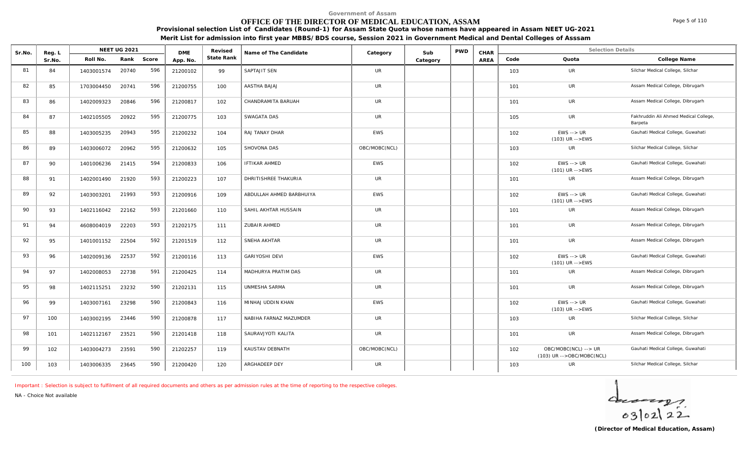# **OFFICE OF THE DIRECTOR OF MEDICAL EDUCATION, ASSAM**

Page 5 of 110

**Provisional selection List of Candidates (Round-1) for Assam State Quota whose names have appeared in Assam NEET UG-2021 Merit List for admission into first year MBBS/BDS course, Session 2021 in Government Medical and Dental Colleges of Asssam**

| Sr.No. | Reg. L |            | <b>NEET UG 2021</b> |       | <b>DME</b> | Revised    | Name of The Candidate    | Category      | Sub      | <b>PWD</b> | CHAR |      | <b>Selection Details</b>                           |                                                  |
|--------|--------|------------|---------------------|-------|------------|------------|--------------------------|---------------|----------|------------|------|------|----------------------------------------------------|--------------------------------------------------|
|        | Sr.No. | Roll No.   | Rank                | Score | App. No.   | State Rank |                          |               | Category |            | AREA | Code | Quota                                              | College Name                                     |
| 81     | 84     | 1403001574 | 20740               | 596   | 21200102   | 99         | SAPTAJIT SEN             | <b>UR</b>     |          |            |      | 103  | <b>UR</b>                                          | Silchar Medical College, Silchar                 |
| 82     | 85     | 1703004450 | 20741               | 596   | 21200755   | 100        | AASTHA BAJAJ             | <b>UR</b>     |          |            |      | 101  | <b>UR</b>                                          | Assam Medical College, Dibrugarh                 |
| 83     | 86     | 1402009323 | 20846               | 596   | 21200817   | 102        | CHANDRAMITA BARUAH       | <b>UR</b>     |          |            |      | 101  | <b>UR</b>                                          | Assam Medical College, Dibrugarh                 |
| 84     | 87     | 1402105505 | 20922               | 595   | 21200775   | 103        | SWAGATA DAS              | <b>UR</b>     |          |            |      | 105  | UR                                                 | Fakhruddin Ali Ahmed Medical College,<br>Barpeta |
| 85     | 88     | 1403005235 | 20943               | 595   | 21200232   | 104        | RAJ TANAY DHAR           | <b>EWS</b>    |          |            |      | 102  | $EWS \rightarrow UR$<br>$(103)$ UR -->EWS          | Gauhati Medical College, Guwahati                |
| 86     | 89     | 1403006072 | 20962               | 595   | 21200632   | 105        | SHOVONA DAS              | OBC/MOBC(NCL) |          |            |      | 103  | <b>UR</b>                                          | Silchar Medical College, Silchar                 |
| 87     | 90     | 1401006236 | 21415               | 594   | 21200833   | 106        | <b>IFTIKAR AHMED</b>     | <b>EWS</b>    |          |            |      | 102  | $EWS \rightarrow \textit{UR}$<br>$(101)$ UR -->EWS | Gauhati Medical College, Guwahati                |
| 88     | 91     | 1402001490 | 21920               | 593   | 21200223   | 107        | DHRITISHREE THAKURIA     | <b>UR</b>     |          |            |      | 101  | UR                                                 | Assam Medical College, Dibrugarh                 |
| 89     | 92     | 1403003201 | 21993               | 593   | 21200916   | 109        | ABDULLAH AHMED BARBHUIYA | <b>EWS</b>    |          |            |      | 102  | $EWS \rightarrow \textit{UR}$<br>$(101)$ UR -->EWS | Gauhati Medical College, Guwahati                |
| 90     | 93     | 1402116042 | 22162               | 593   | 21201660   | 110        | SAHIL AKHTAR HUSSAIN     | <b>UR</b>     |          |            |      | 101  | <b>UR</b>                                          | Assam Medical College, Dibrugarh                 |
| 91     | 94     | 4608004019 | 22203               | 593   | 21202175   | 111        | ZUBAIR AHMED             | <b>UR</b>     |          |            |      | 101  | UR                                                 | Assam Medical College, Dibrugarh                 |
| 92     | 95     | 1401001152 | 22504               | 592   | 21201519   | 112        | SNEHA AKHTAR             | <b>UR</b>     |          |            |      | 101  | <b>UR</b>                                          | Assam Medical College, Dibrugarh                 |
| 93     | 96     | 1402009136 | 22537               | 592   | 21200116   | 113        | GARIYOSHI DEVI           | <b>EWS</b>    |          |            |      | 102  | $EWS \rightarrow \textit{UR}$<br>$(101)$ UR -->EWS | Gauhati Medical College, Guwahati                |
| 94     | 97     | 1402008053 | 22738               | 591   | 21200425   | 114        | MADHURYA PRATIM DAS      | <b>UR</b>     |          |            |      | 101  | <b>UR</b>                                          | Assam Medical College, Dibrugarh                 |
| 95     | 98     | 1402115251 | 23232               | 590   | 21202131   | 115        | UNMESHA SARMA            | <b>UR</b>     |          |            |      | 101  | <b>UR</b>                                          | Assam Medical College, Dibrugarh                 |
| 96     | 99     | 1403007161 | 23298               | 590   | 21200843   | 116        | MINHAJ UDDIN KHAN        | <b>EWS</b>    |          |            |      | 102  | $EWS \rightarrow UR$<br>$(103)$ UR -->EWS          | Gauhati Medical College, Guwahati                |
| 97     | 100    | 1403002195 | 23446               | 590   | 21200878   | 117        | NABIHA FARNAZ MAZUMDER   | <b>UR</b>     |          |            |      | 103  | <b>UR</b>                                          | Silchar Medical College, Silchar                 |
| 98     | 101    | 1402112167 | 23521               | 590   | 21201418   | 118        | SAURAVJYOTI KALITA       | <b>UR</b>     |          |            |      | 101  | <b>UR</b>                                          | Assam Medical College, Dibrugarh                 |
| 99     | 102    | 1403004273 | 23591               | 590   | 21202257   | 119        | KAUSTAV DEBNATH          | OBC/MOBC(NCL) |          |            |      | 102  | OBC/MOBC(NCL) --> UR<br>(103) UR -->OBC/MOBC(NCL)  | Gauhati Medical College, Guwahati                |
| 100    | 103    | 1403006335 | 23645               | 590   | 21200420   | 120        | ARGHADEEP DEY            | UR.           |          |            |      | 103  | <b>UR</b>                                          | Silchar Medical College, Silchar                 |

*Important : Selection is subject to fulfilment of all required documents and others as per admission rules at the time of reporting to the respective colleges.*

*NA - Choice Not available*

 $40222$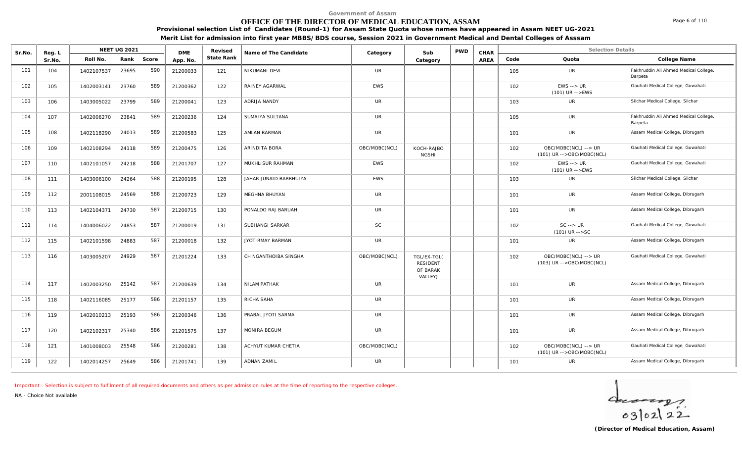# **OFFICE OF THE DIRECTOR OF MEDICAL EDUCATION, ASSAM**

**Provisional selection List of Candidates (Round-1) for Assam State Quota whose names have appeared in Assam NEET UG-2021 Merit List for admission into first year MBBS/BDS course, Session 2021 in Government Medical and Dental Colleges of Asssam**

| Sr.No. | Reg. L |            | <b>NEET UG 2021</b> |       | <b>DME</b> | Revised    | Name of The Candidate  | Category      | Sub                                                   | <b>PWD</b> | CHAR |      | <b>Selection Details</b>                          |                                                  |
|--------|--------|------------|---------------------|-------|------------|------------|------------------------|---------------|-------------------------------------------------------|------------|------|------|---------------------------------------------------|--------------------------------------------------|
|        | Sr.No. | Roll No.   | Rank                | Score | App. No.   | State Rank |                        |               | Category                                              |            | AREA | Code | Quota                                             | College Name                                     |
| 101    | 104    | 1402107537 | 23695               | 590   | 21200033   | 121        | NIKUMANI DEVI          | <b>UR</b>     |                                                       |            |      | 105  | UR                                                | Fakhruddin Ali Ahmed Medical College,<br>Barpeta |
| 102    | 105    | 1402003141 | 23760               | 589   | 21200362   | 122        | RAINEY AGARWAL         | <b>EWS</b>    |                                                       |            |      | 102  | $EWS \rightarrow UR$<br>$(101)$ UR -->EWS         | Gauhati Medical College, Guwahati                |
| 103    | 106    | 1403005022 | 23799               | 589   | 21200041   | 123        | ADRIJA NANDY           | <b>UR</b>     |                                                       |            |      | 103  | UR                                                | Silchar Medical College, Silchar                 |
| 104    | 107    | 1402006270 | 23841               | 589   | 21200236   | 124        | SUMAIYA SULTANA        | <b>UR</b>     |                                                       |            |      | 105  | <b>UR</b>                                         | Fakhruddin Ali Ahmed Medical College,<br>Barpeta |
| 105    | 108    | 1402118290 | 24013               | 589   | 21200583   | 125        | AMLAN BARMAN           | <b>UR</b>     |                                                       |            |      | 101  | <b>UR</b>                                         | Assam Medical College, Dibrugarh                 |
| 106    | 109    | 1402108294 | 24118               | 589   | 21200475   | 126        | ARINDITA BORA          | OBC/MOBC(NCL) | KOCH-RAJBO<br><b>NGSHI</b>                            |            |      | 102  | OBC/MOBC(NCL) --> UR<br>(101) UR -->OBC/MOBC(NCL) | Gauhati Medical College, Guwahati                |
| 107    | 110    | 1402101057 | 24218               | 588   | 21201707   | 127        | MUKHLISUR RAHMAN       | <b>EWS</b>    |                                                       |            |      | 102  | $EWS \rightarrow UR$<br>$(101)$ UR -->EWS         | Gauhati Medical College, Guwahati                |
| 108    | 111    | 1403006100 | 24264               | 588   | 21200195   | 128        | JAHAR JUNAID BARBHUIYA | <b>EWS</b>    |                                                       |            |      | 103  | <b>UR</b>                                         | Silchar Medical College, Silchar                 |
| 109    | 112    | 2001108015 | 24569               | 588   | 21200723   | 129        | MEGHNA BHUYAN          | <b>UR</b>     |                                                       |            |      | 101  | UR                                                | Assam Medical College, Dibrugarh                 |
| 110    | 113    | 1402104371 | 24730               | 587   | 21200715   | 130        | PONALDO RAJ BARUAH     | <b>UR</b>     |                                                       |            |      | 101  | UR                                                | Assam Medical College, Dibrugarh                 |
| 111    | 114    | 1404006022 | 24853               | 587   | 21200019   | 131        | SUBHANGI SARKAR        | SC            |                                                       |            |      | 102  | $SC \rightarrow UR$<br>$(101)$ UR $--$ SC         | Gauhati Medical College, Guwahati                |
| 112    | 115    | 1402101598 | 24883               | 587   | 21200018   | 132        | JYOTIRMAY BARMAN       | <b>UR</b>     |                                                       |            |      | 101  | UR                                                | Assam Medical College, Dibrugarh                 |
| 113    | 116    | 1403005207 | 24929               | 587   | 21201224   | 133        | CH NGANTHOIBA SINGHA   | OBC/MOBC(NCL) | TGL/EX-TGL(<br><b>RESIDENT</b><br>OF BARAK<br>VALLEY) |            |      | 102  | OBC/MOBC(NCL) --> UR<br>(103) UR -->OBC/MOBC(NCL) | Gauhati Medical College, Guwahati                |
| 114    | 117    | 1402003250 | 25142               | 587   | 21200639   | 134        | NILAM PATHAK           | <b>UR</b>     |                                                       |            |      | 101  | UR                                                | Assam Medical College, Dibrugarh                 |
| 115    | 118    | 1402116085 | 25177               | 586   | 21201157   | 135        | RICHA SAHA             | <b>UR</b>     |                                                       |            |      | 101  | <b>UR</b>                                         | Assam Medical College, Dibrugarh                 |
| 116    | 119    | 1402010213 | 25193               | 586   | 21200346   | 136        | PRABAL JYOTI SARMA     | <b>UR</b>     |                                                       |            |      | 101  | UR                                                | Assam Medical College, Dibrugarh                 |
| 117    | 120    | 1402102317 | 25340               | 586   | 21201575   | 137        | MONIRA BEGUM           | <b>UR</b>     |                                                       |            |      | 101  | <b>UR</b>                                         | Assam Medical College, Dibrugarh                 |
| 118    | 121    | 1401008003 | 25548               | 586   | 21200281   | 138        | ACHYUT KUMAR CHETIA    | OBC/MOBC(NCL) |                                                       |            |      | 102  | OBC/MOBC(NCL) --> UR<br>(101) UR -->OBC/MOBC(NCL) | Gauhati Medical College, Guwahati                |
| 119    | 122    | 1402014257 | 25649               | 586   | 21201741   | 139        | <b>ADNAN ZAMIL</b>     | <b>UR</b>     |                                                       |            |      | 101  | UR                                                | Assam Medical College, Dibrugarh                 |

*Important : Selection is subject to fulfilment of all required documents and others as per admission rules at the time of reporting to the respective colleges.*

*NA - Choice Not available*



Page 6 of 110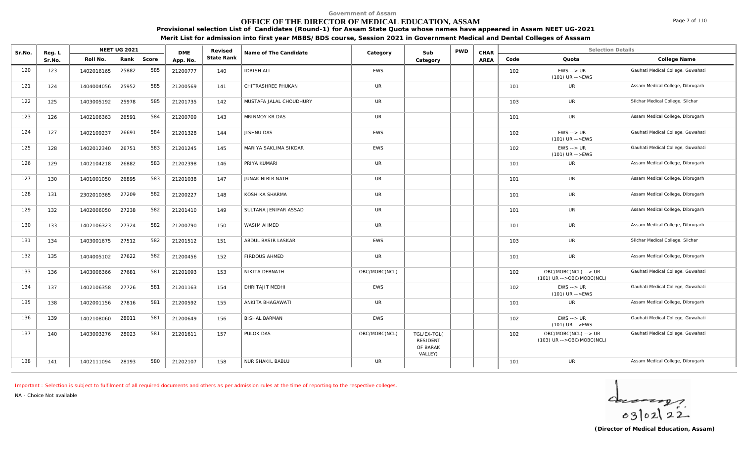# **OFFICE OF THE DIRECTOR OF MEDICAL EDUCATION, ASSAM**

Page 7 of 110

**Provisional selection List of Candidates (Round-1) for Assam State Quota whose names have appeared in Assam NEET UG-2021 Merit List for admission into first year MBBS/BDS course, Session 2021 in Government Medical and Dental Colleges of Asssam**

| Sr.No. | Reg. L |            | NEET UG 2021 |       | <b>DME</b> | Revised    | Name of The Candidate   | Category      | Sub                                                   | <b>PWD</b> | CHAR |      | <b>Selection Details</b>                            |                                   |
|--------|--------|------------|--------------|-------|------------|------------|-------------------------|---------------|-------------------------------------------------------|------------|------|------|-----------------------------------------------------|-----------------------------------|
|        | Sr.No. | Roll No.   | Rank         | Score | App. No.   | State Rank |                         |               | Category                                              |            | AREA | Code | Quota                                               | College Name                      |
| 120    | 123    | 1402016165 | 25882        | 585   | 21200777   | 140        | <b>IDRISH ALI</b>       | <b>EWS</b>    |                                                       |            |      | 102  | $EWS \rightarrow UR$<br>$(101)$ UR $--$ EWS         | Gauhati Medical College, Guwahati |
| 121    | 124    | 1404004056 | 25952        | 585   | 21200569   | 141        | CHITRASHREE PHUKAN      | <b>UR</b>     |                                                       |            |      | 101  | <b>UR</b>                                           | Assam Medical College, Dibrugarh  |
| 122    | 125    | 1403005192 | 25978        | 585   | 21201735   | 142        | MUSTAFA JALAL CHOUDHURY | <b>UR</b>     |                                                       |            |      | 103  | <b>UR</b>                                           | Silchar Medical College, Silchar  |
| 123    | 126    | 1402106363 | 26591        | 584   | 21200709   | 143        | MRINMOY KR DAS          | <b>UR</b>     |                                                       |            |      | 101  | <b>UR</b>                                           | Assam Medical College, Dibrugarh  |
| 124    | 127    | 1402109237 | 26691        | 584   | 21201328   | 144        | JISHNU DAS              | <b>EWS</b>    |                                                       |            |      | 102  | $EWS \rightarrow UR$<br>$(101)$ UR $--$ EWS         | Gauhati Medical College, Guwahati |
| 125    | 128    | 1402012340 | 26751        | 583   | 21201245   | 145        | MARIYA SAKLIMA SIKDAR   | <b>EWS</b>    |                                                       |            |      | 102  | $EWS \rightarrow UR$<br>(101) UR -->EWS             | Gauhati Medical College, Guwahati |
| 126    | 129    | 1402104218 | 26882        | 583   | 21202398   | 146        | PRIYA KUMARI            | <b>UR</b>     |                                                       |            |      | 101  | <b>UR</b>                                           | Assam Medical College, Dibrugarh  |
| 127    | 130    | 1401001050 | 26895        | 583   | 21201038   | 147        | JUNAK NIBIR NATH        | <b>UR</b>     |                                                       |            |      | 101  | UR                                                  | Assam Medical College, Dibrugarh  |
| 128    | 131    | 2302010365 | 27209        | 582   | 21200227   | 148        | KOSHIKA SHARMA          | <b>UR</b>     |                                                       |            |      | 101  | <b>UR</b>                                           | Assam Medical College, Dibrugarh  |
| 129    | 132    | 1402006050 | 27238        | 582   | 21201410   | 149        | SULTANA JENIFAR ASSAD   | <b>UR</b>     |                                                       |            |      | 101  | UR                                                  | Assam Medical College, Dibrugarh  |
| 130    | 133    | 1402106323 | 27324        | 582   | 21200790   | 150        | <b>WASIM AHMED</b>      | <b>UR</b>     |                                                       |            |      | 101  | <b>UR</b>                                           | Assam Medical College, Dibrugarh  |
| 131    | 134    | 1403001675 | 27512        | 582   | 21201512   | 151        | ABDUL BASIR LASKAR      | <b>EWS</b>    |                                                       |            |      | 103  | <b>UR</b>                                           | Silchar Medical College, Silchar  |
| 132    | 135    | 1404005102 | 27622        | 582   | 21200456   | 152        | <b>FIRDOUS AHMED</b>    | <b>UR</b>     |                                                       |            |      | 101  | <b>UR</b>                                           | Assam Medical College, Dibrugarh  |
| 133    | 136    | 1403006366 | 27681        | 581   | 21201093   | 153        | NIKITA DEBNATH          | OBC/MOBC(NCL) |                                                       |            |      | 102  | OBC/MOBC(NCL) --> UR<br>$(101)$ UR -->OBC/MOBC(NCL) | Gauhati Medical College, Guwahati |
| 134    | 137    | 1402106358 | 27726        | 581   | 21201163   | 154        | DHRITAJIT MEDHI         | <b>EWS</b>    |                                                       |            |      | 102  | $EWS \rightarrow \textit{UR}$<br>(101) UR -->EWS    | Gauhati Medical College, Guwahati |
| 135    | 138    | 1402001156 | 27816        | 581   | 21200592   | 155        | ANKITA BHAGAWATI        | <b>UR</b>     |                                                       |            |      | 101  | <b>UR</b>                                           | Assam Medical College, Dibrugarh  |
| 136    | 139    | 1402108060 | 28011        | 581   | 21200649   | 156        | <b>BISHAL BARMAN</b>    | <b>EWS</b>    |                                                       |            |      | 102  | $EWS \rightarrow UR$<br>$(101)$ UR -->EWS           | Gauhati Medical College, Guwahati |
| 137    | 140    | 1403003276 | 28023        | 581   | 21201611   | 157        | PULOK DAS               | OBC/MOBC(NCL) | TGL/EX-TGL(<br><b>RESIDENT</b><br>OF BARAK<br>VALLEY) |            |      | 102  | OBC/MOBC(NCL) --> UR<br>(103) UR -->OBC/MOBC(NCL)   | Gauhati Medical College, Guwahati |
| 138    | 141    | 1402111094 | 28193        | 580   | 21202107   | 158        | NUR SHAKIL BABLU        | <b>UR</b>     |                                                       |            |      | 101  | <b>UR</b>                                           | Assam Medical College, Dibrugarh  |

*Important : Selection is subject to fulfilment of all required documents and others as per admission rules at the time of reporting to the respective colleges.*

*NA - Choice Not available*

 $402122$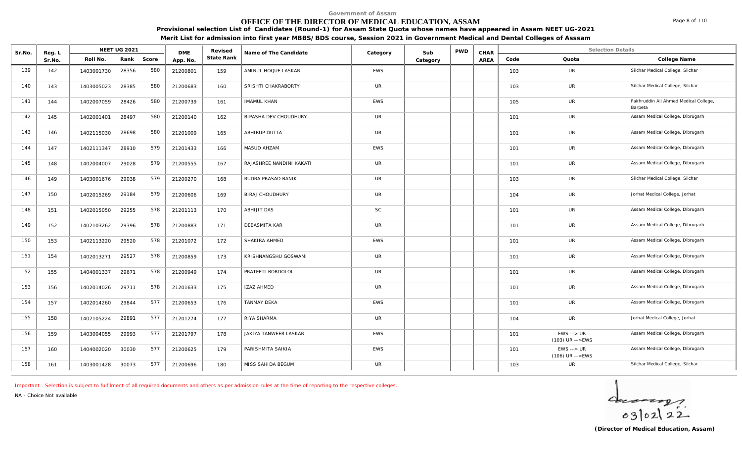# **OFFICE OF THE DIRECTOR OF MEDICAL EDUCATION, ASSAM**

**Provisional selection List of Candidates (Round-1) for Assam State Quota whose names have appeared in Assam NEET UG-2021 Merit List for admission into first year MBBS/BDS course, Session 2021 in Government Medical and Dental Colleges of Asssam**

| Sr.No. | Reg. L |            | <b>NEET UG 2021</b> |       | <b>DME</b> | Revised    | Name of The Candidate    | Category   | Sub      | <b>PWD</b> | CHAR |      | <b>Selection Details</b>                           |                                                  |
|--------|--------|------------|---------------------|-------|------------|------------|--------------------------|------------|----------|------------|------|------|----------------------------------------------------|--------------------------------------------------|
|        | Sr.No. | Roll No.   | Rank                | Score | App. No.   | State Rank |                          |            | Category |            | AREA | Code | Quota                                              | College Name                                     |
| 139    | 142    | 1403001730 | 28356               | 580   | 21200801   | 159        | AMINUL HOQUE LASKAR      | <b>EWS</b> |          |            |      | 103  | UR                                                 | Silchar Medical College, Silchar                 |
| 140    | 143    | 1403005023 | 28385               | 580   | 21200683   | 160        | SRISHTI CHAKRABORTY      | <b>UR</b>  |          |            |      | 103  | UR                                                 | Silchar Medical College, Silchar                 |
| 141    | 144    | 1402007059 | 28426               | 580   | 21200739   | 161        | <b>IMAMUL KHAN</b>       | <b>EWS</b> |          |            |      | 105  | UR                                                 | Fakhruddin Ali Ahmed Medical College,<br>Barpeta |
| 142    | 145    | 1402001401 | 28497               | 580   | 21200140   | 162        | BIPASHA DEV CHOUDHURY    | UR         |          |            |      | 101  | UR                                                 | Assam Medical College, Dibrugarh                 |
| 143    | 146    | 1402115030 | 28698               | 580   | 21201009   | 165        | <b>ABHIRUP DUTTA</b>     | <b>UR</b>  |          |            |      | 101  | <b>UR</b>                                          | Assam Medical College, Dibrugarh                 |
| 144    | 147    | 1402111347 | 28910               | 579   | 21201433   | 166        | MASUD AHZAM              | <b>EWS</b> |          |            |      | 101  | UR                                                 | Assam Medical College, Dibrugarh                 |
| 145    | 148    | 1402004007 | 29028               | 579   | 21200555   | 167        | RAJASHREE NANDINI KAKATI | <b>UR</b>  |          |            |      | 101  | UR                                                 | Assam Medical College, Dibrugarh                 |
| 146    | 149    | 1403001676 | 29038               | 579   | 21200270   | 168        | RUDRA PRASAD BANIK       | UR         |          |            |      | 103  | UR                                                 | Silchar Medical College, Silchar                 |
| 147    | 150    | 1402015269 | 29184               | 579   | 21200606   | 169        | <b>BIRAJ CHOUDHURY</b>   | <b>UR</b>  |          |            |      | 104  | UR                                                 | Jorhat Medical College, Jorhat                   |
| 148    | 151    | 1402015050 | 29255               | 578   | 21201113   | 170        | ABHIJIT DAS              | <b>SC</b>  |          |            |      | 101  | UR                                                 | Assam Medical College, Dibrugarh                 |
| 149    | 152    | 1402103262 | 29396               | 578   | 21200883   | 171        | DEBASMITA KAR            | <b>UR</b>  |          |            |      | 101  | UR                                                 | Assam Medical College, Dibrugarh                 |
| 150    | 153    | 1402113220 | 29520               | 578   | 21201072   | 172        | SHAKIRA AHMED            | <b>EWS</b> |          |            |      | 101  | UR                                                 | Assam Medical College, Dibrugarh                 |
| 151    | 154    | 1402013271 | 29527               | 578   | 21200859   | 173        | KRISHNANGSHU GOSWAMI     | <b>UR</b>  |          |            |      | 101  | UR                                                 | Assam Medical College, Dibrugarh                 |
| 152    | 155    | 1404001337 | 29671               | 578   | 21200949   | 174        | PRATEETI BORDOLOI        | <b>UR</b>  |          |            |      | 101  | <b>UR</b>                                          | Assam Medical College, Dibrugarh                 |
| 153    | 156    | 1402014026 | 29711               | 578   | 21201633   | 175        | <b>IZAZ AHMED</b>        | UR         |          |            |      | 101  | UR                                                 | Assam Medical College, Dibrugarh                 |
| 154    | 157    | 1402014260 | 29844               | 577   | 21200653   | 176        | <b>TANMAY DEKA</b>       | <b>EWS</b> |          |            |      | 101  | <b>UR</b>                                          | Assam Medical College, Dibrugarh                 |
| 155    | 158    | 1402105224 | 29891               | 577   | 21201274   | 177        | RIYA SHARMA              | <b>UR</b>  |          |            |      | 104  | <b>UR</b>                                          | Jorhat Medical College, Jorhat                   |
| 156    | 159    | 1403004055 | 29993               | 577   | 21201797   | 178        | JAKIYA TANWEER LASKAR    | EWS        |          |            |      | 101  | $EWS \rightarrow \textit{UR}$<br>$(103)$ UR -->EWS | Assam Medical College, Dibrugarh                 |
| 157    | 160    | 1404002020 | 30030               | 577   | 21200625   | 179        | PARISHMITA SAIKIA        | <b>EWS</b> |          |            |      | 101  | $EWS \rightarrow UR$<br>$(106)$ UR $--$ EWS        | Assam Medical College, Dibrugarh                 |
| 158    | 161    | 1403001428 | 30073               | 577   | 21200696   | 180        | MISS SAHIDA BEGUM        | UR         |          |            |      | 103  | <b>UR</b>                                          | Silchar Medical College, Silchar                 |

*Important : Selection is subject to fulfilment of all required documents and others as per admission rules at the time of reporting to the respective colleges.*

*NA - Choice Not available*



Page 8 of 110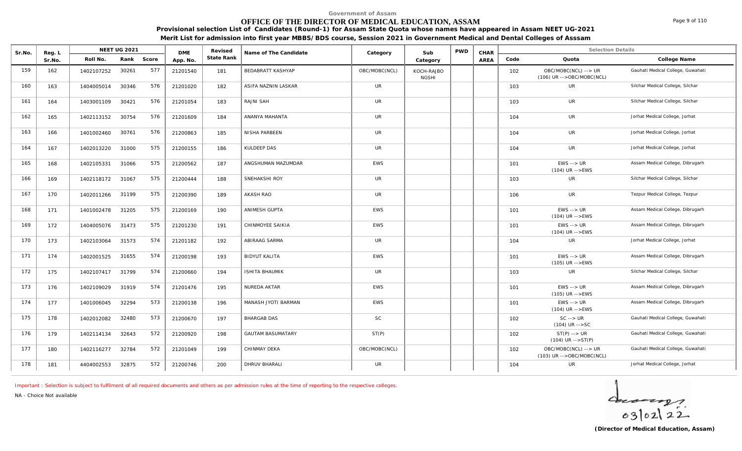# **OFFICE OF THE DIRECTOR OF MEDICAL EDUCATION, ASSAM**

**Provisional selection List of Candidates (Round-1) for Assam State Quota whose names have appeared in Assam NEET UG-2021 Merit List for admission into first year MBBS/BDS course, Session 2021 in Government Medical and Dental Colleges of Asssam**

| Sr.No. | Reg. L |            | NEET UG 2021 |       | <b>DME</b> | Revised    | Name of The Candidate    | Category      | Sub                        | <b>PWD</b> | CHAR |      | <b>Selection Details</b>                            |                                   |
|--------|--------|------------|--------------|-------|------------|------------|--------------------------|---------------|----------------------------|------------|------|------|-----------------------------------------------------|-----------------------------------|
|        | Sr.No. | Roll No.   | Rank         | Score | App. No.   | State Rank |                          |               | Category                   |            | AREA | Code | Quota                                               | College Name                      |
| 159    | 162    | 1402107252 | 30261        | 577   | 21201540   | 181        | BEDABRATT KASHYAP        | OBC/MOBC(NCL) | KOCH-RAJBO<br><b>NGSHI</b> |            |      | 102  | OBC/MOBC(NCL) --> UR<br>$(106)$ UR -->OBC/MOBC(NCL) | Gauhati Medical College, Guwahati |
| 160    | 163    | 1404005014 | 30346        | 576   | 21201020   | 182        | ASIFA NAZNIN LASKAR      | <b>UR</b>     |                            |            |      | 103  | UR                                                  | Silchar Medical College, Silchar  |
| 161    | 164    | 1403001109 | 30421        | 576   | 21201054   | 183        | RAJNI SAH                | <b>UR</b>     |                            |            |      | 103  | UR                                                  | Silchar Medical College, Silchar  |
| 162    | 165    | 1402113152 | 30754        | 576   | 21201609   | 184        | ANANYA MAHANTA           | UR            |                            |            |      | 104  | <b>UR</b>                                           | Jorhat Medical College, Jorhat    |
| 163    | 166    | 1401002460 | 30761        | 576   | 21200863   | 185        | NISHA PARBEEN            | <b>UR</b>     |                            |            |      | 104  | UR                                                  | Jorhat Medical College, Jorhat    |
| 164    | 167    | 1402013220 | 31000        | 575   | 21200155   | 186        | <b>KULDEEP DAS</b>       | <b>UR</b>     |                            |            |      | 104  | <b>UR</b>                                           | Jorhat Medical College, Jorhat    |
| 165    | 168    | 1402105331 | 31066        | 575   | 21200562   | 187        | ANGSHUMAN MAZUMDAR       | EWS           |                            |            |      | 101  | $EWS \rightarrow UR$<br>$(104)$ UR -->EWS           | Assam Medical College, Dibrugarh  |
| 166    | 169    | 1402118172 | 31067        | 575   | 21200444   | 188        | SNEHAKSHI ROY            | <b>UR</b>     |                            |            |      | 103  | UR                                                  | Silchar Medical College, Silchar  |
| 167    | 170    | 1402011266 | 31199        | 575   | 21200390   | 189        | AKASH RAO                | <b>UR</b>     |                            |            |      | 106  | <b>UR</b>                                           | Tezpur Medical College, Tezpur    |
| 168    | 171    | 1401002478 | 31205        | 575   | 21200169   | 190        | ANIMESH GUPTA            | EWS           |                            |            |      | 101  | $EWS \rightarrow UR$<br>$(104)$ UR -->EWS           | Assam Medical College, Dibrugarh  |
| 169    | 172    | 1404005076 | 31473        | 575   | 21201230   | 191        | CHINMOYEE SAIKIA         | <b>EWS</b>    |                            |            |      | 101  | $EWS \rightarrow UR$<br>$(104)$ UR -->EWS           | Assam Medical College, Dibrugarh  |
| 170    | 173    | 1402103064 | 31573        | 574   | 21201182   | 192        | ABIRAAG SARMA            | <b>UR</b>     |                            |            |      | 104  | UR                                                  | Jorhat Medical College, Jorhat    |
| 171    | 174    | 1402001525 | 31655        | 574   | 21200198   | 193        | <b>BIDYUT KALITA</b>     | <b>EWS</b>    |                            |            |      | 101  | $EWS \rightarrow UR$<br>(105) UR -->EWS             | Assam Medical College, Dibrugarh  |
| 172    | 175    | 1402107417 | 31799        | 574   | 21200660   | 194        | <b>ISHITA BHAUMIK</b>    | <b>UR</b>     |                            |            |      | 103  | <b>UR</b>                                           | Silchar Medical College, Silchar  |
| 173    | 176    | 1402109029 | 31919        | 574   | 21201476   | 195        | NUREDA AKTAR             | <b>EWS</b>    |                            |            |      | 101  | $EWS \rightarrow UR$<br>$(105)$ UR $--$ EWS         | Assam Medical College, Dibrugarh  |
| 174    | 177    | 1401006045 | 32294        | 573   | 21200138   | 196        | MANASH JYOTI BARMAN      | <b>EWS</b>    |                            |            |      | 101  | $EWS \rightarrow \textit{UR}$<br>$(104)$ UR -->EWS  | Assam Medical College, Dibrugarh  |
| 175    | 178    | 1402012082 | 32480        | 573   | 21200670   | 197        | <b>BHARGAB DAS</b>       | <b>SC</b>     |                            |            |      | 102  | $SC \rightarrow UR$<br>$(104)$ UR $--$ SC           | Gauhati Medical College, Guwahati |
| 176    | 179    | 1402114134 | 32643        | 572   | 21200920   | 198        | <b>GAUTAM BASUMATARY</b> | ST(P)         |                            |            |      | 102  | $ST(P)$ --> $UR$<br>$(104)$ UR -->ST(P)             | Gauhati Medical College, Guwahati |
| 177    | 180    | 1402116277 | 32784        | 572   | 21201049   | 199        | CHINMAY DEKA             | OBC/MOBC(NCL) |                            |            |      | 102  | OBC/MOBC(NCL) --> UR<br>(103) UR -->OBC/MOBC(NCL)   | Gauhati Medical College, Guwahati |
| 178    | 181    | 4404002553 | 32875        | 572   | 21200746   | 200        | <b>DHRUV BHARALI</b>     | <b>UR</b>     |                            |            |      | 104  | <b>UR</b>                                           | Jorhat Medical College, Jorhat    |

*Important : Selection is subject to fulfilment of all required documents and others as per admission rules at the time of reporting to the respective colleges.*

*NA - Choice Not available*

 $40222$ 

Page 9 of 110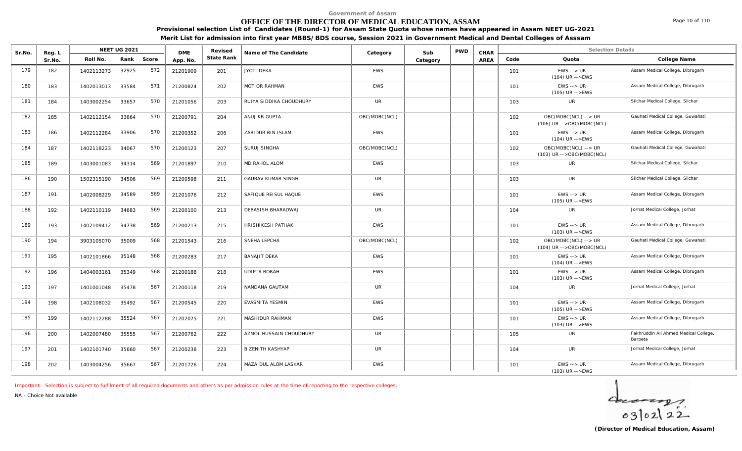# **OFFICE OF THE DIRECTOR OF MEDICAL EDUCATION, ASSAM**

Page 10 of 110

**Provisional selection List of Candidates (Round-1) for Assam State Quota whose names have appeared in Assam NEET UG-2021 Merit List for admission into first year MBBS/BDS course, Session 2021 in Government Medical and Dental Colleges of Asssam**

| Sr.No. | Reg. L |            | <b>NEET UG 2021</b> |       | <b>DMF</b> | Revised    | Name of The Candidate     | Category      | Sub      | <b>PWD</b> | CHAR        |      | <b>Selection Details</b>                            |                                                  |
|--------|--------|------------|---------------------|-------|------------|------------|---------------------------|---------------|----------|------------|-------------|------|-----------------------------------------------------|--------------------------------------------------|
|        | Sr.No. | Roll No.   | Rank                | Score | App. No.   | State Rank |                           |               | Category |            | <b>AREA</b> | Code | Quota                                               | College Name                                     |
| 179    | 182    | 1402113273 | 32925               | 572   | 21201909   | 201        | JYOTI DEKA                | <b>EWS</b>    |          |            |             | 101  | $EWS \rightarrow UR$<br>$(104)$ UR -->EWS           | Assam Medical College, Dibrugarh                 |
| 180    | 183    | 1402013013 | 33584               | 571   | 21200824   | 202        | <b>MOTIOR RAHMAN</b>      | <b>EWS</b>    |          |            |             | 101  | $EWS \rightarrow UR$<br>$(105)$ UR -->EWS           | Assam Medical College, Dibrugarh                 |
| 181    | 184    | 1403002254 | 33657               | 570   | 21201056   | 203        | RUIYA SIDDIKA CHOUDHURY   | UR            |          |            |             | 103  | UR                                                  | Silchar Medical College, Silchar                 |
| 182    | 185    | 1402112154 | 33664               | 570   | 21200791   | 204        | ANUJ KR GUPTA             | OBC/MOBC(NCL) |          |            |             | 102  | OBC/MOBC(NCL) --> UR<br>$(106)$ UR -->OBC/MOBC(NCL) | Gauhati Medical College, Guwahati                |
| 183    | 186    | 1402112284 | 33906               | 570   | 21200352   | 206        | ZABIDUR BIN ISLAM         | <b>EWS</b>    |          |            |             | 101  | $EWS \rightarrow UR$<br>$(104)$ UR -->EWS           | Assam Medical College, Dibrugarh                 |
| 184    | 187    | 1402118223 | 34067               | 570   | 21200123   | 207        | SURUJ SINGHA              | OBC/MOBC(NCL) |          |            |             | 102  | OBC/MOBC(NCL) --> UR<br>(103) UR -->OBC/MOBC(NCL)   | Gauhati Medical College, Guwahati                |
| 185    | 189    | 1403001083 | 34314               | 569   | 21201897   | 210        | MD RAHOL ALOM             | <b>EWS</b>    |          |            |             | 103  | <b>UR</b>                                           | Silchar Medical College, Silchar                 |
| 186    | 190    | 1502315190 | 34506               | 569   | 21200598   | 211        | <b>GAURAV KUMAR SINGH</b> | UR            |          |            |             | 103  | <b>UR</b>                                           | Silchar Medical College, Silchar                 |
| 187    | 191    | 1402008229 | 34589               | 569   | 21201076   | 212        | SAFIQUE REISUL HAQUE      | <b>EWS</b>    |          |            |             | 101  | $EWS \rightarrow UR$<br>$(105)$ UR $-$ > EWS        | Assam Medical College, Dibrugarh                 |
| 188    | 192    | 1402110119 | 34683               | 569   | 21200100   | 213        | <b>DEBASISH BHARADWAJ</b> | <b>UR</b>     |          |            |             | 104  | <b>UR</b>                                           | Jorhat Medical College, Jorhat                   |
| 189    | 193    | 1402109412 | 34738               | 569   | 21200213   | 215        | <b>HRISHIKESH PATHAK</b>  | <b>EWS</b>    |          |            |             | 101  | $EWS \rightarrow UR$<br>$(103)$ UR -->EWS           | Assam Medical College, Dibrugarh                 |
| 190    | 194    | 3903105070 | 35009               | 568   | 21201543   | 216        | SNEHA LEPCHA              | OBC/MOBC(NCL) |          |            |             | 102  | OBC/MOBC(NCL) --> UR<br>$(104)$ UR -->OBC/MOBC(NCL) | Gauhati Medical College, Guwahati                |
| 191    | 195    | 1402101866 | 35148               | 568   | 21200283   | 217        | <b>BANAJIT DEKA</b>       | <b>EWS</b>    |          |            |             | 101  | $EWS \rightarrow UR$<br>$(104)$ UR -->EWS           | Assam Medical College, Dibrugarh                 |
| 192    | 196    | 1404003161 | 35349               | 568   | 21200188   | 218        | <b>UDIPTA BORAH</b>       | <b>EWS</b>    |          |            |             | 101  | $EWS \rightarrow UR$<br>$(103)$ UR -->EWS           | Assam Medical College, Dibrugarh                 |
| 193    | 197    | 1401001048 | 35478               | 567   | 21200118   | 219        | NANDANA GAUTAM            | <b>UR</b>     |          |            |             | 104  | <b>UR</b>                                           | Jorhat Medical College, Jorhat                   |
| 194    | 198    | 1402108032 | 35492               | 567   | 21200545   | 220        | EVASMITA YESMIN           | <b>EWS</b>    |          |            |             | 101  | $EWS \rightarrow UR$<br>$(105)$ UR -->EWS           | Assam Medical College, Dibrugarh                 |
| 195    | 199    | 1402112288 | 35524               | 567   | 21202075   | 221        | MASHIDUR RAHMAN           | <b>EWS</b>    |          |            |             | 101  | $EWS \rightarrow UR$<br>(103) UR -->EWS             | Assam Medical College, Dibrugarh                 |
| 196    | 200    | 1402007480 | 35555               | 567   | 21200762   | 222        | AZMOL HUSSAIN CHOUDHURY   | UR            |          |            |             | 105  | UR                                                  | Fakhruddin Ali Ahmed Medical College,<br>Barpeta |
| 197    | 201    | 1402101740 | 35660               | 567   | 21200238   | 223        | <b>B ZENITH KASHYAP</b>   | <b>UR</b>     |          |            |             | 104  | <b>UR</b>                                           | Jorhat Medical College, Jorhat                   |
| 198    | 202    | 1403004256 | 35667               | 567   | 21201726   | 224        | MAZAIDUL ALOM LASKAR      | <b>EWS</b>    |          |            |             | 101  | $EWS \rightarrow \textit{UR}$<br>$(103)$ UR -->EWS  | Assam Medical College, Dibrugarh                 |

*Important : Selection is subject to fulfilment of all required documents and others as per admission rules at the time of reporting to the respective colleges.*

*NA - Choice Not available*

 $402122$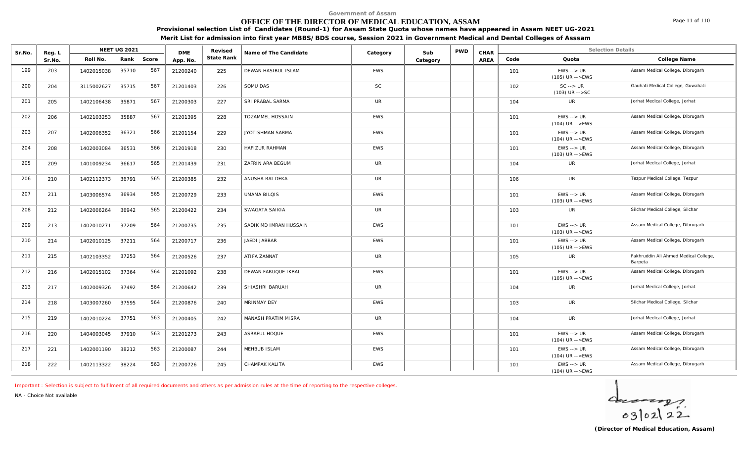# **OFFICE OF THE DIRECTOR OF MEDICAL EDUCATION, ASSAM**

Page 11 of 110

**Provisional selection List of Candidates (Round-1) for Assam State Quota whose names have appeared in Assam NEET UG-2021 Merit List for admission into first year MBBS/BDS course, Session 2021 in Government Medical and Dental Colleges of Asssam**

| Sr.No. | Reg. L |            | <b>NEET UG 2021</b> |       | <b>DME</b> | Revised    | Name of The Candidate   | Category   | Sub      | <b>PWD</b> | CHAR |      | <b>Selection Details</b>                           |                                                  |
|--------|--------|------------|---------------------|-------|------------|------------|-------------------------|------------|----------|------------|------|------|----------------------------------------------------|--------------------------------------------------|
|        | Sr.No. | Roll No.   | Rank                | Score | App. No.   | State Rank |                         |            | Category |            | AREA | Code | Quota                                              | College Name                                     |
| 199    | 203    | 1402015038 | 35710               | 567   | 21200240   | 225        | DEWAN HASIBUL ISLAM     | EWS        |          |            |      | 101  | $EWS \rightarrow UR$<br>$(105)$ UR $--$ EWS        | Assam Medical College, Dibrugarh                 |
| 200    | 204    | 3115002627 | 35715               | 567   | 21201403   | 226        | SOMU DAS                | <b>SC</b>  |          |            |      | 102  | $SC \rightarrow UR$<br>$(103)$ UR $--$ SC          | Gauhati Medical College, Guwahati                |
| 201    | 205    | 1402106438 | 35871               | 567   | 21200303   | 227        | <b>SRI PRABAL SARMA</b> | <b>UR</b>  |          |            |      | 104  | <b>UR</b>                                          | Jorhat Medical College, Jorhat                   |
| 202    | 206    | 1402103253 | 35887               | 567   | 21201395   | 228        | TOZAMMEL HOSSAIN        | <b>EWS</b> |          |            |      | 101  | $EWS \rightarrow \textit{UR}$<br>$(104)$ UR -->EWS | Assam Medical College, Dibrugarh                 |
| 203    | 207    | 1402006352 | 36321               | 566   | 21201154   | 229        | <b>JYOTISHMAN SARMA</b> | <b>EWS</b> |          |            |      | 101  | $EWS \rightarrow UR$<br>$(104)$ UR -->EWS          | Assam Medical College, Dibrugarh                 |
| 204    | 208    | 1402003084 | 36531               | 566   | 21201918   | 230        | HAFIZUR RAHMAN          | <b>EWS</b> |          |            |      | 101  | $EWS \rightarrow UR$<br>$(103)$ UR -->EWS          | Assam Medical College, Dibrugarh                 |
| 205    | 209    | 1401009234 | 36617               | 565   | 21201439   | 231        | ZAFRIN ARA BEGUM        | <b>UR</b>  |          |            |      | 104  | UR                                                 | Jorhat Medical College, Jorhat                   |
| 206    | 210    | 1402112373 | 36791               | 565   | 21200385   | 232        | ANUSHA RAI DEKA         | UR         |          |            |      | 106  | UR                                                 | Tezpur Medical College, Tezpur                   |
| 207    | 211    | 1403006574 | 36934               | 565   | 21200729   | 233        | <b>UMAMA BILQIS</b>     | <b>EWS</b> |          |            |      | 101  | $EWS \rightarrow UR$<br>$(103)$ UR -->EWS          | Assam Medical College, Dibrugarh                 |
| 208    | 212    | 1402006264 | 36942               | 565   | 21200422   | 234        | SWAGATA SAIKIA          | <b>UR</b>  |          |            |      | 103  | <b>UR</b>                                          | Silchar Medical College, Silchar                 |
| 209    | 213    | 1402010271 | 37209               | 564   | 21200735   | 235        | SADIK MD IMRAN HUSSAIN  | <b>EWS</b> |          |            |      | 101  | $EWS \rightarrow UR$<br>(103) UR -->EWS            | Assam Medical College, Dibrugarh                 |
| 210    | 214    | 1402010125 | 37211               | 564   | 21200717   | 236        | JAEDI JABBAR            | <b>EWS</b> |          |            |      | 101  | $EWS \rightarrow UR$<br>(105) UR -->EWS            | Assam Medical College, Dibrugarh                 |
| 211    | 215    | 1402103352 | 37253               | 564   | 21200526   | 237        | ATIFA ZANNAT            | <b>UR</b>  |          |            |      | 105  | UR                                                 | Fakhruddin Ali Ahmed Medical College,<br>Barpeta |
| 212    | 216    | 1402015102 | 37364               | 564   | 21201092   | 238        | DEWAN FARUQUE IKBAL     | <b>EWS</b> |          |            |      | 101  | $EWS \rightarrow UR$<br>$(105)$ UR -->EWS          | Assam Medical College, Dibrugarh                 |
| 213    | 217    | 1402009326 | 37492               | 564   | 21200642   | 239        | SHIASHRI BARUAH         | <b>UR</b>  |          |            |      | 104  | UR                                                 | Jorhat Medical College, Jorhat                   |
| 214    | 218    | 1403007260 | 37595               | 564   | 21200876   | 240        | MRINMAY DEY             | <b>EWS</b> |          |            |      | 103  | UR                                                 | Silchar Medical College, Silchar                 |
| 215    | 219    | 1402010224 | 37751               | 563   | 21200405   | 242        | MANASH PRATIM MISRA     | <b>UR</b>  |          |            |      | 104  | <b>UR</b>                                          | Jorhat Medical College, Jorhat                   |
| 216    | 220    | 1404003045 | 37910               | 563   | 21201273   | 243        | ASRAFUL HOQUE           | <b>EWS</b> |          |            |      | 101  | $EWS \rightarrow UR$<br>$(104)$ UR -->EWS          | Assam Medical College, Dibrugarh                 |
| 217    | 221    | 1402001190 | 38212               | 563   | 21200087   | 244        | MEHBUB ISLAM            | <b>EWS</b> |          |            |      | 101  | $EWS \rightarrow UR$<br>$(104)$ UR -->EWS          | Assam Medical College, Dibrugarh                 |
| 218    | 222    | 1402113322 | 38224               | 563   | 21200726   | 245        | CHAMPAK KALITA          | <b>EWS</b> |          |            |      | 101  | $EWS \rightarrow UR$<br>$(104)$ UR -->EWS          | Assam Medical College, Dibrugarh                 |

*Important : Selection is subject to fulfilment of all required documents and others as per admission rules at the time of reporting to the respective colleges.*

*NA - Choice Not available*

 $40222$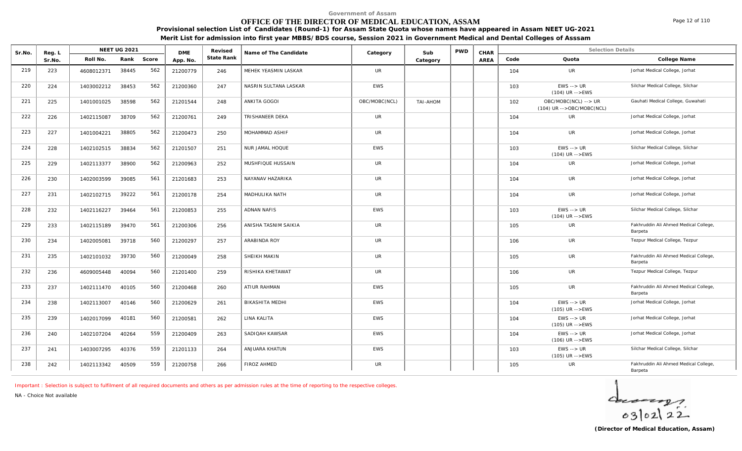# **OFFICE OF THE DIRECTOR OF MEDICAL EDUCATION, ASSAM**

**Provisional selection List of Candidates (Round-1) for Assam State Quota whose names have appeared in Assam NEET UG-2021 Merit List for admission into first year MBBS/BDS course, Session 2021 in Government Medical and Dental Colleges of Asssam**

| Sr.No. | Reg. L |            | <b>NEET UG 2021</b> |       | <b>DMF</b> | Revised    | Name of The Candidate | Category      | Sub             | <b>PWD</b> | CHAR |      | <b>Selection Details</b>                          |                                                  |
|--------|--------|------------|---------------------|-------|------------|------------|-----------------------|---------------|-----------------|------------|------|------|---------------------------------------------------|--------------------------------------------------|
|        | Sr.No. | Roll No.   | Rank                | Score | App. No.   | State Rank |                       |               | Category        |            | AREA | Code | Quota                                             | College Name                                     |
| 219    | 223    | 4608012371 | 38445               | 562   | 21200779   | 246        | MEHEK YEASMIN LASKAR  | <b>UR</b>     |                 |            |      | 104  | <b>UR</b>                                         | Jorhat Medical College, Jorhat                   |
| 220    | 224    | 1403002212 | 38453               | 562   | 21200360   | 247        | NASRIN SULTANA LASKAR | <b>EWS</b>    |                 |            |      | 103  | $EWS \rightarrow UR$<br>$(104)$ UR -->EWS         | Silchar Medical College, Silchar                 |
| 221    | 225    | 1401001025 | 38598               | 562   | 21201544   | 248        | ANKITA GOGOI          | OBC/MOBC(NCL) | <b>TAI-AHOM</b> |            |      | 102  | OBC/MOBC(NCL) --> UR<br>(104) UR -->OBC/MOBC(NCL) | Gauhati Medical College, Guwahati                |
| 222    | 226    | 1402115087 | 38709               | 562   | 21200761   | 249        | TRISHANEER DEKA       | <b>UR</b>     |                 |            |      | 104  | UR                                                | Jorhat Medical College, Jorhat                   |
| 223    | 227    | 1401004221 | 38805               | 562   | 21200473   | 250        | MOHAMMAD ASHIF        | <b>UR</b>     |                 |            |      | 104  | <b>UR</b>                                         | Jorhat Medical College, Jorhat                   |
| 224    | 228    | 1402102515 | 38834               | 562   | 21201507   | 251        | NUR JAMAL HOQUE       | <b>EWS</b>    |                 |            |      | 103  | $EWS \rightarrow UR$<br>$(104)$ UR -->EWS         | Silchar Medical College, Silchar                 |
| 225    | 229    | 1402113377 | 38900               | 562   | 21200963   | 252        | MUSHFIQUE HUSSAIN     | <b>UR</b>     |                 |            |      | 104  | <b>UR</b>                                         | Jorhat Medical College, Jorhat                   |
| 226    | 230    | 1402003599 | 39085               | 561   | 21201683   | 253        | NAYANAV HAZARIKA      | <b>UR</b>     |                 |            |      | 104  | UR                                                | Jorhat Medical College, Jorhat                   |
| 227    | 231    | 1402102715 | 39222               | 561   | 21200178   | 254        | MADHULIKA NATH        | UR            |                 |            |      | 104  | UR                                                | Jorhat Medical College, Jorhat                   |
| 228    | 232    | 1402116227 | 39464               | 561   | 21200853   | 255        | <b>ADNAN NAFIS</b>    | <b>EWS</b>    |                 |            |      | 103  | $EWS \rightarrow UR$<br>$(104)$ UR -->EWS         | Silchar Medical College, Silchar                 |
| 229    | 233    | 1402115189 | 39470               | 561   | 21200306   | 256        | ANISHA TASNIM SAIKIA  | <b>UR</b>     |                 |            |      | 105  | <b>UR</b>                                         | Fakhruddin Ali Ahmed Medical College,<br>Barpeta |
| 230    | 234    | 1402005081 | 39718               | 560   | 21200297   | 257        | ARABINDA ROY          | <b>UR</b>     |                 |            |      | 106  | UR                                                | Tezpur Medical College, Tezpur                   |
| 231    | 235    | 1402101032 | 39730               | 560   | 21200049   | 258        | SHEIKH MAKIN          | <b>UR</b>     |                 |            |      | 105  | UR                                                | Fakhruddin Ali Ahmed Medical College,<br>Barpeta |
| 232    | 236    | 4609005448 | 40094               | 560   | 21201400   | 259        | RISHIKA KHETAWAT      | <b>UR</b>     |                 |            |      | 106  | <b>UR</b>                                         | Tezpur Medical College, Tezpur                   |
| 233    | 237    | 1402111470 | 40105               | 560   | 21200468   | 260        | ATIUR RAHMAN          | <b>EWS</b>    |                 |            |      | 105  | <b>UR</b>                                         | Fakhruddin Ali Ahmed Medical College,<br>Barpeta |
| 234    | 238    | 1402113007 | 40146               | 560   | 21200629   | 261        | BIKASHITA MEDHI       | <b>EWS</b>    |                 |            |      | 104  | $EWS \rightarrow UR$<br>$(105)$ UR -->EWS         | Jorhat Medical College, Jorhat                   |
| 235    | 239    | 1402017099 | 40181               | 560   | 21200581   | 262        | LINA KALITA           | <b>EWS</b>    |                 |            |      | 104  | $EWS \rightarrow UR$<br>(105) UR -->EWS           | Jorhat Medical College, Jorhat                   |
| 236    | 240    | 1402107204 | 40264               | 559   | 21200409   | 263        | SADIOAH KAWSAR        | <b>EWS</b>    |                 |            |      | 104  | $EWS \rightarrow UR$<br>$(106)$ UR $--$ EWS       | Jorhat Medical College, Jorhat                   |
| 237    | 241    | 1403007295 | 40376               | 559   | 21201133   | 264        | ANJUARA KHATUN        | <b>EWS</b>    |                 |            |      | 103  | $EWS \rightarrow UR$<br>$(105)$ UR -->EWS         | Silchar Medical College, Silchar                 |
| 238    | 242    | 1402113342 | 40509               | 559   | 21200758   | 266        | FIROZ AHMED           | UR            |                 |            |      | 105  | UR                                                | Fakhruddin Ali Ahmed Medical College,<br>Barpeta |

*Important : Selection is subject to fulfilment of all required documents and others as per admission rules at the time of reporting to the respective colleges.*

*NA - Choice Not available*



Page 12 of 110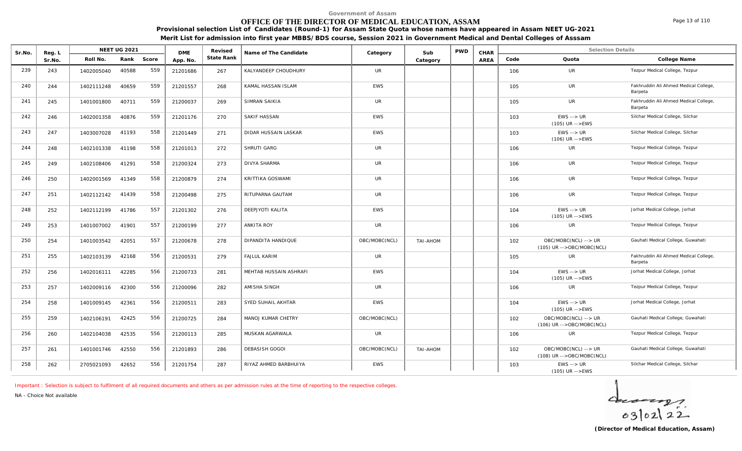#### **OFFICE OF THE DIRECTOR OF MEDICAL EDUCATION, ASSAM**

**Provisional selection List of Candidates (Round-1) for Assam State Quota whose names have appeared in Assam NEET UG-2021**

| Merit List for admission into first year MBBS/BDS course, Session 2021 in Government Medical and Dental Colleges of Asssam |  |
|----------------------------------------------------------------------------------------------------------------------------|--|
|                                                                                                                            |  |

| Sr.No. | Reg. L |            | <b>NEET UG 2021</b> |       | <b>DMF</b> | Revised    | Name of The Candidate     | Category      | Sub      | <b>PWD</b> | CHAR |      | <b>Selection Details</b>                          |                                                  |
|--------|--------|------------|---------------------|-------|------------|------------|---------------------------|---------------|----------|------------|------|------|---------------------------------------------------|--------------------------------------------------|
|        | Sr.No. | Roll No.   | Rank                | Score | App. No.   | State Rank |                           |               | Category |            | AREA | Code | Quota                                             | College Name                                     |
| 239    | 243    | 1402005040 | 40588               | 559   | 21201686   | 267        | KALYANDEEP CHOUDHURY      | <b>UR</b>     |          |            |      | 106  | <b>UR</b>                                         | Tezpur Medical College, Tezpur                   |
| 240    | 244    | 1402111248 | 40659               | 559   | 21201557   | 268        | KAMAL HASSAN ISLAM        | EWS           |          |            |      | 105  | <b>UR</b>                                         | Fakhruddin Ali Ahmed Medical College,<br>Barpeta |
| 241    | 245    | 1401001800 | 40711               | 559   | 21200037   | 269        | SIMRAN SAIKIA             | <b>UR</b>     |          |            |      | 105  | UR                                                | Fakhruddin Ali Ahmed Medical College,<br>Barpeta |
| 242    | 246    | 1402001358 | 40876               | 559   | 21201176   | 270        | SAKIF HASSAN              | <b>EWS</b>    |          |            |      | 103  | $EWS \rightarrow UR$<br>(105) UR -->EWS           | Silchar Medical College, Silchar                 |
| 243    | 247    | 1403007028 | 41193               | 558   | 21201449   | 271        | DIDAR HUSSAIN LASKAR      | <b>EWS</b>    |          |            |      | 103  | $EWS \rightarrow UR$<br>$(106)$ UR -->EWS         | Silchar Medical College, Silchar                 |
| 244    | 248    | 1402101338 | 41198               | 558   | 21201013   | 272        | SHRUTI GARG               | <b>UR</b>     |          |            |      | 106  | <b>UR</b>                                         | Tezpur Medical College, Tezpur                   |
| 245    | 249    | 1402108406 | 41291               | 558   | 21200324   | 273        | <b>DIVYA SHARMA</b>       | <b>UR</b>     |          |            |      | 106  | <b>UR</b>                                         | Tezpur Medical College, Tezpur                   |
| 246    | 250    | 1402001569 | 41349               | 558   | 21200879   | 274        | KRITTIKA GOSWAMI          | <b>UR</b>     |          |            |      | 106  | UR                                                | Tezpur Medical College, Tezpur                   |
| 247    | 251    | 1402112142 | 41439               | 558   | 21200498   | 275        | RITUPARNA GAUTAM          | <b>UR</b>     |          |            |      | 106  | UR                                                | Tezpur Medical College, Tezpur                   |
| 248    | 252    | 1402112199 | 41786               | 557   | 21201302   | 276        | DEEPJYOTI KALITA          | <b>EWS</b>    |          |            |      | 104  | $EWS \rightarrow UR$<br>$(105)$ UR -->EWS         | Jorhat Medical College, Jorhat                   |
| 249    | 253    | 1401007002 | 41901               | 557   | 21200199   | 277        | <b>ANKITA ROY</b>         | <b>UR</b>     |          |            |      | 106  | UR                                                | Tezpur Medical College, Tezpur                   |
| 250    | 254    | 1401003542 | 42051               | 557   | 21200678   | 278        | DIPANDITA HANDIQUE        | OBC/MOBC(NCL) | TAI-AHOM |            |      | 102  | OBC/MOBC(NCL) --> UR<br>(105) UR -->OBC/MOBC(NCL) | Gauhati Medical College, Guwahati                |
| 251    | 255    | 1402103139 | 42168               | 556   | 21200531   | 279        | <b>FAJLUL KARIM</b>       | UR            |          |            |      | 105  | UR                                                | Fakhruddin Ali Ahmed Medical College,<br>Barpeta |
| 252    | 256    | 1402016111 | 42285               | 556   | 21200733   | 281        | MEHTAB HUSSAIN ASHRAFI    | EWS           |          |            |      | 104  | $EWS \rightarrow UR$<br>$(105)$ UR -->EWS         | Jorhat Medical College, Jorhat                   |
| 253    | 257    | 1402009116 | 42300               | 556   | 21200096   | 282        | AMISHA SINGH              | <b>UR</b>     |          |            |      | 106  | UR                                                | Tezpur Medical College, Tezpur                   |
| 254    | 258    | 1401009145 | 42361               | 556   | 21200511   | 283        | SYED SUHAIL AKHTAR        | <b>EWS</b>    |          |            |      | 104  | $EWS \rightarrow UR$<br>$(105)$ UR -->EWS         | Jorhat Medical College, Jorhat                   |
| 255    | 259    | 1402106191 | 42425               | 556   | 21200725   | 284        | <b>MANOJ KUMAR CHETRY</b> | OBC/MOBC(NCL) |          |            |      | 102  | OBC/MOBC(NCL) --> UR<br>(106) UR -->OBC/MOBC(NCL) | Gauhati Medical College, Guwahati                |
| 256    | 260    | 1402104038 | 42535               | 556   | 21200113   | 285        | MUSKAN AGARWALA           | UR            |          |            |      | 106  | UR                                                | Tezpur Medical College, Tezpur                   |
| 257    | 261    | 1401001746 | 42550               | 556   | 21201893   | 286        | DEBASISH GOGOI            | OBC/MOBC(NCL) | TAI-AHOM |            |      | 102  | OBC/MOBC(NCL) --> UR<br>(108) UR -->OBC/MOBC(NCL) | Gauhati Medical College, Guwahati                |
| 258    | 262    | 2705021093 | 42652               | 556   | 21201754   | 287        | RIYAZ AHMED BARBHUIYA     | <b>EWS</b>    |          |            |      | 103  | $EWS \rightarrow UR$<br>$(105)$ UR -->EWS         | Silchar Medical College, Silchar                 |

*Important : Selection is subject to fulfilment of all required documents and others as per admission rules at the time of reporting to the respective colleges.*

*NA - Choice Not available*

 $402122$ 

Page 13 of 110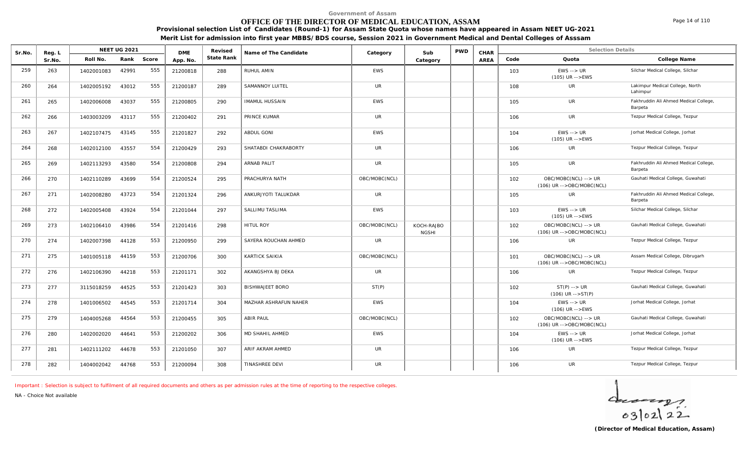# **OFFICE OF THE DIRECTOR OF MEDICAL EDUCATION, ASSAM**

Page 14 of 110

**Provisional selection List of Candidates (Round-1) for Assam State Quota whose names have appeared in Assam NEET UG-2021 Merit List for admission into first year MBBS/BDS course, Session 2021 in Government Medical and Dental Colleges of Asssam**

| Sr.No. | Reg. L |            | <b>NEET UG 2021</b> |       | <b>DME</b> | Revised    | Name of The Candidate  | Category      | Sub                        | <b>PWD</b> | CHAR |      | <b>Selection Details</b>                            |                                                  |
|--------|--------|------------|---------------------|-------|------------|------------|------------------------|---------------|----------------------------|------------|------|------|-----------------------------------------------------|--------------------------------------------------|
|        | Sr.No. | Roll No.   | Rank                | Score | App. No.   | State Rank |                        |               | Category                   |            | AREA | Code | Quota                                               | College Name                                     |
| 259    | 263    | 1402001083 | 42991               | 555   | 21200818   | 288        | RUHUL AMIN             | <b>EWS</b>    |                            |            |      | 103  | $EWS \rightarrow UR$<br>$(105)$ UR -->EWS           | Silchar Medical College, Silchar                 |
| 260    | 264    | 1402005192 | 43012               | 555   | 21200187   | 289        | SAMANNOY LUITEL        | UR            |                            |            |      | 108  | UR                                                  | Lakimpur Medical College, North<br>Lahimpur      |
| 261    | 265    | 1402006008 | 43037               | 555   | 21200805   | 290        | <b>IMAMUL HUSSAIN</b>  | <b>EWS</b>    |                            |            |      | 105  | <b>UR</b>                                           | Fakhruddin Ali Ahmed Medical College,<br>Barpeta |
| 262    | 266    | 1403003209 | 43117               | 555   | 21200402   | 291        | PRINCE KUMAR           | UR            |                            |            |      | 106  | UR                                                  | Tezpur Medical College, Tezpur                   |
| 263    | 267    | 1402107475 | 43145               | 555   | 21201827   | 292        | ABDUL GONI             | <b>EWS</b>    |                            |            |      | 104  | $EWS \rightarrow UR$<br>$(105)$ UR -->EWS           | Jorhat Medical College, Jorhat                   |
| 264    | 268    | 1402012100 | 43557               | 554   | 21200429   | 293        | SHATABDI CHAKRABORTY   | <b>UR</b>     |                            |            |      | 106  | <b>UR</b>                                           | Tezpur Medical College, Tezpur                   |
| 265    | 269    | 1402113293 | 43580               | 554   | 21200808   | 294        | <b>ARNAB PALIT</b>     | <b>UR</b>     |                            |            |      | 105  | <b>UR</b>                                           | Fakhruddin Ali Ahmed Medical College,<br>Barpeta |
| 266    | 270    | 1402110289 | 43699               | 554   | 21200524   | 295        | PRACHURYA NATH         | OBC/MOBC(NCL) |                            |            |      | 102  | OBC/MOBC(NCL) --> UR<br>$(106)$ UR -->OBC/MOBC(NCL) | Gauhati Medical College, Guwahati                |
| 267    | 271    | 1402008280 | 43723               | 554   | 21201324   | 296        | ANKURJYOTI TALUKDAR    | <b>UR</b>     |                            |            |      | 105  | UR.                                                 | Fakhruddin Ali Ahmed Medical College,<br>Barpeta |
| 268    | 272    | 1402005408 | 43924               | 554   | 21201044   | 297        | SALLIMU TASLIMA        | <b>EWS</b>    |                            |            |      | 103  | $EWS \rightarrow UR$<br>$(105)$ UR -->EWS           | Silchar Medical College, Silchar                 |
| 269    | 273    | 1402106410 | 43986               | 554   | 21201416   | 298        | <b>HITUL ROY</b>       | OBC/MOBC(NCL) | KOCH-RAJBO<br><b>NGSHI</b> |            |      | 102  | OBC/MOBC(NCL) --> UR<br>$(106)$ UR -->OBC/MOBC(NCL) | Gauhati Medical College, Guwahati                |
| 270    | 274    | 1402007398 | 44128               | 553   | 21200950   | 299        | SAYERA ROUCHAN AHMED   | <b>UR</b>     |                            |            |      | 106  | <b>UR</b>                                           | Tezpur Medical College, Tezpur                   |
| 271    | 275    | 1401005118 | 44159               | 553   | 21200706   | 300        | KARTICK SAIKIA         | OBC/MOBC(NCL) |                            |            |      | 101  | OBC/MOBC(NCL) --> UR<br>(106) UR -->OBC/MOBC(NCL)   | Assam Medical College, Dibrugarh                 |
| 272    | 276    | 1402106390 | 44218               | 553   | 21201171   | 302        | AKANGSHYA BJ DEKA      | <b>UR</b>     |                            |            |      | 106  | UR                                                  | Tezpur Medical College, Tezpur                   |
| 273    | 277    | 3115018259 | 44525               | 553   | 21201423   | 303        | <b>BISHWAJEET BORO</b> | ST(P)         |                            |            |      | 102  | $ST(P)$ --> $UR$<br>$(106)$ UR -->ST(P)             | Gauhati Medical College, Guwahati                |
| 274    | 278    | 1401006502 | 44545               | 553   | 21201714   | 304        | MAZHAR ASHRAFUN NAHER  | <b>EWS</b>    |                            |            |      | 104  | $EWS \rightarrow \text{UR}$<br>$(106)$ UR -->EWS    | Jorhat Medical College, Jorhat                   |
| 275    | 279    | 1404005268 | 44564               | 553   | 21200455   | 305        | <b>ABIR PAUL</b>       | OBC/MOBC(NCL) |                            |            |      | 102  | OBC/MOBC(NCL) --> UR<br>(106) UR -->OBC/MOBC(NCL)   | Gauhati Medical College, Guwahati                |
| 276    | 280    | 1402002020 | 44641               | 553   | 21200202   | 306        | MD SHAHIL AHMED        | <b>EWS</b>    |                            |            |      | 104  | $EWS \rightarrow UR$<br>$(106)$ UR -->EWS           | Jorhat Medical College, Jorhat                   |
| 277    | 281    | 1402111202 | 44678               | 553   | 21201050   | 307        | ARIF AKRAM AHMED       | <b>UR</b>     |                            |            |      | 106  | <b>UR</b>                                           | Tezpur Medical College, Tezpur                   |
| 278    | 282    | 1404002042 | 44768               | 553   | 21200094   | 308        | TINASHREE DEVI         | UR            |                            |            |      | 106  | <b>UR</b>                                           | Tezpur Medical College, Tezpur                   |

*Important : Selection is subject to fulfilment of all required documents and others as per admission rules at the time of reporting to the respective colleges.*

*NA - Choice Not available*

 $40222$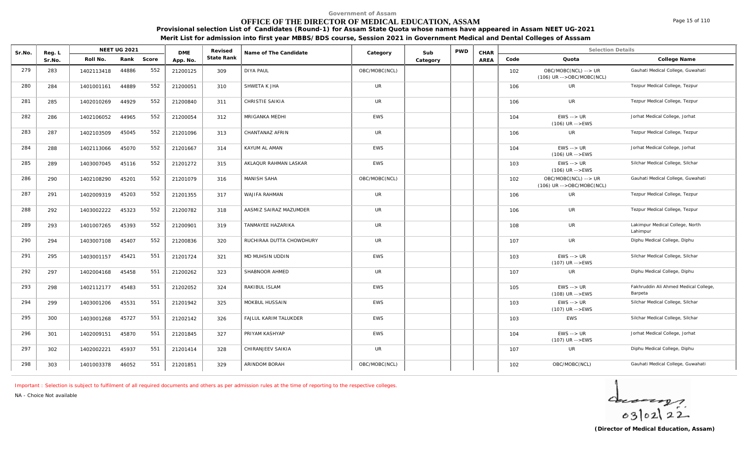# **OFFICE OF THE DIRECTOR OF MEDICAL EDUCATION, ASSAM**

Sr.No. Reg. L Reg.L **NEET UG 2021** ME Revised Name of The Candidate Category Sub PWD CHAR Selection Details Selection Details

**NEET UG 2021 Category CHAR**

**Name of The Candidate Revised**

**Provisional selection List of Candidates (Round-1) for Assam State Quota whose names have appeared in Assam NEET UG-2021 Merit List for admission into first year MBBS/BDS course, Session 2021 in Government Medical and Dental Colleges of Asssam**

AREA Code Quota

**State Rank Code Quota College Name**

**Category**

| 279 | 283 | 1402113418 | 44886 | 552 | 21200125 | 309 | <b>DIYA PAUL</b>         | OBC/MOBC(NCL) | 102 | OBC/MOBC(NCL) --> UR<br>$(106)$ UR -->OBC/MOBC(NCL) | Gauhati Medical College, Guwahati                |
|-----|-----|------------|-------|-----|----------|-----|--------------------------|---------------|-----|-----------------------------------------------------|--------------------------------------------------|
| 280 | 284 | 1401001161 | 44889 | 552 | 21200051 | 310 | SHWETA K JHA             | <b>UR</b>     | 106 | <b>UR</b>                                           | Tezpur Medical College, Tezpur                   |
| 281 | 285 | 1402010269 | 44929 | 552 | 21200840 | 311 | CHRISTIE SAIKIA          | <b>UR</b>     | 106 | <b>UR</b>                                           | Tezpur Medical College, Tezpur                   |
| 282 | 286 | 1402106052 | 44965 | 552 | 21200054 | 312 | MRIGANKA MEDHI           | <b>EWS</b>    | 104 | $EWS \rightarrow UR$<br>$(106)$ UR -->EWS           | Jorhat Medical College, Jorhat                   |
| 283 | 287 | 1402103509 | 45045 | 552 | 21201096 | 313 | CHANTANAZ AFRIN          | <b>UR</b>     | 106 | <b>UR</b>                                           | Tezpur Medical College, Tezpur                   |
| 284 | 288 | 1402113066 | 45070 | 552 | 21201667 | 314 | KAYUM AL AMAN            | <b>EWS</b>    | 104 | $EWS \rightarrow UR$<br>$(106)$ UR -->EWS           | Jorhat Medical College, Jorhat                   |
| 285 | 289 | 1403007045 | 45116 | 552 | 21201272 | 315 | AKLAQUR RAHMAN LASKAR    | <b>EWS</b>    | 103 | $EWS \rightarrow \textit{UR}$<br>$(106)$ UR -->EWS  | Silchar Medical College, Silchar                 |
| 286 | 290 | 1402108290 | 45201 | 552 | 21201079 | 316 | <b>MANISH SAHA</b>       | OBC/MOBC(NCL) | 102 | OBC/MOBC(NCL) --> UR<br>$(106)$ UR -->OBC/MOBC(NCL) | Gauhati Medical College, Guwahati                |
| 287 | 291 | 1402009319 | 45203 | 552 | 21201355 | 317 | <b>WAJIFA RAHMAN</b>     | <b>UR</b>     | 106 | <b>UR</b>                                           | Tezpur Medical College, Tezpur                   |
| 288 | 292 | 1403002222 | 45323 | 552 | 21200782 | 318 | AASMIZ SAIRAZ MAZUMDER   | <b>UR</b>     | 106 | <b>UR</b>                                           | Tezpur Medical College, Tezpur                   |
| 289 | 293 | 1401007265 | 45393 | 552 | 21200901 | 319 | TANMAYEE HAZARIKA        | <b>UR</b>     | 108 | <b>UR</b>                                           | Lakimpur Medical College, North<br>Lahimpur      |
| 290 | 294 | 1403007108 | 45407 | 552 | 21200836 | 320 | RUCHIRAA DUTTA CHOWDHURY | <b>UR</b>     | 107 | <b>UR</b>                                           | Diphu Medical College, Diphu                     |
| 291 | 295 | 1403001157 | 45421 | 551 | 21201724 | 321 | MD MUHSIN UDDIN          | EWS           | 103 | $EWS \rightarrow UR$<br>$(107)$ UR -->EWS           | Silchar Medical College, Silchar                 |
| 292 | 297 | 1402004168 | 45458 | 551 | 21200262 | 323 | SHABNOOR AHMED           | <b>UR</b>     | 107 | <b>UR</b>                                           | Diphu Medical College, Diphu                     |
| 293 | 298 | 1402112177 | 45483 | 551 | 21202052 | 324 | RAKIBUL ISLAM            | <b>EWS</b>    | 105 | $EWS \rightarrow UR$<br>$(108)$ UR -->EWS           | Fakhruddin Ali Ahmed Medical College,<br>Barpeta |
| 294 | 299 | 1403001206 | 45531 | 551 | 21201942 | 325 | MOKBUL HUSSAIN           | <b>EWS</b>    | 103 | $EWS \rightarrow UR$<br>$(107)$ UR -->EWS           | Silchar Medical College, Silchar                 |
| 295 | 300 | 1403001268 | 45727 | 551 | 21202142 | 326 | FAJLUL KARIM TALUKDER    | EWS           | 103 | <b>EWS</b>                                          | Silchar Medical College, Silchar                 |
| 296 | 301 | 1402009151 | 45870 | 551 | 21201845 | 327 | PRIYAM KASHYAP           | <b>EWS</b>    | 104 | $EWS \rightarrow \textit{UR}$<br>$(107)$ UR -->EWS  | Jorhat Medical College, Jorhat                   |
| 297 | 302 | 1402002221 | 45937 | 551 | 21201414 | 328 | CHIRANJEEV SAIKIA        | <b>UR</b>     | 107 | <b>UR</b>                                           | Diphu Medical College, Diphu                     |
| 298 | 303 | 1401003378 | 46052 | 551 | 21201851 | 329 | ARINDOM BORAH            | OBC/MOBC(NCL) | 102 | OBC/MOBC(NCL)                                       | Gauhati Medical College, Guwahati                |

*Important : Selection is subject to fulfilment of all required documents and others as per admission rules at the time of reporting to the respective colleges.*

**DME** Revised<br>**PD\_NO** State Rank

*NA - Choice Not available*

Reg. L **NEET UG 2021**<br>Sr No Roll No. Rank

Sr.No. | Roll No. Rank Score | App.No. | State Ra



Page 15 of 110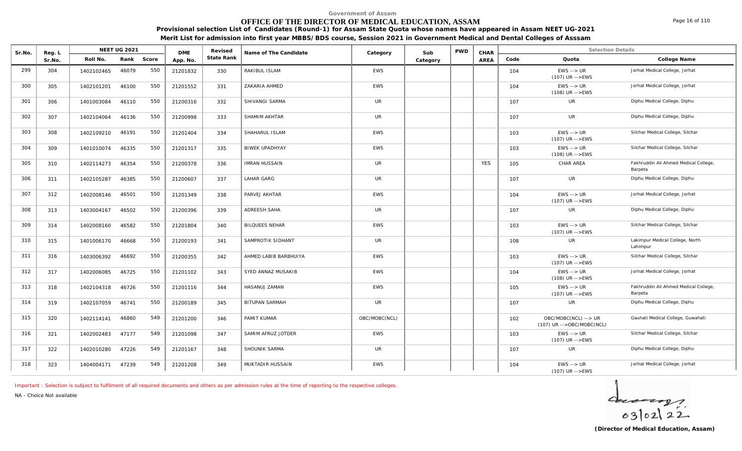# **OFFICE OF THE DIRECTOR OF MEDICAL EDUCATION, ASSAM**

**Provisional selection List of Candidates (Round-1) for Assam State Quota whose names have appeared in Assam NEET UG-2021 Merit List for admission into first year MBBS/BDS course, Session 2021 in Government Medical and Dental Colleges of Asssam**

|        |        |            |              |       |            |            | ment Elbertor damibblion into mot year mibbo/ bbo coarbe, bebblion zoz i in ooverningitemeated and bental conegeb or Abbbani |            |          |            |      |      |                                         |                                |
|--------|--------|------------|--------------|-------|------------|------------|------------------------------------------------------------------------------------------------------------------------------|------------|----------|------------|------|------|-----------------------------------------|--------------------------------|
| Sr.No. | Reg. L |            | NEET UG 2021 |       | <b>DME</b> | Revised    | Name of The Candidate                                                                                                        | Category   | Sub      | <b>PWD</b> | CHAR |      |                                         | <b>Selection Details</b>       |
|        | Sr.No. | Roll No.   | Rank         | Score | App. No.   | State Rank |                                                                                                                              |            | Category |            | AREA | Code | Quota                                   | College Name                   |
| 299    | 304    | 1402102465 | 46079        | 550   | 21201832   | 330        | RAKIBUL ISLAM                                                                                                                | <b>EWS</b> |          |            |      | 104  | $EWS \rightarrow UR$<br>(107) UR -->EWS | Jorhat Medical College, Jorhat |
| 300    | 305    | 1402101201 | 46100        | 550   | 21201552   | 331        | ZAKARIA AHMED                                                                                                                | <b>EWS</b> |          |            |      | 104  | $EWS \rightarrow UR$<br>(108) UR -->EWS | Jorhat Medical College, Jorhat |

| - Ju | 1402101201 | 70100 |                                                                                                                                                                | <b>ZIZUIJJZ</b> |     | _________________     | $-11$         |            | $10 +$ | $(108)$ UR -->EWS                                 |                                                  |
|------|------------|-------|----------------------------------------------------------------------------------------------------------------------------------------------------------------|-----------------|-----|-----------------------|---------------|------------|--------|---------------------------------------------------|--------------------------------------------------|
| 306  | 1401003084 |       | 550                                                                                                                                                            | 21200316        | 332 | SHIVANGI SARMA        | <b>UR</b>     |            | 107    | <b>UR</b>                                         | Diphu Medical College, Diphu                     |
| 307  | 1402104064 |       | 550                                                                                                                                                            | 21200998        | 333 | SHAMIM AKHTAR         | <b>UR</b>     |            | 107    | <b>UR</b>                                         | Diphu Medical College, Diphu                     |
| 308  | 1402109210 |       | 550                                                                                                                                                            | 21201404        | 334 | SHAHARUL ISLAM        | <b>EWS</b>    |            | 103    | $EWS \rightarrow UR$<br>$(107)$ UR $-$ > EWS      | Silchar Medical College, Silchar                 |
| 309  | 1401010074 |       | 550                                                                                                                                                            | 21201317        | 335 | <b>BIWEK UPADHYAY</b> | <b>EWS</b>    |            | 103    | $EWS \rightarrow UR$<br>$(108)$ UR -->EWS         | Silchar Medical College, Silchar                 |
| 310  | 1402114273 |       | 550                                                                                                                                                            | 21200378        | 336 | <b>IMRAN HUSSAIN</b>  | <b>UR</b>     | <b>YES</b> | 105    | CHAR AREA                                         | Fakhruddin Ali Ahmed Medical College,<br>Barpeta |
| 311  | 1402105287 |       | 550                                                                                                                                                            | 21200607        | 337 | <b>LAHAR GARG</b>     | <b>UR</b>     |            | 107    | UR                                                | Diphu Medical College, Diphu                     |
| 312  | 1402008146 |       | 550                                                                                                                                                            | 21201349        | 338 | PARVEJ AKHTAR         | <b>EWS</b>    |            | 104    | $EWS \rightarrow UR$<br>$(107)$ UR -->EWS         | Jorhat Medical College, Jorhat                   |
| 313  | 1403004167 |       | 550                                                                                                                                                            | 21200396        | 339 | ADREESH SAHA          | <b>UR</b>     |            | 107    | <b>UR</b>                                         | Diphu Medical College, Diphu                     |
| 314  | 1402008160 |       | 550                                                                                                                                                            | 21201804        | 340 | <b>BILQUEES NEHAR</b> | <b>EWS</b>    |            | 103    | $EWS \rightarrow UR$<br>$(107)$ UR -->EWS         | Silchar Medical College, Silchar                 |
| 315  | 1401006170 |       | 550                                                                                                                                                            | 21200193        | 341 | SAMPROTIK SIDHANT     | <b>UR</b>     |            | 108    | <b>UR</b>                                         | Lakimpur Medical College, North<br>Lahimpur      |
| 316  | 1403006392 |       | 550                                                                                                                                                            | 21200355        | 342 | AHMED LABIB BARBHUIYA | <b>EWS</b>    |            | 103    | $EWS \rightarrow UR$<br>$(107)$ UR -->EWS         | Silchar Medical College, Silchar                 |
| 317  | 1402006085 |       | 550                                                                                                                                                            | 21201102        | 343 | SYED ANNAZ MUSAKIB    | <b>EWS</b>    |            | 104    | $EWS \rightarrow UR$<br>$(108)$ UR $--$ EWS       | Jorhat Medical College, Jorhat                   |
| 318  | 1402104318 |       | 550                                                                                                                                                            | 21201116        | 344 | HASANUJ ZAMAN         | EWS           |            | 105    | $EWS \rightarrow UR$<br>$(107)$ UR $-$ > EWS      | Fakhruddin Ali Ahmed Medical College,<br>Barpeta |
| 319  | 1402107059 |       | 550                                                                                                                                                            | 21200189        | 345 | <b>BITUPAN SARMAH</b> | <b>UR</b>     |            | 107    | <b>UR</b>                                         | Diphu Medical College, Diphu                     |
| 320  | 1402114141 |       | 549                                                                                                                                                            | 21201200        | 346 | PAMIT KUMAR           | OBC/MOBC(NCL) |            | 102    | OBC/MOBC(NCL) --> UR<br>(107) UR -->OBC/MOBC(NCL) | Gauhati Medical College, Guwahati                |
| 321  | 1402002483 |       | 549                                                                                                                                                            | 21201098        | 347 | SAMIM AFRUZ JOTDER    | <b>EWS</b>    |            | 103    | $EWS \rightarrow UR$<br>(107) UR -->EWS           | Silchar Medical College, Silchar                 |
| 322  | 1402010280 |       | 549                                                                                                                                                            | 21201167        | 348 | SHOUNIK SARMA         | <b>UR</b>     |            | 107    | <b>UR</b>                                         | Diphu Medical College, Diphu                     |
| 323  | 1404004171 |       | 549                                                                                                                                                            | 21201208        | 349 | MUKTADIR HUSSAIN      | <b>EWS</b>    |            | 104    | $EWS \rightarrow UR$<br>$(107)$ UR $-$ > EWS      | Jorhat Medical College, Jorhat                   |
|      |            |       | 46110<br>46136<br>46191<br>46335<br>46354<br>46385<br>46501<br>46502<br>46582<br>46668<br>46692<br>46725<br>46726<br>46741<br>46860<br>47177<br>47226<br>47239 |                 |     |                       |               |            |        |                                                   |                                                  |

*Important : Selection is subject to fulfilment of all required documents and others as per admission rules at the time of reporting to the respective colleges.*

*NA - Choice Not available*



Page 16 of 110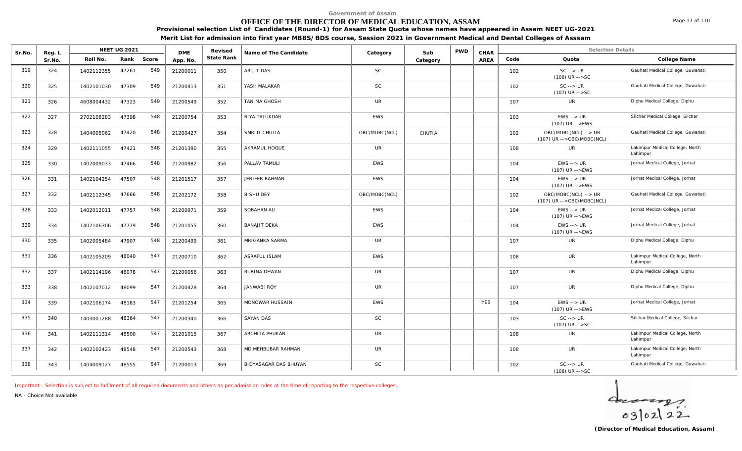# **OFFICE OF THE DIRECTOR OF MEDICAL EDUCATION, ASSAM**

Page 17 of 110

**Provisional selection List of Candidates (Round-1) for Assam State Quota whose names have appeared in Assam NEET UG-2021 Merit List for admission into first year MBBS/BDS course, Session 2021 in Government Medical and Dental Colleges of Asssam**

| Sr.No. | Reg. L |            | <b>NEET UG 2021</b> |       | <b>DME</b> | Revised    | Name of The Candidate | Category      | Sub      | <b>PWD</b> | CHAR        |      | <b>Selection Details</b>                          |                                             |
|--------|--------|------------|---------------------|-------|------------|------------|-----------------------|---------------|----------|------------|-------------|------|---------------------------------------------------|---------------------------------------------|
|        | Sr.No. | Roll No.   | Rank                | Score | App. No.   | State Rank |                       |               | Category |            | <b>AREA</b> | Code | Quota                                             | College Name                                |
| 319    | 324    | 1402112355 | 47261               | 549   | 21200011   | 350        | ARIJIT DAS            | <b>SC</b>     |          |            |             | 102  | $SC \rightarrow UR$<br>$(108)$ UR $--$ SC         | Gauhati Medical College, Guwahati           |
| 320    | 325    | 1402101030 | 47309               | 549   | 21200413   | 351        | YASH MALAKAR          | <b>SC</b>     |          |            |             | 102  | $SC \rightarrow UR$<br>(107) UR -->SC             | Gauhati Medical College, Guwahati           |
| 321    | 326    | 4608004432 | 47323               | 549   | 21200549   | 352        | <b>TANIMA GHOSH</b>   | <b>UR</b>     |          |            |             | 107  | <b>UR</b>                                         | Diphu Medical College, Diphu                |
| 322    | 327    | 2702108283 | 47398               | 548   | 21200754   | 353        | RIYA TALUKDAR         | <b>EWS</b>    |          |            |             | 103  | $EWS \rightarrow UR$<br>(107) UR -->EWS           | Silchar Medical College, Silchar            |
| 323    | 328    | 1404005062 | 47420               | 548   | 21200427   | 354        | SMRITI CHUTIA         | OBC/MOBC(NCL) | CHUTIA   |            |             | 102  | OBC/MOBC(NCL) --> UR<br>(107) UR -->OBC/MOBC(NCL) | Gauhati Medical College, Guwahati           |
| 324    | 329    | 1402111055 | 47421               | 548   | 21201390   | 355        | AKRAMUL HOQUE         | <b>UR</b>     |          |            |             | 108  | <b>UR</b>                                         | Lakimpur Medical College, North<br>Lahimpur |
| 325    | 330    | 1402009033 | 47466               | 548   | 21200982   | 356        | PALLAV TAMULI         | <b>EWS</b>    |          |            |             | 104  | $EWS \rightarrow UR$<br>$(107)$ UR -->EWS         | Jorhat Medical College, Jorhat              |
| 326    | 331    | 1402104254 | 47507               | 548   | 21201517   | 357        | JENIFER RAHMAN        | <b>EWS</b>    |          |            |             | 104  | $EWS \rightarrow UR$<br>$(107)$ UR -->EWS         | Jorhat Medical College, Jorhat              |
| 327    | 332    | 1402112345 | 47666               | 548   | 21202172   | 358        | <b>BISHU DEY</b>      | OBC/MOBC(NCL) |          |            |             | 102  | OBC/MOBC(NCL) --> UR<br>(107) UR -->OBC/MOBC(NCL) | Gauhati Medical College, Guwahati           |
| 328    | 333    | 1402012011 | 47757               | 548   | 21200971   | 359        | SOBAHAN ALI           | <b>EWS</b>    |          |            |             | 104  | $EWS \rightarrow UR$<br>$(107)$ UR -->EWS         | Jorhat Medical College, Jorhat              |
| 329    | 334    | 1402106306 | 47779               | 548   | 21201055   | 360        | <b>BANAJIT DEKA</b>   | <b>EWS</b>    |          |            |             | 104  | $EWS \rightarrow UR$<br>(107) UR -->EWS           | Jorhat Medical College, Jorhat              |
| 330    | 335    | 1402005484 | 47907               | 548   | 21200499   | 361        | MRIGANKA SARMA        | <b>UR</b>     |          |            |             | 107  | <b>UR</b>                                         | Diphu Medical College, Diphu                |
| 331    | 336    | 1402105209 | 48040               | 547   | 21200710   | 362        | <b>ASRAFUL ISLAM</b>  | <b>EWS</b>    |          |            |             | 108  | UR                                                | Lakimpur Medical College, North<br>Lahimpur |
| 332    | 337    | 1402114196 | 48078               | 547   | 21200056   | 363        | RUBINA DEWAN          | UR            |          |            |             | 107  | UR                                                | Diphu Medical College, Diphu                |
| 333    | 338    | 1402107012 | 48099               | 547   | 21200428   | 364        | <b>JANWABI ROY</b>    | UR            |          |            |             | 107  | UR                                                | Diphu Medical College, Diphu                |
| 334    | 339    | 1402106174 | 48183               | 547   | 21201254   | 365        | MONOWAR HUSSAIN       | <b>EWS</b>    |          |            | <b>YES</b>  | 104  | $EWS \rightarrow UR$<br>$(107)$ UR -->EWS         | Jorhat Medical College, Jorhat              |
| 335    | 340    | 1403001288 | 48364               | 547   | 21200340   | 366        | <b>SAYAN DAS</b>      | <b>SC</b>     |          |            |             | 103  | $SC \rightarrow UR$<br>$(107)$ UR $--$ SC         | Silchar Medical College, Silchar            |
| 336    | 341    | 1402111314 | 48500               | 547   | 21201015   | 367        | <b>ARCHITA PHUKAN</b> | <b>UR</b>     |          |            |             | 108  | <b>UR</b>                                         | Lakimpur Medical College, North<br>Lahimpur |
| 337    | 342    | 1402102423 | 48548               | 547   | 21200543   | 368        | MD MEHBUBAR RAHMAN    | <b>UR</b>     |          |            |             | 108  | <b>UR</b>                                         | Lakimpur Medical College, North<br>Lahimpur |
| 338    | 343    | 1404009127 | 48555               | 547   | 21200013   | 369        | BIDYASAGAR DAS BHUYAN | <b>SC</b>     |          |            |             | 102  | $SC \rightarrow UR$<br>$(108)$ UR $--$ SC         | Gauhati Medical College, Guwahati           |

*Important : Selection is subject to fulfilment of all required documents and others as per admission rules at the time of reporting to the respective colleges.*

*NA - Choice Not available*

 $40222$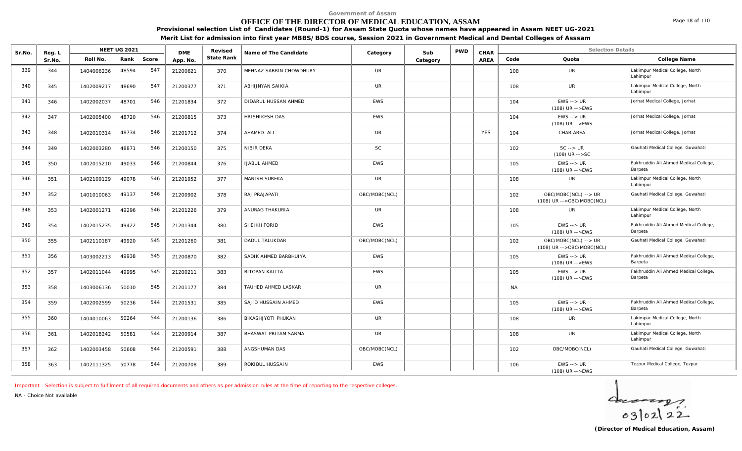# **OFFICE OF THE DIRECTOR OF MEDICAL EDUCATION, ASSAM**

**Provisional selection List of Candidates (Round-1) for Assam State Quota whose names have appeared in Assam NEET UG-2021**

**Merit List for admission into first year MBBS/BDS course, Session 2021 in Government Medical and Dental Colleges of Asssam**

| Sr.No. | Reg. L |            | <b>NEET UG 2021</b> |       | <b>DME</b> | Revised    | Name of The Candidate   | Category      | Sub      | <b>PWD</b> | CHAR       |           | <b>Selection Details</b>                            |                                                  |
|--------|--------|------------|---------------------|-------|------------|------------|-------------------------|---------------|----------|------------|------------|-----------|-----------------------------------------------------|--------------------------------------------------|
|        | Sr.No. | Roll No.   | Rank                | Score | App. No.   | State Rank |                         |               | Category |            | AREA       | Code      | Quota                                               | College Name                                     |
| 339    | 344    | 1404006236 | 48594               | 547   | 21200621   | 370        | MEHNAZ SABRIN CHOWDHURY | <b>UR</b>     |          |            |            | 108       | UR                                                  | Lakimpur Medical College, North<br>Lahimpur      |
| 340    | 345    | 1402009217 | 48690               | 547   | 21200377   | 371        | ABHIJNYAN SAIKIA        | <b>UR</b>     |          |            |            | 108       | <b>UR</b>                                           | Lakimpur Medical College, North<br>Lahimpur      |
| 341    | 346    | 1402002037 | 48701               | 546   | 21201834   | 372        | DIDARUL HUSSAN AHMED    | <b>EWS</b>    |          |            |            | 104       | $EWS \rightarrow UR$<br>$(108)$ UR -->EWS           | Jorhat Medical College, Jorhat                   |
| 342    | 347    | 1402005400 | 48720               | 546   | 21200815   | 373        | HRISHIKESH DAS          | <b>EWS</b>    |          |            |            | 104       | $EWS \rightarrow UR$<br>$(108)$ UR -->EWS           | Jorhat Medical College, Jorhat                   |
| 343    | 348    | 1402010314 | 48734               | 546   | 21201712   | 374        | AHAMED ALI              | UR            |          |            | <b>YES</b> | 104       | CHAR AREA                                           | Jorhat Medical College, Jorhat                   |
| 344    | 349    | 1402003280 | 48871               | 546   | 21200150   | 375        | NIBIR DEKA              | SC            |          |            |            | 102       | $SC \rightarrow UR$<br>$(108)$ UR $--$ SC           | Gauhati Medical College, Guwahati                |
| 345    | 350    | 1402015210 | 49033               | 546   | 21200844   | 376        | <b>IJABUL AHMED</b>     | <b>EWS</b>    |          |            |            | 105       | $EWS \rightarrow UR$<br>$(108)$ UR -->EWS           | Fakhruddin Ali Ahmed Medical College,<br>Barpeta |
| 346    | 351    | 1402109129 | 49078               | 546   | 21201952   | 377        | MANISH SUREKA           | <b>UR</b>     |          |            |            | 108       | <b>UR</b>                                           | Lakimpur Medical College, North<br>Lahimpur      |
| 347    | 352    | 1401010063 | 49137               | 546   | 21200902   | 378        | RAJ PRAJAPATI           | OBC/MOBC(NCL) |          |            |            | 102       | OBC/MOBC(NCL) --> UR<br>$(108)$ UR -->OBC/MOBC(NCL) | Gauhati Medical College, Guwahati                |
| 348    | 353    | 1402001271 | 49296               | 546   | 21201226   | 379        | ANURAG THAKURIA         | <b>UR</b>     |          |            |            | 108       | UR                                                  | Lakimpur Medical College, North<br>Lahimpur      |
| 349    | 354    | 1402015235 | 49422               | 545   | 21201344   | 380        | SHEIKH FORID            | <b>EWS</b>    |          |            |            | 105       | $EWS \rightarrow UR$<br>$(108)$ UR -->EWS           | Fakhruddin Ali Ahmed Medical College,<br>Barpeta |
| 350    | 355    | 1402110187 | 49920               | 545   | 21201260   | 381        | <b>DADUL TALUKDAR</b>   | OBC/MOBC(NCL) |          |            |            | 102       | OBC/MOBC(NCL) --> UR<br>(108) UR -->OBC/MOBC(NCL)   | Gauhati Medical College, Guwahati                |
| 351    | 356    | 1403002213 | 49938               | 545   | 21200870   | 382        | SADIK AHMED BARBHUIYA   | <b>EWS</b>    |          |            |            | 105       | $EWS \rightarrow UR$<br>$(108)$ UR -->EWS           | Fakhruddin Ali Ahmed Medical College,<br>Barpeta |
| 352    | 357    | 1402011044 | 49995               | 545   | 21200211   | 383        | <b>BITOPAN KALITA</b>   | <b>EWS</b>    |          |            |            | 105       | $EWS \rightarrow UR$<br>$(108)$ UR -->EWS           | Fakhruddin Ali Ahmed Medical College,<br>Barpeta |
| 353    | 358    | 1403006136 | 50010               | 545   | 21201177   | 384        | TAUHED AHMED LASKAR     | <b>UR</b>     |          |            |            | <b>NA</b> |                                                     |                                                  |
| 354    | 359    | 1402002599 | 50236               | 544   | 21201531   | 385        | SAJID HUSSAIN AHMED     | <b>EWS</b>    |          |            |            | 105       | $EWS \rightarrow UR$<br>$(108)$ UR -->EWS           | Fakhruddin Ali Ahmed Medical College,<br>Barpeta |
| 355    | 360    | 1404010063 | 50264               | 544   | 21200136   | 386        | BIKASHJYOTI PHUKAN      | <b>UR</b>     |          |            |            | 108       | <b>UR</b>                                           | Lakimpur Medical College, North<br>Lahimpur      |
| 356    | 361    | 1402018242 | 50581               | 544   | 21200914   | 387        | BHASWAT PRITAM SARMA    | <b>UR</b>     |          |            |            | 108       | <b>UR</b>                                           | Lakimpur Medical College, North<br>Lahimpur      |
| 357    | 362    | 1402003458 | 50608               | 544   | 21200591   | 388        | ANGSHUMAN DAS           | OBC/MOBC(NCL) |          |            |            | 102       | OBC/MOBC(NCL)                                       | Gauhati Medical College, Guwahati                |
| 358    | 363    | 1402111325 | 50778               | 544   | 21200708   | 389        | ROKIBUL HUSSAIN         | <b>EWS</b>    |          |            |            | 106       | $EWS \rightarrow UR$<br>$(108)$ UR -->EWS           | Tezpur Medical College, Tezpur                   |

*Important : Selection is subject to fulfilment of all required documents and others as per admission rules at the time of reporting to the respective colleges.*

*NA - Choice Not available*

 $402122$ 

Page 18 of 110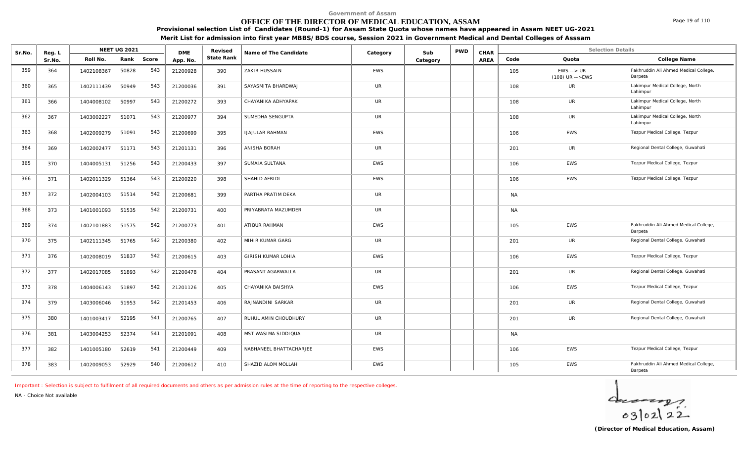### **OFFICE OF THE DIRECTOR OF MEDICAL EDUCATION, ASSAM**

**Provisional selection List of Candidates (Round-1) for Assam State Quota whose names have appeared in Assam NEET UG-2021 Merit List for admission into first year MBBS/BDS course, Session 2021 in Government Medical and Dental Colleges of Asssam**

| Sr.No. | Reg. L |            | <b>NEET UG 2021</b><br>Roll No. |       | <b>DME</b> | Revised    | Name of The Candidate   | Category   | Sub      | <b>PWD</b> | CHAR |           | <b>Selection Details</b>                         |                                                  |
|--------|--------|------------|---------------------------------|-------|------------|------------|-------------------------|------------|----------|------------|------|-----------|--------------------------------------------------|--------------------------------------------------|
|        | Sr.No. |            | Rank                            | Score | App. No.   | State Rank |                         |            | Category |            | AREA | Code      | Quota                                            | College Name                                     |
| 359    | 364    | 1402108367 | 50828                           | 543   | 21200928   | 390        | ZAKIR HUSSAIN           | <b>EWS</b> |          |            |      | 105       | $EWS \rightarrow \text{UR}$<br>$(108)$ UR -->EWS | Fakhruddin Ali Ahmed Medical College,<br>Barpeta |
| 360    | 365    | 1402111439 | 50949                           | 543   | 21200036   | 391        | SAYASMITA BHARDWAJ      | <b>UR</b>  |          |            |      | 108       | <b>UR</b>                                        | Lakimpur Medical College, North<br>Lahimpur      |
| 361    | 366    | 1404008102 | 50997                           | 543   | 21200272   | 393        | CHAYANIKA ADHYAPAK      | <b>UR</b>  |          |            |      | 108       | UR                                               | Lakimpur Medical College, North<br>Lahimpur      |
| 362    | 367    | 1403002227 | 51071                           | 543   | 21200977   | 394        | SUMEDHA SENGUPTA        | <b>UR</b>  |          |            |      | 108       | UR                                               | Lakimpur Medical College, North<br>Lahimpur      |
| 363    | 368    | 1402009279 | 51091                           | 543   | 21200699   | 395        | <b>IJAJULAR RAHMAN</b>  | <b>EWS</b> |          |            |      | 106       | EWS                                              | Tezpur Medical College, Tezpur                   |
| 364    | 369    | 1402002477 | 51171                           | 543   | 21201131   | 396        | ANISHA BORAH            | UR         |          |            |      | 201       | UR                                               | Regional Dental College, Guwahati                |
| 365    | 370    | 1404005131 | 51256                           | 543   | 21200433   | 397        | SUMAIA SULTANA          | <b>EWS</b> |          |            |      | 106       | <b>EWS</b>                                       | Tezpur Medical College, Tezpur                   |
| 366    | 371    | 1402011329 | 51364                           | 543   | 21200220   | 398        | SHAHID AFRIDI           | <b>EWS</b> |          |            |      | 106       | <b>EWS</b>                                       | Tezpur Medical College, Tezpur                   |
| 367    | 372    | 1402004103 | 51514                           | 542   | 21200681   | 399        | PARTHA PRATIM DEKA      | UR         |          |            |      | <b>NA</b> |                                                  |                                                  |
| 368    | 373    | 1401001093 | 51535                           | 542   | 21200731   | 400        | PRIYABRATA MAZUMDER     | <b>UR</b>  |          |            |      | <b>NA</b> |                                                  |                                                  |
| 369    | 374    | 1402101883 | 51575                           | 542   | 21200773   | 401        | ATIBUR RAHMAN           | <b>EWS</b> |          |            |      | 105       | EWS                                              | Fakhruddin Ali Ahmed Medical College,<br>Barpeta |
| 370    | 375    | 1402111345 | 51765                           | 542   | 21200380   | 402        | MIHIR KUMAR GARG        | <b>UR</b>  |          |            |      | 201       | <b>UR</b>                                        | Regional Dental College, Guwahati                |
| 371    | 376    | 1402008019 | 51837                           | 542   | 21200615   | 403        | GIRISH KUMAR LOHIA      | <b>EWS</b> |          |            |      | 106       | EWS                                              | Tezpur Medical College, Tezpur                   |
| 372    | 377    | 1402017085 | 51893                           | 542   | 21200478   | 404        | PRASANT AGARWALLA       | <b>UR</b>  |          |            |      | 201       | <b>UR</b>                                        | Regional Dental College, Guwahati                |
| 373    | 378    | 1404006143 | 51897                           | 542   | 21201126   | 405        | CHAYANIKA BAISHYA       | <b>EWS</b> |          |            |      | 106       | EWS                                              | Tezpur Medical College, Tezpur                   |
| 374    | 379    | 1403006046 | 51953                           | 542   | 21201453   | 406        | RAJNANDINI SARKAR       | <b>UR</b>  |          |            |      | 201       | <b>UR</b>                                        | Regional Dental College, Guwahati                |
| 375    | 380    | 1401003417 | 52195                           | 541   | 21200765   | 407        | RUHUL AMIN CHOUDHURY    | <b>UR</b>  |          |            |      | 201       | UR                                               | Regional Dental College, Guwahati                |
| 376    | 381    | 1403004253 | 52374                           | 541   | 21201091   | 408        | MST WASIMA SIDDIQUA     | UR         |          |            |      | <b>NA</b> |                                                  |                                                  |
| 377    | 382    | 1401005180 | 52619                           | 541   | 21200449   | 409        | NABHANEEL BHATTACHARJEE | <b>EWS</b> |          |            |      | 106       | EWS                                              | Tezpur Medical College, Tezpur                   |
| 378    | 383    | 1402009053 | 52929                           | 540   | 21200612   | 410        | SHAZID ALOM MOLLAH      | <b>EWS</b> |          |            |      | 105       | <b>EWS</b>                                       | Fakhruddin Ali Ahmed Medical College,<br>Barpeta |

*Important : Selection is subject to fulfilment of all required documents and others as per admission rules at the time of reporting to the respective colleges.*

*NA - Choice Not available*

 $4 - 22$ 

Page 19 of 110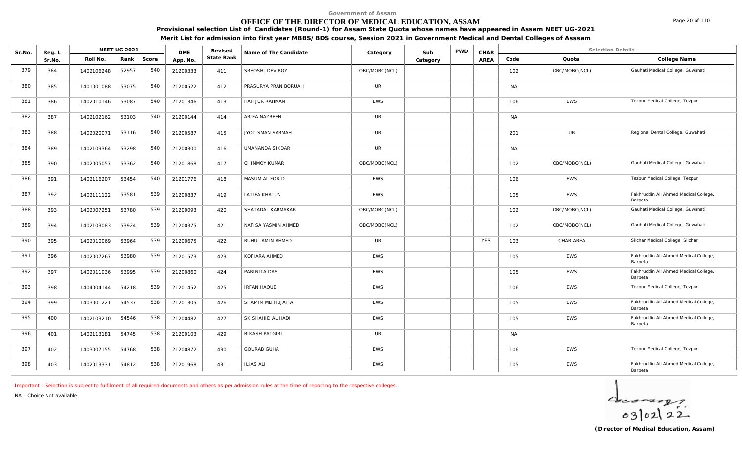# **OFFICE OF THE DIRECTOR OF MEDICAL EDUCATION, ASSAM**

**Provisional selection List of Candidates (Round-1) for Assam State Quota whose names have appeared in Assam NEET UG-2021**

**Merit List for admission into first year MBBS/BDS course, Session 2021 in Government Medical and Dental Colleges of Asssam**

| Sr.No. | Reg. L |            | <b>NEET UG 2021</b> |       | <b>DME</b> | Revised    | Name of The Candidate | Category      | Sub      | <b>PWD</b> | CHAR       |           | <b>Selection Details</b> |                                                  |
|--------|--------|------------|---------------------|-------|------------|------------|-----------------------|---------------|----------|------------|------------|-----------|--------------------------|--------------------------------------------------|
|        | Sr.No. | Roll No.   | Rank                | Score | App. No.   | State Rank |                       |               | Category |            | AREA       | Code      | Quota                    | College Name                                     |
| 379    | 384    | 1402106248 | 52957               | 540   | 21200333   | 411        | SREOSHI DEV ROY       | OBC/MOBC(NCL) |          |            |            | 102       | OBC/MOBC(NCL)            | Gauhati Medical College, Guwahati                |
| 380    | 385    | 1401001088 | 53075               | 540   | 21200522   | 412        | PRASURYA PRAN BORUAH  | <b>UR</b>     |          |            |            | <b>NA</b> |                          |                                                  |
| 381    | 386    | 1402010146 | 53087               | 540   | 21201346   | 413        | HAFIJUR RAHMAN        | <b>EWS</b>    |          |            |            | 106       | EWS                      | Tezpur Medical College, Tezpur                   |
| 382    | 387    | 1402102162 | 53103               | 540   | 21200144   | 414        | ARIFA NAZREEN         | <b>UR</b>     |          |            |            | <b>NA</b> |                          |                                                  |
| 383    | 388    | 1402020071 | 53116               | 540   | 21200587   | 415        | JYOTISMAN SARMAH      | <b>UR</b>     |          |            |            | 201       | UR                       | Regional Dental College, Guwahati                |
| 384    | 389    | 1402109364 | 53298               | 540   | 21200300   | 416        | UMANANDA SIKDAR       | <b>UR</b>     |          |            |            | <b>NA</b> |                          |                                                  |
| 385    | 390    | 1402005057 | 53362               | 540   | 21201868   | 417        | CHINMOY KUMAR         | OBC/MOBC(NCL) |          |            |            | 102       | OBC/MOBC(NCL)            | Gauhati Medical College, Guwahati                |
| 386    | 391    | 1402116207 | 53454               | 540   | 21201776   | 418        | MASUM AL FORID        | <b>EWS</b>    |          |            |            | 106       | EWS                      | Tezpur Medical College, Tezpur                   |
| 387    | 392    | 1402111122 | 53581               | 539   | 21200837   | 419        | <b>LATIFA KHATUN</b>  | EWS           |          |            |            | 105       | <b>EWS</b>               | Fakhruddin Ali Ahmed Medical College,<br>Barpeta |
| 388    | 393    | 1402007251 | 53780               | 539   | 21200093   | 420        | SHATADAL KARMAKAR     | OBC/MOBC(NCL) |          |            |            | 102       | OBC/MOBC(NCL)            | Gauhati Medical College, Guwahati                |
| 389    | 394    | 1402103083 | 53924               | 539   | 21200375   | 421        | NAFISA YASMIN AHMED   | OBC/MOBC(NCL) |          |            |            | 102       | OBC/MOBC(NCL)            | Gauhati Medical College, Guwahati                |
| 390    | 395    | 1402010069 | 53964               | 539   | 21200675   | 422        | RUHUL AMIN AHMED      | <b>UR</b>     |          |            | <b>YES</b> | 103       | CHAR AREA                | Silchar Medical College, Silchar                 |
| 391    | 396    | 1402007267 | 53980               | 539   | 21201573   | 423        | KOFIARA AHMED         | <b>EWS</b>    |          |            |            | 105       | <b>EWS</b>               | Fakhruddin Ali Ahmed Medical College,<br>Barpeta |
| 392    | 397    | 1402011036 | 53995               | 539   | 21200860   | 424        | PARINITA DAS          | <b>EWS</b>    |          |            |            | 105       | EWS                      | Fakhruddin Ali Ahmed Medical College,<br>Barpeta |
| 393    | 398    | 1404004144 | 54218               | 539   | 21201452   | 425        | <b>IRFAN HAQUE</b>    | <b>EWS</b>    |          |            |            | 106       | EWS                      | Tezpur Medical College, Tezpur                   |
| 394    | 399    | 1403001221 | 54537               | 538   | 21201305   | 426        | SHAMIM MD HUJAIFA     | <b>EWS</b>    |          |            |            | 105       | EWS                      | Fakhruddin Ali Ahmed Medical College,<br>Barpeta |
| 395    | 400    | 1402103210 | 54546               | 538   | 21200482   | 427        | SK SHAHID AL HADI     | <b>EWS</b>    |          |            |            | 105       | <b>EWS</b>               | Fakhruddin Ali Ahmed Medical College,<br>Barpeta |
| 396    | 401    | 1402113181 | 54745               | 538   | 21200103   | 429        | <b>BIKASH PATGIRI</b> | <b>UR</b>     |          |            |            | <b>NA</b> |                          |                                                  |
| 397    | 402    | 1403007155 | 54768               | 538   | 21200872   | 430        | <b>GOURAB GUHA</b>    | <b>EWS</b>    |          |            |            | 106       | EWS                      | Tezpur Medical College, Tezpur                   |
| 398    | 403    | 1402013331 | 54812               | 538   | 21201968   | 431        | <b>ILIAS ALI</b>      | <b>EWS</b>    |          |            |            | 105       | <b>EWS</b>               | Fakhruddin Ali Ahmed Medical College,<br>Barpeta |

*Important : Selection is subject to fulfilment of all required documents and others as per admission rules at the time of reporting to the respective colleges.*

*NA - Choice Not available*

 $402122$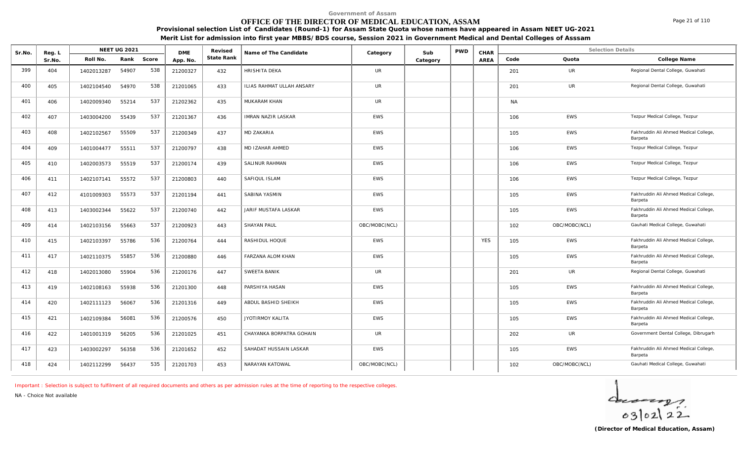# **OFFICE OF THE DIRECTOR OF MEDICAL EDUCATION, ASSAM**

**Provisional selection List of Candidates (Round-1) for Assam State Quota whose names have appeared in Assam NEET UG-2021**

**Merit List for admission into first year MBBS/BDS course, Session 2021 in Government Medical and Dental Colleges of Asssam**

| Sr.No. | Reg. L |            | <b>NEET UG 2021</b> |       | <b>DMF</b> | Revised    | Name of The Candidate     | Category      | Sub      | <b>PWD</b> | CHAR        |           | <b>Selection Details</b> |                                                  |
|--------|--------|------------|---------------------|-------|------------|------------|---------------------------|---------------|----------|------------|-------------|-----------|--------------------------|--------------------------------------------------|
|        | Sr.No. | Roll No.   | Rank                | Score | App. No.   | State Rank |                           |               | Category |            | <b>AREA</b> | Code      | Quota                    | College Name                                     |
| 399    | 404    | 1402013287 | 54907               | 538   | 21200327   | 432        | <b>HRISHITA DEKA</b>      | <b>UR</b>     |          |            |             | 201       | <b>UR</b>                | Regional Dental College, Guwahati                |
| 400    | 405    | 1402104540 | 54970               | 538   | 21201065   | 433        | ILIAS RAHMAT ULLAH ANSARY | UR            |          |            |             | 201       | <b>UR</b>                | Regional Dental College, Guwahati                |
| 401    | 406    | 1402009340 | 55214               | 537   | 21202362   | 435        | MUKARAM KHAN              | <b>UR</b>     |          |            |             | <b>NA</b> |                          |                                                  |
| 402    | 407    | 1403004200 | 55439               | 537   | 21201367   | 436        | IMRAN NAZIR LASKAR        | EWS           |          |            |             | 106       | <b>EWS</b>               | Tezpur Medical College, Tezpur                   |
| 403    | 408    | 1402102567 | 55509               | 537   | 21200349   | 437        | MD ZAKARIA                | <b>EWS</b>    |          |            |             | 105       | <b>EWS</b>               | Fakhruddin Ali Ahmed Medical College,<br>Barpeta |
| 404    | 409    | 1401004477 | 55511               | 537   | 21200797   | 438        | MD IZAHAR AHMED           | <b>EWS</b>    |          |            |             | 106       | <b>EWS</b>               | Tezpur Medical College, Tezpur                   |
| 405    | 410    | 1402003573 | 55519               | 537   | 21200174   | 439        | <b>SALINUR RAHMAN</b>     | <b>EWS</b>    |          |            |             | 106       | <b>EWS</b>               | Tezpur Medical College, Tezpur                   |
| 406    | 411    | 1402107141 | 55572               | 537   | 21200803   | 440        | SAFIQUL ISLAM             | <b>EWS</b>    |          |            |             | 106       | <b>EWS</b>               | Tezpur Medical College, Tezpur                   |
| 407    | 412    | 4101009303 | 55573               | 537   | 21201194   | 441        | SABINA YASMIN             | <b>EWS</b>    |          |            |             | 105       | <b>EWS</b>               | Fakhruddin Ali Ahmed Medical College,<br>Barpeta |
| 408    | 413    | 1403002344 | 55622               | 537   | 21200740   | 442        | JARIF MUSTAFA LASKAR      | EWS           |          |            |             | 105       | EWS                      | Fakhruddin Ali Ahmed Medical College,<br>Barpeta |
| 409    | 414    | 1402103156 | 55663               | 537   | 21200923   | 443        | <b>SHAYAN PAUL</b>        | OBC/MOBC(NCL) |          |            |             | 102       | OBC/MOBC(NCL)            | Gauhati Medical College, Guwahati                |
| 410    | 415    | 1402103397 | 55786               | 536   | 21200764   | 444        | RASHIDUL HOQUE            | <b>EWS</b>    |          |            | <b>YES</b>  | 105       | EWS                      | Fakhruddin Ali Ahmed Medical College,<br>Barpeta |
| 411    | 417    | 1402110375 | 55857               | 536   | 21200880   | 446        | FARZANA ALOM KHAN         | <b>EWS</b>    |          |            |             | 105       | <b>EWS</b>               | Fakhruddin Ali Ahmed Medical College,<br>Barpeta |
| 412    | 418    | 1402013080 | 55904               | 536   | 21200176   | 447        | SWEETA BANIK              | UR            |          |            |             | 201       | UR                       | Regional Dental College, Guwahati                |
| 413    | 419    | 1402108163 | 55938               | 536   | 21201300   | 448        | PARSHIYA HASAN            | <b>EWS</b>    |          |            |             | 105       | <b>EWS</b>               | Fakhruddin Ali Ahmed Medical College,<br>Barpeta |
| 414    | 420    | 1402111123 | 56067               | 536   | 21201316   | 449        | ABDUL BASHID SHEIKH       | EWS           |          |            |             | 105       | <b>EWS</b>               | Fakhruddin Ali Ahmed Medical College,<br>Barpeta |
| 415    | 421    | 1402109384 | 56081               | 536   | 21200576   | 450        | JYOTIRMOY KALITA          | EWS           |          |            |             | 105       | <b>EWS</b>               | Fakhruddin Ali Ahmed Medical College,<br>Barpeta |
| 416    | 422    | 1401001319 | 56205               | 536   | 21201025   | 451        | CHAYANKA BORPATRA GOHAIN  | <b>UR</b>     |          |            |             | 202       | UR                       | Government Dental College, Dibrugarh             |
| 417    | 423    | 1403002297 | 56358               | 536   | 21201652   | 452        | SAHADAT HUSSAIN LASKAR    | <b>EWS</b>    |          |            |             | 105       | <b>EWS</b>               | Fakhruddin Ali Ahmed Medical College,<br>Barpeta |
| 418    | 424    | 1402112299 | 56437               | 535   | 21201703   | 453        | NARAYAN KATOWAL           | OBC/MOBC(NCL) |          |            |             | 102       | OBC/MOBC(NCL)            | Gauhati Medical College, Guwahati                |

*Important : Selection is subject to fulfilment of all required documents and others as per admission rules at the time of reporting to the respective colleges.*

*NA - Choice Not available*

 $402122$ 

Page 21 of 110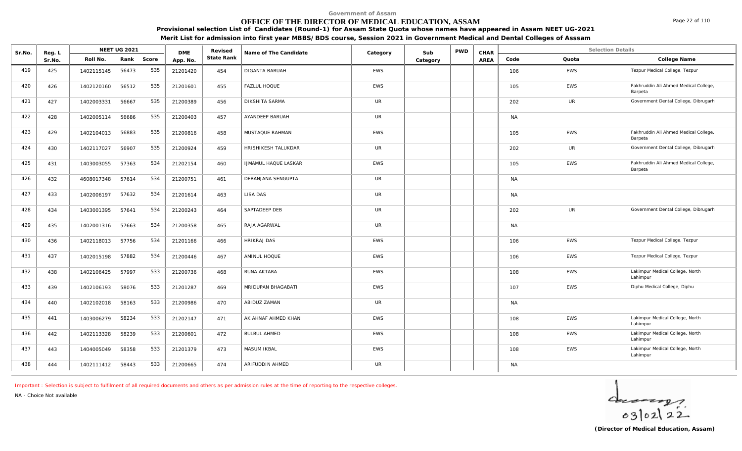# **OFFICE OF THE DIRECTOR OF MEDICAL EDUCATION, ASSAM**

**Provisional selection List of Candidates (Round-1) for Assam State Quota whose names have appeared in Assam NEET UG-2021 Merit List for admission into first year MBBS/BDS course, Session 2021 in Government Medical and Dental Colleges of Asssam**

| Sr.No. | Reg. L |            | NEET UG 2021 |       | <b>DME</b> | Revised    | Name of The Candidate       | Category   | Sub      | <b>PWD</b> | CHAR        |           | <b>Selection Details</b> |                                                  |
|--------|--------|------------|--------------|-------|------------|------------|-----------------------------|------------|----------|------------|-------------|-----------|--------------------------|--------------------------------------------------|
|        | Sr.No. | Roll No.   | Rank         | Score | App. No.   | State Rank |                             |            | Category |            | <b>AREA</b> | Code      | Quota                    | College Name                                     |
| 419    | 425    | 1402115145 | 56473        | 535   | 21201420   | 454        | <b>DIGANTA BARUAH</b>       | <b>EWS</b> |          |            |             | 106       | EWS                      | Tezpur Medical College, Tezpur                   |
| 420    | 426    | 1402120160 | 56512        | 535   | 21201601   | 455        | <b>FAZLUL HOQUE</b>         | EWS        |          |            |             | 105       | <b>EWS</b>               | Fakhruddin Ali Ahmed Medical College,<br>Barpeta |
| 421    | 427    | 1402003331 | 56667        | 535   | 21200389   | 456        | DIKSHITA SARMA              | <b>UR</b>  |          |            |             | 202       | <b>UR</b>                | Government Dental College, Dibrugarh             |
| 422    | 428    | 1402005114 | 56686        | 535   | 21200403   | 457        | AYANDEEP BARUAH             | <b>UR</b>  |          |            |             | <b>NA</b> |                          |                                                  |
| 423    | 429    | 1402104013 | 56883        | 535   | 21200816   | 458        | MUSTAQUE RAHMAN             | <b>EWS</b> |          |            |             | 105       | <b>EWS</b>               | Fakhruddin Ali Ahmed Medical College,<br>Barpeta |
| 424    | 430    | 1402117027 | 56907        | 535   | 21200924   | 459        | HRISHIKESH TALUKDAR         | <b>UR</b>  |          |            |             | 202       | UR                       | Government Dental College, Dibrugarh             |
| 425    | 431    | 1403003055 | 57363        | 534   | 21202154   | 460        | <b>IJMAMUL HAQUE LASKAR</b> | EWS        |          |            |             | 105       | <b>EWS</b>               | Fakhruddin Ali Ahmed Medical College,<br>Barpeta |
| 426    | 432    | 4608017348 | 57614        | 534   | 21200751   | 461        | DEBANJANA SENGUPTA          | UR         |          |            |             | <b>NA</b> |                          |                                                  |
| 427    | 433    | 1402006197 | 57632        | 534   | 21201614   | 463        | LISA DAS                    | <b>UR</b>  |          |            |             | <b>NA</b> |                          |                                                  |
| 428    | 434    | 1403001395 | 57641        | 534   | 21200243   | 464        | SAPTADEEP DEB               | <b>UR</b>  |          |            |             | 202       | <b>UR</b>                | Government Dental College, Dibrugarh             |
| 429    | 435    | 1402001316 | 57663        | 534   | 21200358   | 465        | RAJA AGARWAL                | <b>UR</b>  |          |            |             | <b>NA</b> |                          |                                                  |
| 430    | 436    | 1402118013 | 57756        | 534   | 21201166   | 466        | <b>HRIKRAJ DAS</b>          | <b>EWS</b> |          |            |             | 106       | EWS                      | Tezpur Medical College, Tezpur                   |
| 431    | 437    | 1402015198 | 57882        | 534   | 21200446   | 467        | AMINUL HOQUE                | <b>EWS</b> |          |            |             | 106       | <b>EWS</b>               | Tezpur Medical College, Tezpur                   |
| 432    | 438    | 1402106425 | 57997        | 533   | 21200736   | 468        | RUNA AKTARA                 | EWS        |          |            |             | 108       | <b>EWS</b>               | Lakimpur Medical College, North<br>Lahimpur      |
| 433    | 439    | 1402106193 | 58076        | 533   | 21201287   | 469        | MRIDUPAN BHAGABATI          | EWS        |          |            |             | 107       | <b>EWS</b>               | Diphu Medical College, Diphu                     |
| 434    | 440    | 1402102018 | 58163        | 533   | 21200986   | 470        | ABIDUZ ZAMAN                | <b>UR</b>  |          |            |             | <b>NA</b> |                          |                                                  |
| 435    | 441    | 1403006279 | 58234        | 533   | 21202147   | 471        | AK AHNAF AHMED KHAN         | <b>EWS</b> |          |            |             | 108       | <b>EWS</b>               | Lakimpur Medical College, North<br>Lahimpur      |
| 436    | 442    | 1402113328 | 58239        | 533   | 21200601   | 472        | BULBUL AHMED                | <b>EWS</b> |          |            |             | 108       | <b>EWS</b>               | Lakimpur Medical College, North<br>Lahimpur      |
| 437    | 443    | 1404005049 | 58358        | 533   | 21201379   | 473        | MASUM IKBAL                 | EWS        |          |            |             | 108       | <b>EWS</b>               | Lakimpur Medical College, North<br>Lahimpur      |
| 438    | 444    | 1402111412 | 58443        | 533   | 21200665   | 474        | ARIFUDDIN AHMED             | UR         |          |            |             | <b>NA</b> |                          |                                                  |

*Important : Selection is subject to fulfilment of all required documents and others as per admission rules at the time of reporting to the respective colleges.*

*NA - Choice Not available*

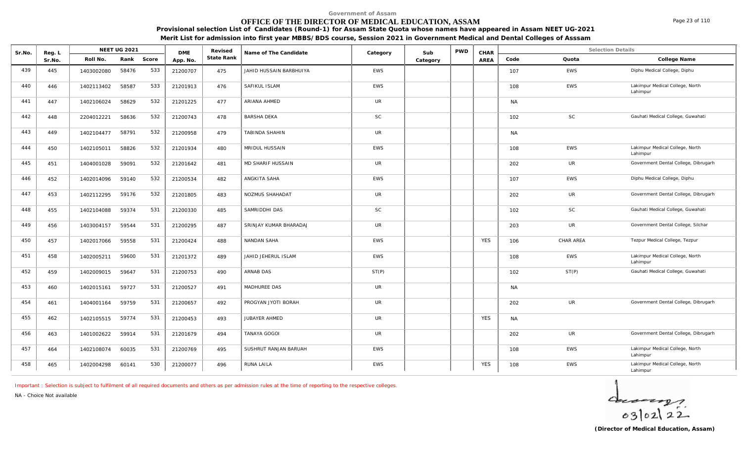# **OFFICE OF THE DIRECTOR OF MEDICAL EDUCATION, ASSAM**

**Provisional selection List of Candidates (Round-1) for Assam State Quota whose names have appeared in Assam NEET UG-2021**

**Merit List for admission into first year MBBS/BDS course, Session 2021 in Government Medical and Dental Colleges of Asssam**

| Sr.No. | Reg. L |            | <b>NEET UG 2021</b> |       | <b>DME</b> | Revised    | Name of The Candidate   | Category   | Sub      | <b>PWD</b> | CHAR        |           | <b>Selection Details</b> |                                             |
|--------|--------|------------|---------------------|-------|------------|------------|-------------------------|------------|----------|------------|-------------|-----------|--------------------------|---------------------------------------------|
|        | Sr.No. | Roll No.   | Rank                | Score | App. No.   | State Rank |                         |            | Category |            | <b>AREA</b> | Code      | Quota                    | College Name                                |
| 439    | 445    | 1403002080 | 58476               | 533   | 21200707   | 475        | JAHID HUSSAIN BARBHUIYA | <b>EWS</b> |          |            |             | 107       | <b>EWS</b>               | Diphu Medical College, Diphu                |
| 440    | 446    | 1402113402 | 58587               | 533   | 21201913   | 476        | SAFIKUL ISLAM           | EWS        |          |            |             | 108       | <b>EWS</b>               | Lakimpur Medical College, North<br>Lahimpur |
| 441    | 447    | 1402106024 | 58629               | 532   | 21201225   | 477        | ARIANA AHMED            | UR         |          |            |             | <b>NA</b> |                          |                                             |
| 442    | 448    | 2204012221 | 58636               | 532   | 21200743   | 478        | <b>BARSHA DEKA</b>      | SC         |          |            |             | 102       | <b>SC</b>                | Gauhati Medical College, Guwahati           |
| 443    | 449    | 1402104477 | 58791               | 532   | 21200958   | 479        | TABINDA SHAHIN          | <b>UR</b>  |          |            |             | <b>NA</b> |                          |                                             |
| 444    | 450    | 1402105011 | 58826               | 532   | 21201934   | 480        | MRIDUL HUSSAIN          | <b>EWS</b> |          |            |             | 108       | <b>EWS</b>               | Lakimpur Medical College, North<br>Lahimpur |
| 445    | 451    | 1404001028 | 59091               | 532   | 21201642   | 481        | MD SHARIF HUSSAIN       | <b>UR</b>  |          |            |             | 202       | UR                       | Government Dental College, Dibrugarh        |
| 446    | 452    | 1402014096 | 59140               | 532   | 21200534   | 482        | ANGKITA SAHA            | <b>EWS</b> |          |            |             | 107       | <b>EWS</b>               | Diphu Medical College, Diphu                |
| 447    | 453    | 1402112295 | 59176               | 532   | 21201805   | 483        | NOZMUS SHAHADAT         | UR         |          |            |             | 202       | UR                       | Government Dental College, Dibrugarh        |
| 448    | 455    | 1402104088 | 59374               | 531   | 21200330   | 485        | SAMRIDDHI DAS           | <b>SC</b>  |          |            |             | 102       | <b>SC</b>                | Gauhati Medical College, Guwahati           |
| 449    | 456    | 1403004157 | 59544               | 531   | 21200295   | 487        | SRINJAY KUMAR BHARADAJ  | <b>UR</b>  |          |            |             | 203       | <b>UR</b>                | Government Dental College, Silchar          |
| 450    | 457    | 1402017066 | 59558               | 531   | 21200424   | 488        | NANDAN SAHA             | <b>EWS</b> |          |            | <b>YES</b>  | 106       | CHAR AREA                | Tezpur Medical College, Tezpur              |
| 451    | 458    | 1402005211 | 59600               | 531   | 21201372   | 489        | JAHID JEHERUL ISLAM     | EWS        |          |            |             | 108       | EWS                      | Lakimpur Medical College, North<br>Lahimpur |
| 452    | 459    | 1402009015 | 59647               | 531   | 21200753   | 490        | ARNAB DAS               | ST(P)      |          |            |             | 102       | ST(P)                    | Gauhati Medical College, Guwahati           |
| 453    | 460    | 1402015161 | 59727               | 531   | 21200527   | 491        | MADHUREE DAS            | <b>UR</b>  |          |            |             | <b>NA</b> |                          |                                             |
| 454    | 461    | 1404001164 | 59759               | 531   | 21200657   | 492        | PROGYAN JYOTI BORAH     | UR         |          |            |             | 202       | <b>UR</b>                | Government Dental College, Dibrugarh        |
| 455    | 462    | 1402105515 | 59774               | 531   | 21200453   | 493        | JUBAYER AHMED           | UR         |          |            | <b>YES</b>  | <b>NA</b> |                          |                                             |
| 456    | 463    | 1401002622 | 59914               | 531   | 21201679   | 494        | TANAYA GOGOI            | <b>UR</b>  |          |            |             | 202       | UR                       | Government Dental College, Dibrugarh        |
| 457    | 464    | 1402108074 | 60035               | 531   | 21200769   | 495        | SUSHRUT RANJAN BARUAH   | <b>EWS</b> |          |            |             | 108       | <b>EWS</b>               | Lakimpur Medical College, North<br>Lahimpur |
| 458    | 465    | 1402004298 | 60141               | 530   | 21200077   | 496        | RUNA LAILA              | <b>EWS</b> |          |            | <b>YES</b>  | 108       | EWS                      | Lakimpur Medical College, North<br>Lahimpur |

*Important : Selection is subject to fulfilment of all required documents and others as per admission rules at the time of reporting to the respective colleges.*

*NA - Choice Not available*

 $4 - 22$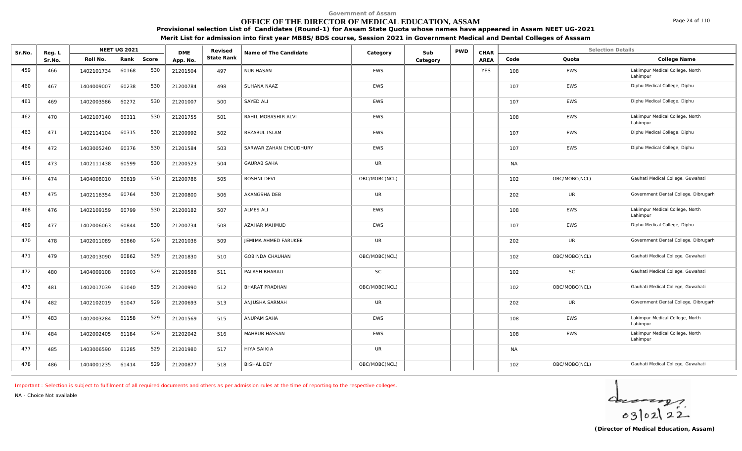# **OFFICE OF THE DIRECTOR OF MEDICAL EDUCATION, ASSAM**

**Provisional selection List of Candidates (Round-1) for Assam State Quota whose names have appeared in Assam NEET UG-2021 Merit List for admission into first year MBBS/BDS course, Session 2021 in Government Medical and Dental Colleges of Asssam**

| Sr.No. | Reg. L |            | NEET UG 2021 |       | <b>DME</b> | Revised    | Name of The Candidate       | Category      | Sub      | <b>PWD</b> | CHAR        |           | <b>Selection Details</b> |                                             |
|--------|--------|------------|--------------|-------|------------|------------|-----------------------------|---------------|----------|------------|-------------|-----------|--------------------------|---------------------------------------------|
|        | Sr.No. | Roll No.   | Rank         | Score | App. No.   | State Rank |                             |               | Category |            | <b>AREA</b> | Code      | Quota                    | College Name                                |
| 459    | 466    | 1402101734 | 60168        | 530   | 21201504   | 497        | <b>NUR HASAN</b>            | <b>EWS</b>    |          |            | <b>YES</b>  | 108       | <b>EWS</b>               | Lakimpur Medical College, North<br>Lahimpur |
| 460    | 467    | 1404009007 | 60238        | 530   | 21200784   | 498        | SUHANA NAAZ                 | <b>EWS</b>    |          |            |             | 107       | <b>EWS</b>               | Diphu Medical College, Diphu                |
| 461    | 469    | 1402003586 | 60272        | 530   | 21201007   | 500        | SAYED ALI                   | <b>EWS</b>    |          |            |             | 107       | <b>EWS</b>               | Diphu Medical College, Diphu                |
| 462    | 470    | 1402107140 | 60311        | 530   | 21201755   | 501        | RAHIL MOBASHIR ALVI         | <b>EWS</b>    |          |            |             | 108       | <b>EWS</b>               | Lakimpur Medical College, North<br>Lahimpur |
| 463    | 471    | 1402114104 | 60315        | 530   | 21200992   | 502        | REZABUL ISLAM               | <b>EWS</b>    |          |            |             | 107       | <b>EWS</b>               | Diphu Medical College, Diphu                |
| 464    | 472    | 1403005240 | 60376        | 530   | 21201584   | 503        | SARWAR ZAHAN CHOUDHURY      | <b>EWS</b>    |          |            |             | 107       | <b>EWS</b>               | Diphu Medical College, Diphu                |
| 465    | 473    | 1402111438 | 60599        | 530   | 21200523   | 504        | <b>GAURAB SAHA</b>          | UR            |          |            |             | <b>NA</b> |                          |                                             |
| 466    | 474    | 1404008010 | 60619        | 530   | 21200786   | 505        | ROSHNI DEVI                 | OBC/MOBC(NCL) |          |            |             | 102       | OBC/MOBC(NCL)            | Gauhati Medical College, Guwahati           |
| 467    | 475    | 1402116354 | 60764        | 530   | 21200800   | 506        | AKANGSHA DEB                | UR            |          |            |             | 202       | <b>UR</b>                | Government Dental College, Dibrugarh        |
| 468    | 476    | 1402109159 | 60799        | 530   | 21200182   | 507        | <b>ALMES ALI</b>            | <b>EWS</b>    |          |            |             | 108       | <b>EWS</b>               | Lakimpur Medical College, North<br>Lahimpur |
| 469    | 477    | 1402006063 | 60844        | 530   | 21200734   | 508        | <b>AZAHAR MAHMUD</b>        | <b>EWS</b>    |          |            |             | 107       | <b>EWS</b>               | Diphu Medical College, Diphu                |
| 470    | 478    | 1402011089 | 60860        | 529   | 21201036   | 509        | <b>JEMIMA AHMED FARUKEE</b> | UR            |          |            |             | 202       | <b>UR</b>                | Government Dental College, Dibrugarh        |
| 471    | 479    | 1402013090 | 60862        | 529   | 21201830   | 510        | <b>GOBINDA CHAUHAN</b>      | OBC/MOBC(NCL) |          |            |             | 102       | OBC/MOBC(NCL)            | Gauhati Medical College, Guwahati           |
| 472    | 480    | 1404009108 | 60903        | 529   | 21200588   | 511        | PALASH BHARALI              | SC            |          |            |             | 102       | SC                       | Gauhati Medical College, Guwahati           |
| 473    | 481    | 1402017039 | 61040        | 529   | 21200990   | 512        | <b>BHARAT PRADHAN</b>       | OBC/MOBC(NCL) |          |            |             | 102       | OBC/MOBC(NCL)            | Gauhati Medical College, Guwahati           |
| 474    | 482    | 1402102019 | 61047        | 529   | 21200693   | 513        | ANJUSHA SARMAH              | UR            |          |            |             | 202       | UR                       | Government Dental College, Dibrugarh        |
| 475    | 483    | 1402003284 | 61158        | 529   | 21201569   | 515        | ANUPAM SAHA                 | <b>EWS</b>    |          |            |             | 108       | <b>EWS</b>               | Lakimpur Medical College, North<br>Lahimpur |
| 476    | 484    | 1402002405 | 61184        | 529   | 21202042   | 516        | MAHBUB HASSAN               | <b>EWS</b>    |          |            |             | 108       | <b>EWS</b>               | Lakimpur Medical College, North<br>Lahimpur |
| 477    | 485    | 1403006590 | 61285        | 529   | 21201980   | 517        | <b>HIYA SAIKIA</b>          | <b>UR</b>     |          |            |             | <b>NA</b> |                          |                                             |
| 478    | 486    | 1404001235 | 61414        | 529   | 21200877   | 518        | <b>BISHAL DEY</b>           | OBC/MOBC(NCL) |          |            |             | 102       | OBC/MOBC(NCL)            | Gauhati Medical College, Guwahati           |

*Important : Selection is subject to fulfilment of all required documents and others as per admission rules at the time of reporting to the respective colleges.*

*NA - Choice Not available*

 $402122$ 

Page 24 of 110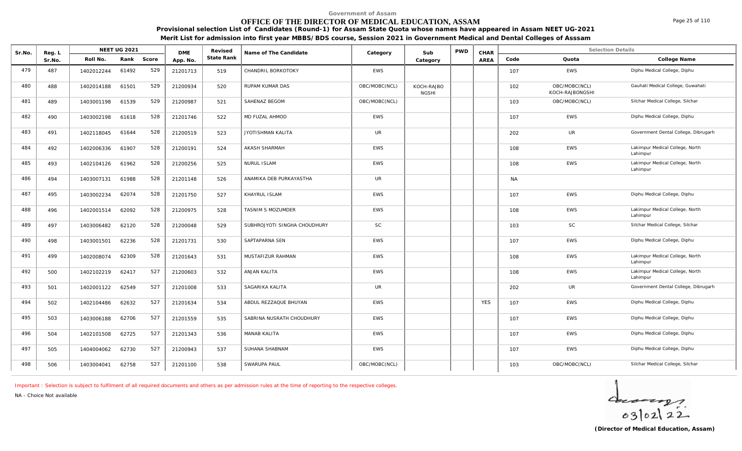### **OFFICE OF THE DIRECTOR OF MEDICAL EDUCATION, ASSAM**

**Provisional selection List of Candidates (Round-1) for Assam State Quota whose names have appeared in Assam NEET UG-2021 Merit List for admission into first year MBBS/BDS course, Session 2021 in Government Medical and Dental Colleges of Asssam**

| Sr.No. | Reg. L |            | <b>NEET UG 2021</b> |       | <b>DME</b> | Revised    | Name of The Candidate        | Category      | Sub                        | <b>PWD</b> | CHAR       |           | <b>Selection Details</b>         |                                             |
|--------|--------|------------|---------------------|-------|------------|------------|------------------------------|---------------|----------------------------|------------|------------|-----------|----------------------------------|---------------------------------------------|
|        | Sr.No. | Roll No.   | Rank                | Score | App. No.   | State Rank |                              |               | Category                   |            | AREA       | Code      | Quota                            | College Name                                |
| 479    | 487    | 1402012244 | 61492               | 529   | 21201713   | 519        | CHANDRIL BORKOTOKY           | <b>EWS</b>    |                            |            |            | 107       | <b>EWS</b>                       | Diphu Medical College, Diphu                |
| 480    | 488    | 1402014188 | 61501               | 529   | 21200934   | 520        | RUPAM KUMAR DAS              | OBC/MOBC(NCL) | KOCH-RAJBO<br><b>NGSHI</b> |            |            | 102       | OBC/MOBC(NCL)<br>KOCH-RAJBONGSHI | Gauhati Medical College, Guwahati           |
| 481    | 489    | 1403001198 | 61539               | 529   | 21200987   | 521        | SAHENAZ BEGOM                | OBC/MOBC(NCL) |                            |            |            | 103       | OBC/MOBC(NCL)                    | Silchar Medical College, Silchar            |
| 482    | 490    | 1403002198 | 61618               | 528   | 21201746   | 522        | MD FUZAL AHMOD               | EWS           |                            |            |            | 107       | EWS                              | Diphu Medical College, Diphu                |
| 483    | 491    | 1402118045 | 61644               | 528   | 21200519   | 523        | JYOTISHMAN KALITA            | <b>UR</b>     |                            |            |            | 202       | <b>UR</b>                        | Government Dental College, Dibrugarh        |
| 484    | 492    | 1402006336 | 61907               | 528   | 21200191   | 524        | <b>AKASH SHARMAH</b>         | <b>EWS</b>    |                            |            |            | 108       | <b>EWS</b>                       | Lakimpur Medical College, North<br>Lahimpur |
| 485    | 493    | 1402104126 | 61962               | 528   | 21200256   | 525        | <b>NURUL ISLAM</b>           | <b>EWS</b>    |                            |            |            | 108       | <b>EWS</b>                       | Lakimpur Medical College, North<br>Lahimpur |
| 486    | 494    | 1403007131 | 61988               | 528   | 21201148   | 526        | ANAMIKA DEB PURKAYASTHA      | <b>UR</b>     |                            |            |            | <b>NA</b> |                                  |                                             |
| 487    | 495    | 1403002234 | 62074               | 528   | 21201750   | 527        | KHAYRUL ISLAM                | <b>EWS</b>    |                            |            |            | 107       | <b>EWS</b>                       | Diphu Medical College, Diphu                |
| 488    | 496    | 1402001514 | 62092               | 528   | 21200975   | 528        | TASNIM S MOZUMDER            | EWS           |                            |            |            | 108       | <b>EWS</b>                       | Lakimpur Medical College, North<br>Lahimpur |
| 489    | 497    | 1403006482 | 62120               | 528   | 21200048   | 529        | SUBHROJYOTI SINGHA CHOUDHURY | <b>SC</b>     |                            |            |            | 103       | <b>SC</b>                        | Silchar Medical College, Silchar            |
| 490    | 498    | 1403001501 | 62236               | 528   | 21201731   | 530        | SAPTAPARNA SEN               | <b>EWS</b>    |                            |            |            | 107       | <b>EWS</b>                       | Diphu Medical College, Diphu                |
| 491    | 499    | 1402008074 | 62309               | 528   | 21201643   | 531        | MUSTAFIZUR RAHMAN            | <b>EWS</b>    |                            |            |            | 108       | <b>EWS</b>                       | Lakimpur Medical College, North<br>Lahimpur |
| 492    | 500    | 1402102219 | 62417               | 527   | 21200603   | 532        | ANJAN KALITA                 | <b>EWS</b>    |                            |            |            | 108       | <b>EWS</b>                       | Lakimpur Medical College, North<br>Lahimpur |
| 493    | 501    | 1402001122 | 62549               | 527   | 21201008   | 533        | SAGARIKA KALITA              | <b>UR</b>     |                            |            |            | 202       | UR                               | Government Dental College, Dibrugarh        |
| 494    | 502    | 1402104486 | 62632               | 527   | 21201634   | 534        | ABDUL REZZAQUE BHUYAN        | <b>EWS</b>    |                            |            | <b>YFS</b> | 107       | <b>EWS</b>                       | Diphu Medical College, Diphu                |
| 495    | 503    | 1403006188 | 62706               | 527   | 21201559   | 535        | SABRINA NUSRATH CHOUDHURY    | EWS           |                            |            |            | 107       | EWS                              | Diphu Medical College, Diphu                |
| 496    | 504    | 1402101508 | 62725               | 527   | 21201343   | 536        | <b>MANAB KALITA</b>          | <b>EWS</b>    |                            |            |            | 107       | <b>EWS</b>                       | Diphu Medical College, Diphu                |
| 497    | 505    | 1404004062 | 62730               | 527   | 21200943   | 537        | SUHANA SHABNAM               | <b>EWS</b>    |                            |            |            | 107       | <b>EWS</b>                       | Diphu Medical College, Diphu                |
| 498    | 506    | 1403004041 | 62758               | 527   | 21201100   | 538        | SWARUPA PAUL                 | OBC/MOBC(NCL) |                            |            |            | 103       | OBC/MOBC(NCL)                    | Silchar Medical College, Silchar            |

*Important : Selection is subject to fulfilment of all required documents and others as per admission rules at the time of reporting to the respective colleges.*

*NA - Choice Not available*

 $4 - 22$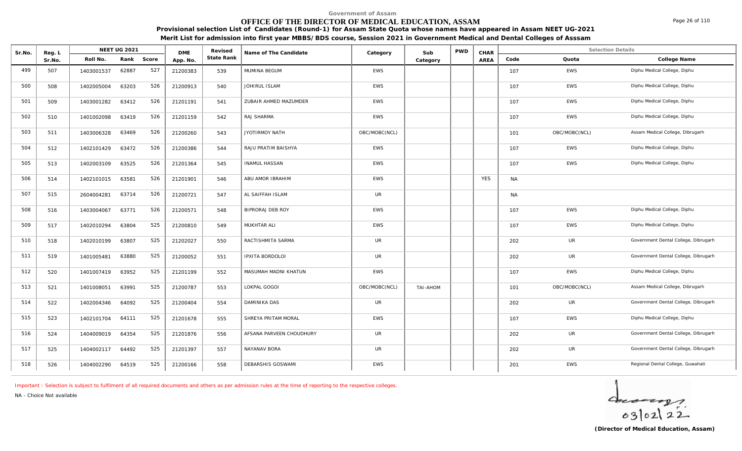# **OFFICE OF THE DIRECTOR OF MEDICAL EDUCATION, ASSAM**

**Provisional selection List of Candidates (Round-1) for Assam State Quota whose names have appeared in Assam NEET UG-2021 Merit List for admission into first year MBBS/BDS course, Session 2021 in Government Medical and Dental Colleges of Asssam**

| Sr.No. | Reg. L |            | <b>NEET UG 2021</b> |            | <b>DME</b> | Revised    | Name of The Candidate    | Category      | Sub             | PWD | CHAR       |           | <b>Selection Details</b> |                                      |
|--------|--------|------------|---------------------|------------|------------|------------|--------------------------|---------------|-----------------|-----|------------|-----------|--------------------------|--------------------------------------|
|        | Sr.No. | Roll No.   |                     | Rank Score | App. No.   | State Rank |                          |               | Category        |     | AREA       | Code      | Quota                    | College Name                         |
| 499    | 507    | 1403001537 | 62887               | 527        | 21200383   | 539        | MUMINA BEGUM             | EWS           |                 |     |            | 107       | EWS                      | Diphu Medical College, Diphu         |
| 500    | 508    | 1402005004 | 63203               | 526        | 21200913   | 540        | JOHIRUL ISLAM            | <b>EWS</b>    |                 |     |            | 107       | <b>EWS</b>               | Diphu Medical College, Diphu         |
| 501    | 509    | 1403001282 | 63412               | 526        | 21201191   | 541        | ZUBAIR AHMED MAZUMDER    | EWS           |                 |     |            | 107       | EWS                      | Diphu Medical College, Diphu         |
| 502    | 510    | 1401002098 | 63419               | 526        | 21201159   | 542        | RAJ SHARMA               | EWS           |                 |     |            | 107       | EWS                      | Diphu Medical College, Diphu         |
| 503    | 511    | 1403006328 | 63469               | 526        | 21200260   | 543        | JYOTIRMOY NATH           | OBC/MOBC(NCL) |                 |     |            | 101       | OBC/MOBC(NCL)            | Assam Medical College, Dibrugarh     |
| 504    | 512    | 1402101429 | 63472               | 526        | 21200386   | 544        | RAJU PRATIM BAISHYA      | <b>EWS</b>    |                 |     |            | 107       | <b>EWS</b>               | Diphu Medical College, Diphu         |
| 505    | 513    | 1402003109 | 63525               | 526        | 21201364   | 545        | <b>INAMUL HASSAN</b>     | <b>EWS</b>    |                 |     |            | 107       | EWS                      | Diphu Medical College, Diphu         |
| 506    | 514    | 1402101015 | 63581               | 526        | 21201901   | 546        | ABU AMOR IBRAHIM         | <b>EWS</b>    |                 |     | <b>YES</b> | <b>NA</b> |                          |                                      |
| 507    | 515    | 2604004281 | 63714               | 526        | 21200721   | 547        | AL SAIFFAH ISLAM         | <b>UR</b>     |                 |     |            | <b>NA</b> |                          |                                      |
| 508    | 516    | 1403004067 | 63771               | 526        | 21200571   | 548        | BIPRORAJ DEB ROY         | <b>EWS</b>    |                 |     |            | 107       | <b>EWS</b>               | Diphu Medical College, Diphu         |
| 509    | 517    | 1402010294 | 63804               | 525        | 21200810   | 549        | MUKHTAR ALI              | EWS           |                 |     |            | 107       | <b>EWS</b>               | Diphu Medical College, Diphu         |
| 510    | 518    | 1402010199 | 63807               | 525        | 21202027   | 550        | RACTISHMITA SARMA        | <b>UR</b>     |                 |     |            | 202       | <b>UR</b>                | Government Dental College, Dibrugarh |
| 511    | 519    | 1401005481 | 63880               | 525        | 21200052   | 551        | IPXITA BORDOLOI          | <b>UR</b>     |                 |     |            | 202       | <b>UR</b>                | Government Dental College, Dibrugarh |
| 512    | 520    | 1401007419 | 63952               | 525        | 21201199   | 552        | MASUMAH MADNI KHATUN     | EWS           |                 |     |            | 107       | <b>EWS</b>               | Diphu Medical College, Diphu         |
| 513    | 521    | 1401008051 | 63991               | 525        | 21200787   | 553        | LOKPAL GOGOI             | OBC/MOBC(NCL) | <b>TAI-AHOM</b> |     |            | 101       | OBC/MOBC(NCL)            | Assam Medical College, Dibrugarh     |
| 514    | 522    | 1402004346 | 64092               | 525        | 21200404   | 554        | DAMINIKA DAS             | <b>UR</b>     |                 |     |            | 202       | <b>UR</b>                | Government Dental College, Dibrugarh |
| 515    | 523    | 1402101704 | 64111               | 525        | 21201678   | 555        | SHREYA PRITAM MORAL      | EWS           |                 |     |            | 107       | <b>EWS</b>               | Diphu Medical College, Diphu         |
| 516    | 524    | 1404009019 | 64354               | 525        | 21201876   | 556        | AFSANA PARVEEN CHOUDHURY | UR            |                 |     |            | 202       | UR                       | Government Dental College, Dibrugarh |
| 517    | 525    | 1404002117 | 64492               | 525        | 21201397   | 557        | NAYANAV BORA             | <b>UR</b>     |                 |     |            | 202       | UR                       | Government Dental College, Dibrugarh |
| 518    | 526    | 1404002290 | 64519               | 525        | 21200166   | 558        | DEBARSHIS GOSWAMI        | EWS           |                 |     |            | 201       | <b>EWS</b>               | Regional Dental College, Guwahati    |

*Important : Selection is subject to fulfilment of all required documents and others as per admission rules at the time of reporting to the respective colleges.*

*NA - Choice Not available*

 $4 - 22$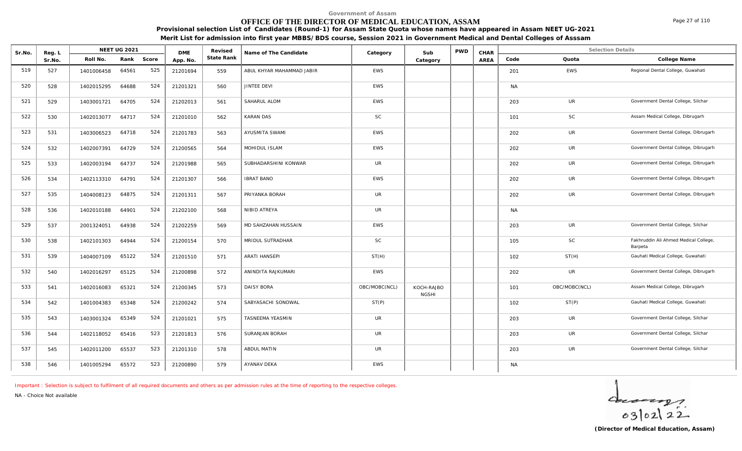# **OFFICE OF THE DIRECTOR OF MEDICAL EDUCATION, ASSAM**

**Provisional selection List of Candidates (Round-1) for Assam State Quota whose names have appeared in Assam NEET UG-2021 Merit List for admission into first year MBBS/BDS course, Session 2021 in Government Medical and Dental Colleges of Asssam**

| Sr.No. | Reg. L |            | NEET UG 2021 |       | <b>DME</b> | Revised    | Name of The Candidate     | Category      | Sub                        | <b>PWD</b> | CHAR |           | <b>Selection Details</b> |                                                  |
|--------|--------|------------|--------------|-------|------------|------------|---------------------------|---------------|----------------------------|------------|------|-----------|--------------------------|--------------------------------------------------|
|        | Sr.No. | Roll No.   | Rank         | Score | App. No.   | State Rank |                           |               | Category                   |            | AREA | Code      | Quota                    | College Name                                     |
| 519    | 527    | 1401006458 | 64561        | 525   | 21201694   | 559        | ABUL KHYAR MAHAMMAD JABIR | EWS           |                            |            |      | 201       | EWS                      | Regional Dental College, Guwahati                |
| 520    | 528    | 1402015295 | 64688        | 524   | 21201321   | 560        | JINTEE DEVI               | <b>EWS</b>    |                            |            |      | <b>NA</b> |                          |                                                  |
| 521    | 529    | 1403001721 | 64705        | 524   | 21202013   | 561        | SAHARUL ALOM              | <b>EWS</b>    |                            |            |      | 203       | <b>UR</b>                | Government Dental College, Silchar               |
| 522    | 530    | 1402013077 | 64717        | 524   | 21201010   | 562        | <b>KARAN DAS</b>          | SC            |                            |            |      | 101       | <b>SC</b>                | Assam Medical College, Dibrugarh                 |
| 523    | 531    | 1403006523 | 64718        | 524   | 21201783   | 563        | AYUSMITA SWAMI            | <b>EWS</b>    |                            |            |      | 202       | UR                       | Government Dental College, Dibrugarh             |
| 524    | 532    | 1402007391 | 64729        | 524   | 21200565   | 564        | MOHIDUL ISLAM             | EWS           |                            |            |      | 202       | UR                       | Government Dental College, Dibrugarh             |
| 525    | 533    | 1402003194 | 64737        | 524   | 21201988   | 565        | SUBHADARSHINI KONWAR      | <b>UR</b>     |                            |            |      | 202       | UR                       | Government Dental College, Dibrugarh             |
| 526    | 534    | 1402113310 | 64791        | 524   | 21201307   | 566        | <b>IBRAT BANO</b>         | EWS           |                            |            |      | 202       | UR                       | Government Dental College, Dibrugarh             |
| 527    | 535    | 1404008123 | 64875        | 524   | 21201311   | 567        | PRIYANKA BORAH            | UR            |                            |            |      | 202       | UR                       | Government Dental College, Dibrugarh             |
| 528    | 536    | 1402010188 | 64901        | 524   | 21202100   | 568        | NIBID ATREYA              | UR            |                            |            |      | <b>NA</b> |                          |                                                  |
| 529    | 537    | 2001324051 | 64938        | 524   | 21202259   | 569        | MD SAHZAHAN HUSSAIN       | <b>EWS</b>    |                            |            |      | 203       | UR                       | Government Dental College, Silchar               |
| 530    | 538    | 1402101303 | 64944        | 524   | 21200154   | 570        | MRIDUL SUTRADHAR          | SC            |                            |            |      | 105       | <b>SC</b>                | Fakhruddin Ali Ahmed Medical College,<br>Barpeta |
| 531    | 539    | 1404007109 | 65122        | 524   | 21201510   | 571        | <b>ARATI HANSEPI</b>      | ST(H)         |                            |            |      | 102       | ST(H)                    | Gauhati Medical College, Guwahati                |
| 532    | 540    | 1402016297 | 65125        | 524   | 21200898   | 572        | ANINDITA RAJKUMARI        | EWS           |                            |            |      | 202       | UR                       | Government Dental College, Dibrugarh             |
| 533    | 541    | 1402016083 | 65321        | 524   | 21200345   | 573        | <b>DAISY BORA</b>         | OBC/MOBC(NCL) | KOCH-RAJBO<br><b>NGSHI</b> |            |      | 101       | OBC/MOBC(NCL)            | Assam Medical College, Dibrugarh                 |
| 534    | 542    | 1401004383 | 65348        | 524   | 21200242   | 574        | SABYASACHI SONOWAL        | ST(P)         |                            |            |      | 102       | ST(P)                    | Gauhati Medical College, Guwahati                |
| 535    | 543    | 1403001324 | 65349        | 524   | 21201021   | 575        | TASNEEMA YEASMIN          | <b>UR</b>     |                            |            |      | 203       | <b>UR</b>                | Government Dental College, Silchar               |
| 536    | 544    | 1402118052 | 65416        | 523   | 21201813   | 576        | <b>SURANJAN BORAH</b>     | UR            |                            |            |      | 203       | <b>UR</b>                | Government Dental College, Silchar               |
| 537    | 545    | 1402011200 | 65537        | 523   | 21201310   | 578        | ABDUL MATIN               | UR            |                            |            |      | 203       | <b>UR</b>                | Government Dental College, Silchar               |

*Important : Selection is subject to fulfilment of all required documents and others as per admission rules at the time of reporting to the respective colleges.*

538 | 546 | 1401005294 65572 523 | 21200890 | 579 | AYANAV DEKA NAMAN NAMAN NAMAN NAMAN NAMAN NAMAN NAMAN NAMA

*NA - Choice Not available*



Page 27 of 110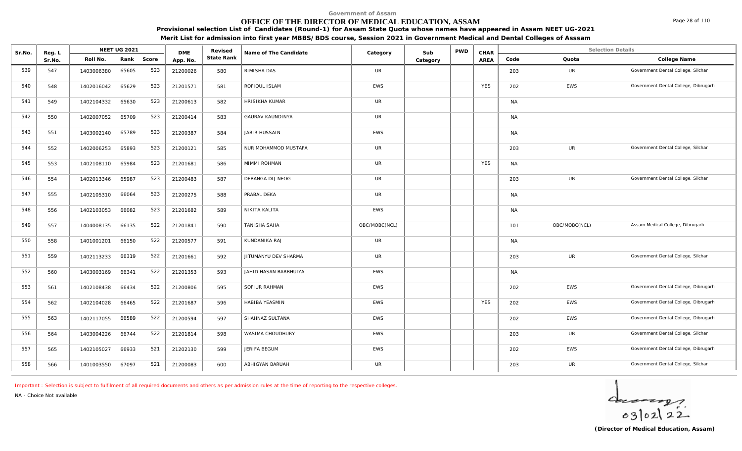# **OFFICE OF THE DIRECTOR OF MEDICAL EDUCATION, ASSAM**

**Provisional selection List of Candidates (Round-1) for Assam State Quota whose names have appeared in Assam NEET UG-2021 Merit List for admission into first year MBBS/BDS course, Session 2021 in Government Medical and Dental Colleges of Asssam**

| Sr.No. | Reg. L |            | <b>NEET UG 2021</b> |            | <b>DME</b> | Revised    | Name of The Candidate   | Category      | Sub      | <b>PWD</b> | CHAR        |           | <b>Selection Details</b> |                                      |
|--------|--------|------------|---------------------|------------|------------|------------|-------------------------|---------------|----------|------------|-------------|-----------|--------------------------|--------------------------------------|
|        | Sr.No. | Roll No.   |                     | Rank Score | App. No.   | State Rank |                         |               | Category |            | <b>AREA</b> | Code      | Quota                    | College Name                         |
| 539    | 547    | 1403006380 | 65605               | 523        | 21200026   | 580        | RIMISHA DAS             | <b>UR</b>     |          |            |             | 203       | UR                       | Government Dental College, Silchar   |
| 540    | 548    | 1402016042 | 65629               | 523        | 21201571   | 581        | ROFIQUL ISLAM           | <b>EWS</b>    |          |            | <b>YES</b>  | 202       | EWS                      | Government Dental College, Dibrugarh |
| 541    | 549    | 1402104332 | 65630               | 523        | 21200613   | 582        | HRISIKHA KUMAR          | UR            |          |            |             | <b>NA</b> |                          |                                      |
| 542    | 550    | 1402007052 | 65709               | 523        | 21200414   | 583        | <b>GAURAV KAUNDINYA</b> | <b>UR</b>     |          |            |             | <b>NA</b> |                          |                                      |
| 543    | 551    | 1403002140 | 65789               | 523        | 21200387   | 584        | JABIR HUSSAIN           | <b>EWS</b>    |          |            |             | <b>NA</b> |                          |                                      |
| 544    | 552    | 1402006253 | 65893               | 523        | 21200121   | 585        | NUR MOHAMMOD MUSTAFA    | <b>UR</b>     |          |            |             | 203       | UR                       | Government Dental College, Silchar   |
| 545    | 553    | 1402108110 | 65984               | 523        | 21201681   | 586        | MIMMI ROHMAN            | UR            |          |            | <b>YES</b>  | <b>NA</b> |                          |                                      |
| 546    | 554    | 1402013346 | 65987               | 523        | 21200483   | 587        | DEBANGA DIJ NEOG        | <b>UR</b>     |          |            |             | 203       | UR                       | Government Dental College, Silchar   |
| 547    | 555    | 1402105310 | 66064               | 523        | 21200275   | 588        | PRABAL DEKA             | <b>UR</b>     |          |            |             | <b>NA</b> |                          |                                      |
| 548    | 556    | 1402103053 | 66082               | 523        | 21201682   | 589        | NIKITA KALITA           | EWS           |          |            |             | <b>NA</b> |                          |                                      |
| 549    | 557    | 1404008135 | 66135               | 522        | 21201841   | 590        | TANISHA SAHA            | OBC/MOBC(NCL) |          |            |             | 101       | OBC/MOBC(NCL)            | Assam Medical College, Dibrugarh     |
| 550    | 558    | 1401001201 | 66150               | 522        | 21200577   | 591        | KUNDANIKA RAJ           | <b>UR</b>     |          |            |             | <b>NA</b> |                          |                                      |
| 551    | 559    | 1402113233 | 66319               | 522        | 21201661   | 592        | JITUMANYU DEV SHARMA    | UR            |          |            |             | 203       | <b>UR</b>                | Government Dental College, Silchar   |
| 552    | 560    | 1403003169 | 66341               | 522        | 21201353   | 593        | JAHID HASAN BARBHUIYA   | EWS           |          |            |             | <b>NA</b> |                          |                                      |
| 553    | 561    | 1402108438 | 66434               | 522        | 21200806   | 595        | SOFIUR RAHMAN           | EWS           |          |            |             | 202       | EWS                      | Government Dental College, Dibrugarh |
| 554    | 562    | 1402104028 | 66465               | 522        | 21201687   | 596        | HABIBA YEASMIN          | EWS           |          |            | <b>YES</b>  | 202       | EWS                      | Government Dental College, Dibrugarh |
| 555    | 563    | 1402117055 | 66589               | 522        | 21200594   | 597        | SHAHNAZ SULTANA         | EWS           |          |            |             | 202       | EWS                      | Government Dental College, Dibrugarh |
| 556    | 564    | 1403004226 | 66744               | 522        | 21201814   | 598        | WASIMA CHOUDHURY        | <b>EWS</b>    |          |            |             | 203       | UR                       | Government Dental College, Silchar   |
| 557    | 565    | 1402105027 | 66933               | 521        | 21202130   | 599        | JERIFA BEGUM            | EWS           |          |            |             | 202       | EWS                      | Government Dental College, Dibrugarh |
| 558    | 566    | 1401003550 | 67097               | 521        | 21200083   | 600        | ABHIGYAN BARUAH         | UR            |          |            |             | 203       | UR                       | Government Dental College, Silchar   |

*Important : Selection is subject to fulfilment of all required documents and others as per admission rules at the time of reporting to the respective colleges.*

*NA - Choice Not available*

 $4 - 22$ 

Page 28 of 110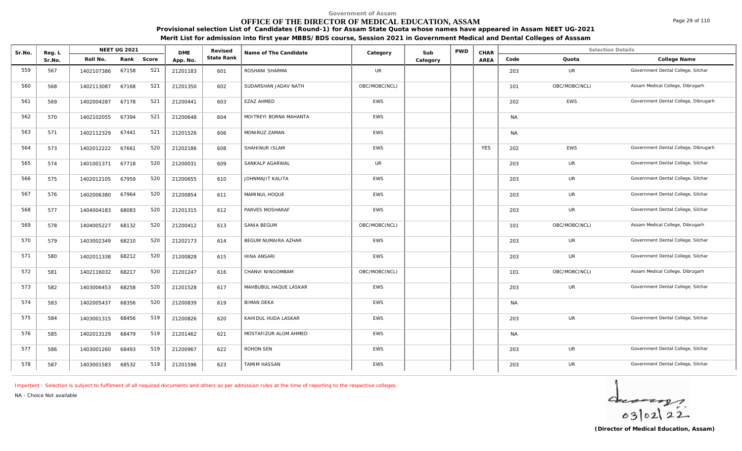# **OFFICE OF THE DIRECTOR OF MEDICAL EDUCATION, ASSAM**

**Provisional selection List of Candidates (Round-1) for Assam State Quota whose names have appeared in Assam NEET UG-2021 Merit List for admission into first year MBBS/BDS course, Session 2021 in Government Medical and Dental Colleges of Asssam**

| Sr.No. | Reg. L |            | NEET UG 2021 |       | <b>DME</b> | Revised           | Name of The Candidate  | Category      | Sub      | <b>PWD</b> | CHAR       |           | <b>Selection Details</b> |                                      |
|--------|--------|------------|--------------|-------|------------|-------------------|------------------------|---------------|----------|------------|------------|-----------|--------------------------|--------------------------------------|
|        | Sr.No. | Roll No.   | Rank         | Score | App. No.   | <b>State Rank</b> |                        |               | Category |            | AREA       | Code      | Quota                    | College Name                         |
| 559    | 567    | 1402107386 | 67158        | 521   | 21201183   | 601               | ROSHANI SHARMA         | <b>UR</b>     |          |            |            | 203       | UR                       | Government Dental College, Silchar   |
| 560    | 568    | 1402113087 | 67168        | 521   | 21201350   | 602               | SUDARSHAN JADAV NATH   | OBC/MOBC(NCL) |          |            |            | 101       | OBC/MOBC(NCL)            | Assam Medical College, Dibrugarh     |
| 561    | 569    | 1402004287 | 67178        | 521   | 21200441   | 603               | EZAZ AHMED             | <b>EWS</b>    |          |            |            | 202       | EWS                      | Government Dental College, Dibrugarh |
| 562    | 570    | 1402102055 | 67394        | 521   | 21200648   | 604               | MOITREYI BORNA MAHANTA | <b>EWS</b>    |          |            |            | <b>NA</b> |                          |                                      |
| 563    | 571    | 1402112329 | 67441        | 521   | 21201526   | 606               | MONIRUZ ZAMAN          | <b>EWS</b>    |          |            |            | <b>NA</b> |                          |                                      |
| 564    | 573    | 1402012222 | 67661        | 520   | 21202186   | 608               | SHAHINUR ISLAM         | <b>EWS</b>    |          |            | <b>YES</b> | 202       | EWS                      | Government Dental College, Dibrugarh |
| 565    | 574    | 1401001371 | 67718        | 520   | 21200031   | 609               | SANKALP AGARWAL        | <b>UR</b>     |          |            |            | 203       | UR                       | Government Dental College, Silchar   |
| 566    | 575    | 1402012105 | 67959        | 520   | 21200655   | 610               | JOHNMAJIT KALITA       | <b>EWS</b>    |          |            |            | 203       | UR                       | Government Dental College, Silchar   |
| 567    | 576    | 1402006380 | 67964        | 520   | 21200854   | 611               | MAMINUL HOQUE          | <b>EWS</b>    |          |            |            | 203       | <b>UR</b>                | Government Dental College, Silchar   |
| 568    | 577    | 1404004183 | 68083        | 520   | 21201315   | 612               | PARVES MOSHARAF        | <b>EWS</b>    |          |            |            | 203       | UR                       | Government Dental College, Silchar   |
| 569    | 578    | 1404005227 | 68132        | 520   | 21200412   | 613               | SANIA BEGUM            | OBC/MOBC(NCL) |          |            |            | 101       | OBC/MOBC(NCL)            | Assam Medical College, Dibrugarh     |
| 570    | 579    | 1403002349 | 68210        | 520   | 21202173   | 614               | BEGUM NUMAIRA AZHAR    | EWS           |          |            |            | 203       | UR                       | Government Dental College, Silchar   |
| 571    | 580    | 1402011338 | 68212        | 520   | 21200828   | 615               | HINA ANSARI            | <b>EWS</b>    |          |            |            | 203       | UR                       | Government Dental College, Silchar   |
| 572    | 581    | 1402116032 | 68217        | 520   | 21201247   | 616               | CHANVI NINGOMBAM       | OBC/MOBC(NCL) |          |            |            | 101       | OBC/MOBC(NCL)            | Assam Medical College, Dibrugarh     |
| 573    | 582    | 1403006453 | 68258        | 520   | 21201528   | 617               | MAHBUBUL HAQUE LASKAR  | <b>EWS</b>    |          |            |            | 203       | UR                       | Government Dental College, Silchar   |
| 574    | 583    | 1402005437 | 68356        | 520   | 21200839   | 619               | <b>BIMAN DEKA</b>      | <b>EWS</b>    |          |            |            | <b>NA</b> |                          |                                      |
| 575    | 584    | 1403001315 | 68456        | 519   | 21200826   | 620               | KAHIDUL HUDA LASKAR    | <b>EWS</b>    |          |            |            | 203       | <b>UR</b>                | Government Dental College, Silchar   |
| 576    | 585    | 1402013129 | 68479        | 519   | 21201462   | 621               | MOSTAFIZUR ALOM AHMED  | <b>EWS</b>    |          |            |            | <b>NA</b> |                          |                                      |
| 577    | 586    | 1403001260 | 68493        | 519   | 21200967   | 622               | ROHON SEN              | <b>EWS</b>    |          |            |            | 203       | UR                       | Government Dental College, Silchar   |

578 | 587 | 1403001583 68532 519 | 21201596 | 623 | TAMIM HASSAN | EWS | | | | | | | 203 UR Government Dental College, Silchar |

*Important : Selection is subject to fulfilment of all required documents and others as per admission rules at the time of reporting to the respective colleges.*

*NA - Choice Not available*



Page 29 of 110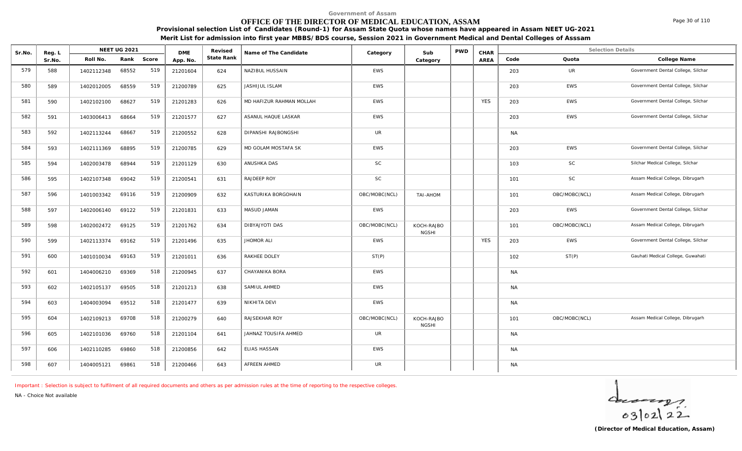# **OFFICE OF THE DIRECTOR OF MEDICAL EDUCATION, ASSAM**

**Provisional selection List of Candidates (Round-1) for Assam State Quota whose names have appeared in Assam NEET UG-2021**

**Merit List for admission into first year MBBS/BDS course, Session 2021 in Government Medical and Dental Colleges of Asssam**

| Sr.No. | Reg. L |            | <b>NEET UG 2021</b> |       | <b>DME</b> | Revised    | Name of The Candidate    | Category      | Sub                        | <b>PWD</b> | CHAR       |           | <b>Selection Details</b> |                                    |
|--------|--------|------------|---------------------|-------|------------|------------|--------------------------|---------------|----------------------------|------------|------------|-----------|--------------------------|------------------------------------|
|        | Sr.No. | Roll No.   | Rank                | Score | App. No.   | State Rank |                          |               | Category                   |            | AREA       | Code      | Quota                    | College Name                       |
| 579    | 588    | 1402112348 | 68552               | 519   | 21201604   | 624        | NAZIBUL HUSSAIN          | EWS           |                            |            |            | 203       | UR                       | Government Dental College, Silchar |
| 580    | 589    | 1402012005 | 68559               | 519   | 21200789   | 625        | JASHIJUL ISLAM           | <b>EWS</b>    |                            |            |            | 203       | EWS                      | Government Dental College, Silchar |
| 581    | 590    | 1402102100 | 68627               | 519   | 21201283   | 626        | MD HAFIZUR RAHMAN MOLLAH | EWS           |                            |            | <b>YES</b> | 203       | EWS                      | Government Dental College, Silchar |
| 582    | 591    | 1403006413 | 68664               | 519   | 21201577   | 627        | ASANUL HAQUE LASKAR      | EWS           |                            |            |            | 203       | EWS                      | Government Dental College, Silchar |
| 583    | 592    | 1402113244 | 68667               | 519   | 21200552   | 628        | DIPANSHI RAJBONGSHI      | <b>UR</b>     |                            |            |            | <b>NA</b> |                          |                                    |
| 584    | 593    | 1402111369 | 68895               | 519   | 21200785   | 629        | MD GOLAM MOSTAFA SK      | <b>EWS</b>    |                            |            |            | 203       | <b>EWS</b>               | Government Dental College, Silchar |
| 585    | 594    | 1402003478 | 68944               | 519   | 21201129   | 630        | ANUSHKA DAS              | SC            |                            |            |            | 103       | SC                       | Silchar Medical College, Silchar   |
| 586    | 595    | 1402107348 | 69042               | 519   | 21200541   | 631        | RAJDEEP ROY              | SC            |                            |            |            | 101       | SC                       | Assam Medical College, Dibrugarh   |
| 587    | 596    | 1401003342 | 69116               | 519   | 21200909   | 632        | KASTURIKA BORGOHAIN      | OBC/MOBC(NCL) | TAI-AHOM                   |            |            | 101       | OBC/MOBC(NCL)            | Assam Medical College, Dibrugarh   |
| 588    | 597    | 1402006140 | 69122               | 519   | 21201831   | 633        | MASUD JAMAN              | EWS           |                            |            |            | 203       | <b>EWS</b>               | Government Dental College, Silchar |
| 589    | 598    | 1402002472 | 69125               | 519   | 21201762   | 634        | DIBYAJYOTI DAS           | OBC/MOBC(NCL) | KOCH-RAJBO<br><b>NGSHI</b> |            |            | 101       | OBC/MOBC(NCL)            | Assam Medical College, Dibrugarh   |
| 590    | 599    | 1402113374 | 69162               | 519   | 21201496   | 635        | JHOMOR ALI               | EWS           |                            |            | <b>YES</b> | 203       | EWS                      | Government Dental College, Silchar |
| 591    | 600    | 1401010034 | 69163               | 519   | 21201011   | 636        | RAKHEE DOLEY             | ST(P)         |                            |            |            | 102       | ST(P)                    | Gauhati Medical College, Guwahati  |
| 592    | 601    | 1404006210 | 69369               | 518   | 21200945   | 637        | CHAYANIKA BORA           | EWS           |                            |            |            | <b>NA</b> |                          |                                    |
| 593    | 602    | 1402105137 | 69505               | 518   | 21201213   | 638        | SAMIUL AHMED             | EWS           |                            |            |            | <b>NA</b> |                          |                                    |
| 594    | 603    | 1404003094 | 69512               | 518   | 21201477   | 639        | NIKHITA DEVI             | EWS           |                            |            |            | <b>NA</b> |                          |                                    |
| 595    | 604    | 1402109213 | 69708               | 518   | 21200279   | 640        | RAJSEKHAR ROY            | OBC/MOBC(NCL) | KOCH-RAJBO<br><b>NGSHI</b> |            |            | 101       | OBC/MOBC(NCL)            | Assam Medical College, Dibrugarh   |
| 596    | 605    | 1402101036 | 69760               | 518   | 21201104   | 641        | JAHNAZ TOUSIFA AHMED     | <b>UR</b>     |                            |            |            | <b>NA</b> |                          |                                    |
| 597    | 606    | 1402110285 | 69860               | 518   | 21200856   | 642        | <b>ELIAS HASSAN</b>      | <b>EWS</b>    |                            |            |            | NA        |                          |                                    |
| 598    | 607    | 1404005121 | 69861               | 518   | 21200466   | 643        | AFREEN AHMED             | <b>UR</b>     |                            |            |            | <b>NA</b> |                          |                                    |

*Important : Selection is subject to fulfilment of all required documents and others as per admission rules at the time of reporting to the respective colleges.*

*NA - Choice Not available*

 $402122$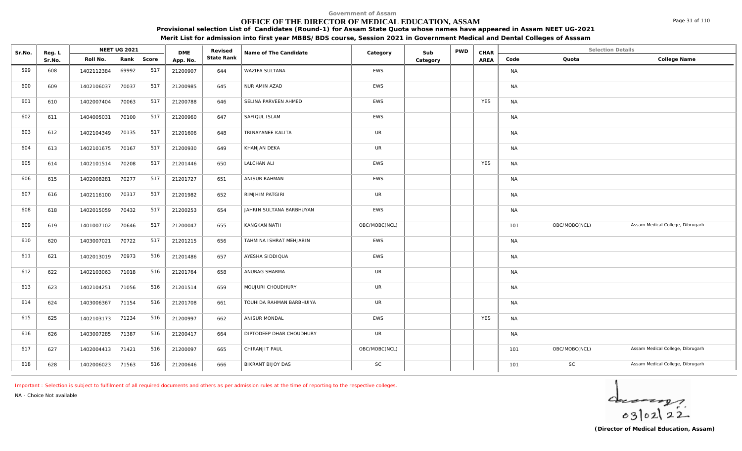# **OFFICE OF THE DIRECTOR OF MEDICAL EDUCATION, ASSAM**

**Provisional selection List of Candidates (Round-1) for Assam State Quota whose names have appeared in Assam NEET UG-2021 Merit List for admission into first year MBBS/BDS course, Session 2021 in Government Medical and Dental Colleges of Asssam**

| Sr.No. | Reg. L |                  | <b>NEET UG 2021</b> |       | <b>DME</b> | Revised    | Name of The Candidate    | Category      | Sub      | <b>PWD</b> | CHAR       |           | <b>Selection Details</b> |                                  |
|--------|--------|------------------|---------------------|-------|------------|------------|--------------------------|---------------|----------|------------|------------|-----------|--------------------------|----------------------------------|
|        | Sr.No. | Roll No.         | Rank                | Score | App. No.   | State Rank |                          |               | Category |            | AREA       | Code      | Quota                    | College Name                     |
| 599    | 608    | 1402112384       | 69992               | 517   | 21200907   | 644        | WAZIFA SULTANA           | EWS           |          |            |            | <b>NA</b> |                          |                                  |
| 600    | 609    | 1402106037       | 70037               | 517   | 21200985   | 645        | NUR AMIN AZAD            | <b>EWS</b>    |          |            |            | <b>NA</b> |                          |                                  |
| 601    | 610    | 1402007404       | 70063               | 517   | 21200788   | 646        | SELINA PARVEEN AHMED     | <b>EWS</b>    |          |            | <b>YES</b> | <b>NA</b> |                          |                                  |
| 602    | 611    | 1404005031       | 70100               | 517   | 21200960   | 647        | SAFIQUL ISLAM            | <b>EWS</b>    |          |            |            | <b>NA</b> |                          |                                  |
| 603    | 612    | 1402104349       | 70135               | 517   | 21201606   | 648        | TRINAYANEE KALITA        | <b>UR</b>     |          |            |            | <b>NA</b> |                          |                                  |
| 604    | 613    | 1402101675       | 70167               | 517   | 21200930   | 649        | KHANJAN DEKA             | <b>UR</b>     |          |            |            | <b>NA</b> |                          |                                  |
| 605    | 614    | 1402101514       | 70208               | 517   | 21201446   | 650        | <b>LALCHAN ALI</b>       | EWS           |          |            | <b>YES</b> | <b>NA</b> |                          |                                  |
| 606    | 615    | 1402008281       | 70277               | 517   | 21201727   | 651        | ANISUR RAHMAN            | EWS           |          |            |            | <b>NA</b> |                          |                                  |
| 607    | 616    | 1402116100       | 70317               | 517   | 21201982   | 652        | RIMJHIM PATGIRI          | UR            |          |            |            | <b>NA</b> |                          |                                  |
| 608    | 618    | 1402015059       | 70432               | 517   | 21200253   | 654        | JAHRIN SULTANA BARBHUYAN | EWS           |          |            |            | <b>NA</b> |                          |                                  |
| 609    | 619    | 1401007102       | 70646               | 517   | 21200047   | 655        | KANGKAN NATH             | OBC/MOBC(NCL) |          |            |            | 101       | OBC/MOBC(NCL)            | Assam Medical College, Dibrugarh |
| 610    | 620    | 1403007021       | 70722               | 517   | 21201215   | 656        | TAHMINA ISHRAT MEHJABIN  | EWS           |          |            |            | <b>NA</b> |                          |                                  |
| 611    | 621    | 1402013019       | 70973               | 516   | 21201486   | 657        | AYESHA SIDDIQUA          | EWS           |          |            |            | <b>NA</b> |                          |                                  |
| 612    | 622    | 1402103063       | 71018               | 516   | 21201764   | 658        | ANURAG SHARMA            | <b>UR</b>     |          |            |            | <b>NA</b> |                          |                                  |
| 613    | 623    | 1402104251       | 71056               | 516   | 21201514   | 659        | MOUJURI CHOUDHURY        | <b>UR</b>     |          |            |            | <b>NA</b> |                          |                                  |
| 614    | 624    | 1403006367       | 71154               | 516   | 21201708   | 661        | TOUHIDA RAHMAN BARBHUIYA | <b>UR</b>     |          |            |            | <b>NA</b> |                          |                                  |
| 615    | 625    | 1402103173       | 71234               | 516   | 21200997   | 662        | ANISUR MONDAL            | EWS           |          |            | <b>YES</b> | <b>NA</b> |                          |                                  |
| 616    | 626    | 1403007285       | 71387               | 516   | 21200417   | 664        | DIPTODEEP DHAR CHOUDHURY | UR            |          |            |            | <b>NA</b> |                          |                                  |
| 617    | 627    | 1402004413 71421 |                     | 516   | 21200097   | 665        | CHIRANJIT PAUL           | OBC/MOBC(NCL) |          |            |            | 101       | OBC/MOBC(NCL)            | Assam Medical College, Dibrugarh |

618 628 1402006023 71563 516 21200646 666 BIKRANT BIJOY DAS SC SC 101 101 SC Assam Medical College, Dibrugarh 1

*Important : Selection is subject to fulfilment of all required documents and others as per admission rules at the time of reporting to the respective colleges.*

*NA - Choice Not available*

**Reg. L NEET UG 2021** 



Page 31 of 110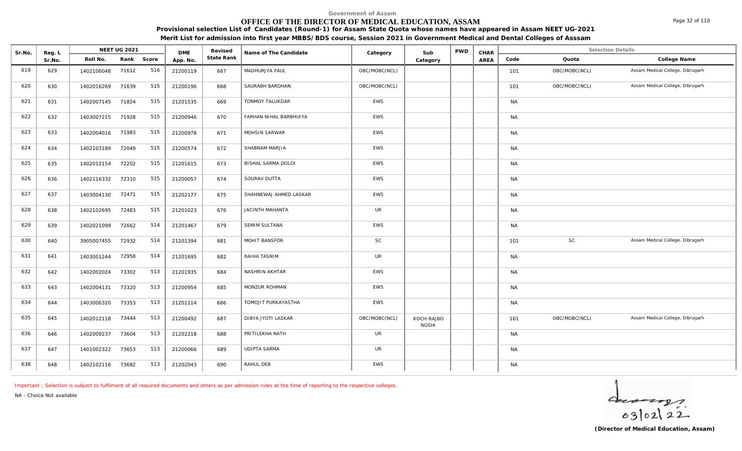# **OFFICE OF THE DIRECTOR OF MEDICAL EDUCATION, ASSAM**

**Provisional selection List of Candidates (Round-1) for Assam State Quota whose names have appeared in Assam NEET UG-2021**

**Merit List for admission into first year MBBS/BDS course, Session 2021 in Government Medical and Dental Colleges of Asssam**

| Sr.No. | Reg. L |                  | NEET UG 2021 |       | <b>DME</b> | Revised    | Name of The Candidate  | Category      | Sub                        | <b>PWD</b> | CHAR |           | <b>Selection Details</b> |                                  |
|--------|--------|------------------|--------------|-------|------------|------------|------------------------|---------------|----------------------------|------------|------|-----------|--------------------------|----------------------------------|
|        | Sr.No. | Roll No.         | Rank         | Score | App. No.   | State Rank |                        |               | Category                   |            | AREA | Code      | Quota                    | College Name                     |
| 619    | 629    | 1402106048       | 71612        | 516   | 21200119   | 667        | MADHURJYA PAUL         | OBC/MOBC(NCL) |                            |            |      | 101       | OBC/MOBC(NCL)            | Assam Medical College, Dibrugarh |
| 620    | 630    | 1402016269       | 71639        | 515   | 21200196   | 668        | SAURABH BARDHAN        | OBC/MOBC(NCL) |                            |            |      | 101       | OBC/MOBC(NCL)            | Assam Medical College, Dibrugarh |
| 621    | 631    | 1402007145       | 71824        | 515   | 21201535   | 669        | TONMOY TALUKDAR        | EWS           |                            |            |      | <b>NA</b> |                          |                                  |
| 622    | 632    | 1403007215       | 71928        | 515   | 21200946   | 670        | FARHAN NIHAL BARBHUIYA | <b>EWS</b>    |                            |            |      | <b>NA</b> |                          |                                  |
| 623    | 633    | 1402004016       | 71983        | 515   | 21200978   | 671        | MOHSIN SARWAR          | <b>EWS</b>    |                            |            |      | <b>NA</b> |                          |                                  |
| 624    | 634    | 1402103189       | 72049        | 515   | 21200574   | 672        | SHABNAM MARJIA         | EWS           |                            |            |      | <b>NA</b> |                          |                                  |
| 625    | 635    | 1402012154       | 72202        | 515   | 21201615   | 673        | BISHAL SARMA DOLOI     | <b>EWS</b>    |                            |            |      | <b>NA</b> |                          |                                  |
| 626    | 636    | 1402116332       | 72310        | 515   | 21200057   | 674        | SOURAV DUTTA           | <b>EWS</b>    |                            |            |      | <b>NA</b> |                          |                                  |
| 627    | 637    | 1403004130       | 72471        | 515   | 21202177   | 675        | SHAHNEWAJ AHMED LASKAR | EWS           |                            |            |      | <b>NA</b> |                          |                                  |
| 628    | 638    | 1402102695       | 72483        | 515   | 21201023   | 676        | <b>JACINTH MAHANTA</b> | <b>UR</b>     |                            |            |      | <b>NA</b> |                          |                                  |
| 629    | 639    | 1402021099       | 72662        | 514   | 21201467   | 679        | SEMIM SULTANA          | EWS           |                            |            |      | <b>NA</b> |                          |                                  |
| 630    | 640    | 3905007455       | 72932        | 514   | 21201394   | 681        | <b>MOHIT BANSFOR</b>   | SC            |                            |            |      | 101       | <b>SC</b>                | Assam Medical College, Dibrugarh |
| 631    | 641    | 1403001244       | 72958        | 514   | 21201695   | 682        | RAIHA TASNIM           | <b>UR</b>     |                            |            |      | <b>NA</b> |                          |                                  |
| 632    | 642    | 1402002024       | 73302        | 513   | 21201935   | 684        | NASHRIN AKHTAR         | EWS           |                            |            |      | <b>NA</b> |                          |                                  |
| 633    | 643    | 1402004131       | 73320        | 513   | 21200954   | 685        | MONZUR ROHMAN          | <b>EWS</b>    |                            |            |      | <b>NA</b> |                          |                                  |
| 634    | 644    | 1403006320       | 73353        | 513   | 21201114   | 686        | TOMOJIT PURKAYASTHA    | EWS           |                            |            |      | <b>NA</b> |                          |                                  |
| 635    | 645    | 1402012118       | 73444        | 513   | 21200492   | 687        | DIBYA JYOTI LASKAR     | OBC/MOBC(NCL) | KOCH-RAJBO<br><b>NGSHI</b> |            |      | 101       | OBC/MOBC(NCL)            | Assam Medical College, Dibrugarh |
| 636    | 646    | 1402009237       | 73604        | 513   | 21202218   | 688        | PRITILEKHA NATH        | <b>UR</b>     |                            |            |      | <b>NA</b> |                          |                                  |
| 637    | 647    | 1401002322       | 73653        | 513   | 21200066   | 689        | <b>UDIPTA SARMA</b>    | <b>UR</b>     |                            |            |      | <b>NA</b> |                          |                                  |
| 638    | 648    | 1402102116 73682 |              | 513   | 21202043   | 690        | RAHUL DEB              | EWS           |                            |            |      | <b>NA</b> |                          |                                  |

*Important : Selection is subject to fulfilment of all required documents and others as per admission rules at the time of reporting to the respective colleges.*

*NA - Choice Not available*

 $402122$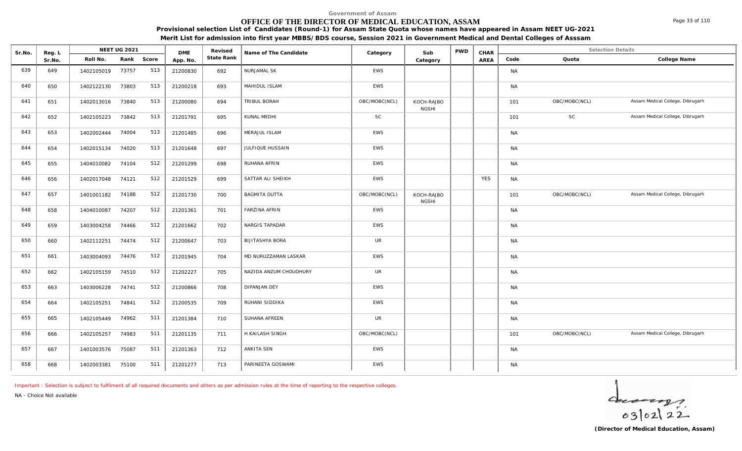# **OFFICE OF THE DIRECTOR OF MEDICAL EDUCATION, ASSAM**

**Provisional selection List of Candidates (Round-1) for Assam State Quota whose names have appeared in Assam NEET UG-2021**

|  | Merit List for admission into first year MBBS/BDS course, Session 2021 in Government Medical and Dental Colleges of Asssam |  |
|--|----------------------------------------------------------------------------------------------------------------------------|--|
|--|----------------------------------------------------------------------------------------------------------------------------|--|

| Sr.No. | Reg. L |            | NEET UG 2021 |       | <b>DME</b> | Revised    | Name of The Candidate  | Category      | Sub                        | <b>PWD</b> | CHAR       |           | <b>Selection Details</b> |                                  |
|--------|--------|------------|--------------|-------|------------|------------|------------------------|---------------|----------------------------|------------|------------|-----------|--------------------------|----------------------------------|
|        | Sr.No. | Roll No.   | Rank         | Score | App. No.   | State Rank |                        |               | Category                   |            | AREA       | Code      | Quota                    | College Name                     |
| 639    | 649    | 1402105019 | 73757        | 513   | 21200830   | 692        | <b>NURJAMAL SK</b>     | <b>EWS</b>    |                            |            |            | <b>NA</b> |                          |                                  |
| 640    | 650    | 1402122130 | 73803        | 513   | 21200218   | 693        | MAHIDUL ISLAM          | EWS           |                            |            |            | <b>NA</b> |                          |                                  |
| 641    | 651    | 1402013016 | 73840        | 513   | 21200080   | 694        | TRIBUL BORAH           | OBC/MOBC(NCL) | KOCH-RAJBO<br><b>NGSHI</b> |            |            | 101       | OBC/MOBC(NCL)            | Assam Medical College, Dibrugarh |
| 642    | 652    | 1402105223 | 73842        | 513   | 21201791   | 695        | KUNAL MEDHI            | <b>SC</b>     |                            |            |            | 101       | SC                       | Assam Medical College, Dibrugarh |
| 643    | 653    | 1402002444 | 74004        | 513   | 21201485   | 696        | MERAJUL ISLAM          | EWS           |                            |            |            | <b>NA</b> |                          |                                  |
| 644    | 654    | 1402015134 | 74020        | 513   | 21201648   | 697        | JULFIQUE HUSSAIN       | EWS           |                            |            |            | <b>NA</b> |                          |                                  |
| 645    | 655    | 1404010082 | 74104        | 512   | 21201299   | 698        | RUHANA AFRIN           | EWS           |                            |            |            | <b>NA</b> |                          |                                  |
| 646    | 656    | 1402017048 | 74121        | 512   | 21201529   | 699        | SATTAR ALI SHEIKH      | EWS           |                            |            | <b>YES</b> | <b>NA</b> |                          |                                  |
| 647    | 657    | 1401001182 | 74188        | 512   | 21201730   | 700        | <b>BAGMITA DUTTA</b>   | OBC/MOBC(NCL) | KOCH-RAJBO<br><b>NGSHI</b> |            |            | 101       | OBC/MOBC(NCL)            | Assam Medical College, Dibrugarh |
| 648    | 658    | 1404010087 | 74207        | 512   | 21201361   | 701        | <b>FARZINA AFRIN</b>   | EWS           |                            |            |            | <b>NA</b> |                          |                                  |
| 649    | 659    | 1403004258 | 74466        | 512   | 21201662   | 702        | NARGIS TAPADAR         | EWS           |                            |            |            | <b>NA</b> |                          |                                  |
| 650    | 660    | 1402112251 | 74474        | 512   | 21200647   | 703        | <b>BIJITASHYA BORA</b> | UR            |                            |            |            | <b>NA</b> |                          |                                  |
| 651    | 661    | 1403004093 | 74476        | 512   | 21201945   | 704        | MD NURUZZAMAN LASKAR   | EWS           |                            |            |            | <b>NA</b> |                          |                                  |
| 652    | 662    | 1402105159 | 74510        | 512   | 21202227   | 705        | NAZIDA ANZUM CHOUDHURY | <b>UR</b>     |                            |            |            | <b>NA</b> |                          |                                  |
| 653    | 663    | 1403006228 | 74741        | 512   | 21200866   | 708        | <b>DIPANJAN DEY</b>    | EWS           |                            |            |            | <b>NA</b> |                          |                                  |
| 654    | 664    | 1402105251 | 74841        | 512   | 21200535   | 709        | RUHANI SIDDIKA         | EWS           |                            |            |            | <b>NA</b> |                          |                                  |
| 655    | 665    | 1402105449 | 74962        | 511   | 21201384   | 710        | SUHANA AFREEN          | <b>UR</b>     |                            |            |            | <b>NA</b> |                          |                                  |
| 656    | 666    | 1402105257 | 74983        | 511   | 21201135   | 711        | H KAILASH SINGH        | OBC/MOBC(NCL) |                            |            |            | 101       | OBC/MOBC(NCL)            | Assam Medical College, Dibrugarh |
| 657    | 667    | 1401003576 | 75087        | 511   | 21201363   | 712        | ANKITA SEN             | EWS           |                            |            |            | <b>NA</b> |                          |                                  |
| 658    | 668    | 1402003381 | 75100        | 511   | 21201277   | 713        | PARINEETA GOSWAMI      | EWS           |                            |            |            | <b>NA</b> |                          |                                  |

*Important : Selection is subject to fulfilment of all required documents and others as per admission rules at the time of reporting to the respective colleges.*

*NA - Choice Not available*

 $40222$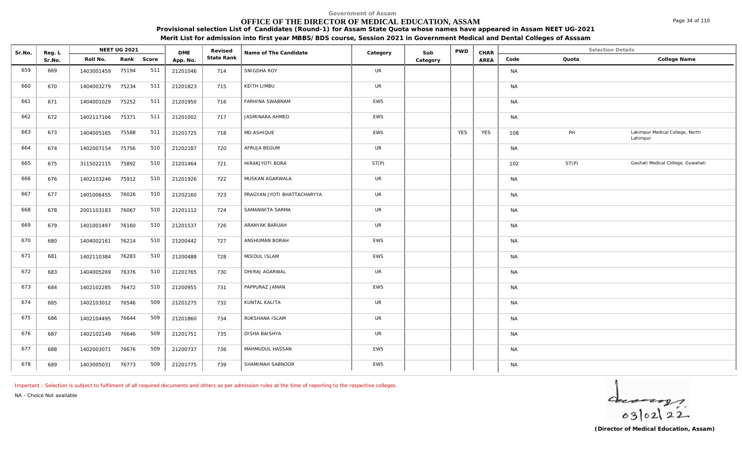# **OFFICE OF THE DIRECTOR OF MEDICAL EDUCATION, ASSAM**

**Provisional selection List of Candidates (Round-1) for Assam State Quota whose names have appeared in Assam NEET UG-2021**

**Merit List for admission into first year MBBS/BDS course, Session 2021 in Government Medical and Dental Colleges of Asssam**

| Sr.No. | Reg. L | NEET UG 2021     |            | <b>DME</b> |          | Revised    | Name of The Candidate       | Category   | Sub      | <b>PWD</b> | CHAR | Selection Details |       |                                             |
|--------|--------|------------------|------------|------------|----------|------------|-----------------------------|------------|----------|------------|------|-------------------|-------|---------------------------------------------|
| Sr.No. |        | Roll No.         | Rank Score |            | App. No. | State Rank |                             |            | Category |            | AREA | Code              | Quota | College Name                                |
| 659    | 669    | 1403001459       | 75194      | 511        | 21201046 | 714        | SNIGDHA ROY                 | <b>UR</b>  |          |            |      | NA                |       |                                             |
| 660    | 670    | 1404003279       | 75234      | 511        | 21201823 | 715        | KEITH LIMBU                 | <b>UR</b>  |          |            |      | <b>NA</b>         |       |                                             |
| 661    | 671    | 1404001029       | 75252      | 511        | 21201950 | 716        | FARHINA SWABNAM             | EWS        |          |            |      | <b>NA</b>         |       |                                             |
| 662    | 672    | 1402117166       | 75371      | 511        | 21201002 | 717        | JASMINARA AHMED             | EWS        |          |            |      | <b>NA</b>         |       |                                             |
| 663    | 673    | 1404005165       | 75588      | 511        | 21201725 | 718        | MD ASHIQUE                  | EWS        |          | <b>YES</b> | YES  | 108               | PH    | Lakimpur Medical College, North<br>Lahimpur |
| 664    | 674    | 1402007154       | 75756      | 510        | 21202187 | 720        | AFRUJA BEGUM                | <b>UR</b>  |          |            |      | NA                |       |                                             |
| 665    | 675    | 3115022115 75892 |            | 510        | 21201464 | 721        | HIRAKJYOTI BORA             | ST(P)      |          |            |      | 102               | ST(P) | Gauhati Medical College, Guwahati           |
| 666    | 676    | 1402103246       | 75912      | 510        | 21201926 | 722        | MUSKAN AGARWALA             | <b>UR</b>  |          |            |      | <b>NA</b>         |       |                                             |
| 667    | 677    | 1401006455       | 76026      | 510        | 21202160 | 723        | PRAGYAN JYOTI BHATTACHARYYA | UR         |          |            |      | <b>NA</b>         |       |                                             |
| 668    | 678    | 2001103183       | 76067      | 510        | 21201112 | 724        | SAMANWITA SARMA             | <b>UR</b>  |          |            |      | <b>NA</b>         |       |                                             |
| 669    | 679    | 1401001497 76160 |            | 510        | 21201537 | 726        | ARANYAK BARUAH              | UR         |          |            |      | <b>NA</b>         |       |                                             |
| 670    | 680    | 1404002161       | 76214      | 510        | 21200442 | 727        | ANSHUMAN BORAH              | EWS        |          |            |      | <b>NA</b>         |       |                                             |
| 671    | 681    | 1402110384       | 76283      | 510        | 21200488 | 728        | MOIDUL ISLAM                | <b>EWS</b> |          |            |      | <b>NA</b>         |       |                                             |
| 672    | 683    | 1404005269       | 76376      | 510        | 21201765 | 730        | DHIRAJ AGARWAL              | <b>UR</b>  |          |            |      | <b>NA</b>         |       |                                             |
| 673    | 684    | 1402102285       | 76472      | 510        | 21200955 | 731        | PAPPURAZ JAMAN              | EWS        |          |            |      | <b>NA</b>         |       |                                             |
| 674    | 685    | 1402103012       | 76546      | 509        | 21201275 | 732        | KUNTAL KALITA               | <b>UR</b>  |          |            |      | <b>NA</b>         |       |                                             |
| 675    | 686    | 1402104495       | 76644      | 509        | 21201860 | 734        | RUKSHANA ISLAM              | <b>UR</b>  |          |            |      | <b>NA</b>         |       |                                             |
| 676    | 687    | 1402102149       | 76646      | 509        | 21201751 | 735        | DISHA BAISHYA               | UR         |          |            |      | <b>NA</b>         |       |                                             |
| 677    | 688    | 1402003071       | 76676      | 509        | 21200737 | 736        | MAHMUDUL HASSAN             | EWS        |          |            |      | <b>NA</b>         |       |                                             |
| 678    | 689    | 1403005031       | 76773      | 509        | 21201775 | 739        | SHAMIMAH SABNOOR            | EWS        |          |            |      | <b>NA</b>         |       |                                             |

*Important : Selection is subject to fulfilment of all required documents and others as per admission rules at the time of reporting to the respective colleges.*

*NA - Choice Not available*

 $40222$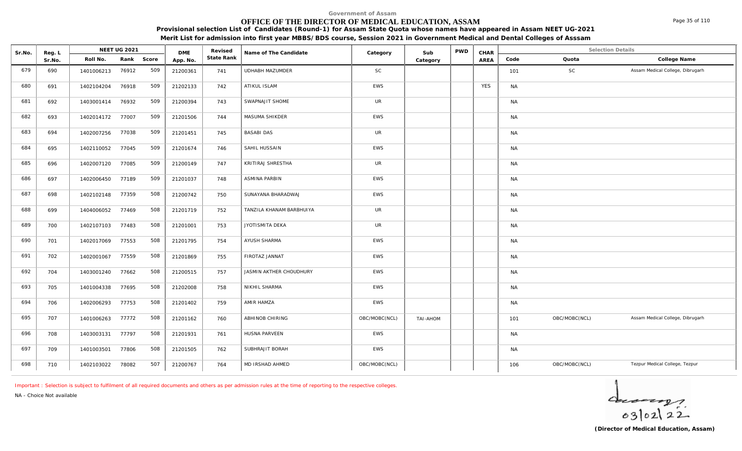# **OFFICE OF THE DIRECTOR OF MEDICAL EDUCATION, ASSAM**

Sr.No. Reg. L Reg.L **NEET UG 2021** ME Revised Name of The Candidate Category Sub PWD CHAR Selection Details Selection Details

**NEET UG 2021 Category CHAR**

**Name of The Candidate Revised**

**Provisional selection List of Candidates (Round-1) for Assam State Quota whose names have appeared in Assam NEET UG-2021 Merit List for admission into first year MBBS/BDS course, Session 2021 in Government Medical and Dental Colleges of Asssam**

AREA Code Quota

**State Rank Code Quota College Name**

**Category**

| 679 | 690 | 1401006213       | 76912 | 509 | 21200361 | 741 | UDHABH MAZUMDER          | $\mathsf{SC}$ |          |            | 101       | SC            | Assam Medical College, Dibrugarh |
|-----|-----|------------------|-------|-----|----------|-----|--------------------------|---------------|----------|------------|-----------|---------------|----------------------------------|
| 680 | 691 | 1402104204       | 76918 | 509 | 21202133 | 742 | ATIKUL ISLAM             | <b>EWS</b>    |          | <b>YES</b> | <b>NA</b> |               |                                  |
| 681 | 692 | 1403001414       | 76932 | 509 | 21200394 | 743 | SWAPNAJIT SHOME          | <b>UR</b>     |          |            | <b>NA</b> |               |                                  |
| 682 | 693 | 1402014172 77007 |       | 509 | 21201506 | 744 | MASUMA SHIKDER           | EWS           |          |            | <b>NA</b> |               |                                  |
| 683 | 694 | 1402007256       | 77038 | 509 | 21201451 | 745 | <b>BASABI DAS</b>        | <b>UR</b>     |          |            | <b>NA</b> |               |                                  |
| 684 | 695 | 1402110052       | 77045 | 509 | 21201674 | 746 | SAHIL HUSSAIN            | EWS           |          |            | <b>NA</b> |               |                                  |
| 685 | 696 | 1402007120       | 77085 | 509 | 21200149 | 747 | KRITIRAJ SHRESTHA        | <b>UR</b>     |          |            | <b>NA</b> |               |                                  |
| 686 | 697 | 1402006450       | 77189 | 509 | 21201037 | 748 | <b>ASMINA PARBIN</b>     | EWS           |          |            | <b>NA</b> |               |                                  |
| 687 | 698 | 1402102148       | 77359 | 508 | 21200742 | 750 | SUNAYANA BHARADWAJ       | EWS           |          |            | <b>NA</b> |               |                                  |
| 688 | 699 | 1404006052       | 77469 | 508 | 21201719 | 752 | TANZILA KHANAM BARBHUIYA | <b>UR</b>     |          |            | <b>NA</b> |               |                                  |
| 689 | 700 | 1402107103       | 77483 | 508 | 21201001 | 753 | JYOTISMITA DEKA          | <b>UR</b>     |          |            | <b>NA</b> |               |                                  |
| 690 | 701 | 1402017069       | 77553 | 508 | 21201795 | 754 | AYUSH SHARMA             | EWS           |          |            | <b>NA</b> |               |                                  |
| 691 | 702 | 1402001067       | 77559 | 508 | 21201869 | 755 | FIROTAZ JANNAT           | EWS           |          |            | <b>NA</b> |               |                                  |
| 692 | 704 | 1403001240       | 77662 | 508 | 21200515 | 757 | JASMIN AKTHER CHOUDHURY  | EWS           |          |            | <b>NA</b> |               |                                  |
| 693 | 705 | 1401004338       | 77695 | 508 | 21202008 | 758 | NIKHIL SHARMA            | EWS           |          |            | <b>NA</b> |               |                                  |
| 694 | 706 | 1402006293       | 77753 | 508 | 21201402 | 759 | AMIR HAMZA               | EWS           |          |            | <b>NA</b> |               |                                  |
| 695 | 707 | 1401006263       | 77772 | 508 | 21201162 | 760 | ABHINOB CHIRING          | OBC/MOBC(NCL) | MOHA-IAT |            | 101       | OBC/MOBC(NCL) | Assam Medical College, Dibrugarh |
| 696 | 708 | 1403003131       | 77797 | 508 | 21201931 | 761 | HUSNA PARVEEN            | EWS           |          |            | <b>NA</b> |               |                                  |
| 697 | 709 | 1401003501       | 77806 | 508 | 21201505 | 762 | SUBHRAJIT BORAH          | EWS           |          |            | <b>NA</b> |               |                                  |
| 698 | 710 | 1402103022       | 78082 | 507 | 21200767 | 764 | MD IRSHAD AHMED          | OBC/MOBC(NCL) |          |            | 106       | OBC/MOBC(NCL) | Tezpur Medical College, Tezpur   |

*Important : Selection is subject to fulfilment of all required documents and others as per admission rules at the time of reporting to the respective colleges.*

**DME** Revised<br>**PD\_NO** State Rank

*NA - Choice Not available*

Reg. L **NEET UG 2021**<br>Sr No Roll No. Rank

Sr.No. | Roll No. Rank Score | App.No. | State Ra



Page 35 of 110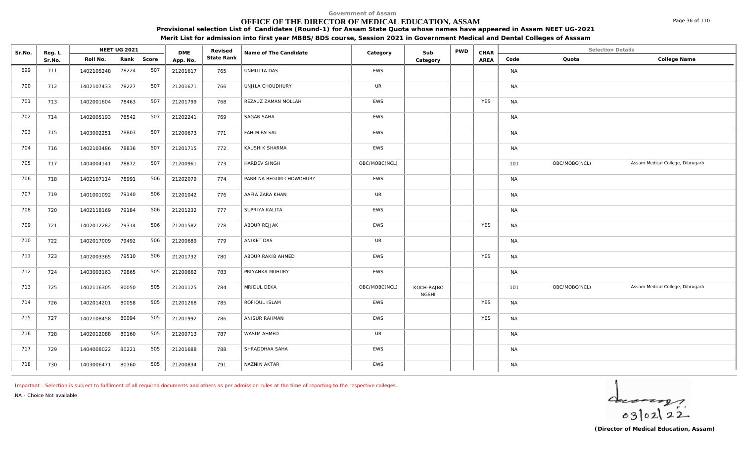# **OFFICE OF THE DIRECTOR OF MEDICAL EDUCATION, ASSAM**

**Provisional selection List of Candidates (Round-1) for Assam State Quota whose names have appeared in Assam NEET UG-2021 Merit List for admission into first year MBBS/BDS course, Session 2021 in Government Medical and Dental Colleges of Asssam**

| Sr.No. | Reg. L | <b>NEET UG 2021</b> |       |       | <b>DME</b> | Revised    | Name of The Candidate   | Category      | Sub                        | <b>PWD</b> | CHAR       | <b>Selection Details</b> |               |                                  |  |
|--------|--------|---------------------|-------|-------|------------|------------|-------------------------|---------------|----------------------------|------------|------------|--------------------------|---------------|----------------------------------|--|
|        | Sr.No. | Roll No.            | Rank  | Score | App. No.   | State Rank |                         |               | Category                   |            | AREA       | Code                     | Quota         | College Name                     |  |
| 699    | 711    | 1402105248          | 78224 | 507   | 21201617   | 765        | UNMILITA DAS            | EWS           |                            |            |            | <b>NA</b>                |               |                                  |  |
| 700    | 712    | 1402107433          | 78227 | 507   | 21201671   | 766        | UNJILA CHOUDHURY        | UR            |                            |            |            | <b>NA</b>                |               |                                  |  |
| 701    | 713    | 1402001604          | 78463 | 507   | 21201799   | 768        | REZAUZ ZAMAN MOLLAH     | EWS           |                            |            | <b>YES</b> | <b>NA</b>                |               |                                  |  |
| 702    | 714    | 1402005193          | 78542 | 507   | 21202241   | 769        | SAGAR SAHA              | EWS           |                            |            |            | <b>NA</b>                |               |                                  |  |
| 703    | 715    | 1403002251          | 78803 | 507   | 21200673   | 771        | <b>FAHIM FAISAL</b>     | EWS           |                            |            |            | <b>NA</b>                |               |                                  |  |
| 704    | 716    | 1402103486          | 78836 | 507   | 21201715   | 772        | KAUSHIK SHARMA          | EWS           |                            |            |            | <b>NA</b>                |               |                                  |  |
| 705    | 717    | 1404004141          | 78872 | 507   | 21200961   | 773        | HARDEV SINGH            | OBC/MOBC(NCL) |                            |            |            | 101                      | OBC/MOBC(NCL) | Assam Medical College, Dibrugarh |  |
| 706    | 718    | 1402107114          | 78991 | 506   | 21202079   | 774        | PARBINA BEGUM CHOWDHURY | EWS           |                            |            |            | <b>NA</b>                |               |                                  |  |
| 707    | 719    | 1401001092          | 79140 | 506   | 21201042   | 776        | AAFIA ZARA KHAN         | <b>UR</b>     |                            |            |            | <b>NA</b>                |               |                                  |  |
| 708    | 720    | 1402118169          | 79184 | 506   | 21201232   | 777        | SUPRIYA KALITA          | EWS           |                            |            |            | <b>NA</b>                |               |                                  |  |
| 709    | 721    | 1402012282          | 79314 | 506   | 21201582   | 778        | ABDUR REJJAK            | EWS           |                            |            | <b>YES</b> | <b>NA</b>                |               |                                  |  |
| 710    | 722    | 1402017009          | 79492 | 506   | 21200689   | 779        | ANIKET DAS              | <b>UR</b>     |                            |            |            | <b>NA</b>                |               |                                  |  |
| 711    | 723    | 1402003365          | 79510 | 506   | 21201732   | 780        | ABDUR RAKIB AHMED       | EWS           |                            |            | <b>YES</b> | <b>NA</b>                |               |                                  |  |
| 712    | 724    | 1403003163          | 79865 | 505   | 21200662   | 783        | PRIYANKA MUHURY         | EWS           |                            |            |            | <b>NA</b>                |               |                                  |  |
| 713    | 725    | 1402116305          | 80050 | 505   | 21201125   | 784        | MRIDUL DEKA             | OBC/MOBC(NCL) | KOCH-RAJBO<br><b>NGSHI</b> |            |            | 101                      | OBC/MOBC(NCL) | Assam Medical College, Dibrugarh |  |
| 714    | 726    | 1402014201          | 80058 | 505   | 21201268   | 785        | ROFIQUL ISLAM           | EWS           |                            |            | <b>YES</b> | <b>NA</b>                |               |                                  |  |
| 715    | 727    | 1402108458          | 80094 | 505   | 21201992   | 786        | ANISUR RAHMAN           | EWS           |                            |            | <b>YES</b> | <b>NA</b>                |               |                                  |  |
| 716    | 728    | 1402012088          | 80160 | 505   | 21200713   | 787        | WASIM AHMED             | <b>UR</b>     |                            |            |            | <b>NA</b>                |               |                                  |  |
| 717    | 729    | 1404008022          | 80221 | 505   | 21201688   | 788        | SHRADDHAA SAHA          | EWS           |                            |            |            | <b>NA</b>                |               |                                  |  |
| 718    | 730    | 1403006471          | 80360 | 505   | 21200834   | 791        | NAZNIN AKTAR            | <b>EWS</b>    |                            |            |            | <b>NA</b>                |               |                                  |  |

*Important : Selection is subject to fulfilment of all required documents and others as per admission rules at the time of reporting to the respective colleges.*

DMF Revised

*NA - Choice Not available*

**Reg. | NEET UG 2021** 



Page 36 of 110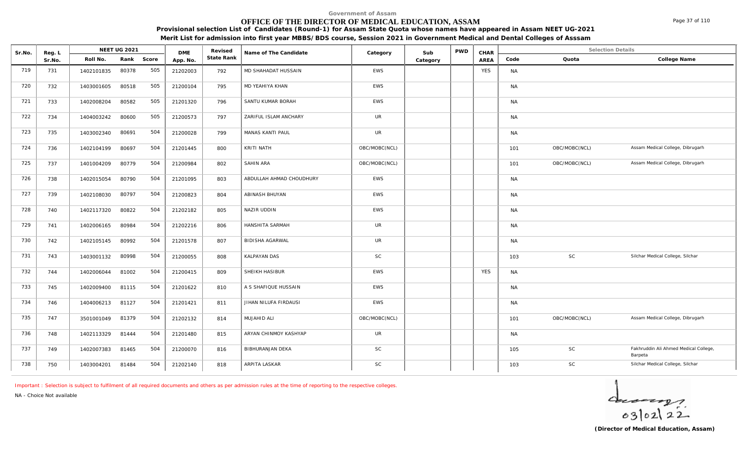## **OFFICE OF THE DIRECTOR OF MEDICAL EDUCATION, ASSAM**

**Provisional selection List of Candidates (Round-1) for Assam State Quota whose names have appeared in Assam NEET UG-2021 Merit List for admission into first year MBBS/BDS course, Session 2021 in Government Medical and Dental Colleges of Asssam**

| Sr.No. | Reg. L |            | NEET UG 2021 |       | <b>DME</b> | Revised    | Name of The Candidate    | Category      | Sub      | <b>PWD</b> | CHAR       |           | <b>Selection Details</b> |                                                  |
|--------|--------|------------|--------------|-------|------------|------------|--------------------------|---------------|----------|------------|------------|-----------|--------------------------|--------------------------------------------------|
|        | Sr.No. | Roll No.   | Rank         | Score | App. No.   | State Rank |                          |               | Category |            | AREA       | Code      | Quota                    | College Name                                     |
| 719    | 731    | 1402101835 | 80378        | 505   | 21202003   | 792        | MD SHAHADAT HUSSAIN      | <b>EWS</b>    |          |            | <b>YES</b> | <b>NA</b> |                          |                                                  |
| 720    | 732    | 1403001605 | 80518        | 505   | 21200104   | 795        | MD YEAHIYA KHAN          | EWS           |          |            |            | <b>NA</b> |                          |                                                  |
| 721    | 733    | 1402008204 | 80582        | 505   | 21201320   | 796        | SANTU KUMAR BORAH        | EWS           |          |            |            | <b>NA</b> |                          |                                                  |
| 722    | 734    | 1404003242 | 80600        | 505   | 21200573   | 797        | ZARIFUL ISLAM ANCHARY    | <b>UR</b>     |          |            |            | <b>NA</b> |                          |                                                  |
| 723    | 735    | 1403002340 | 80691        | 504   | 21200028   | 799        | MANAS KANTI PAUL         | <b>UR</b>     |          |            |            | <b>NA</b> |                          |                                                  |
| 724    | 736    | 1402104199 | 80697        | 504   | 21201445   | 800        | KRITI NATH               | OBC/MOBC(NCL) |          |            |            | 101       | OBC/MOBC(NCL)            | Assam Medical College, Dibrugarh                 |
| 725    | 737    | 1401004209 | 80779        | 504   | 21200984   | 802        | SAHIN ARA                | OBC/MOBC(NCL) |          |            |            | 101       | OBC/MOBC(NCL)            | Assam Medical College, Dibrugarh                 |
| 726    | 738    | 1402015054 | 80790        | 504   | 21201095   | 803        | ABDULLAH AHMAD CHOUDHURY | EWS           |          |            |            | <b>NA</b> |                          |                                                  |
| 727    | 739    | 1402108030 | 80797        | 504   | 21200823   | 804        | ABINASH BHUYAN           | <b>EWS</b>    |          |            |            | <b>NA</b> |                          |                                                  |
| 728    | 740    | 1402117320 | 80822        | 504   | 21202182   | 805        | NAZIR UDDIN              | EWS           |          |            |            | <b>NA</b> |                          |                                                  |
| 729    | 741    | 1402006165 | 80984        | 504   | 21202216   | 806        | HANSHITA SARMAH          | <b>UR</b>     |          |            |            | <b>NA</b> |                          |                                                  |
| 730    | 742    | 1402105145 | 80992        | 504   | 21201578   | 807        | <b>BIDISHA AGARWAL</b>   | <b>UR</b>     |          |            |            | <b>NA</b> |                          |                                                  |
| 731    | 743    | 1403001132 | 80998        | 504   | 21200055   | 808        | <b>KALPAYAN DAS</b>      | <b>SC</b>     |          |            |            | 103       | SC                       | Silchar Medical College, Silchar                 |
| 732    | 744    | 1402006044 | 81002        | 504   | 21200415   | 809        | SHEIKH HASIBUR           | <b>EWS</b>    |          |            | <b>YES</b> | <b>NA</b> |                          |                                                  |
| 733    | 745    | 1402009400 | 81115        | 504   | 21201622   | 810        | A S SHAFIQUE HUSSAIN     | <b>EWS</b>    |          |            |            | <b>NA</b> |                          |                                                  |
| 734    | 746    | 1404006213 | 81127        | 504   | 21201421   | 811        | JIHAN NILUFA FIRDAUSI    | <b>EWS</b>    |          |            |            | <b>NA</b> |                          |                                                  |
| 735    | 747    | 3501001049 | 81379        | 504   | 21202132   | 814        | MUJAHID ALI              | OBC/MOBC(NCL) |          |            |            | 101       | OBC/MOBC(NCL)            | Assam Medical College, Dibrugarh                 |
| 736    | 748    | 1402113329 | 81444        | 504   | 21201480   | 815        | ARYAN CHINMOY KASHYAP    | UR            |          |            |            | <b>NA</b> |                          |                                                  |
| 737    | 749    | 1402007383 | 81465        | 504   | 21200070   | 816        | <b>BIBHURANJAN DEKA</b>  | SC            |          |            |            | 105       | SC                       | Fakhruddin Ali Ahmed Medical College,<br>Barpeta |
| 738    | 750    | 1403004201 | 81484        | 504   | 21202140   | 818        | ARPITA LASKAR            | $\mathsf{SC}$ |          |            |            | 103       | SC                       | Silchar Medical College, Silchar                 |

*Important : Selection is subject to fulfilment of all required documents and others as per admission rules at the time of reporting to the respective colleges.*

*NA - Choice Not available*

 $40222$ 

Page 37 of 110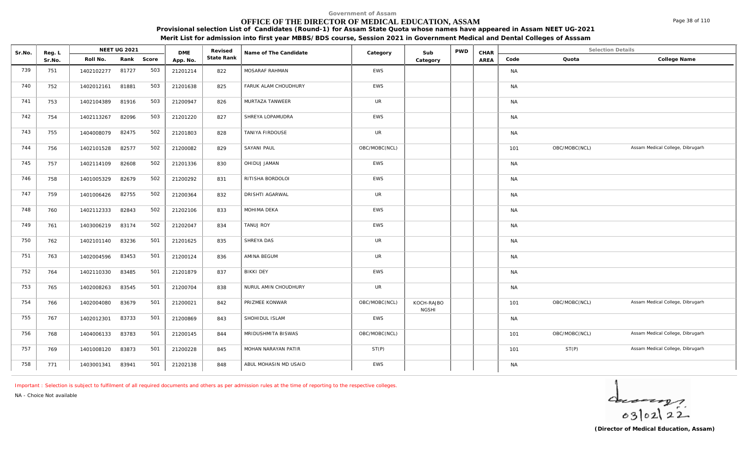## **OFFICE OF THE DIRECTOR OF MEDICAL EDUCATION, ASSAM**

Sr.No. Reg. L Reg.L **NEET UG 2021** ME Revised Name of The Candidate Category Sub PWD CHAR Selection Details Selection Details

**NEET UG 2021 Category CHAR**

**Name of The Candidate Revised**

**Provisional selection List of Candidates (Round-1) for Assam State Quota whose names have appeared in Assam NEET UG-2021 Merit List for admission into first year MBBS/BDS course, Session 2021 in Government Medical and Dental Colleges of Asssam**

AREA Code Quota

**State Rank Code Quota College Name**

**Category**

| 739 | 751 | 1402102277 | 81727 | 503 | 21201214 | 822 | MOSARAF RAHMAN        | <b>EWS</b>    |                            |  | <b>NA</b> |               |                                  |  |
|-----|-----|------------|-------|-----|----------|-----|-----------------------|---------------|----------------------------|--|-----------|---------------|----------------------------------|--|
| 740 | 752 | 1402012161 | 81881 | 503 | 21201638 | 825 | FARUK ALAM CHOUDHURY  | <b>EWS</b>    |                            |  | <b>NA</b> |               |                                  |  |
| 741 | 753 | 1402104389 | 81916 | 503 | 21200947 | 826 | MURTAZA TANWEER       | <b>UR</b>     |                            |  | <b>NA</b> |               |                                  |  |
| 742 | 754 | 1402113267 | 82096 | 503 | 21201220 | 827 | SHREYA LOPAMUDRA      | <b>EWS</b>    |                            |  | <b>NA</b> |               |                                  |  |
| 743 | 755 | 1404008079 | 82475 | 502 | 21201803 | 828 | TANIYA FIRDOUSE       | UR            |                            |  | <b>NA</b> |               |                                  |  |
| 744 | 756 | 1402101528 | 82577 | 502 | 21200082 | 829 | SAYANI PAUL           | OBC/MOBC(NCL) |                            |  | 101       | OBC/MOBC(NCL) | Assam Medical College, Dibrugarh |  |
| 745 | 757 | 1402114109 | 82608 | 502 | 21201336 | 830 | OHIDUJ JAMAN          | <b>EWS</b>    |                            |  | <b>NA</b> |               |                                  |  |
| 746 | 758 | 1401005329 | 82679 | 502 | 21200292 | 831 | RITISHA BORDOLOI      | <b>EWS</b>    |                            |  | <b>NA</b> |               |                                  |  |
| 747 | 759 | 1401006426 | 82755 | 502 | 21200364 | 832 | DRISHTI AGARWAL       | <b>UR</b>     |                            |  | <b>NA</b> |               |                                  |  |
| 748 | 760 | 1402112333 | 82843 | 502 | 21202106 | 833 | MOHIMA DEKA           | <b>EWS</b>    |                            |  | <b>NA</b> |               |                                  |  |
| 749 | 761 | 1403006219 | 83174 | 502 | 21202047 | 834 | <b>TANUJ ROY</b>      | <b>EWS</b>    |                            |  | <b>NA</b> |               |                                  |  |
| 750 | 762 | 1402101140 | 83236 | 501 | 21201625 | 835 | SHREYA DAS            | UR            |                            |  | <b>NA</b> |               |                                  |  |
| 751 | 763 | 1402004596 | 83453 | 501 | 21200124 | 836 | AMINA BEGUM           | <b>UR</b>     |                            |  | <b>NA</b> |               |                                  |  |
| 752 | 764 | 1402110330 | 83485 | 501 | 21201879 | 837 | <b>BIKKI DEY</b>      | EWS           |                            |  | <b>NA</b> |               |                                  |  |
| 753 | 765 | 1402008263 | 83545 | 501 | 21200704 | 838 | NURUL AMIN CHOUDHURY  | <b>UR</b>     |                            |  | <b>NA</b> |               |                                  |  |
| 754 | 766 | 1402004080 | 83679 | 501 | 21200021 | 842 | PRIZMEE KONWAR        | OBC/MOBC(NCL) | KOCH-RAJBO<br><b>NGSHI</b> |  | 101       | OBC/MOBC(NCL) | Assam Medical College, Dibrugarh |  |
| 755 | 767 | 1402012301 | 83733 | 501 | 21200869 | 843 | SHOHIDUL ISLAM        | <b>EWS</b>    |                            |  | <b>NA</b> |               |                                  |  |
| 756 | 768 | 1404006133 | 83783 | 501 | 21200145 | 844 | MRIDUSHMITA BISWAS    | OBC/MOBC(NCL) |                            |  | 101       | OBC/MOBC(NCL) | Assam Medical College, Dibrugarh |  |
| 757 | 769 | 1401008120 | 83873 | 501 | 21200228 | 845 | MOHAN NARAYAN PATIR   | ST(P)         |                            |  | 101       | ST(P)         | Assam Medical College, Dibrugarh |  |
| 758 | 771 | 1403001341 | 83941 | 501 | 21202138 | 848 | ABUL MOHASIN MD USAID | <b>EWS</b>    |                            |  | <b>NA</b> |               |                                  |  |

*Important : Selection is subject to fulfilment of all required documents and others as per admission rules at the time of reporting to the respective colleges.*

**DME** Revised<br>**PD\_NO** State Rank

*NA - Choice Not available*

Reg. L **NEET UG 2021**<br>Sr No Roll No. Rank

Sr.No. | Roll No. Rank Score | App.No. | State Ra

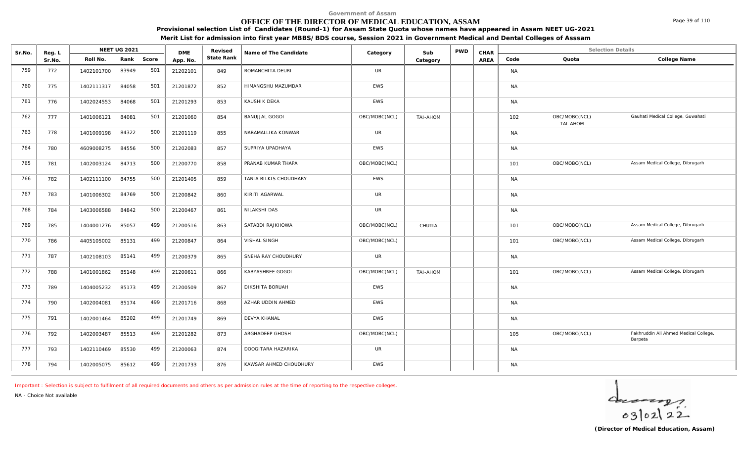## **OFFICE OF THE DIRECTOR OF MEDICAL EDUCATION, ASSAM**

Sr.No. Reg. L Reg.L **NEET UG 2021** ME Revised Name of The Candidate Category Sub PWD CHAR Selection Details Selection Details

NEET UG 2021 **Name of The Candidate Name of The Candidate Category CALC Sub** PWD **CHAR** 

**Provisional selection List of Candidates (Round-1) for Assam State Quota whose names have appeared in Assam NEET UG-2021 Merit List for admission into first year MBBS/BDS course, Session 2021 in Government Medical and Dental Colleges of Asssam**

AREA Code Quota

**State Rank Code Quota College Name**

**Category**

| 759 | 772 | 1402101700 | 83949 | 501 | 21202101 | 849 | ROMANCHITA DEURI       | UR            |                 | <b>NA</b> |                           |                                                  |
|-----|-----|------------|-------|-----|----------|-----|------------------------|---------------|-----------------|-----------|---------------------------|--------------------------------------------------|
| 760 | 775 | 1402111317 | 84058 | 501 | 21201872 | 852 | HIMANGSHU MAZUMDAR     | EWS           |                 | <b>NA</b> |                           |                                                  |
| 761 | 776 | 1402024553 | 84068 | 501 | 21201293 | 853 | KAUSHIK DEKA           | EWS           |                 | <b>NA</b> |                           |                                                  |
| 762 | 777 | 1401006121 | 84081 | 501 | 21201060 | 854 | <b>BANUJJAL GOGOI</b>  | OBC/MOBC(NCL) | <b>TAI-AHOM</b> | 102       | OBC/MOBC(NCL)<br>TAI-AHOM | Gauhati Medical College, Guwahati                |
| 763 | 778 | 1401009198 | 84322 | 500 | 21201119 | 855 | NABAMALLIKA KONWAR     | UR            |                 | <b>NA</b> |                           |                                                  |
| 764 | 780 | 4609008275 | 84556 | 500 | 21202083 | 857 | SUPRIYA UPADHAYA       | EWS           |                 | <b>NA</b> |                           |                                                  |
| 765 | 781 | 1402003124 | 84713 | 500 | 21200770 | 858 | PRANAB KUMAR THAPA     | OBC/MOBC(NCL) |                 | 101       | OBC/MOBC(NCL)             | Assam Medical College, Dibrugarh                 |
| 766 | 782 | 1402111100 | 84755 | 500 | 21201405 | 859 | TANIA BILKIS CHOUDHARY | EWS           |                 | <b>NA</b> |                           |                                                  |
| 767 | 783 | 1401006302 | 84769 | 500 | 21200842 | 860 | KIRITI AGARWAL         | UR            |                 | <b>NA</b> |                           |                                                  |
| 768 | 784 | 1403006588 | 84842 | 500 | 21200467 | 861 | NILAKSHI DAS           | UR            |                 | <b>NA</b> |                           |                                                  |
| 769 | 785 | 1404001276 | 85057 | 499 | 21200516 | 863 | SATABDI RAJKHOWA       | OBC/MOBC(NCL) | CHUTIA          | 101       | OBC/MOBC(NCL)             | Assam Medical College, Dibrugarh                 |
| 770 | 786 | 4405105002 | 85131 | 499 | 21200847 | 864 | VISHAL SINGH           | OBC/MOBC(NCL) |                 | 101       | OBC/MOBC(NCL)             | Assam Medical College, Dibrugarh                 |
| 771 | 787 | 1402108103 | 85141 | 499 | 21200379 | 865 | SNEHA RAY CHOUDHURY    | <b>UR</b>     |                 | <b>NA</b> |                           |                                                  |
| 772 | 788 | 1401001862 | 85148 | 499 | 21200611 | 866 | KABYASHREE GOGOI       | OBC/MOBC(NCL) | <b>TAI-AHOM</b> | 101       | OBC/MOBC(NCL)             | Assam Medical College, Dibrugarh                 |
| 773 | 789 | 1404005232 | 85173 | 499 | 21200509 | 867 | DIKSHITA BORUAH        | EWS           |                 | <b>NA</b> |                           |                                                  |
| 774 | 790 | 1402004081 | 85174 | 499 | 21201716 | 868 | AZHAR UDDIN AHMED      | EWS           |                 | <b>NA</b> |                           |                                                  |
| 775 | 791 | 1402001464 | 85202 | 499 | 21201749 | 869 | DEVYA KHANAL           | EWS           |                 | <b>NA</b> |                           |                                                  |
| 776 | 792 | 1402003487 | 85513 | 499 | 21201282 | 873 | ARGHADEEP GHOSH        | OBC/MOBC(NCL) |                 | 105       | OBC/MOBC(NCL)             | Fakhruddin Ali Ahmed Medical College,<br>Barpeta |
| 777 | 793 | 1402110469 | 85530 | 499 | 21200063 | 874 | DOOGITARA HAZARIKA     | UR            |                 | <b>NA</b> |                           |                                                  |
| 778 | 794 | 1402005075 | 85612 | 499 | 21201733 | 876 | KAWSAR AHMED CHOUDHURY | EWS           |                 | <b>NA</b> |                           |                                                  |

*Important : Selection is subject to fulfilment of all required documents and others as per admission rules at the time of reporting to the respective colleges.*

**DME** Revised<br>**PD\_NO** State Rank

*NA - Choice Not available*

Reg. L **NEET UG 2021**<br>Sr No Roll No. Rank

Sr.No. | Roll No. Rank Score | App.No. | State Ra

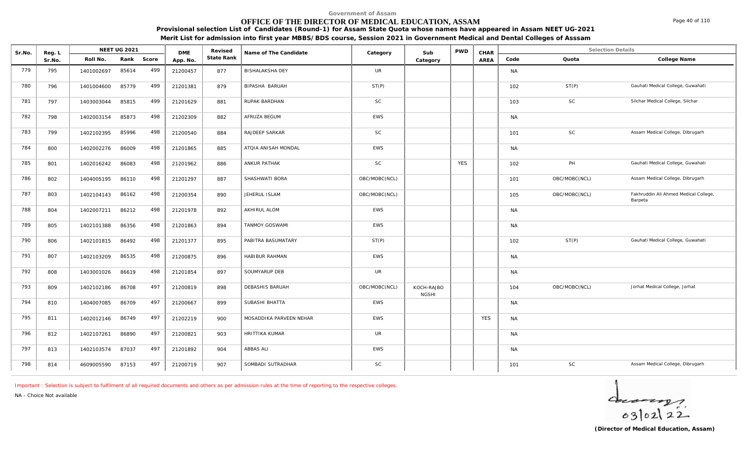## **OFFICE OF THE DIRECTOR OF MEDICAL EDUCATION, ASSAM**

Sr.No. Reg. L Reg.L **NEET UG 2021** ME Revised Name of The Candidate Category Sub PWD CHAR Selection Details Selection Details

**NEET UG 2021 Category CHAR**

**Name of The Candidate Revised**

**Provisional selection List of Candidates (Round-1) for Assam State Quota whose names have appeared in Assam NEET UG-2021 Merit List for admission into first year MBBS/BDS course, Session 2021 in Government Medical and Dental Colleges of Asssam**

AREA Code Quota

**State Rank Code Quota College Name**

**Category**

| 779 | 795 | 1401002697 | 85614 | 499 | 21200457 | 877 | <b>BISHALAKSHA DEY</b>  | <b>UR</b>     |                            |            |            | <b>NA</b> |               |                                                  |
|-----|-----|------------|-------|-----|----------|-----|-------------------------|---------------|----------------------------|------------|------------|-----------|---------------|--------------------------------------------------|
| 780 | 796 | 1401004600 | 85779 | 499 | 21201381 | 879 | BIPASHA BARUAH          | ST(P)         |                            |            |            | 102       | ST(P)         | Gauhati Medical College, Guwahati                |
| 781 | 797 | 1403003044 | 85815 | 499 | 21201629 | 881 | RUPAK BARDHAN           | <b>SC</b>     |                            |            |            | 103       | SC            | Silchar Medical College, Silchar                 |
| 782 | 798 | 1402003154 | 85873 | 498 | 21202309 | 882 | AFRUZA BEGUM            | <b>EWS</b>    |                            |            |            | <b>NA</b> |               |                                                  |
| 783 | 799 | 1402102395 | 85996 | 498 | 21200540 | 884 | RAJDEEP SARKAR          | <b>SC</b>     |                            |            |            | 101       | <b>SC</b>     | Assam Medical College, Dibrugarh                 |
| 784 | 800 | 1402002276 | 86009 | 498 | 21201865 | 885 | ATOIA ANISAH MONDAL     | <b>EWS</b>    |                            |            |            | <b>NA</b> |               |                                                  |
| 785 | 801 | 1402016242 | 86083 | 498 | 21201962 | 886 | <b>ANKUR PATHAK</b>     | <b>SC</b>     |                            | <b>YES</b> |            | 102       | PH            | Gauhati Medical College, Guwahati                |
| 786 | 802 | 1404005195 | 86110 | 498 | 21201297 | 887 | SHASHWATI BORA          | OBC/MOBC(NCL) |                            |            |            | 101       | OBC/MOBC(NCL) | Assam Medical College, Dibrugarh                 |
| 787 | 803 | 1402104143 | 86162 | 498 | 21200354 | 890 | JEHERUL ISLAM           | OBC/MOBC(NCL) |                            |            |            | 105       | OBC/MOBC(NCL) | Fakhruddin Ali Ahmed Medical College,<br>Barpeta |
| 788 | 804 | 1402007211 | 86212 | 498 | 21201978 | 892 | AKHIRUL ALOM            | <b>EWS</b>    |                            |            |            | <b>NA</b> |               |                                                  |
| 789 | 805 | 1402101388 | 86356 | 498 | 21201863 | 894 | TANMOY GOSWAMI          | <b>EWS</b>    |                            |            |            | <b>NA</b> |               |                                                  |
| 790 | 806 | 1402101815 | 86492 | 498 | 21201377 | 895 | PABITRA BASUMATARY      | ST(P)         |                            |            |            | 102       | ST(P)         | Gauhati Medical College, Guwahati                |
| 791 | 807 | 1402103209 | 86535 | 498 | 21200875 | 896 | HABIBUR RAHMAN          | <b>EWS</b>    |                            |            |            | <b>NA</b> |               |                                                  |
| 792 | 808 | 1403001026 | 86619 | 498 | 21201854 | 897 | SOUMYARUP DEB           | <b>UR</b>     |                            |            |            | <b>NA</b> |               |                                                  |
| 793 | 809 | 1402102186 | 86708 | 497 | 21200819 | 898 | DEBASHIS BARUAH         | OBC/MOBC(NCL) | KOCH-RAJBO<br><b>NGSHI</b> |            |            | 104       | OBC/MOBC(NCL) | Jorhat Medical College, Jorhat                   |
| 794 | 810 | 1404007085 | 86709 | 497 | 21200667 | 899 | SUBASHI BHATTA          | <b>EWS</b>    |                            |            |            | <b>NA</b> |               |                                                  |
| 795 | 811 | 1402012146 | 86749 | 497 | 21202219 | 900 | MOSADDIKA PARVEEN NEHAR | <b>EWS</b>    |                            |            | <b>YES</b> | <b>NA</b> |               |                                                  |
| 796 | 812 | 1402107261 | 86890 | 497 | 21200821 | 903 | HRITTIKA KUMAR          | <b>UR</b>     |                            |            |            | <b>NA</b> |               |                                                  |
| 797 | 813 | 1402103574 | 87037 | 497 | 21201892 | 904 | ABBAS ALI               | EWS           |                            |            |            | <b>NA</b> |               |                                                  |
| 798 | 814 | 4609005590 | 87153 | 497 | 21200719 | 907 | SOMBADI SUTRADHAR       | <b>SC</b>     |                            |            |            | 101       | SC            | Assam Medical College, Dibrugarh                 |

*Important : Selection is subject to fulfilment of all required documents and others as per admission rules at the time of reporting to the respective colleges.*

**DME** Revised<br>**PD\_NO** State Rank

*NA - Choice Not available*

Reg. L **NEET UG 2021**<br>Sr No Roll No. Rank

Sr.No. | Roll No. Rank Score | App.No. | State Ra



Page 40 of 110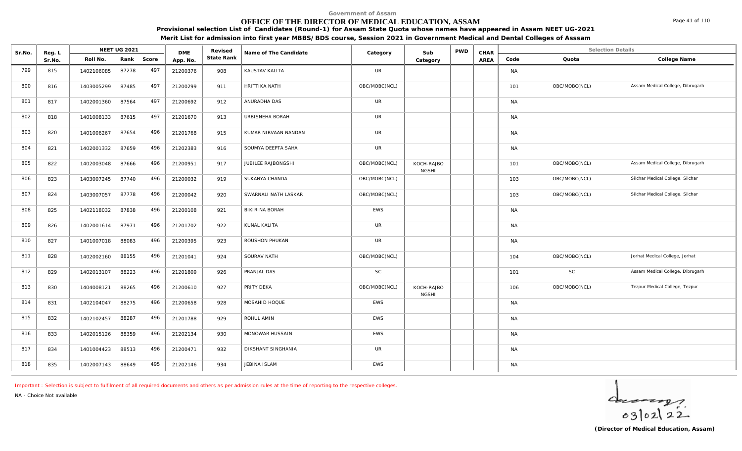## **OFFICE OF THE DIRECTOR OF MEDICAL EDUCATION, ASSAM**

**Provisional selection List of Candidates (Round-1) for Assam State Quota whose names have appeared in Assam NEET UG-2021 Merit List for admission into first year MBBS/BDS course, Session 2021 in Government Medical and Dental Colleges of Asssam**

| Sr.No. | Reg. L |            | <b>NEET UG 2021</b> |       | <b>DME</b> | Revised    | Name of The Candidate | Category      | Sub                        | <b>PWD</b> | CHAR |           | <b>Selection Details</b> |                                  |
|--------|--------|------------|---------------------|-------|------------|------------|-----------------------|---------------|----------------------------|------------|------|-----------|--------------------------|----------------------------------|
|        | Sr.No. | Roll No.   | Rank                | Score | App. No.   | State Rank |                       |               | Category                   |            | AREA | Code      | Quota                    | College Name                     |
| 799    | 815    | 1402106085 | 87278               | 497   | 21200376   | 908        | KAUSTAV KALITA        | <b>UR</b>     |                            |            |      | <b>NA</b> |                          |                                  |
| 800    | 816    | 1403005299 | 87485               | 497   | 21200299   | 911        | HRITTIKA NATH         | OBC/MOBC(NCL) |                            |            |      | 101       | OBC/MOBC(NCL)            | Assam Medical College, Dibrugarh |
| 801    | 817    | 1402001360 | 87564               | 497   | 21200692   | 912        | ANURADHA DAS          | <b>UR</b>     |                            |            |      | <b>NA</b> |                          |                                  |
| 802    | 818    | 1401008133 | 87615               | 497   | 21201670   | 913        | URBISNEHA BORAH       | <b>UR</b>     |                            |            |      | <b>NA</b> |                          |                                  |
| 803    | 820    | 1401006267 | 87654               | 496   | 21201768   | 915        | KUMAR NIRVAAN NANDAN  | <b>UR</b>     |                            |            |      | <b>NA</b> |                          |                                  |
| 804    | 821    | 1402001332 | 87659               | 496   | 21202383   | 916        | SOUMYA DEEPTA SAHA    | <b>UR</b>     |                            |            |      | <b>NA</b> |                          |                                  |
| 805    | 822    | 1402003048 | 87666               | 496   | 21200951   | 917        | JUBILEE RAJBONGSHI    | OBC/MOBC(NCL) | KOCH-RAJBO<br><b>NGSHI</b> |            |      | 101       | OBC/MOBC(NCL)            | Assam Medical College, Dibrugarh |
| 806    | 823    | 1403007245 | 87740               | 496   | 21200032   | 919        | SUKANYA CHANDA        | OBC/MOBC(NCL) |                            |            |      | 103       | OBC/MOBC(NCL)            | Silchar Medical College, Silchar |
| 807    | 824    | 1403007057 | 87778               | 496   | 21200042   | 920        | SWARNALI NATH LASKAR  | OBC/MOBC(NCL) |                            |            |      | 103       | OBC/MOBC(NCL)            | Silchar Medical College, Silchar |
| 808    | 825    | 1402118032 | 87838               | 496   | 21200108   | 921        | BIKIRINA BORAH        | <b>EWS</b>    |                            |            |      | <b>NA</b> |                          |                                  |
| 809    | 826    | 1402001614 | 87971               | 496   | 21201702   | 922        | KUNAL KALITA          | <b>UR</b>     |                            |            |      | <b>NA</b> |                          |                                  |
| 810    | 827    | 1401007018 | 88083               | 496   | 21200395   | 923        | ROUSHON PHUKAN        | <b>UR</b>     |                            |            |      | <b>NA</b> |                          |                                  |
| 811    | 828    | 1402002160 | 88155               | 496   | 21201041   | 924        | SOURAV NATH           | OBC/MOBC(NCL) |                            |            |      | 104       | OBC/MOBC(NCL)            | Jorhat Medical College, Jorhat   |
| 812    | 829    | 1402013107 | 88223               | 496   | 21201809   | 926        | PRANJAL DAS           | <b>SC</b>     |                            |            |      | 101       | <b>SC</b>                | Assam Medical College, Dibrugarh |
| 813    | 830    | 1404008121 | 88265               | 496   | 21200610   | 927        | PRITY DEKA            | OBC/MOBC(NCL) | KOCH-RAJBO<br><b>NGSHI</b> |            |      | 106       | OBC/MOBC(NCL)            | Tezpur Medical College, Tezpur   |
| 814    | 831    | 1402104047 | 88275               | 496   | 21200658   | 928        | MOSAHID HOQUE         | <b>EWS</b>    |                            |            |      | <b>NA</b> |                          |                                  |
| 815    | 832    | 1402102457 | 88287               | 496   | 21201788   | 929        | ROHUL AMIN            | EWS           |                            |            |      | <b>NA</b> |                          |                                  |
| 816    | 833    | 1402015126 | 88359               | 496   | 21202134   | 930        | MONOWAR HUSSAIN       | EWS           |                            |            |      | <b>NA</b> |                          |                                  |
| 817    | 834    | 1401004423 | 88513               | 496   | 21200471   | 932        | DIKSHANT SINGHANIA    | UR            |                            |            |      | <b>NA</b> |                          |                                  |

*Important : Selection is subject to fulfilment of all required documents and others as per admission rules at the time of reporting to the respective colleges.*

818 | 835 | 1402007143 88649 495 | 21202146 | 934 | JEBINA ISLAM NANA NANA | EWS | NANA | | | | | | | | | | | |

*NA - Choice Not available*

**Reg. I NEET UG 2021** 

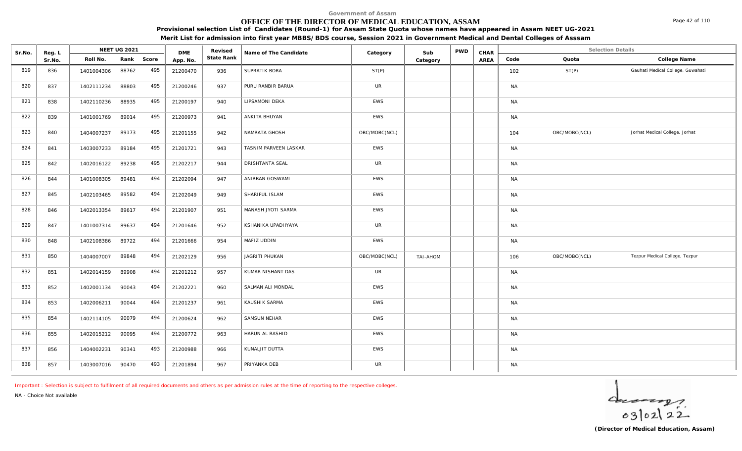# **OFFICE OF THE DIRECTOR OF MEDICAL EDUCATION, ASSAM**

Sr.No. Reg. L Reg.L **NEET UG 2021** ME Revised Name of The Candidate Category Sub PWD CHAR Selection Details Selection Details

**NEET UG 2021 Category CHAR**

**Name of The Candidate Revised**

**Provisional selection List of Candidates (Round-1) for Assam State Quota whose names have appeared in Assam NEET UG-2021 Merit List for admission into first year MBBS/BDS course, Session 2021 in Government Medical and Dental Colleges of Asssam**

AREA Code Quota

**State Rank Code Quota College Name**

**Category**

| 819 | 836 | 1401004306 | 88762 | 495 | 21200470 | 936 | SUPRATIK BORA         | ST(P)         |                 |  | 102       | ST(P)         | Gauhati Medical College, Guwahati |
|-----|-----|------------|-------|-----|----------|-----|-----------------------|---------------|-----------------|--|-----------|---------------|-----------------------------------|
| 820 | 837 | 1402111234 | 88803 | 495 | 21200246 | 937 | PURU RANBIR BARUA     | <b>UR</b>     |                 |  | <b>NA</b> |               |                                   |
| 821 | 838 | 1402110236 | 88935 | 495 | 21200197 | 940 | LIPSAMONI DEKA        | <b>EWS</b>    |                 |  | <b>NA</b> |               |                                   |
| 822 | 839 | 1401001769 | 89014 | 495 | 21200973 | 941 | ANKITA BHUYAN         | EWS           |                 |  | <b>NA</b> |               |                                   |
| 823 | 840 | 1404007237 | 89173 | 495 | 21201155 | 942 | NAMRATA GHOSH         | OBC/MOBC(NCL) |                 |  | 104       | OBC/MOBC(NCL) | Jorhat Medical College, Jorhat    |
| 824 | 841 | 1403007233 | 89184 | 495 | 21201721 | 943 | TASNIM PARVEEN LASKAR | EWS           |                 |  | <b>NA</b> |               |                                   |
| 825 | 842 | 1402016122 | 89238 | 495 | 21202217 | 944 | DRISHTANTA SEAL       | <b>UR</b>     |                 |  | <b>NA</b> |               |                                   |
| 826 | 844 | 1401008305 | 89481 | 494 | 21202094 | 947 | ANIRBAN GOSWAMI       | <b>EWS</b>    |                 |  | <b>NA</b> |               |                                   |
| 827 | 845 | 1402103465 | 89582 | 494 | 21202049 | 949 | SHARIFUL ISLAM        | EWS           |                 |  | <b>NA</b> |               |                                   |
| 828 | 846 | 1402013354 | 89617 | 494 | 21201907 | 951 | MANASH JYOTI SARMA    | <b>EWS</b>    |                 |  | <b>NA</b> |               |                                   |
| 829 | 847 | 1401007314 | 89637 | 494 | 21201646 | 952 | KSHANIKA UPADHYAYA    | <b>UR</b>     |                 |  | <b>NA</b> |               |                                   |
| 830 | 848 | 1402108386 | 89722 | 494 | 21201666 | 954 | MAFIZ UDDIN           | <b>EWS</b>    |                 |  | <b>NA</b> |               |                                   |
| 831 | 850 | 1404007007 | 89848 | 494 | 21202129 | 956 | JAGRITI PHUKAN        | OBC/MOBC(NCL) | <b>TAI-AHOM</b> |  | 106       | OBC/MOBC(NCL) | Tezpur Medical College, Tezpur    |
| 832 | 851 | 1402014159 | 89908 | 494 | 21201212 | 957 | KUMAR NISHANT DAS     | <b>UR</b>     |                 |  | <b>NA</b> |               |                                   |
| 833 | 852 | 1402001134 | 90043 | 494 | 21202221 | 960 | SALMAN ALI MONDAL     | EWS           |                 |  | <b>NA</b> |               |                                   |
| 834 | 853 | 1402006211 | 90044 | 494 | 21201237 | 961 | KAUSHIK SARMA         | EWS           |                 |  | <b>NA</b> |               |                                   |
| 835 | 854 | 1402114105 | 90079 | 494 | 21200624 | 962 | SAMSUN NEHAR          | EWS           |                 |  | <b>NA</b> |               |                                   |
| 836 | 855 | 1402015212 | 90095 | 494 | 21200772 | 963 | HARUN AL RASHID       | EWS           |                 |  | <b>NA</b> |               |                                   |
| 837 | 856 | 1404002231 | 90341 | 493 | 21200988 | 966 | KUNALJIT DUTTA        | EWS           |                 |  | <b>NA</b> |               |                                   |
| 838 | 857 | 1403007016 | 90470 | 493 | 21201894 | 967 | PRIYANKA DEB          | <b>UR</b>     |                 |  | <b>NA</b> |               |                                   |

*Important : Selection is subject to fulfilment of all required documents and others as per admission rules at the time of reporting to the respective colleges.*

**DME** Revised<br>**PD\_NO** State Rank

*NA - Choice Not available*

Reg. L **NEET UG 2021**<br>Sr No Roll No. Rank

Sr.No. | Roll No. Rank Score | App.No. | State Ra



Page 42 of 110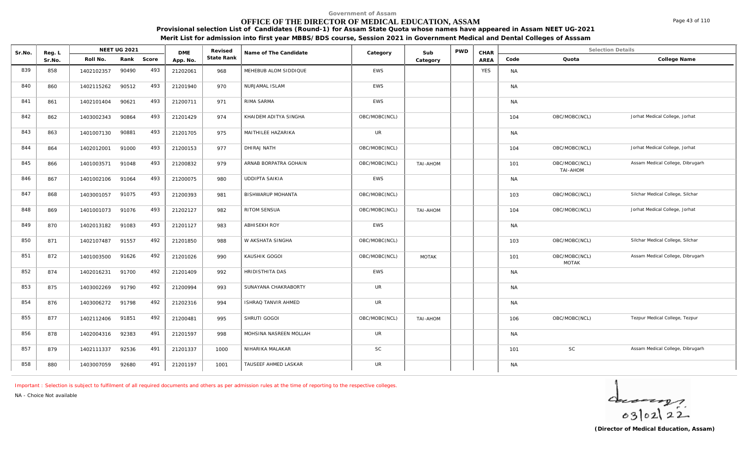## **OFFICE OF THE DIRECTOR OF MEDICAL EDUCATION, ASSAM**

**Provisional selection List of Candidates (Round-1) for Assam State Quota whose names have appeared in Assam NEET UG-2021**

**Merit List for admission into first year MBBS/BDS course, Session 2021 in Government Medical and Dental Colleges of Asssam**

| Sr.No. | Reg. L |            | NEET UG 2021 |       | <b>DME</b> | Revised    | Name of The Candidate  | Category      | Sub          | <b>PWD</b> | CHAR       |           | <b>Selection Details</b>      |                                  |
|--------|--------|------------|--------------|-------|------------|------------|------------------------|---------------|--------------|------------|------------|-----------|-------------------------------|----------------------------------|
|        | Sr.No. | Roll No.   | Rank         | Score | App. No.   | State Rank |                        |               | Category     |            | AREA       | Code      | Quota                         | College Name                     |
| 839    | 858    | 1402102357 | 90490        | 493   | 21202061   | 968        | MEHEBUB ALOM SIDDIQUE  | <b>EWS</b>    |              |            | <b>YES</b> | <b>NA</b> |                               |                                  |
| 840    | 860    | 1402115262 | 90512        | 493   | 21201940   | 970        | NURJAMAL ISLAM         | <b>EWS</b>    |              |            |            | <b>NA</b> |                               |                                  |
| 841    | 861    | 1402101404 | 90621        | 493   | 21200711   | 971        | RIMA SARMA             | <b>EWS</b>    |              |            |            | <b>NA</b> |                               |                                  |
| 842    | 862    | 1403002343 | 90864        | 493   | 21201429   | 974        | KHAIDEM ADITYA SINGHA  | OBC/MOBC(NCL) |              |            |            | 104       | OBC/MOBC(NCL)                 | Jorhat Medical College, Jorhat   |
| 843    | 863    | 1401007130 | 90881        | 493   | 21201705   | 975        | MAITHILEE HAZARIKA     | <b>UR</b>     |              |            |            | <b>NA</b> |                               |                                  |
| 844    | 864    | 1402012001 | 91000        | 493   | 21200153   | 977        | DHIRAJ NATH            | OBC/MOBC(NCL) |              |            |            | 104       | OBC/MOBC(NCL)                 | Jorhat Medical College, Jorhat   |
| 845    | 866    | 1401003571 | 91048        | 493   | 21200832   | 979        | ARNAB BORPATRA GOHAIN  | OBC/MOBC(NCL) | TAI-AHOM     |            |            | 101       | OBC/MOBC(NCL)<br>TAI-AHOM     | Assam Medical College, Dibrugarh |
| 846    | 867    | 1401002106 | 91064        | 493   | 21200075   | 980        | <b>UDDIPTA SAIKIA</b>  | <b>EWS</b>    |              |            |            | <b>NA</b> |                               |                                  |
| 847    | 868    | 1403001057 | 91075        | 493   | 21200393   | 981        | BISHWARUP MOHANTA      | OBC/MOBC(NCL) |              |            |            | 103       | OBC/MOBC(NCL)                 | Silchar Medical College, Silchar |
| 848    | 869    | 1401001073 | 91076        | 493   | 21202127   | 982        | RITOM SENSUA           | OBC/MOBC(NCL) | TAI-AHOM     |            |            | 104       | OBC/MOBC(NCL)                 | Jorhat Medical College, Jorhat   |
| 849    | 870    | 1402013182 | 91083        | 493   | 21201127   | 983        | <b>ABHISEKH ROY</b>    | <b>EWS</b>    |              |            |            | <b>NA</b> |                               |                                  |
| 850    | 871    | 1402107487 | 91557        | 492   | 21201850   | 988        | W AKSHATA SINGHA       | OBC/MOBC(NCL) |              |            |            | 103       | OBC/MOBC(NCL)                 | Silchar Medical College, Silchar |
| 851    | 872    | 1401003500 | 91626        | 492   | 21201026   | 990        | KAUSHIK GOGOI          | OBC/MOBC(NCL) | <b>MOTAK</b> |            |            | 101       | OBC/MOBC(NCL)<br><b>MOTAK</b> | Assam Medical College, Dibrugarh |
| 852    | 874    | 1402016231 | 91700        | 492   | 21201409   | 992        | HRIDISTHITA DAS        | <b>EWS</b>    |              |            |            | <b>NA</b> |                               |                                  |
| 853    | 875    | 1403002269 | 91790        | 492   | 21200994   | 993        | SUNAYANA CHAKRABORTY   | <b>UR</b>     |              |            |            | <b>NA</b> |                               |                                  |
| 854    | 876    | 1403006272 | 91798        | 492   | 21202316   | 994        | ISHRAQ TANVIR AHMED    | <b>UR</b>     |              |            |            | <b>NA</b> |                               |                                  |
| 855    | 877    | 1402112406 | 91851        | 492   | 21200481   | 995        | SHRUTI GOGOI           | OBC/MOBC(NCL) | TAI-AHOM     |            |            | 106       | OBC/MOBC(NCL)                 | Tezpur Medical College, Tezpur   |
| 856    | 878    | 1402004316 | 92383        | 491   | 21201597   | 998        | MOHSINA NASREEN MOLLAH | <b>UR</b>     |              |            |            | <b>NA</b> |                               |                                  |
| 857    | 879    | 1402111337 | 92536        | 491   | 21201337   | 1000       | NIHARIKA MALAKAR       | SC            |              |            |            | 101       | <b>SC</b>                     | Assam Medical College, Dibrugarh |
| 858    | 880    | 1403007059 | 92680        | 491   | 21201197   | 1001       | TAUSEEF AHMED LASKAR   | <b>UR</b>     |              |            |            | <b>NA</b> |                               |                                  |

*Important : Selection is subject to fulfilment of all required documents and others as per admission rules at the time of reporting to the respective colleges.*

*NA - Choice Not available*

 $40222$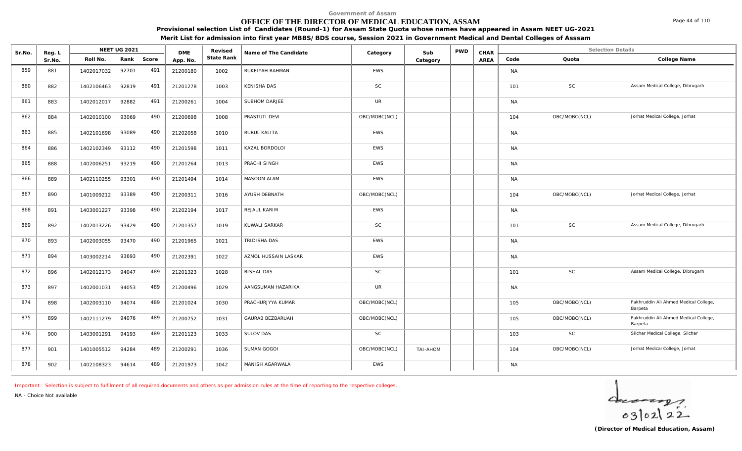## **OFFICE OF THE DIRECTOR OF MEDICAL EDUCATION, ASSAM**

**Provisional selection List of Candidates (Round-1) for Assam State Quota whose names have appeared in Assam NEET UG-2021**

**Merit List for admission into first year MBBS/BDS course, Session 2021 in Government Medical and Dental Colleges of Asssam**

| Sr.No. | Reg. L |            | NEET UG 2021 |       | <b>DME</b> | Revised    | Name of The Candidate   | Category      | Sub      | <b>PWD</b> | CHAR |           | <b>Selection Details</b> |                                                  |
|--------|--------|------------|--------------|-------|------------|------------|-------------------------|---------------|----------|------------|------|-----------|--------------------------|--------------------------------------------------|
|        | Sr.No. | Roll No.   | Rank         | Score | App. No.   | State Rank |                         |               | Category |            | AREA | Code      | Quota                    | College Name                                     |
| 859    | 881    | 1402017032 | 92701        | 491   | 21200180   | 1002       | RUKEIYAH RAHMAN         | <b>EWS</b>    |          |            |      | <b>NA</b> |                          |                                                  |
| 860    | 882    | 1402106463 | 92819        | 491   | 21201278   | 1003       | <b>KENISHA DAS</b>      | SC            |          |            |      | 101       | <b>SC</b>                | Assam Medical College, Dibrugarh                 |
| 861    | 883    | 1402012017 | 92882        | 491   | 21200261   | 1004       | SUBHOM DARJEE           | <b>UR</b>     |          |            |      | <b>NA</b> |                          |                                                  |
| 862    | 884    | 1402010100 | 93069        | 490   | 21200698   | 1008       | PRASTUTI DEVI           | OBC/MOBC(NCL) |          |            |      | 104       | OBC/MOBC(NCL)            | Jorhat Medical College, Jorhat                   |
| 863    | 885    | 1402101698 | 93089        | 490   | 21202058   | 1010       | RUBUL KALITA            | <b>EWS</b>    |          |            |      | <b>NA</b> |                          |                                                  |
| 864    | 886    | 1402102349 | 93112        | 490   | 21201598   | 1011       | KAZAL BORDOLOI          | EWS           |          |            |      | <b>NA</b> |                          |                                                  |
| 865    | 888    | 1402006251 | 93219        | 490   | 21201264   | 1013       | PRACHI SINGH            | <b>EWS</b>    |          |            |      | <b>NA</b> |                          |                                                  |
| 866    | 889    | 1402110255 | 93301        | 490   | 21201494   | 1014       | MASOOM ALAM             | <b>EWS</b>    |          |            |      | <b>NA</b> |                          |                                                  |
| 867    | 890    | 1401009212 | 93389        | 490   | 21200311   | 1016       | AYUSH DEBNATH           | OBC/MOBC(NCL) |          |            |      | 104       | OBC/MOBC(NCL)            | Jorhat Medical College, Jorhat                   |
| 868    | 891    | 1403001227 | 93398        | 490   | 21202194   | 1017       | REJAUL KARIM            | <b>EWS</b>    |          |            |      | <b>NA</b> |                          |                                                  |
| 869    | 892    | 1402013226 | 93429        | 490   | 21201357   | 1019       | KUWALI SARKAR           | <b>SC</b>     |          |            |      | 101       | <b>SC</b>                | Assam Medical College, Dibrugarh                 |
| 870    | 893    | 1402003055 | 93470        | 490   | 21201965   | 1021       | <b>TRIDISHA DAS</b>     | <b>EWS</b>    |          |            |      | <b>NA</b> |                          |                                                  |
| 871    | 894    | 1403002214 | 93693        | 490   | 21202391   | 1022       | AZMOL HUSSAIN LASKAR    | EWS           |          |            |      | <b>NA</b> |                          |                                                  |
| 872    | 896    | 1402012173 | 94047        | 489   | 21201323   | 1028       | <b>BISHAL DAS</b>       | SC            |          |            |      | 101       | SC                       | Assam Medical College, Dibrugarh                 |
| 873    | 897    | 1402001031 | 94053        | 489   | 21200496   | 1029       | AANGSUMAN HAZARIKA      | <b>UR</b>     |          |            |      | <b>NA</b> |                          |                                                  |
| 874    | 898    | 1402003110 | 94074        | 489   | 21201024   | 1030       | PRACHURJYYA KUMAR       | OBC/MOBC(NCL) |          |            |      | 105       | OBC/MOBC(NCL)            | Fakhruddin Ali Ahmed Medical College,<br>Barpeta |
| 875    | 899    | 1402111279 | 94076        | 489   | 21200752   | 1031       | <b>GAURAB BEZBARUAH</b> | OBC/MOBC(NCL) |          |            |      | 105       | OBC/MOBC(NCL)            | Fakhruddin Ali Ahmed Medical College,<br>Barpeta |
| 876    | 900    | 1403001291 | 94193        | 489   | 21201123   | 1033       | SULOV DAS               | <b>SC</b>     |          |            |      | 103       | SC                       | Silchar Medical College, Silchar                 |
| 877    | 901    | 1401005512 | 94284        | 489   | 21200291   | 1036       | SUMAN GOGOI             | OBC/MOBC(NCL) | TAI-AHOM |            |      | 104       | OBC/MOBC(NCL)            | Jorhat Medical College, Jorhat                   |
| 878    | 902    | 1402108323 | 94614        | 489   | 21201973   | 1042       | MANISH AGARWALA         | <b>EWS</b>    |          |            |      | <b>NA</b> |                          |                                                  |

*Important : Selection is subject to fulfilment of all required documents and others as per admission rules at the time of reporting to the respective colleges.*

*NA - Choice Not available*

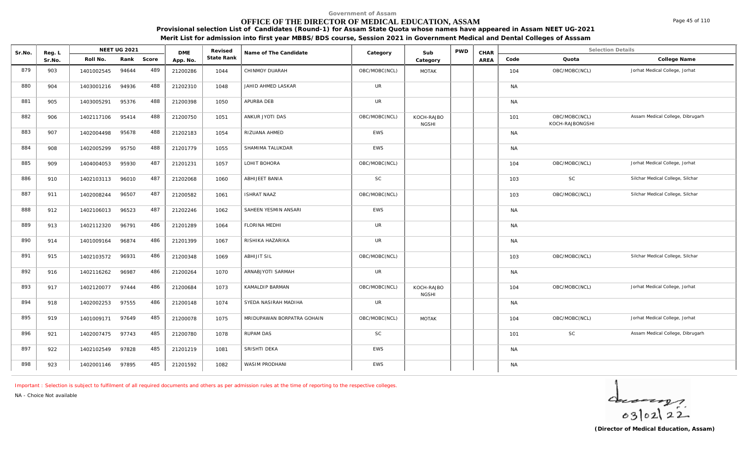## **OFFICE OF THE DIRECTOR OF MEDICAL EDUCATION, ASSAM**

**Provisional selection List of Candidates (Round-1) for Assam State Quota whose names have appeared in Assam NEET UG-2021**

**Merit List for admission into first year MBBS/BDS course, Session 2021 in Government Medical and Dental Colleges of Asssam**

| Sr.No. | Reg. L |                  | <b>NEET UG 2021</b> |       | <b>DME</b> | Revised    | Name of The Candidate      | Category      | Sub                        | <b>PWD</b> | CHAR |           | <b>Selection Details</b>         |                                  |
|--------|--------|------------------|---------------------|-------|------------|------------|----------------------------|---------------|----------------------------|------------|------|-----------|----------------------------------|----------------------------------|
|        | Sr.No. | Roll No.         | Rank                | Score | App. No.   | State Rank |                            |               | Category                   |            | AREA | Code      | Quota                            | College Name                     |
| 879    | 903    | 1401002545       | 94644               | 489   | 21200286   | 1044       | CHINMOY DUARAH             | OBC/MOBC(NCL) | <b>MOTAK</b>               |            |      | 104       | OBC/MOBC(NCL)                    | Jorhat Medical College, Jorhat   |
| 880    | 904    | 1403001216       | 94936               | 488   | 21202310   | 1048       | JAHID AHMED LASKAR         | <b>UR</b>     |                            |            |      | <b>NA</b> |                                  |                                  |
| 881    | 905    | 1403005291       | 95376               | 488   | 21200398   | 1050       | APURBA DEB                 | <b>UR</b>     |                            |            |      | <b>NA</b> |                                  |                                  |
| 882    | 906    | 1402117106       | 95414               | 488   | 21200750   | 1051       | ANKUR JYOTI DAS            | OBC/MOBC(NCL) | KOCH-RAJBO<br><b>NGSHI</b> |            |      | 101       | OBC/MOBC(NCL)<br>KOCH-RAJBONGSHI | Assam Medical College, Dibrugarh |
| 883    | 907    | 1402004498       | 95678               | 488   | 21202183   | 1054       | RIZUANA AHMED              | EWS           |                            |            |      | <b>NA</b> |                                  |                                  |
| 884    | 908    | 1402005299       | 95750               | 488   | 21201779   | 1055       | SHAMIMA TALUKDAR           | <b>EWS</b>    |                            |            |      | <b>NA</b> |                                  |                                  |
| 885    | 909    | 1404004053       | 95930               | 487   | 21201231   | 1057       | LOHIT BOHORA               | OBC/MOBC(NCL) |                            |            |      | 104       | OBC/MOBC(NCL)                    | Jorhat Medical College, Jorhat   |
| 886    | 910    | 1402103113       | 96010               | 487   | 21202068   | 1060       | ABHIJEET BANIA             | <b>SC</b>     |                            |            |      | 103       | <b>SC</b>                        | Silchar Medical College, Silchar |
| 887    | 911    | 1402008244       | 96507               | 487   | 21200582   | 1061       | <b>ISHRAT NAAZ</b>         | OBC/MOBC(NCL) |                            |            |      | 103       | OBC/MOBC(NCL)                    | Silchar Medical College, Silchar |
| 888    | 912    | 1402106013       | 96523               | 487   | 21202246   | 1062       | SAHEEN YESMIN ANSARI       | EWS           |                            |            |      | <b>NA</b> |                                  |                                  |
| 889    | 913    | 1402112320       | 96791               | 486   | 21201289   | 1064       | <b>FLORINA MEDHI</b>       | <b>UR</b>     |                            |            |      | <b>NA</b> |                                  |                                  |
| 890    | 914    | 1401009164       | 96874               | 486   | 21201399   | 1067       | RISHIKA HAZARIKA           | <b>UR</b>     |                            |            |      | <b>NA</b> |                                  |                                  |
| 891    | 915    | 1402103572       | 96931               | 486   | 21200348   | 1069       | <b>ABHIJIT SIL</b>         | OBC/MOBC(NCL) |                            |            |      | 103       | OBC/MOBC(NCL)                    | Silchar Medical College, Silchar |
| 892    | 916    | 1402116262       | 96987               | 486   | 21200264   | 1070       | ARNABJYOTI SARMAH          | <b>UR</b>     |                            |            |      | <b>NA</b> |                                  |                                  |
| 893    | 917    | 1402120077       | 97444               | 486   | 21200684   | 1073       | KAMALDIP BARMAN            | OBC/MOBC(NCL) | KOCH-RAJBO<br><b>NGSHI</b> |            |      | 104       | OBC/MOBC(NCL)                    | Jorhat Medical College, Jorhat   |
| 894    | 918    | 1402002253       | 97555               | 486   | 21200148   | 1074       | SYEDA NASIRAH MADIHA       | <b>UR</b>     |                            |            |      | <b>NA</b> |                                  |                                  |
| 895    | 919    | 1401009171       | 97649               | 485   | 21200078   | 1075       | MRIDUPAWAN BORPATRA GOHAIN | OBC/MOBC(NCL) | <b>MOTAK</b>               |            |      | 104       | OBC/MOBC(NCL)                    | Jorhat Medical College, Jorhat   |
| 896    | 921    | 1402007475       | 97743               | 485   | 21200780   | 1078       | RUPAM DAS                  | <b>SC</b>     |                            |            |      | 101       | SC                               | Assam Medical College, Dibrugarh |
| 897    | 922    | 1402102549       | 97828               | 485   | 21201219   | 1081       | SRISHTI DEKA               | EWS           |                            |            |      | <b>NA</b> |                                  |                                  |
| 898    | 923    | 1402001146 97895 |                     | 485   | 21201592   | 1082       | WASIM PRODHANI             | <b>EWS</b>    |                            |            |      | <b>NA</b> |                                  |                                  |

*Important : Selection is subject to fulfilment of all required documents and others as per admission rules at the time of reporting to the respective colleges.*

*NA - Choice Not available*

 $40222$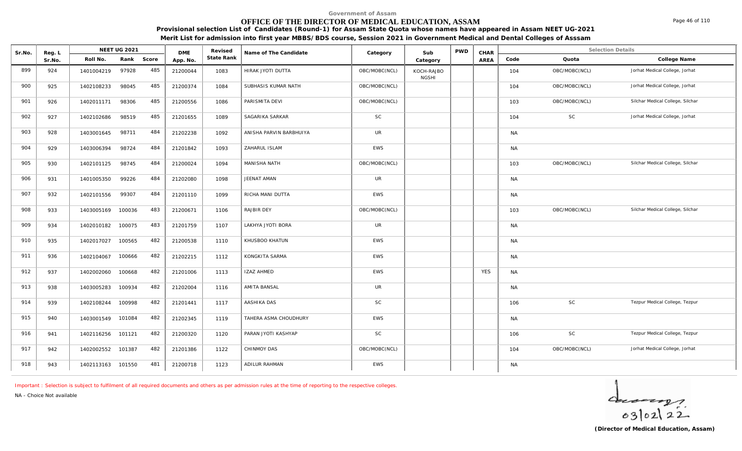## **OFFICE OF THE DIRECTOR OF MEDICAL EDUCATION, ASSAM**

Sr.No. Reg. L Reg.L **NEET UG 2021** ME Revised Name of The Candidate Category Sub PWD CHAR Selection Details Selection Details

**NEET UG 2021 Category CHAR**

**Name of The Candidate Revised**

**Provisional selection List of Candidates (Round-1) for Assam State Quota whose names have appeared in Assam NEET UG-2021 Merit List for admission into first year MBBS/BDS course, Session 2021 in Government Medical and Dental Colleges of Asssam**

AREA Code Quota

**State Rank Code Quota College Name**

**Category**

| 899 | 924 | 1401004219        | 97928  | 485 | 21200044 | 1083 | HIRAK JYOTI DUTTA       | OBC/MOBC(NCL) | KOCH-RAJBO<br><b>NGSHI</b> |            | 104       | OBC/MOBC(NCL) | Jorhat Medical College, Jorhat   |
|-----|-----|-------------------|--------|-----|----------|------|-------------------------|---------------|----------------------------|------------|-----------|---------------|----------------------------------|
| 900 | 925 | 1402108233        | 98045  | 485 | 21200374 | 1084 | SUBHASIS KUMAR NATH     | OBC/MOBC(NCL) |                            |            | 104       | OBC/MOBC(NCL) | Jorhat Medical College, Jorhat   |
| 901 | 926 | 1402011171        | 98306  | 485 | 21200556 | 1086 | PARISMITA DEVI          | OBC/MOBC(NCL) |                            |            | 103       | OBC/MOBC(NCL) | Silchar Medical College, Silchar |
| 902 | 927 | 1402102686        | 98519  | 485 | 21201655 | 1089 | SAGARIKA SARKAR         | SC            |                            |            | 104       | <b>SC</b>     | Jorhat Medical College, Jorhat   |
| 903 | 928 | 1403001645        | 98711  | 484 | 21202238 | 1092 | ANISHA PARVIN BARBHUIYA | <b>UR</b>     |                            |            | <b>NA</b> |               |                                  |
| 904 | 929 | 1403006394        | 98724  | 484 | 21201842 | 1093 | ZAHARUL ISLAM           | EWS           |                            |            | <b>NA</b> |               |                                  |
| 905 | 930 | 1402101125        | 98745  | 484 | 21200024 | 1094 | MANISHA NATH            | OBC/MOBC(NCL) |                            |            | 103       | OBC/MOBC(NCL) | Silchar Medical College, Silchar |
| 906 | 931 | 1401005350        | 99226  | 484 | 21202080 | 1098 | JEENAT AMAN             | <b>UR</b>     |                            |            | <b>NA</b> |               |                                  |
| 907 | 932 | 1402101556        | 99307  | 484 | 21201110 | 1099 | RICHA MANI DUTTA        | EWS           |                            |            | <b>NA</b> |               |                                  |
| 908 | 933 | 1403005169        | 100036 | 483 | 21200671 | 1106 | RAJBIR DEY              | OBC/MOBC(NCL) |                            |            | 103       | OBC/MOBC(NCL) | Silchar Medical College, Silchar |
| 909 | 934 | 1402010182        | 100075 | 483 | 21201759 | 1107 | LAKHYA JYOTI BORA       | <b>UR</b>     |                            |            | <b>NA</b> |               |                                  |
| 910 | 935 | 1402017027        | 100565 | 482 | 21200538 | 1110 | KHUSBOO KHATUN          | <b>EWS</b>    |                            |            | <b>NA</b> |               |                                  |
| 911 | 936 | 1402104067        | 100666 | 482 | 21202215 | 1112 | KONGKITA SARMA          | <b>EWS</b>    |                            |            | <b>NA</b> |               |                                  |
| 912 | 937 | 1402002060        | 100668 | 482 | 21201006 | 1113 | <b>IZAZ AHMED</b>       | EWS           |                            | <b>YES</b> | <b>NA</b> |               |                                  |
| 913 | 938 | 1403005283        | 100934 | 482 | 21202004 | 1116 | AMITA BANSAL            | <b>UR</b>     |                            |            | <b>NA</b> |               |                                  |
| 914 | 939 | 1402108244        | 100998 | 482 | 21201441 | 1117 | AASHIKA DAS             | <b>SC</b>     |                            |            | 106       | SC            | Tezpur Medical College, Tezpur   |
| 915 | 940 | 1403001549        | 101084 | 482 | 21202345 | 1119 | TAHERA ASMA CHOUDHURY   | <b>EWS</b>    |                            |            | <b>NA</b> |               |                                  |
| 916 | 941 | 1402116256        | 101121 | 482 | 21200320 | 1120 | PARAN JYOTI KASHYAP     | <b>SC</b>     |                            |            | 106       | SC            | Tezpur Medical College, Tezpur   |
| 917 | 942 | 1402002552        | 101387 | 482 | 21201386 | 1122 | CHINMOY DAS             | OBC/MOBC(NCL) |                            |            | 104       | OBC/MOBC(NCL) | Jorhat Medical College, Jorhat   |
| 918 | 943 | 1402113163 101550 |        | 481 | 21200718 | 1123 | ADILUR RAHMAN           | EWS           |                            |            | <b>NA</b> |               |                                  |

*Important : Selection is subject to fulfilment of all required documents and others as per admission rules at the time of reporting to the respective colleges.*

**DME** Revised<br>**PD\_NO** State Rank

*NA - Choice Not available*

Reg. L **NEET UG 2021**<br>Sr No Roll No. Rank

Sr.No. | Roll No. Rank Score | App.No. | State Ra

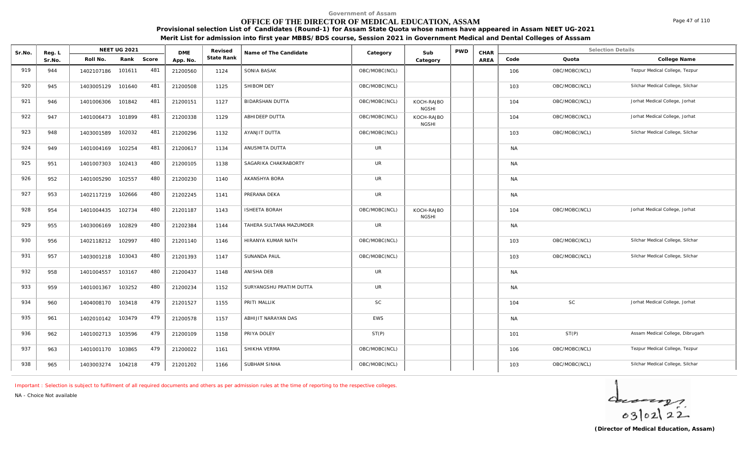## **OFFICE OF THE DIRECTOR OF MEDICAL EDUCATION, ASSAM**

**Provisional selection List of Candidates (Round-1) for Assam State Quota whose names have appeared in Assam NEET UG-2021 Merit List for admission into first year MBBS/BDS course, Session 2021 in Government Medical and Dental Colleges of Asssam**

| Sr.No.     | Reg. L     |                          | <b>NEET UG 2021</b> |            | <b>DME</b>           | Revised      | Name of The Candidate                   | Category                   | Sub                        | <b>PWD</b> | CHAR        |                  |               | <b>Selection Details</b>                                             |
|------------|------------|--------------------------|---------------------|------------|----------------------|--------------|-----------------------------------------|----------------------------|----------------------------|------------|-------------|------------------|---------------|----------------------------------------------------------------------|
|            | Sr.No.     | Roll No.                 | Rank                | Score      | App. No.             | State Rank   |                                         |                            | Category                   |            | <b>AREA</b> | Code             | Quota         | College Name                                                         |
| 919        | 944        | 1402107186               | 101611              | 481        | 21200560             | 1124         | SONIA BASAK                             | OBC/MOBC(NCL)              |                            |            |             | 106              | OBC/MOBC(NCL) | Tezpur Medical College, Tezpur                                       |
| 920        | 945        | 1403005129               | 101640              | 481        | 21200508             | 1125         | SHIBOM DEY                              | OBC/MOBC(NCL)              |                            |            |             | 103              | OBC/MOBC(NCL) | Silchar Medical College, Silchar                                     |
| 921        | 946        | 1401006306               | 101842              | 481        | 21200151             | 1127         | <b>BIDARSHAN DUTTA</b>                  | OBC/MOBC(NCL)              | KOCH-RAJBO<br><b>NGSHI</b> |            |             | 104              | OBC/MOBC(NCL) | Jorhat Medical College, Jorhat                                       |
| 922        | 947        | 1401006473               | 101899              | 481        | 21200338             | 1129         | ABHIDEEP DUTTA                          | OBC/MOBC(NCL)              | KOCH-RAJBO<br><b>NGSHI</b> |            |             | 104              | OBC/MOBC(NCL) | Jorhat Medical College, Jorhat                                       |
| 923        | 948        | 1403001589               | 102032              | 481        | 21200296             | 1132         | AYANJIT DUTTA                           | OBC/MOBC(NCL)              |                            |            |             | 103              | OBC/MOBC(NCL) | Silchar Medical College, Silchar                                     |
| 924        | 949        | 1401004169               | 102254              | 481        | 21200617             | 1134         | ANUSMITA DUTTA                          | <b>UR</b>                  |                            |            |             | <b>NA</b>        |               |                                                                      |
| 925        | 951        | 1401007303               | 102413              | 480        | 21200105             | 1138         | SAGARIKA CHAKRABORTY                    | <b>UR</b>                  |                            |            |             | <b>NA</b>        |               |                                                                      |
| 926        | 952        | 1401005290               | 102557              | 480        | 21200230             | 1140         | AKANSHYA BORA                           | <b>UR</b>                  |                            |            |             | <b>NA</b>        |               |                                                                      |
| 927        | 953        | 1402117219               | 102666              | 480        | 21202245             | 1141         | PRERANA DEKA                            | <b>UR</b>                  |                            |            |             | <b>NA</b>        |               |                                                                      |
| 928        | 954        | 1401004435               | 102734              | 480        | 21201187             | 1143         | <b>ISHEETA BORAH</b>                    | OBC/MOBC(NCL)              | KOCH-RAJBO<br><b>NGSHI</b> |            |             | 104              | OBC/MOBC(NCL) | Jorhat Medical College, Jorhat                                       |
| 929        | 955        | 1403006169               | 102829              | 480        | 21202384             | 1144         | TAHERA SULTANA MAZUMDER                 | <b>UR</b>                  |                            |            |             | <b>NA</b>        |               |                                                                      |
| 930<br>931 | 956        | 1402118212               | 102997              | 480<br>480 | 21201140             | 1146         | HIRANYA KUMAR NATH                      | OBC/MOBC(NCL)              |                            |            |             | 103              | OBC/MOBC(NCL) | Silchar Medical College, Silchar<br>Silchar Medical College, Silchar |
| 932        | 957        | 1403001218               | 103043              | 480        | 21201393             | 1147         | SUNANDA PAUL<br>ANISHA DEB              | OBC/MOBC(NCL)<br><b>UR</b> |                            |            |             | 103              | OBC/MOBC(NCL) |                                                                      |
| 933        | 958<br>959 | 1401004557               | 103167<br>103252    | 480        | 21200437             | 1148         |                                         | <b>UR</b>                  |                            |            |             | <b>NA</b>        |               |                                                                      |
| 934        | 960        | 1401001367<br>1404008170 | 103418              | 479        | 21200234<br>21201527 | 1152<br>1155 | SURYANGSHU PRATIM DUTTA<br>PRITI MALLIK | <b>SC</b>                  |                            |            |             | <b>NA</b><br>104 | SC            | Jorhat Medical College, Jorhat                                       |
| 935        | 961        | 1402010142               | 103479              | 479        | 21200578             | 1157         | ABHIJIT NARAYAN DAS                     | <b>EWS</b>                 |                            |            |             | <b>NA</b>        |               |                                                                      |
| 936        | 962        | 1401002713               | 103596              | 479        |                      | 1158         | PRIYA DOLEY                             | ST(P)                      |                            |            |             |                  | ST(P)         | Assam Medical College, Dibrugarh                                     |
| 937        |            |                          | 103865              | 479        | 21200109             |              | SHIKHA VERMA                            | OBC/MOBC(NCL)              |                            |            |             | 101              | OBC/MOBC(NCL) | Tezpur Medical College, Tezpur                                       |
|            | 963        | 1401001170               |                     |            | 21200022             | 1161         |                                         |                            |                            |            |             | 106              |               |                                                                      |
| 938        | 965        | 1403003274               | 104218              | 479        | 21201202             | 1166         | SUBHAM SINHA                            | OBC/MOBC(NCL)              |                            |            |             | 103              | OBC/MOBC(NCL) | Silchar Medical College, Silchar                                     |

*Important : Selection is subject to fulfilment of all required documents and others as per admission rules at the time of reporting to the respective colleges.*

*NA - Choice Not available*

 $40222$ 

Page 47 of 110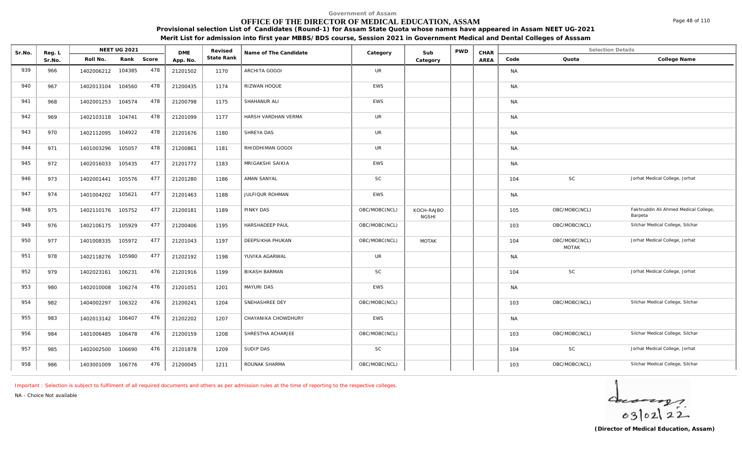## **OFFICE OF THE DIRECTOR OF MEDICAL EDUCATION, ASSAM**

**Provisional selection List of Candidates (Round-1) for Assam State Quota whose names have appeared in Assam NEET UG-2021**

**Merit List for admission into first year MBBS/BDS course, Session 2021 in Government Medical and Dental Colleges of Asssam**

| Sr.No. | Reg. L |                   | <b>NEET UG 2021</b> |       | <b>DME</b> | Revised    | Name of The Candidate | Category      | Sub                        | <b>PWD</b> | CHAR |           | <b>Selection Details</b>      |                                                  |
|--------|--------|-------------------|---------------------|-------|------------|------------|-----------------------|---------------|----------------------------|------------|------|-----------|-------------------------------|--------------------------------------------------|
|        | Sr.No. | Roll No.          | Rank                | Score | App. No.   | State Rank |                       |               | Category                   |            | AREA | Code      | Quota                         | College Name                                     |
| 939    | 966    | 1402006212        | 104385              | 478   | 21201502   | 1170       | ARCHITA GOGOI         | <b>UR</b>     |                            |            |      | <b>NA</b> |                               |                                                  |
| 940    | 967    | 1402013104        | 104560              | 478   | 21200435   | 1174       | RIZWAN HOQUE          | <b>EWS</b>    |                            |            |      | <b>NA</b> |                               |                                                  |
| 941    | 968    | 1402001253        | 104574              | 478   | 21200798   | 1175       | SHAHANUR ALI          | <b>EWS</b>    |                            |            |      | <b>NA</b> |                               |                                                  |
| 942    | 969    | 1402103118        | 104741              | 478   | 21201099   | 1177       | HARSH VARDHAN VERMA   | <b>UR</b>     |                            |            |      | <b>NA</b> |                               |                                                  |
| 943    | 970    | 1402112095        | 104922              | 478   | 21201676   | 1180       | SHREYA DAS            | <b>UR</b>     |                            |            |      | <b>NA</b> |                               |                                                  |
| 944    | 971    | 1401003296        | 105057              | 478   | 21200861   | 1181       | RHIDDHIMAN GOGOI      | <b>UR</b>     |                            |            |      | <b>NA</b> |                               |                                                  |
| 945    | 972    | 1402016033        | 105435              | 477   | 21201772   | 1183       | MRIGAKSHI SAIKIA      | <b>EWS</b>    |                            |            |      | <b>NA</b> |                               |                                                  |
| 946    | 973    | 1402001441        | 105576              | 477   | 21201280   | 1186       | <b>AMAN SANYAL</b>    | <b>SC</b>     |                            |            |      | 104       | SC                            | Jorhat Medical College, Jorhat                   |
| 947    | 974    | 1401004202        | 105621              | 477   | 21201463   | 1188       | JULFIQUR ROHMAN       | <b>EWS</b>    |                            |            |      | <b>NA</b> |                               |                                                  |
| 948    | 975    | 1402110176        | 105752              | 477   | 21200181   | 1189       | PINKY DAS             | OBC/MOBC(NCL) | KOCH-RAJBO<br><b>NGSHI</b> |            |      | 105       | OBC/MOBC(NCL)                 | Fakhruddin Ali Ahmed Medical College,<br>Barpeta |
| 949    | 976    | 1402106175 105929 |                     | 477   | 21200406   | 1195       | HARSHADEEP PAUL       | OBC/MOBC(NCL) |                            |            |      | 103       | OBC/MOBC(NCL)                 | Silchar Medical College, Silchar                 |
| 950    | 977    | 1401008335        | 105972              | 477   | 21201043   | 1197       | DEEPSIKHA PHUKAN      | OBC/MOBC(NCL) | <b>MOTAK</b>               |            |      | 104       | OBC/MOBC(NCL)<br><b>MOTAK</b> | Jorhat Medical College, Jorhat                   |
| 951    | 978    | 1402118276        | 105980              | 477   | 21202192   | 1198       | YUVIKA AGARWAL        | <b>UR</b>     |                            |            |      | <b>NA</b> |                               |                                                  |
| 952    | 979    | 1402023161        | 106231              | 476   | 21201916   | 1199       | <b>BIKASH BARMAN</b>  | <b>SC</b>     |                            |            |      | 104       | SC                            | Jorhat Medical College, Jorhat                   |
| 953    | 980    | 1402010008        | 106274              | 476   | 21201051   | 1201       | <b>MAYURI DAS</b>     | EWS           |                            |            |      | <b>NA</b> |                               |                                                  |
| 954    | 982    | 1404002297        | 106322              | 476   | 21200241   | 1204       | SNEHASHREE DEY        | OBC/MOBC(NCL) |                            |            |      | 103       | OBC/MOBC(NCL)                 | Silchar Medical College, Silchar                 |
| 955    | 983    | 1402013142        | 106407              | 476   | 21202202   | 1207       | CHAYANIKA CHOWDHURY   | EWS           |                            |            |      | <b>NA</b> |                               |                                                  |
| 956    | 984    | 1401006485        | 106478              | 476   | 21200159   | 1208       | SHRESTHA ACHARJEE     | OBC/MOBC(NCL) |                            |            |      | 103       | OBC/MOBC(NCL)                 | Silchar Medical College, Silchar                 |
| 957    | 985    | 1402002500        | 106690              | 476   | 21201878   | 1209       | SUDIP DAS             | SC            |                            |            |      | 104       | SC                            | Jorhat Medical College, Jorhat                   |
| 958    | 986    | 1403001009        | 106776              | 476   | 21200045   | 1211       | ROUNAK SHARMA         | OBC/MOBC(NCL) |                            |            |      | 103       | OBC/MOBC(NCL)                 | Silchar Medical College, Silchar                 |

*Important : Selection is subject to fulfilment of all required documents and others as per admission rules at the time of reporting to the respective colleges.*

*NA - Choice Not available*

 $40222$ 

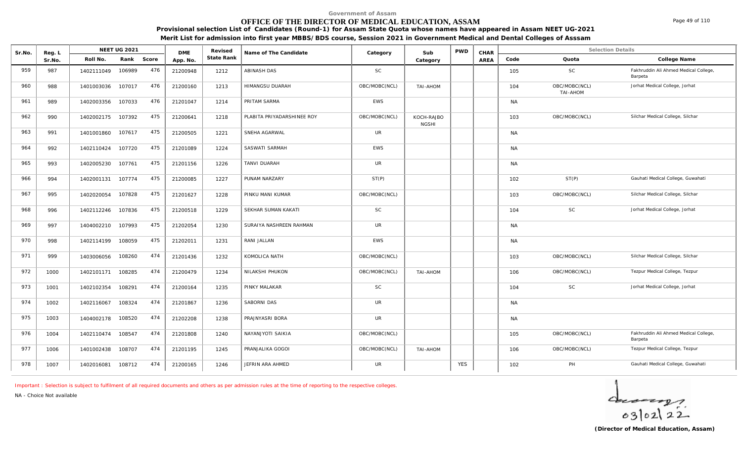## **OFFICE OF THE DIRECTOR OF MEDICAL EDUCATION, ASSAM**

**Provisional selection List of Candidates (Round-1) for Assam State Quota whose names have appeared in Assam NEET UG-2021 Merit List for admission into first year MBBS/BDS course, Session 2021 in Government Medical and Dental Colleges of Asssam**

| Sr.No. | Reg. L | <b>NEET UG 2021</b> |        |       | <b>DME</b> | Revised    | Name of The Candidate      | Category      | Sub                        | <b>PWD</b> | CHAR |           | <b>Selection Details</b>  |                                                  |
|--------|--------|---------------------|--------|-------|------------|------------|----------------------------|---------------|----------------------------|------------|------|-----------|---------------------------|--------------------------------------------------|
|        | Sr.No. | Roll No.            | Rank   | Score | App. No.   | State Rank |                            |               | Category                   |            | AREA | Code      | Quota                     | College Name                                     |
| 959    | 987    | 1402111049          | 106989 | 476   | 21200948   | 1212       | ABINASH DAS                | SC            |                            |            |      | 105       | SC                        | Fakhruddin Ali Ahmed Medical College,<br>Barpeta |
| 960    | 988    | 1401003036          | 107017 | 476   | 21200160   | 1213       | HIMANGSU DUARAH            | OBC/MOBC(NCL) | TAI-AHOM                   |            |      | 104       | OBC/MOBC(NCL)<br>TAI-AHOM | Jorhat Medical College, Jorhat                   |
| 961    | 989    | 1402003356          | 107033 | 476   | 21201047   | 1214       | PRITAM SARMA               | <b>EWS</b>    |                            |            |      | <b>NA</b> |                           |                                                  |
| 962    | 990    | 1402002175          | 107392 | 475   | 21200641   | 1218       | PLABITA PRIYADARSHINEE ROY | OBC/MOBC(NCL) | KOCH-RAJBO<br><b>NGSHI</b> |            |      | 103       | OBC/MOBC(NCL)             | Silchar Medical College, Silchar                 |
| 963    | 991    | 1401001860          | 107617 | 475   | 21200505   | 1221       | SNEHA AGARWAL              | <b>UR</b>     |                            |            |      | <b>NA</b> |                           |                                                  |
| 964    | 992    | 1402110424          | 107720 | 475   | 21201089   | 1224       | SASWATI SARMAH             | <b>EWS</b>    |                            |            |      | <b>NA</b> |                           |                                                  |
| 965    | 993    | 1402005230          | 107761 | 475   | 21201156   | 1226       | TANVI DUARAH               | <b>UR</b>     |                            |            |      | <b>NA</b> |                           |                                                  |
| 966    | 994    | 1402001131          | 107774 | 475   | 21200085   | 1227       | PUNAM NARZARY              | ST(P)         |                            |            |      | 102       | ST(P)                     | Gauhati Medical College, Guwahati                |
| 967    | 995    | 1402020054          | 107828 | 475   | 21201627   | 1228       | PINKU MANI KUMAR           | OBC/MOBC(NCL) |                            |            |      | 103       | OBC/MOBC(NCL)             | Silchar Medical College, Silchar                 |
| 968    | 996    | 1402112246          | 107836 | 475   | 21200518   | 1229       | SEKHAR SUMAN KAKATI        | <b>SC</b>     |                            |            |      | 104       | <b>SC</b>                 | Jorhat Medical College, Jorhat                   |
| 969    | 997    | 1404002210          | 107993 | 475   | 21202054   | 1230       | SURAIYA NASHREEN RAHMAN    | <b>UR</b>     |                            |            |      | <b>NA</b> |                           |                                                  |
| 970    | 998    | 1402114199          | 108059 | 475   | 21202011   | 1231       | RANI JALLAN                | <b>EWS</b>    |                            |            |      | <b>NA</b> |                           |                                                  |
| 971    | 999    | 1403006056          | 108260 | 474   | 21201436   | 1232       | KOMOLICA NATH              | OBC/MOBC(NCL) |                            |            |      | 103       | OBC/MOBC(NCL)             | Silchar Medical College, Silchar                 |
| 972    | 1000   | 1402101171          | 108285 | 474   | 21200479   | 1234       | NILAKSHI PHUKON            | OBC/MOBC(NCL) | TAI-AHOM                   |            |      | 106       | OBC/MOBC(NCL)             | Tezpur Medical College, Tezpur                   |
| 973    | 1001   | 1402102354          | 108291 | 474   | 21200164   | 1235       | PINKY MALAKAR              | <b>SC</b>     |                            |            |      | 104       | <b>SC</b>                 | Jorhat Medical College, Jorhat                   |
| 974    | 1002   | 1402116067          | 108324 | 474   | 21201867   | 1236       | SABORNI DAS                | <b>UR</b>     |                            |            |      | <b>NA</b> |                           |                                                  |
| 975    | 1003   | 1404002178          | 108520 | 474   | 21202208   | 1238       | PRAJNYASRI BORA            | <b>UR</b>     |                            |            |      | <b>NA</b> |                           |                                                  |
| 976    | 1004   | 1402110474          | 108547 | 474   | 21201808   | 1240       | NAYANJYOTI SAIKIA          | OBC/MOBC(NCL) |                            |            |      | 105       | OBC/MOBC(NCL)             | Fakhruddin Ali Ahmed Medical College,<br>Barpeta |
| 977    | 1006   | 1401002438          | 108707 | 474   | 21201195   | 1245       | PRANJALIKA GOGOI           | OBC/MOBC(NCL) | TAI-AHOM                   |            |      | 106       | OBC/MOBC(NCL)             | Tezpur Medical College, Tezpur                   |
| 978    | 1007   | 1402016081          | 108712 | 474   | 21200165   | 1246       | JEFRIN ARA AHMED           | <b>UR</b>     |                            | <b>YES</b> |      | 102       | PH                        | Gauhati Medical College, Guwahati                |

*Important : Selection is subject to fulfilment of all required documents and others as per admission rules at the time of reporting to the respective colleges.*

**Revised**

*NA - Choice Not available*



Page 49 of 110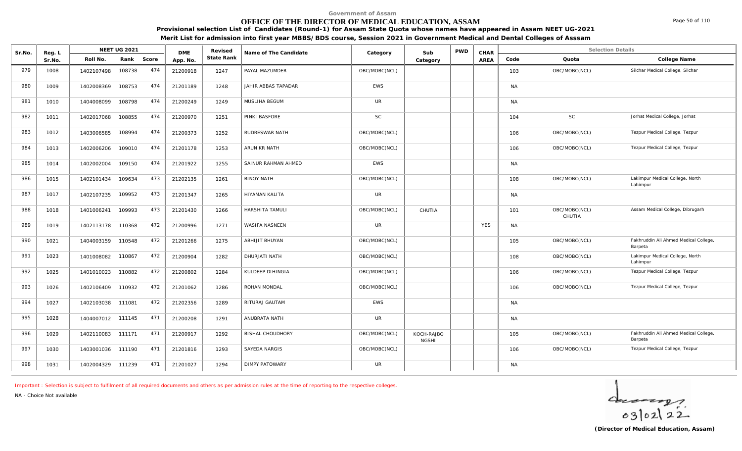## **OFFICE OF THE DIRECTOR OF MEDICAL EDUCATION, ASSAM**

**Provisional selection List of Candidates (Round-1) for Assam State Quota whose names have appeared in Assam NEET UG-2021**

**Merit List for admission into first year MBBS/BDS course, Session 2021 in Government Medical and Dental Colleges of Asssam**

| Sr.No. | Reg. L |                   | <b>NEET UG 2021</b> |       | <b>DME</b> | Revised    | Name of The Candidate   | Category      | Sub                        | <b>PWD</b> | CHAR       |           | <b>Selection Details</b> |                                                  |
|--------|--------|-------------------|---------------------|-------|------------|------------|-------------------------|---------------|----------------------------|------------|------------|-----------|--------------------------|--------------------------------------------------|
|        | Sr.No. | Roll No.          | Rank                | Score | App. No.   | State Rank |                         |               | Category                   |            | AREA       | Code      | Quota                    | College Name                                     |
| 979    | 1008   | 1402107498        | 108738              | 474   | 21200918   | 1247       | PAYAL MAZUMDER          | OBC/MOBC(NCL) |                            |            |            | 103       | OBC/MOBC(NCL)            | Silchar Medical College, Silchar                 |
| 980    | 1009   | 1402008369        | 108753              | 474   | 21201189   | 1248       | JAHIR ABBAS TAPADAR     | EWS           |                            |            |            | <b>NA</b> |                          |                                                  |
| 981    | 1010   | 1404008099        | 108798              | 474   | 21200249   | 1249       | MUSLIHA BEGUM           | <b>UR</b>     |                            |            |            | <b>NA</b> |                          |                                                  |
| 982    | 1011   | 1402017068        | 108855              | 474   | 21200970   | 1251       | PINKI BASFORE           | SC            |                            |            |            | 104       | SC                       | Jorhat Medical College, Jorhat                   |
| 983    | 1012   | 1403006585        | 108994              | 474   | 21200373   | 1252       | RUDRESWAR NATH          | OBC/MOBC(NCL) |                            |            |            | 106       | OBC/MOBC(NCL)            | Tezpur Medical College, Tezpur                   |
| 984    | 1013   | 1402006206        | 109010              | 474   | 21201178   | 1253       | ARUN KR NATH            | OBC/MOBC(NCL) |                            |            |            | 106       | OBC/MOBC(NCL)            | Tezpur Medical College, Tezpur                   |
| 985    | 1014   | 1402002004        | 109150              | 474   | 21201922   | 1255       | SAINUR RAHMAN AHMED     | <b>EWS</b>    |                            |            |            | <b>NA</b> |                          |                                                  |
| 986    | 1015   | 1402101434        | 109634              | 473   | 21202135   | 1261       | <b>BINOY NATH</b>       | OBC/MOBC(NCL) |                            |            |            | 108       | OBC/MOBC(NCL)            | Lakimpur Medical College, North<br>Lahimpur      |
| 987    | 1017   | 1402107235        | 109952              | 473   | 21201347   | 1265       | HIYAMAN KALITA          | <b>UR</b>     |                            |            |            | <b>NA</b> |                          |                                                  |
| 988    | 1018   | 1401006241        | 109993              | 473   | 21201430   | 1266       | HARSHITA TAMULI         | OBC/MOBC(NCL) | CHUTIA                     |            |            | 101       | OBC/MOBC(NCL)<br>CHUTIA  | Assam Medical College, Dibrugarh                 |
| 989    | 1019   | 1402113178        | 110368              | 472   | 21200996   | 1271       | <b>WASIFA NASNEEN</b>   | <b>UR</b>     |                            |            | <b>YES</b> | <b>NA</b> |                          |                                                  |
| 990    | 1021   | 1404003159        | 110548              | 472   | 21201266   | 1275       | ABHIJIT BHUYAN          | OBC/MOBC(NCL) |                            |            |            | 105       | OBC/MOBC(NCL)            | Fakhruddin Ali Ahmed Medical College,<br>Barpeta |
| 991    | 1023   | 1401008082        | 110867              | 472   | 21200904   | 1282       | DHURJATI NATH           | OBC/MOBC(NCL) |                            |            |            | 108       | OBC/MOBC(NCL)            | Lakimpur Medical College, North<br>Lahimpur      |
| 992    | 1025   | 1401010023        | 110882              | 472   | 21200802   | 1284       | KULDEEP DIHINGIA        | OBC/MOBC(NCL) |                            |            |            | 106       | OBC/MOBC(NCL)            | Tezpur Medical College, Tezpur                   |
| 993    | 1026   | 1402106409        | 110932              | 472   | 21201062   | 1286       | ROHAN MONDAL            | OBC/MOBC(NCL) |                            |            |            | 106       | OBC/MOBC(NCL)            | Tezpur Medical College, Tezpur                   |
| 994    | 1027   | 1402103038        | 111081              | 472   | 21202356   | 1289       | RITURAJ GAUTAM          | <b>EWS</b>    |                            |            |            | <b>NA</b> |                          |                                                  |
| 995    | 1028   | 1404007012        | 111145              | 471   | 21200208   | 1291       | ANUBRATA NATH           | <b>UR</b>     |                            |            |            | <b>NA</b> |                          |                                                  |
| 996    | 1029   | 1402110083        | 111171              | 471   | 21200917   | 1292       | <b>BISHAL CHOUDHORY</b> | OBC/MOBC(NCL) | KOCH-RAJBO<br><b>NGSHI</b> |            |            | 105       | OBC/MOBC(NCL)            | Fakhruddin Ali Ahmed Medical College,<br>Barpeta |
| 997    | 1030   | 1403001036        | 111190              | 471   | 21201816   | 1293       | SAYEDA NARGIS           | OBC/MOBC(NCL) |                            |            |            | 106       | OBC/MOBC(NCL)            | Tezpur Medical College, Tezpur                   |
| 998    | 1031   | 1402004329 111239 |                     | 471   | 21201027   | 1294       | <b>DIMPY PATOWARY</b>   | UR            |                            |            |            | <b>NA</b> |                          |                                                  |

*Important : Selection is subject to fulfilment of all required documents and others as per admission rules at the time of reporting to the respective colleges.*

*NA - Choice Not available*

 $40222$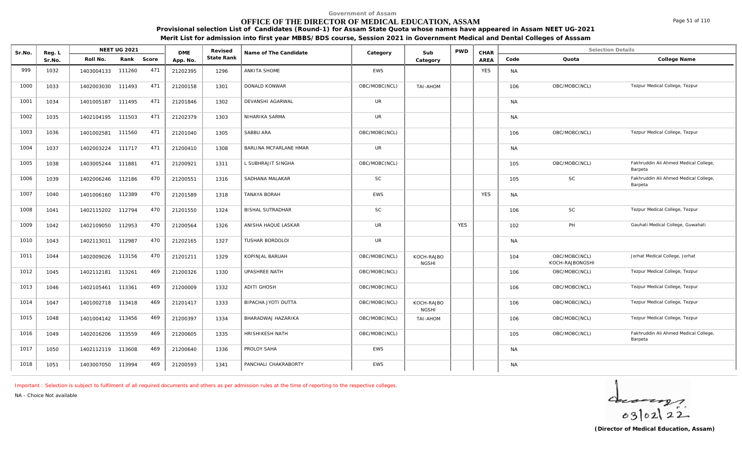## **OFFICE OF THE DIRECTOR OF MEDICAL EDUCATION, ASSAM**

**Provisional selection List of Candidates (Round-1) for Assam State Quota whose names have appeared in Assam NEET UG-2021 Merit List for admission into first year MBBS/BDS course, Session 2021 in Government Medical and Dental Colleges of Asssam**

| Sr.No. | Reg. L |                   | <b>NEET UG 2021</b> |       | <b>DME</b> | Revised    | Name of The Candidate   | Category      | Sub                        | <b>PWD</b> | CHAR        |           | <b>Selection Details</b>         |                                                  |
|--------|--------|-------------------|---------------------|-------|------------|------------|-------------------------|---------------|----------------------------|------------|-------------|-----------|----------------------------------|--------------------------------------------------|
|        | Sr.No. | Roll No.          | Rank                | Score | App. No.   | State Rank |                         |               | Category                   |            | <b>AREA</b> | Code      | Quota                            | College Name                                     |
| 999    | 1032   | 1403004133        | 111260              | 471   | 21202395   | 1296       | ANKITA SHOME            | <b>EWS</b>    |                            |            | <b>YES</b>  | <b>NA</b> |                                  |                                                  |
| 1000   | 1033   | 1402003030        | 111493              | 471   | 21200158   | 1301       | DONALD KONWAR           | OBC/MOBC(NCL) | TAI-AHOM                   |            |             | 106       | OBC/MOBC(NCL)                    | Tezpur Medical College, Tezpur                   |
| 1001   | 1034   | 1401005187        | 111495              | 471   | 21201846   | 1302       | DEVANSHI AGARWAL        | <b>UR</b>     |                            |            |             | <b>NA</b> |                                  |                                                  |
| 1002   | 1035   | 1402104195        | 111503              | 471   | 21202379   | 1303       | NIHARIKA SARMA          | <b>UR</b>     |                            |            |             | <b>NA</b> |                                  |                                                  |
| 1003   | 1036   | 1401002581        | 111560              | 471   | 21201040   | 1305       | SABBU ARA               | OBC/MOBC(NCL) |                            |            |             | 106       | OBC/MOBC(NCL)                    | Tezpur Medical College, Tezpur                   |
| 1004   | 1037   | 1402003224        | 111717              | 471   | 21200410   | 1308       | BARLINA MCFARLANE HMAR  | <b>UR</b>     |                            |            |             | <b>NA</b> |                                  |                                                  |
| 1005   | 1038   | 1403005244        | 111881              | 471   | 21200921   | 1311       | L SUBHRAJIT SINGHA      | OBC/MOBC(NCL) |                            |            |             | 105       | OBC/MOBC(NCL)                    | Fakhruddin Ali Ahmed Medical College,<br>Barpeta |
| 1006   | 1039   | 1402006246        | 112186              | 470   | 21200551   | 1316       | SADHANA MALAKAR         | <b>SC</b>     |                            |            |             | 105       | <b>SC</b>                        | Fakhruddin Ali Ahmed Medical College,<br>Barpeta |
| 1007   | 1040   | 1401006160        | 112389              | 470   | 21201589   | 1318       | TANAYA BORAH            | <b>EWS</b>    |                            |            | <b>YES</b>  | <b>NA</b> |                                  |                                                  |
| 1008   | 1041   | 1402115202 112794 |                     | 470   | 21201550   | 1324       | <b>BISHAL SUTRADHAR</b> | <b>SC</b>     |                            |            |             | 106       | <b>SC</b>                        | Tezpur Medical College, Tezpur                   |
| 1009   | 1042   | 1402109050 112953 |                     | 470   | 21200564   | 1326       | ANISHA HAQUE LASKAR     | <b>UR</b>     |                            | <b>YES</b> |             | 102       | PH                               | Gauhati Medical College, Guwahati                |
| 1010   | 1043   | 1402113011        | 112987              | 470   | 21202165   | 1327       | TUSHAR BORDOLOI         | <b>UR</b>     |                            |            |             | <b>NA</b> |                                  |                                                  |
| 1011   | 1044   | 1402009026        | 113156              | 470   | 21201211   | 1329       | KOPINJAL BARUAH         | OBC/MOBC(NCL) | KOCH-RAJBO<br><b>NGSHI</b> |            |             | 104       | OBC/MOBC(NCL)<br>KOCH-RAJBONGSHI | Jorhat Medical College, Jorhat                   |
| 1012   | 1045   | 1402112181        | 113261              | 469   | 21200326   | 1330       | <b>UPASHREE NATH</b>    | OBC/MOBC(NCL) |                            |            |             | 106       | OBC/MOBC(NCL)                    | Tezpur Medical College, Tezpur                   |
| 1013   | 1046   | 1402105461        | 113361              | 469   | 21200009   | 1332       | <b>ADITI GHOSH</b>      | OBC/MOBC(NCL) |                            |            |             | 106       | OBC/MOBC(NCL)                    | Tezpur Medical College, Tezpur                   |
| 1014   | 1047   | 1401002718        | 113418              | 469   | 21201417   | 1333       | BIPACHA JYOTI DUTTA     | OBC/MOBC(NCL) | KOCH-RAJBO<br><b>NGSHI</b> |            |             | 106       | OBC/MOBC(NCL)                    | Tezpur Medical College, Tezpur                   |
| 1015   | 1048   | 1401004142        | 113456              | 469   | 21200397   | 1334       | BHARADWAJ HAZARIKA      | OBC/MOBC(NCL) | TAI-AHOM                   |            |             | 106       | OBC/MOBC(NCL)                    | Tezpur Medical College, Tezpur                   |
| 1016   | 1049   | 1402016206        | 113559              | 469   | 21200605   | 1335       | HRISHIKESH NATH         | OBC/MOBC(NCL) |                            |            |             | 105       | OBC/MOBC(NCL)                    | Fakhruddin Ali Ahmed Medical College,<br>Barpeta |
| 1017   | 1050   | 1402112119 113608 |                     | 469   | 21200640   | 1336       | PROLOY SAHA             | EWS           |                            |            |             | <b>NA</b> |                                  |                                                  |
| 1018   | 1051   | 1403007050 113994 |                     | 469   | 21200593   | 1341       | PANCHALI CHAKRABORTY    | <b>EWS</b>    |                            |            |             | <b>NA</b> |                                  |                                                  |

*Important : Selection is subject to fulfilment of all required documents and others as per admission rules at the time of reporting to the respective colleges.*

*NA - Choice Not available*

 $402122$ 

Page 51 of 110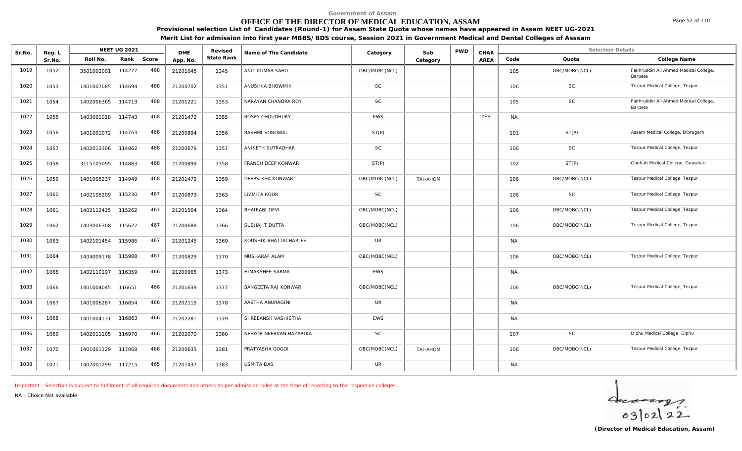## **OFFICE OF THE DIRECTOR OF MEDICAL EDUCATION, ASSAM**

Page 52 of 110

**Provisional selection List of Candidates (Round-1) for Assam State Quota whose names have appeared in Assam NEET UG-2021 Merit List for admission into first year MBBS/BDS course, Session 2021 in Government Medical and Dental Colleges of Asssam**

| Sr.No. | Reg. L |            | <b>NEET UG 2021</b> |       | <b>DME</b> | Revised    | Name of The Candidate   | Category      | Sub      | <b>PWD</b> | CHAR       |           | <b>Selection Details</b> |                                                  |
|--------|--------|------------|---------------------|-------|------------|------------|-------------------------|---------------|----------|------------|------------|-----------|--------------------------|--------------------------------------------------|
|        | Sr.No. | Roll No.   | Rank                | Score | App. No.   | State Rank |                         |               | Category |            | AREA       | Code      | Quota                    | College Name                                     |
| 1019   | 1052   | 3501002001 | 114277              | 468   | 21201045   | 1345       | ANIT KUMAR SAHU         | OBC/MOBC(NCL) |          |            |            | 105       | OBC/MOBC(NCL)            | Fakhruddin Ali Ahmed Medical College,<br>Barpeta |
| 1020   | 1053   | 1401007085 | 114694              | 468   | 21200702   | 1351       | ANUSHKA BHOWMIK         | <b>SC</b>     |          |            |            | 106       | SC                       | Tezpur Medical College, Tezpur                   |
| 1021   | 1054   | 1402006365 | 114713              | 468   | 21201221   | 1353       | NARAYAN CHANDRA ROY     | <b>SC</b>     |          |            |            | 105       | <b>SC</b>                | Fakhruddin Ali Ahmed Medical College,<br>Barpeta |
| 1022   | 1055   | 1403001018 | 114743              | 468   | 21201472   | 1355       | ROSEY CHOUDHURY         | <b>EWS</b>    |          |            | <b>YES</b> | <b>NA</b> |                          |                                                  |
| 1023   | 1056   | 1401001072 | 114763              | 468   | 21200894   | 1356       | RASHMI SONOWAL          | ST(P)         |          |            |            | 101       | ST(P)                    | Assam Medical College, Dibrugarh                 |
| 1024   | 1057   | 1402013306 | 114862              | 468   | 21200679   | 1357       | ANIKETH SUTRADHAR       | <b>SC</b>     |          |            |            | 106       | SC                       | Tezpur Medical College, Tezpur                   |
| 1025   | 1058   | 3115105095 | 114883              | 468   | 21200899   | 1358       | FRANCH DEEP KONWAR      | ST(P)         |          |            |            | 102       | ST(P)                    | Gauhati Medical College, Guwahati                |
| 1026   | 1059   | 1401005237 | 114949              | 468   | 21201479   | 1359       | DEEPSIKHA KONWAR        | OBC/MOBC(NCL) | TAI-AHOM |            |            | 106       | OBC/MOBC(NCL)            | Tezpur Medical College, Tezpur                   |
| 1027   | 1060   | 1402106209 | 115230              | 467   | 21200873   | 1363       | LIZMITA KOUR            | <b>SC</b>     |          |            |            | 106       | SC                       | Tezpur Medical College, Tezpur                   |
| 1028   | 1061   | 1402113415 | 115262              | 467   | 21201564   | 1364       | BHAIRABI DEVI           | OBC/MOBC(NCL) |          |            |            | 106       | OBC/MOBC(NCL)            | Tezpur Medical College, Tezpur                   |
| 1029   | 1062   | 1403006308 | 115622              | 467   | 21200688   | 1366       | SUBHAJIT DUTTA          | OBC/MOBC(NCL) |          |            |            | 106       | OBC/MOBC(NCL)            | Tezpur Medical College, Tezpur                   |
| 1030   | 1063   | 1402101454 | 115986              | 467   | 21201246   | 1369       | KOUSHIK BHATTACHARJEE   | <b>UR</b>     |          |            |            | <b>NA</b> |                          |                                                  |
| 1031   | 1064   | 1404009178 | 115988              | 467   | 21200829   | 1370       | MUSHARAF ALAM           | OBC/MOBC(NCL) |          |            |            | 106       | OBC/MOBC(NCL)            | Tezpur Medical College, Tezpur                   |
| 1032   | 1065   | 1402110197 | 116359              | 466   | 21200965   | 1373       | <b>HIMAKSHEE SARMA</b>  | <b>EWS</b>    |          |            |            | <b>NA</b> |                          |                                                  |
| 1033   | 1066   | 1401004045 | 116651              | 466   | 21201639   | 1377       | SANGEETA RAJ KONWAR     | OBC/MOBC(NCL) |          |            |            | 106       | OBC/MOBC(NCL)            | Tezpur Medical College, Tezpur                   |
| 1034   | 1067   | 1401006287 | 116854              | 466   | 21202115   | 1378       | AASTHA ANURAGINI        | <b>UR</b>     |          |            |            | <b>NA</b> |                          |                                                  |
| 1035   | 1068   | 1401004131 | 116863              | 466   | 21202281   | 1379       | SHREEANSH VASHISTHA     | <b>EWS</b>    |          |            |            | <b>NA</b> |                          |                                                  |
| 1036   | 1069   | 1402011105 | 116970              | 466   | 21202070   | 1380       | NEEYOR NEERVAN HAZARIKA | <b>SC</b>     |          |            |            | 107       | SC                       | Diphu Medical College, Diphu                     |
| 1037   | 1070   | 1401001129 | 117068              | 466   | 21200635   | 1381       | PRATYASHA GOGOI         | OBC/MOBC(NCL) | TAI-AHOM |            |            | 106       | OBC/MOBC(NCL)            | Tezpur Medical College, Tezpur                   |
| 1038   | 1071   | 1402001299 | 117215              | 465   | 21201437   | 1383       | <b>USMITA DAS</b>       | <b>UR</b>     |          |            |            | <b>NA</b> |                          |                                                  |

*Important : Selection is subject to fulfilment of all required documents and others as per admission rules at the time of reporting to the respective colleges.*

*NA - Choice Not available*

 $40222$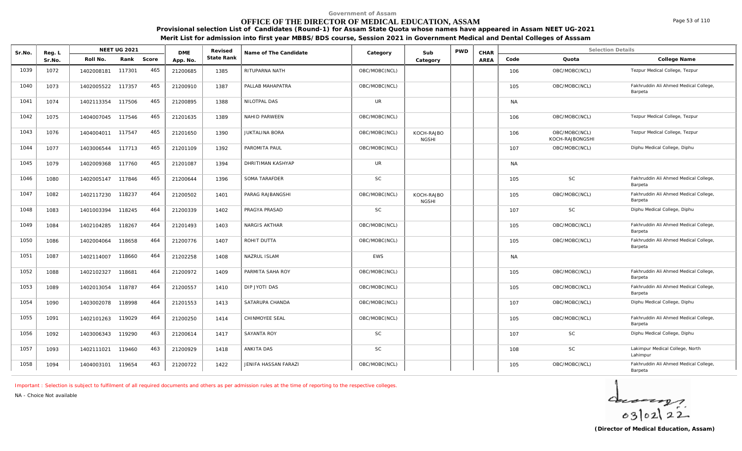## **OFFICE OF THE DIRECTOR OF MEDICAL EDUCATION, ASSAM**

**Provisional selection List of Candidates (Round-1) for Assam State Quota whose names have appeared in Assam NEET UG-2021 Merit List for admission into first year MBBS/BDS course, Session 2021 in Government Medical and Dental Colleges of Asssam**

| Sr.No. | Reg. L | <b>NEET UG 2021</b> |        |       | <b>DMF</b> | Revised    | Name of The Candidate | Category      | Sub                        | <b>PWD</b> | CHAR |           | <b>Selection Details</b>         |                                                  |
|--------|--------|---------------------|--------|-------|------------|------------|-----------------------|---------------|----------------------------|------------|------|-----------|----------------------------------|--------------------------------------------------|
|        | Sr.No. | Roll No.            | Rank   | Score | App. No.   | State Rank |                       |               | Category                   |            | AREA | Code      | Quota                            | College Name                                     |
| 1039   | 1072   | 1402008181          | 117301 | 465   | 21200685   | 1385       | RITUPARNA NATH        | OBC/MOBC(NCL) |                            |            |      | 106       | OBC/MOBC(NCL)                    | Tezpur Medical College, Tezpur                   |
| 1040   | 1073   | 1402005522          | 117357 | 465   | 21200910   | 1387       | PALLAB MAHAPATRA      | OBC/MOBC(NCL) |                            |            |      | 105       | OBC/MOBC(NCL)                    | Fakhruddin Ali Ahmed Medical College,<br>Barpeta |
| 1041   | 1074   | 1402113354          | 117506 | 465   | 21200895   | 1388       | NILOTPAL DAS          | UR            |                            |            |      | <b>NA</b> |                                  |                                                  |
| 1042   | 1075   | 1404007045          | 117546 | 465   | 21201635   | 1389       | <b>NAHID PARWEEN</b>  | OBC/MOBC(NCL) |                            |            |      | 106       | OBC/MOBC(NCL)                    | Tezpur Medical College, Tezpur                   |
| 1043   | 1076   | 1404004011 117547   |        | 465   | 21201650   | 1390       | <b>JUKTALINA BORA</b> | OBC/MOBC(NCL) | KOCH-RAJBO<br><b>NGSHI</b> |            |      | 106       | OBC/MOBC(NCL)<br>KOCH-RAJBONGSHI | Tezpur Medical College, Tezpur                   |
| 1044   | 1077   | 1403006544          | 117713 | 465   | 21201109   | 1392       | PAROMITA PAUL         | OBC/MOBC(NCL) |                            |            |      | 107       | OBC/MOBC(NCL)                    | Diphu Medical College, Diphu                     |
| 1045   | 1079   | 1402009368          | 117760 | 465   | 21201087   | 1394       | DHRITIMAN KASHYAP     | UR            |                            |            |      | <b>NA</b> |                                  |                                                  |
| 1046   | 1080   | 1402005147          | 117846 | 465   | 21200644   | 1396       | SOMA TARAFDER         | <b>SC</b>     |                            |            |      | 105       | <b>SC</b>                        | Fakhruddin Ali Ahmed Medical College,<br>Barpeta |
| 1047   | 1082   | 1402117230          | 118237 | 464   | 21200502   | 1401       | PARAG RAJBANGSHI      | OBC/MOBC(NCL) | KOCH-RAJBO<br><b>NGSHI</b> |            |      | 105       | OBC/MOBC(NCL)                    | Fakhruddin Ali Ahmed Medical College,<br>Barpeta |
| 1048   | 1083   | 1401003394          | 118245 | 464   | 21200339   | 1402       | PRAGYA PRASAD         | <b>SC</b>     |                            |            |      | 107       | <b>SC</b>                        | Diphu Medical College, Diphu                     |
| 1049   | 1084   | 1402104285          | 118267 | 464   | 21201493   | 1403       | NARGIS AKTHAR         | OBC/MOBC(NCL) |                            |            |      | 105       | OBC/MOBC(NCL)                    | Fakhruddin Ali Ahmed Medical College,<br>Barpeta |
| 1050   | 1086   | 1402004064          | 118658 | 464   | 21200776   | 1407       | ROHIT DUTTA           | OBC/MOBC(NCL) |                            |            |      | 105       | OBC/MOBC(NCL)                    | Fakhruddin Ali Ahmed Medical College,<br>Barpeta |
| 1051   | 1087   | 1402114007          | 118660 | 464   | 21202258   | 1408       | NAZRUL ISLAM          | <b>EWS</b>    |                            |            |      | <b>NA</b> |                                  |                                                  |
| 1052   | 1088   | 1402102327          | 118681 | 464   | 21200972   | 1409       | PARMITA SAHA ROY      | OBC/MOBC(NCL) |                            |            |      | 105       | OBC/MOBC(NCL)                    | Fakhruddin Ali Ahmed Medical College,<br>Barpeta |
| 1053   | 1089   | 1402013054          | 118787 | 464   | 21200557   | 1410       | DIP JYOTI DAS         | OBC/MOBC(NCL) |                            |            |      | 105       | OBC/MOBC(NCL)                    | Fakhruddin Ali Ahmed Medical College,<br>Barpeta |
| 1054   | 1090   | 1403002078          | 118998 | 464   | 21201553   | 1413       | SATARUPA CHANDA       | OBC/MOBC(NCL) |                            |            |      | 107       | OBC/MOBC(NCL)                    | Diphu Medical College, Diphu                     |
| 1055   | 1091   | 1402101263          | 119029 | 464   | 21200250   | 1414       | CHINMOYEE SEAL        | OBC/MOBC(NCL) |                            |            |      | 105       | OBC/MOBC(NCL)                    | Fakhruddin Ali Ahmed Medical College,<br>Barpeta |
| 1056   | 1092   | 1403006343          | 119290 | 463   | 21200614   | 1417       | <b>SAYANTA ROY</b>    | <b>SC</b>     |                            |            |      | 107       | <b>SC</b>                        | Diphu Medical College, Diphu                     |
| 1057   | 1093   | 1402111021          | 119460 | 463   | 21200929   | 1418       | ANKITA DAS            | <b>SC</b>     |                            |            |      | 108       | <b>SC</b>                        | Lakimpur Medical College, North<br>Lahimpur      |
| 1058   | 1094   | 1404003101          | 119654 | 463   | 21200722   | 1422       | JENIFA HASSAN FARAZI  | OBC/MOBC(NCL) |                            |            |      | 105       | OBC/MOBC(NCL)                    | Fakhruddin Ali Ahmed Medical College,<br>Barpeta |

*Important : Selection is subject to fulfilment of all required documents and others as per admission rules at the time of reporting to the respective colleges.*

*NA - Choice Not available*



Page 53 of 110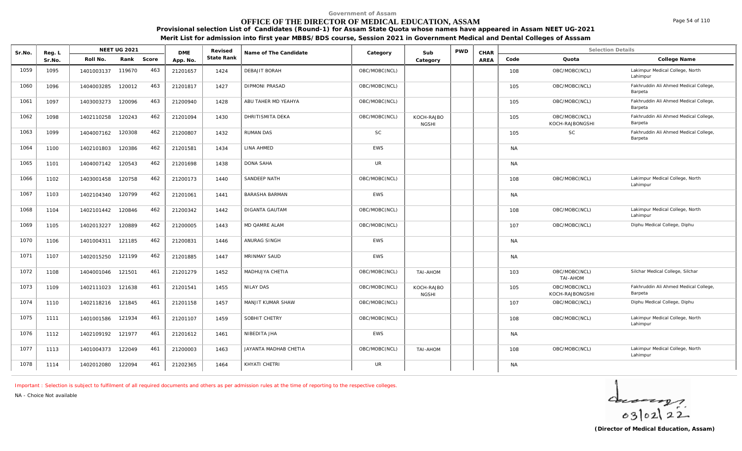## **OFFICE OF THE DIRECTOR OF MEDICAL EDUCATION, ASSAM**

**Provisional selection List of Candidates (Round-1) for Assam State Quota whose names have appeared in Assam NEET UG-2021**

**Merit List for admission into first year MBBS/BDS course, Session 2021 in Government Medical and Dental Colleges of Asssam**

| Sr.No. | Reg. L |            | <b>NEET UG 2021</b> |       | <b>DME</b> | Revised    | Name of The Candidate | Category      | Sub                        | <b>PWD</b> | CHAR        |           | <b>Selection Details</b>         |                                                  |
|--------|--------|------------|---------------------|-------|------------|------------|-----------------------|---------------|----------------------------|------------|-------------|-----------|----------------------------------|--------------------------------------------------|
|        | Sr.No  | Roll No.   | Rank                | Score | App. No.   | State Rank |                       |               | Category                   |            | <b>AREA</b> | Code      | Quota                            | College Name                                     |
| 1059   | 1095   | 1401003137 | 119670              | 463   | 21201657   | 1424       | DEBAJIT BORAH         | OBC/MOBC(NCL) |                            |            |             | 108       | OBC/MOBC(NCL)                    | Lakimpur Medical College, North<br>Lahimpur      |
| 1060   | 1096   | 1404003285 | 120012              | 463   | 21201817   | 1427       | <b>DIPMONI PRASAD</b> | OBC/MOBC(NCL) |                            |            |             | 105       | OBC/MOBC(NCL)                    | Fakhruddin Ali Ahmed Medical College,<br>Barpeta |
| 1061   | 1097   | 1403003273 | 120096              | 463   | 21200940   | 1428       | ABU TAHER MD YEAHYA   | OBC/MOBC(NCL) |                            |            |             | 105       | OBC/MOBC(NCL)                    | Fakhruddin Ali Ahmed Medical College,<br>Barpeta |
| 1062   | 1098   | 1402110258 | 120243              | 462   | 21201094   | 1430       | DHRITISMITA DEKA      | OBC/MOBC(NCL) | KOCH-RAJBO<br><b>NGSHI</b> |            |             | 105       | OBC/MOBC(NCL)<br>KOCH-RAJBONGSHI | Fakhruddin Ali Ahmed Medical College,<br>Barpeta |
| 1063   | 1099   | 1404007162 | 120308              | 462   | 21200807   | 1432       | <b>RUMAN DAS</b>      | <b>SC</b>     |                            |            |             | 105       | <b>SC</b>                        | Fakhruddin Ali Ahmed Medical College,<br>Barpeta |
| 1064   | 1100   | 1402101803 | 120386              | 462   | 21201581   | 1434       | LINA AHMED            | <b>EWS</b>    |                            |            |             | <b>NA</b> |                                  |                                                  |
| 1065   | 1101   | 1404007142 | 120543              | 462   | 21201698   | 1438       | DONA SAHA             | <b>UR</b>     |                            |            |             | <b>NA</b> |                                  |                                                  |
| 1066   | 1102   | 1403001458 | 120758              | 462   | 21200173   | 1440       | SANDEEP NATH          | OBC/MOBC(NCL) |                            |            |             | 108       | OBC/MOBC(NCL)                    | Lakimpur Medical College, North<br>Lahimpur      |
| 1067   | 1103   | 1402104340 | 120799              | 462   | 21201061   | 1441       | <b>BARASHA BARMAN</b> | <b>EWS</b>    |                            |            |             | <b>NA</b> |                                  |                                                  |
| 1068   | 1104   | 1402101442 | 120846              | 462   | 21200342   | 1442       | <b>DIGANTA GAUTAM</b> | OBC/MOBC(NCL) |                            |            |             | 108       | OBC/MOBC(NCL)                    | Lakimpur Medical College, North<br>Lahimpur      |
| 1069   | 1105   | 1402013227 | 120889              | 462   | 21200005   | 1443       | MD QAMRE ALAM         | OBC/MOBC(NCL) |                            |            |             | 107       | OBC/MOBC(NCL)                    | Diphu Medical College, Diphu                     |
| 1070   | 1106   | 1401004311 | 121185              | 462   | 21200831   | 1446       | ANURAG SINGH          | <b>EWS</b>    |                            |            |             | <b>NA</b> |                                  |                                                  |
| 1071   | 1107   | 1402015250 | 121199              | 462   | 21201885   | 1447       | <b>MRINMAY SAUD</b>   | <b>EWS</b>    |                            |            |             | <b>NA</b> |                                  |                                                  |
| 1072   | 1108   | 1404001046 | 121501              | 461   | 21201279   | 1452       | MADHUJYA CHETIA       | OBC/MOBC(NCL) | TAI-AHOM                   |            |             | 103       | OBC/MOBC(NCL)<br>TAI-AHOM        | Silchar Medical College, Silchar                 |
| 1073   | 1109   | 1402111023 | 121638              | 461   | 21201541   | 1455       | <b>NILAY DAS</b>      | OBC/MOBC(NCL) | KOCH-RAJBO<br><b>NGSHI</b> |            |             | 105       | OBC/MOBC(NCL)<br>KOCH-RAJBONGSHI | Fakhruddin Ali Ahmed Medical College,<br>Barpeta |
| 1074   | 1110   | 1402118216 | 121845              | 461   | 21201158   | 1457       | MANJIT KUMAR SHAW     | OBC/MOBC(NCL) |                            |            |             | 107       | OBC/MOBC(NCL)                    | Diphu Medical College, Diphu                     |
| 1075   | 1111   | 1401001586 | 121934              | 461   | 21201107   | 1459       | SOBHIT CHETRY         | OBC/MOBC(NCL) |                            |            |             | 108       | OBC/MOBC(NCL)                    | Lakimpur Medical College, North<br>Lahimpur      |
| 1076   | 1112   | 1402109192 | 121977              | 461   | 21201612   | 1461       | NIBEDITA JHA          | <b>EWS</b>    |                            |            |             | <b>NA</b> |                                  |                                                  |
| 1077   | 1113   | 1401004373 | 122049              | 461   | 21200003   | 1463       | JAYANTA MADHAB CHETIA | OBC/MOBC(NCL) | TAI-AHOM                   |            |             | 108       | OBC/MOBC(NCL)                    | Lakimpur Medical College, North<br>Lahimpur      |
| 1078   | 1114   | 1402012080 | 122094              | 461   | 21202365   | 1464       | KHYATI CHETRI         | <b>UR</b>     |                            |            |             | <b>NA</b> |                                  |                                                  |

*Important : Selection is subject to fulfilment of all required documents and others as per admission rules at the time of reporting to the respective colleges.*

*NA - Choice Not available*

 $402122$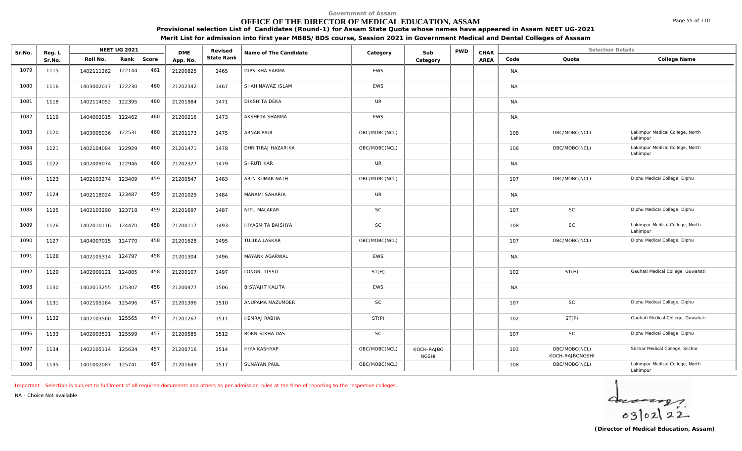#### **OFFICE OF THE DIRECTOR OF MEDICAL EDUCATION, ASSAM**

**Provisional selection List of Candidates (Round-1) for Assam State Quota whose names have appeared in Assam NEET UG-2021 Merit List for admission into first year MBBS/BDS course, Session 2021 in Government Medical and Dental Colleges of Asssam**

**Name of The Candidate Revised** Reg. L<br> **Reg. L**<br>
Roll No. Rank Sr.No. | Roll No. Rank Score | App.No. | State Ra DME Revised<br>
State Rank **NEET UG 2021 Category CHAR** AREA Code Quota **State Rank Code Quota College Name** Sr.No. Reg. L Reg.L **NEET UG 2021** ME Revised Name of The Candidate Category Sub PWD CHAR Selection Details Selection Details **Category** 1079 | 1115 | 1402111262 122144 461 | 21200825 | 1465 | DIPSIKHA SARMA NAMEM | NAMEM | NAMEM | NAMEM | NAMEM | 1080 | 1116 | 1403002017 122230 460 | 21202342 | 1467 |SHAH NAWAZ ISLAM NAWAZ ISLAM NAWAZ ISLAM NAWAZ ISLAM NA 1081 | 1118 | 1402114052 122395 460 | 21201984 | 1471 | DIKSHITA DEKA | UR | | | | NA 1082 | 1119 | 1404002015 122462 460 | 21200216 | 1473 | AKSHETA SHARMA NARONA NARONA NARONA NARONA NARONA NAR 1120 1403005036 122531 460 21201173 1475 ARNAB PAUL (OBC/MOBC(NCL) 108 OBC/MOBC(NCL) Lakimpur Medical College, North Lahimpur 1083 1120 1403005036 122531 460 21201173 1475 1121 | 1402104084 122929 460 | 21201471 | 1478 | DHRITIRAJ HAZARIKA | | OBC/MOBC(NCL) | | | | | 108 OBC/MOBC(NCL) Lakimpur Medical College, North Lahimpur 1084 1121 1402104084 122929 460 21201471 1478 1085 1122 1402009074 122946 460 21202327 1479 SHRUTI KAR UR NA 1086 | 1123 | 1402103274 123409 459 | 21200547 | 1483 |ARIN KUMAR NATH | OBC/MOBC(NCL) | | | | | 107 OBC/MOBC(NCL) Diphu Medical College, Diphu 1087 | 1124 | 1402118024 123487 459 | 21201029 | 1484 | MANAMI SAHARIA | UR | | | | NA 1088 | 1125 | 1402103290 123718 459 | 21201697 | 1487 NITU<code>MALAKAR St</code> SC | SC | | | | | | | | 107 SC Diphu Medical College, Diphu Medical College, Diphu Medical College, Diphu Medical College, Diphu Medical College, Diphu 1126 | 1402010116 124470 458 | 21200117 | 1493 | HIYASMITA BAISHYA | SC | | | | | | | 108 SC SC Lakimpur Medical College, North Lahimpur 1089 1126 1402010116 124470 458 21200117 1493 1090 | 1127 | 1404007015 124770 458 | 21201628 | 1495 | TULIKA LASKAR | | OBC/MOBC(NCL) | | | | | 107 OBC/MOBC(NCL) | Diphu Medical College, Diphu Medical College, Diphu

1092 | 1129 | 1402009121 124805 458 | 21200107 | 1497 |LONGRITISSO | ST(H) | ST(H) | | | | 102 ST(H) ST(H) Gauhati Medical College, Guwahati

1095 | 1132 | 1402103560 125565 457 | 21201267 | 1511 | HEMRAJ RABHA NABHA ST(P) | | | | 102 ST(P) Sauhati Medical College, Guwahati Medical College, Guwahati

1097 | 1134 | 1402105114 125634 457 | 21200716 | 1514 | HIYA KASHYAP | OBC/MOBC(NCL) | KOCH-RAJBO | | | 103 OBC/MOBC(NCL) Silchar Medical College, Silchar

<sup>1134</sup> 1402105114 125634 <sup>21200716</sup> <sup>1514</sup> HIYA KASHYAP OBC/MOBC(NCL) <sup>103</sup> OBC/MOBC(NCL) KOCH-RAJBONGSHI

1094 | 1131 | 1402105164 125496 457 | 21201396 | 1510 |ANUPAMA MAZUMDER | SC | | | | | | | 107 SC Diphu Medical College, Diphu Medical College, Diphu Medical College, Diphu Medical College, Diphu Medical College, Diphu Med

1096 | 1133 | 1402003521 125599 457 | 21200585 | 1512 | BORNISIKHA DAS | SC | | | | 107 SC Diphu Medical College, Diphu Medical College, Diphu Medical College, Diphu

NGSHI

*Important : Selection is subject to fulfilment of all required documents and others as per admission rules at the time of reporting to the respective colleges. NA - Choice Not available*

1098 1135 1401002087 125741 457 21201649 1517

1091 | 1128 | 1402105314 124797 458 | 21201304 | 1496 | MAYANK AGARWAL | EWS | | NA

1093 1130 1402013255 125307 458 21200477 1506 BISWAJIT KALITA EWS NA

 $402122$ 

Lahimpur

1135 | 1401002087 125741 457 | 21201649 | 1517 | SUNAYAN PAUL | OBC/MOBC(NCL) | | | | 108 OBC/MOBC(NCL) Lakimpur Medical College, North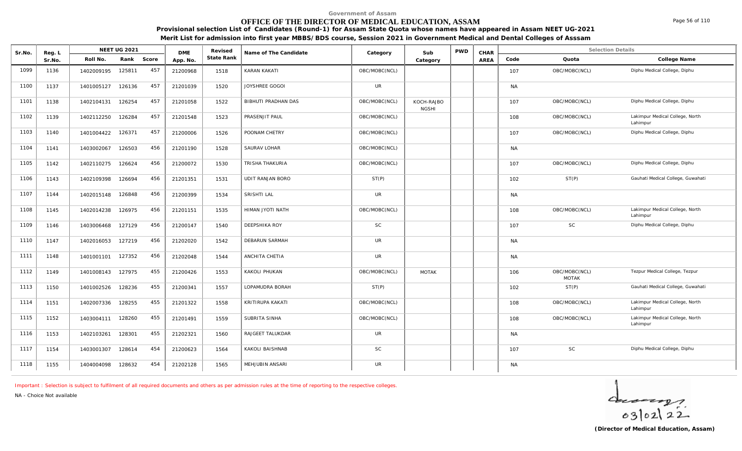## **OFFICE OF THE DIRECTOR OF MEDICAL EDUCATION, ASSAM**

Sr.No. Reg. L Reg.L **NEET UG 2021** ME Revised Name of The Candidate Category Sub PWD CHAR Selection Details Selection Details

NEET UG 2021 **Name of The Candidate Name of The Candidate Category CALC Sub** PWD **CHAR** 

**Provisional selection List of Candidates (Round-1) for Assam State Quota whose names have appeared in Assam NEET UG-2021 Merit List for admission into first year MBBS/BDS course, Session 2021 in Government Medical and Dental Colleges of Asssam**

|      | Sr.No. | Roll No.   | Rank   | Score | App. No. | State Rank |                     |               | Category                   | AREA | Code      | Quota                         | College Name                                |
|------|--------|------------|--------|-------|----------|------------|---------------------|---------------|----------------------------|------|-----------|-------------------------------|---------------------------------------------|
| 1099 | 1136   | 1402009195 | 125811 | 457   | 21200968 | 1518       | <b>KARAN KAKATI</b> | OBC/MOBC(NCL) |                            |      | 107       | OBC/MOBC(NCL)                 | Diphu Medical College, Diphu                |
| 1100 | 1137   | 1401005127 | 126136 | 457   | 21201039 | 1520       | JOYSHREE GOGOI      | <b>UR</b>     |                            |      | <b>NA</b> |                               |                                             |
| 1101 | 1138   | 1402104131 | 126254 | 457   | 21201058 | 1522       | BIBHUTI PRADHAN DAS | OBC/MOBC(NCL) | KOCH-RAJBO<br><b>NGSHI</b> |      | 107       | OBC/MOBC(NCL)                 | Diphu Medical College, Diphu                |
| 1102 | 1139   | 1402112250 | 126284 | 457   | 21201548 | 1523       | PRASENJIT PAUL      | OBC/MOBC(NCL) |                            |      | 108       | OBC/MOBC(NCL)                 | Lakimpur Medical College, North<br>Lahimpur |
| 1103 | 1140   | 1401004422 | 126371 | 457   | 21200006 | 1526       | POONAM CHETRY       | OBC/MOBC(NCL) |                            |      | 107       | OBC/MOBC(NCL)                 | Diphu Medical College, Diphu                |
| 1104 | 1141   | 1403002067 | 126503 | 456   | 21201190 | 1528       | SAURAV LOHAR        | OBC/MOBC(NCL) |                            |      | <b>NA</b> |                               |                                             |
| 1105 | 1142   | 1402110275 | 126624 | 456   | 21200072 | 1530       | TRISHA THAKURIA     | OBC/MOBC(NCL) |                            |      | 107       | OBC/MOBC(NCL)                 | Diphu Medical College, Diphu                |
| 1106 | 1143   | 1402109398 | 126694 | 456   | 21201351 | 1531       | UDIT RANJAN BORO    | ST(P)         |                            |      | 102       | ST(P)                         | Gauhati Medical College, Guwahati           |
| 1107 | 1144   | 1402015148 | 126848 | 456   | 21200399 | 1534       | SRISHTI LAL         | <b>UR</b>     |                            |      | <b>NA</b> |                               |                                             |
| 1108 | 1145   | 1402014238 | 126975 | 456   | 21201151 | 1535       | HIMAN JYOTI NATH    | OBC/MOBC(NCL) |                            |      | 108       | OBC/MOBC(NCL)                 | Lakimpur Medical College, North<br>Lahimpur |
| 1109 | 1146   | 1403006468 | 127129 | 456   | 21200147 | 1540       | DEEPSHIKA ROY       | <b>SC</b>     |                            |      | 107       | SC                            | Diphu Medical College, Diphu                |
| 1110 | 1147   | 1402016053 | 127219 | 456   | 21202020 | 1542       | DEBARUN SARMAH      | <b>UR</b>     |                            |      | <b>NA</b> |                               |                                             |
| 1111 | 1148   | 1401001101 | 127352 | 456   | 21202048 | 1544       | ANCHITA CHETIA      | <b>UR</b>     |                            |      | <b>NA</b> |                               |                                             |
| 1112 | 1149   | 1401008143 | 127975 | 455   | 21200426 | 1553       | KAKOLI PHUKAN       | OBC/MOBC(NCL) | <b>MOTAK</b>               |      | 106       | OBC/MOBC(NCL)<br><b>MOTAK</b> | Tezpur Medical College, Tezpur              |
| 1113 | 1150   | 1401002526 | 128236 | 455   | 21200341 | 1557       | LOPAMUDRA BORAH     | ST(P)         |                            |      | 102       | ST(P)                         | Gauhati Medical College, Guwahati           |
| 1114 | 1151   | 1402007336 | 128255 | 455   | 21201322 | 1558       | KRITIRUPA KAKATI    | OBC/MOBC(NCL) |                            |      | 108       | OBC/MOBC(NCL)                 | Lakimpur Medical College, North<br>Lahimpur |
| 1115 | 1152   | 1403004111 | 128260 | 455   | 21201491 | 1559       | SUBRITA SINHA       | OBC/MOBC(NCL) |                            |      | 108       | OBC/MOBC(NCL)                 | Lakimpur Medical College, North<br>Lahimpur |
| 1116 | 1153   | 1402103261 | 128301 | 455   | 21202321 | 1560       | RAJGEET TALUKDAR    | <b>UR</b>     |                            |      | <b>NA</b> |                               |                                             |
| 1117 | 1154   | 1403001307 | 128614 | 454   | 21200623 | 1564       | KAKOLI BAISHNAB     | <b>SC</b>     |                            |      | 107       | <b>SC</b>                     | Diphu Medical College, Diphu                |
| 1118 | 1155   | 1404004098 | 128632 | 454   | 21202128 | 1565       | MEHJUBIN ANSARI     | <b>UR</b>     |                            |      | <b>NA</b> |                               |                                             |

*Important : Selection is subject to fulfilment of all required documents and others as per admission rules at the time of reporting to the respective colleges.*

DMF Revised

*NA - Choice Not available*

**Reg. L NEET UG 2021** 

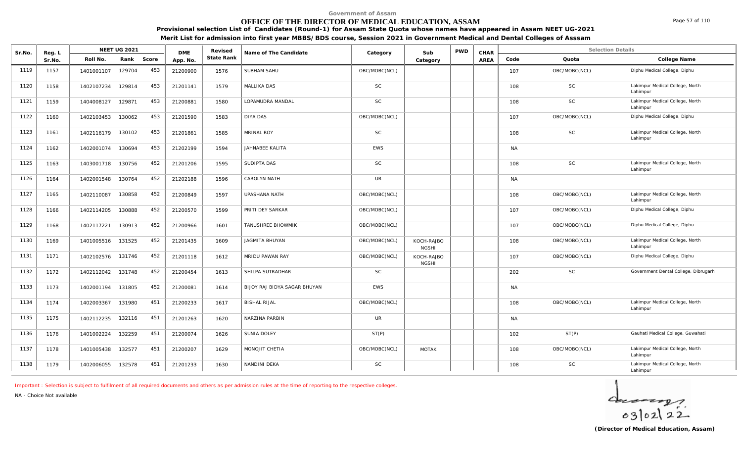## **OFFICE OF THE DIRECTOR OF MEDICAL EDUCATION, ASSAM**

**Provisional selection List of Candidates (Round-1) for Assam State Quota whose names have appeared in Assam NEET UG-2021 Merit List for admission into first year MBBS/BDS course, Session 2021 in Government Medical and Dental Colleges of Asssam**

| Sr.No. | Reg. L |                   | <b>NEET UG 2021</b> |       | <b>DME</b> | Revised    | Name of The Candidate        | Category      | Sub                        | <b>PWD</b> | CHAR        |           | <b>Selection Details</b> |                                             |
|--------|--------|-------------------|---------------------|-------|------------|------------|------------------------------|---------------|----------------------------|------------|-------------|-----------|--------------------------|---------------------------------------------|
|        | Sr.No. | Roll No.          | Rank                | Score | App. No.   | State Rank |                              |               | Category                   |            | <b>AREA</b> | Code      | Quota                    | College Name                                |
| 1119   | 1157   | 1401001107        | 129704              | 453   | 21200900   | 1576       | SUBHAM SAHU                  | OBC/MOBC(NCL) |                            |            |             | 107       | OBC/MOBC(NCL)            | Diphu Medical College, Diphu                |
| 1120   | 1158   | 1402107234        | 129814              | 453   | 21201141   | 1579       | MALLIKA DAS                  | <b>SC</b>     |                            |            |             | 108       | <b>SC</b>                | Lakimpur Medical College, North<br>Lahimpur |
| 1121   | 1159   | 1404008127        | 129871              | 453   | 21200881   | 1580       | LOPAMUDRA MANDAL             | <b>SC</b>     |                            |            |             | 108       | <b>SC</b>                | Lakimpur Medical College, North<br>Lahimpur |
| 1122   | 1160   | 1402103453        | 130062              | 453   | 21201590   | 1583       | <b>DIYA DAS</b>              | OBC/MOBC(NCL) |                            |            |             | 107       | OBC/MOBC(NCL)            | Diphu Medical College, Diphu                |
| 1123   | 1161   | 1402116179        | 130102              | 453   | 21201861   | 1585       | <b>MRINAL ROY</b>            | <b>SC</b>     |                            |            |             | 108       | <b>SC</b>                | Lakimpur Medical College, North<br>Lahimpur |
| 1124   | 1162   | 1402001074        | 130694              | 453   | 21202199   | 1594       | JAHNABEE KALITA              | <b>EWS</b>    |                            |            |             | <b>NA</b> |                          |                                             |
| 1125   | 1163   | 1403001718        | 130756              | 452   | 21201206   | 1595       | SUDIPTA DAS                  | <b>SC</b>     |                            |            |             | 108       | SC                       | Lakimpur Medical College, North<br>Lahimpur |
| 1126   | 1164   | 1402001548        | 130764              | 452   | 21202188   | 1596       | CAROLYN NATH                 | UR            |                            |            |             | <b>NA</b> |                          |                                             |
| 1127   | 1165   | 1402110087        | 130858              | 452   | 21200849   | 1597       | <b>UPASHANA NATH</b>         | OBC/MOBC(NCL) |                            |            |             | 108       | OBC/MOBC(NCL)            | Lakimpur Medical College, North<br>Lahimpur |
| 1128   | 1166   | 1402114205        | 130888              | 452   | 21200570   | 1599       | PRITI DEY SARKAR             | OBC/MOBC(NCL) |                            |            |             | 107       | OBC/MOBC(NCL)            | Diphu Medical College, Diphu                |
| 1129   | 1168   | 1402117221        | 130913              | 452   | 21200966   | 1601       | TANUSHREE BHOWMIK            | OBC/MOBC(NCL) |                            |            |             | 107       | OBC/MOBC(NCL)            | Diphu Medical College, Diphu                |
| 1130   | 1169   | 1401005516        | 131525              | 452   | 21201435   | 1609       | JAGMITA BHUYAN               | OBC/MOBC(NCL) | KOCH-RAJBO<br><b>NGSHI</b> |            |             | 108       | OBC/MOBC(NCL)            | Lakimpur Medical College, North<br>Lahimpur |
| 1131   | 1171   | 1402102576        | 131746              | 452   | 21201118   | 1612       | MRIDU PAWAN RAY              | OBC/MOBC(NCL) | KOCH-RAJBO<br><b>NGSHI</b> |            |             | 107       | OBC/MOBC(NCL)            | Diphu Medical College, Diphu                |
| 1132   | 1172   | 1402112042        | 131748              | 452   | 21200454   | 1613       | SHILPA SUTRADHAR             | <b>SC</b>     |                            |            |             | 202       | <b>SC</b>                | Government Dental College, Dibrugarh        |
| 1133   | 1173   | 1402001194 131805 |                     | 452   | 21200081   | 1614       | BIJOY RAJ BIDYA SAGAR BHUYAN | <b>EWS</b>    |                            |            |             | <b>NA</b> |                          |                                             |
| 1134   | 1174   | 1402003367        | 131980              | 451   | 21200233   | 1617       | <b>BISHAL RIJAL</b>          | OBC/MOBC(NCL) |                            |            |             | 108       | OBC/MOBC(NCL)            | Lakimpur Medical College, North<br>Lahimpur |
| 1135   | 1175   | 1402112235        | 132116              | 451   | 21201263   | 1620       | NARZINA PARBIN               | UR.           |                            |            |             | <b>NA</b> |                          |                                             |
| 1136   | 1176   | 1401002224        | 132259              | 451   | 21200074   | 1626       | SUNIA DOLEY                  | ST(P)         |                            |            |             | 102       | ST(P)                    | Gauhati Medical College, Guwahati           |
| 1137   | 1178   | 1401005438        | 132577              | 451   | 21200207   | 1629       | MONOJIT CHETIA               | OBC/MOBC(NCL) | <b>MOTAK</b>               |            |             | 108       | OBC/MOBC(NCL)            | Lakimpur Medical College, North<br>Lahimpur |
| 1138   | 1179   | 1402006055        | 132578              | 451   | 21201233   | 1630       | NANDINI DEKA                 | <b>SC</b>     |                            |            |             | 108       | SC                       | Lakimpur Medical College, North<br>Lahimpur |

*Important : Selection is subject to fulfilment of all required documents and others as per admission rules at the time of reporting to the respective colleges.*

*NA - Choice Not available*



Page 57 of 110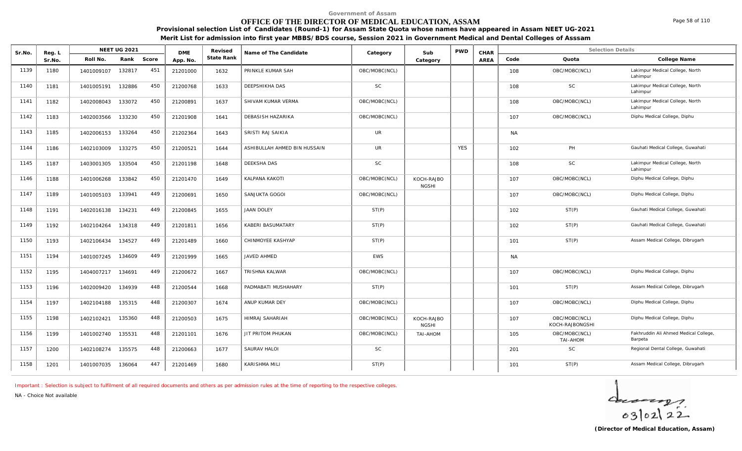## **OFFICE OF THE DIRECTOR OF MEDICAL EDUCATION, ASSAM**

**Provisional selection List of Candidates (Round-1) for Assam State Quota whose names have appeared in Assam NEET UG-2021 Merit List for admission into first year MBBS/BDS course, Session 2021 in Government Medical and Dental Colleges of Asssam**

| Sr.No. | Reg. L |            | <b>NEET UG 2021</b> |       | <b>DME</b> | Revised    | Name of The Candidate        | Category      | Sub                        | <b>PWD</b> | CHAR        |           | <b>Selection Details</b>         |                                                  |
|--------|--------|------------|---------------------|-------|------------|------------|------------------------------|---------------|----------------------------|------------|-------------|-----------|----------------------------------|--------------------------------------------------|
|        | Sr.No. | Roll No.   | Rank                | Score | App. No.   | State Rank |                              |               | Category                   |            | <b>AREA</b> | Code      | Quota                            | College Name                                     |
| 1139   | 1180   | 1401009107 | 132817              | 451   | 21201000   | 1632       | PRINKLE KUMAR SAH            | OBC/MOBC(NCL) |                            |            |             | 108       | OBC/MOBC(NCL)                    | Lakimpur Medical College, North<br>Lahimpur      |
| 1140   | 1181   | 1401005191 | 132886              | 450   | 21200768   | 1633       | DEEPSHIKHA DAS               | <b>SC</b>     |                            |            |             | 108       | <b>SC</b>                        | Lakimpur Medical College, North<br>Lahimpur      |
| 1141   | 1182   | 1402008043 | 133072              | 450   | 21200891   | 1637       | SHIVAM KUMAR VERMA           | OBC/MOBC(NCL) |                            |            |             | 108       | OBC/MOBC(NCL)                    | Lakimpur Medical College, North<br>Lahimpur      |
| 1142   | 1183   | 1402003566 | 133230              | 450   | 21201908   | 1641       | <b>DEBASISH HAZARIKA</b>     | OBC/MOBC(NCL) |                            |            |             | 107       | OBC/MOBC(NCL)                    | Diphu Medical College, Diphu                     |
| 1143   | 1185   | 1402006153 | 133264              | 450   | 21202364   | 1643       | SRISTI RAJ SAIKIA            | <b>UR</b>     |                            |            |             | <b>NA</b> |                                  |                                                  |
| 1144   | 1186   | 1402103009 | 133275              | 450   | 21200521   | 1644       | ASHIBULLAH AHMED BIN HUSSAIN | UR            |                            | <b>YES</b> |             | 102       | PH                               | Gauhati Medical College, Guwahati                |
| 1145   | 1187   | 1403001305 | 133504              | 450   | 21201198   | 1648       | <b>DEEKSHA DAS</b>           | <b>SC</b>     |                            |            |             | 108       | SC                               | Lakimpur Medical College, North<br>Lahimpur      |
| 1146   | 1188   | 1401006268 | 133842              | 450   | 21201470   | 1649       | <b>KALPANA KAKOTI</b>        | OBC/MOBC(NCL) | KOCH-RAJBO<br><b>NGSHI</b> |            |             | 107       | OBC/MOBC(NCL)                    | Diphu Medical College, Diphu                     |
| 1147   | 1189   | 1401005103 | 133941              | 449   | 21200691   | 1650       | SANJUKTA GOGOI               | OBC/MOBC(NCL) |                            |            |             | 107       | OBC/MOBC(NCL)                    | Diphu Medical College, Diphu                     |
| 1148   | 1191   | 1402016138 | 134231              | 449   | 21200845   | 1655       | <b>JAAN DOLEY</b>            | ST(P)         |                            |            |             | 102       | ST(P)                            | Gauhati Medical College, Guwahati                |
| 1149   | 1192   | 1402104264 | 134318              | 449   | 21201811   | 1656       | KABERI BASUMATARY            | ST(P)         |                            |            |             | 102       | ST(P)                            | Gauhati Medical College, Guwahati                |
| 1150   | 1193   | 1402106434 | 134527              | 449   | 21201489   | 1660       | CHINMOYEE KASHYAP            | ST(P)         |                            |            |             | 101       | ST(P)                            | Assam Medical College, Dibrugarh                 |
| 1151   | 1194   | 1401007245 | 134609              | 449   | 21201999   | 1665       | JAVED AHMED                  | <b>EWS</b>    |                            |            |             | <b>NA</b> |                                  |                                                  |
| 1152   | 1195   | 1404007217 | 134691              | 449   | 21200672   | 1667       | <b>TRISHNA KALWAR</b>        | OBC/MOBC(NCL) |                            |            |             | 107       | OBC/MOBC(NCL)                    | Diphu Medical College, Diphu                     |
| 1153   | 1196   | 1402009420 | 134939              | 448   | 21200544   | 1668       | PADMABATI MUSHAHARY          | ST(P)         |                            |            |             | 101       | ST(P)                            | Assam Medical College, Dibrugarh                 |
| 1154   | 1197   | 1402104188 | 135315              | 448   | 21200307   | 1674       | ANUP KUMAR DEY               | OBC/MOBC(NCL) |                            |            |             | 107       | OBC/MOBC(NCL)                    | Diphu Medical College, Diphu                     |
| 1155   | 1198   | 1402102421 | 135360              | 448   | 21200503   | 1675       | HIMRAJ SAHARIAH              | OBC/MOBC(NCL) | KOCH-RAJBO<br><b>NGSHI</b> |            |             | 107       | OBC/MOBC(NCL)<br>KOCH-RAJBONGSHI | Diphu Medical College, Diphu                     |
| 1156   | 1199   | 1401002740 | 135531              | 448   | 21201101   | 1676       | JIT PRITOM PHUKAN            | OBC/MOBC(NCL) | TAI-AHOM                   |            |             | 105       | OBC/MOBC(NCL)<br>TAI-AHOM        | Fakhruddin Ali Ahmed Medical College,<br>Barpeta |
| 1157   | 1200   | 1402108274 | 135575              | 448   | 21200663   | 1677       | SAURAV HALOI                 | <b>SC</b>     |                            |            |             | 201       | <b>SC</b>                        | Regional Dental College, Guwahati                |
| 1158   | 1201   | 1401007035 | 136064              | 447   | 21201469   | 1680       | <b>KARISHMA MILI</b>         | ST(P)         |                            |            |             | 101       | ST(P)                            | Assam Medical College, Dibrugarh                 |

*Important : Selection is subject to fulfilment of all required documents and others as per admission rules at the time of reporting to the respective colleges.*

*NA - Choice Not available*

 $40222$ 

Page 58 of 110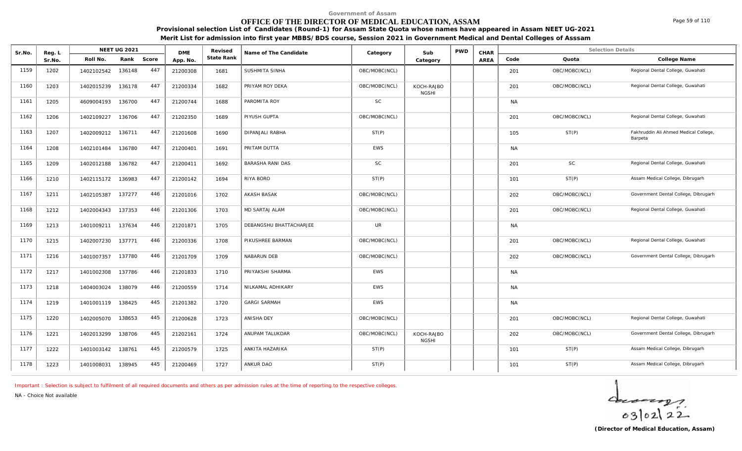## **OFFICE OF THE DIRECTOR OF MEDICAL EDUCATION, ASSAM**

**Provisional selection List of Candidates (Round-1) for Assam State Quota whose names have appeared in Assam NEET UG-2021 Merit List for admission into first year MBBS/BDS course, Session 2021 in Government Medical and Dental Colleges of Asssam**

| Sr.No. | Reg. L |                   | <b>NEET UG 2021</b> |       | <b>DME</b> | Revised    | Name of The Candidate   | Category      | Sub                        | <b>PWD</b> | CHAR |           | <b>Selection Details</b> |                                                  |
|--------|--------|-------------------|---------------------|-------|------------|------------|-------------------------|---------------|----------------------------|------------|------|-----------|--------------------------|--------------------------------------------------|
|        | Sr.No. | Roll No.          | Rank                | Score | App. No.   | State Rank |                         |               | Category                   |            | AREA | Code      | Quota                    | College Name                                     |
| 1159   | 1202   | 1402102542 136148 |                     | 447   | 21200308   | 1681       | SUSHMITA SINHA          | OBC/MOBC(NCL) |                            |            |      | 201       | OBC/MOBC(NCL)            | Regional Dental College, Guwahati                |
| 1160   | 1203   | 1402015239        | 136178              | 447   | 21200334   | 1682       | PRIYAM ROY DEKA         | OBC/MOBC(NCL) | KOCH-RAJBO<br><b>NGSHI</b> |            |      | 201       | OBC/MOBC(NCL)            | Regional Dental College, Guwahati                |
| 1161   | 1205   | 4609004193        | 136700              | 447   | 21200744   | 1688       | PAROMITA ROY            | <b>SC</b>     |                            |            |      | <b>NA</b> |                          |                                                  |
| 1162   | 1206   | 1402109227        | 136706              | 447   | 21202350   | 1689       | PIYUSH GUPTA            | OBC/MOBC(NCL) |                            |            |      | 201       | OBC/MOBC(NCL)            | Regional Dental College, Guwahati                |
| 1163   | 1207   | 1402009212 136711 |                     | 447   | 21201608   | 1690       | DIPANJALI RABHA         | ST(P)         |                            |            |      | 105       | ST(P)                    | Fakhruddin Ali Ahmed Medical College,<br>Barpeta |
| 1164   | 1208   | 1402101484        | 136780              | 447   | 21200401   | 1691       | PRITAM DUTTA            | EWS           |                            |            |      | <b>NA</b> |                          |                                                  |
| 1165   | 1209   | 1402012188        | 136782              | 447   | 21200411   | 1692       | <b>BARASHA RANI DAS</b> | <b>SC</b>     |                            |            |      | 201       | <b>SC</b>                | Regional Dental College, Guwahati                |
| 1166   | 1210   | 1402115172 136983 |                     | 447   | 21200142   | 1694       | RIYA BORO               | ST(P)         |                            |            |      | 101       | ST(P)                    | Assam Medical College, Dibrugarh                 |
| 1167   | 1211   | 1402105387        | 137277              | 446   | 21201016   | 1702       | <b>AKASH BASAK</b>      | OBC/MOBC(NCL) |                            |            |      | 202       | OBC/MOBC(NCL)            | Government Dental College, Dibrugarh             |
| 1168   | 1212   | 1402004343 137353 |                     | 446   | 21201306   | 1703       | MD SARTAJ ALAM          | OBC/MOBC(NCL) |                            |            |      | 201       | OBC/MOBC(NCL)            | Regional Dental College, Guwahati                |
| 1169   | 1213   | 1401009211 137634 |                     | 446   | 21201871   | 1705       | DEBANGSHU BHATTACHARJEE | <b>UR</b>     |                            |            |      | <b>NA</b> |                          |                                                  |
| 1170   | 1215   | 1402007230 137771 |                     | 446   | 21200336   | 1708       | PIKUSHREE BARMAN        | OBC/MOBC(NCL) |                            |            |      | 201       | OBC/MOBC(NCL)            | Regional Dental College, Guwahati                |
| 1171   | 1216   | 1401007357        | 137780              | 446   | 21201709   | 1709       | NABARUN DEB             | OBC/MOBC(NCL) |                            |            |      | 202       | OBC/MOBC(NCL)            | Government Dental College, Dibrugarh             |
| 1172   | 1217   | 1401002308        | 137786              | 446   | 21201833   | 1710       | PRIYAKSHI SHARMA        | EWS           |                            |            |      | <b>NA</b> |                          |                                                  |
| 1173   | 1218   | 1404003024        | 138079              | 446   | 21200559   | 1714       | NILKAMAL ADHIKARY       | EWS           |                            |            |      | <b>NA</b> |                          |                                                  |
| 1174   | 1219   | 1401001119        | 138425              | 445   | 21201382   | 1720       | <b>GARGI SARMAH</b>     | EWS           |                            |            |      | <b>NA</b> |                          |                                                  |
| 1175   | 1220   | 1402005070        | 138653              | 445   | 21200628   | 1723       | ANISHA DEY              | OBC/MOBC(NCL) |                            |            |      | 201       | OBC/MOBC(NCL)            | Regional Dental College, Guwahati                |
|        |        |                   |                     |       |            |            |                         |               |                            |            |      |           |                          |                                                  |

1176 | 1221 | 1402013299 138706 445 | 21202161 | 1724 | ANUPAM TALUKDAR | OBC/MOBC(NCL) | KOCH-RAJBO | | | 202 OBC/MOBC(NCL) Government Dental College, Dibrugarh |

1177 | 1222 | 1401003142 138761 445 | 21200579 | 1725 | ANKITA HAZARIKA | ST(P) | | | | | 101 ST(P) ST(P) Assam Medical College, Dibrugarh | |

1178 1223 1401008031 138945 445 21200469 1727 ANKUR DAO ST(P) 101 ST(P) Assam Medical College, Dibrugarh

NGSHI

*NA - Choice Not available*

*Important : Selection is subject to fulfilment of all required documents and others as per admission rules at the time of reporting to the respective colleges.*

 $40222$ 

Page 59 of 110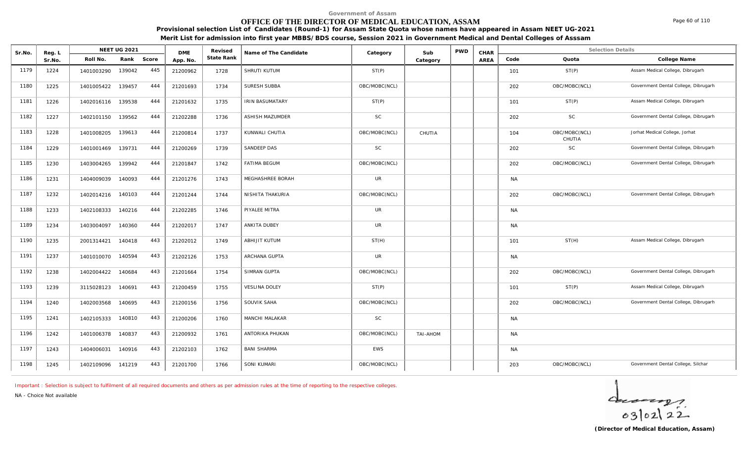## **OFFICE OF THE DIRECTOR OF MEDICAL EDUCATION, ASSAM**

**Provisional selection List of Candidates (Round-1) for Assam State Quota whose names have appeared in Assam NEET UG-2021 Merit List for admission into first year MBBS/BDS course, Session 2021 in Government Medical and Dental Colleges of Asssam**

| Sr.No. | Reg. L |            | <b>NEET UG 2021</b> |       | <b>DME</b> | Revised    | Name of The Candidate  | Category      | Sub             | <b>PWD</b> | CHAR |           | <b>Selection Details</b> |                                      |
|--------|--------|------------|---------------------|-------|------------|------------|------------------------|---------------|-----------------|------------|------|-----------|--------------------------|--------------------------------------|
|        | Sr.No. | Roll No.   | Rank                | Score | App. No.   | State Rank |                        |               | Category        |            | AREA | Code      | Quota                    | College Name                         |
| 1179   | 1224   | 1401003290 | 139042              | 445   | 21200962   | 1728       | SHRUTI KUTUM           | ST(P)         |                 |            |      | 101       | ST(P)                    | Assam Medical College, Dibrugarh     |
| 1180   | 1225   | 1401005422 | 139457              | 444   | 21201693   | 1734       | SURESH SUBBA           | OBC/MOBC(NCL) |                 |            |      | 202       | OBC/MOBC(NCL)            | Government Dental College, Dibrugarh |
| 1181   | 1226   | 1402016116 | 139538              | 444   | 21201632   | 1735       | <b>IRIN BASUMATARY</b> | ST(P)         |                 |            |      | 101       | ST(P)                    | Assam Medical College, Dibrugarh     |
| 1182   | 1227   | 1402101150 | 139562              | 444   | 21202288   | 1736       | ASHISH MAZUMDER        | SC            |                 |            |      | 202       | SC                       | Government Dental College, Dibrugarh |
| 1183   | 1228   | 1401008205 | 139613              | 444   | 21200814   | 1737       | KUNWALI CHUTIA         | OBC/MOBC(NCL) | CHUTIA          |            |      | 104       | OBC/MOBC(NCL)<br>CHUTIA  | Jorhat Medical College, Jorhat       |
| 1184   | 1229   | 1401001469 | 139731              | 444   | 21200269   | 1739       | SANDEEP DAS            | SC            |                 |            |      | 202       | $\mathsf{SC}$            | Government Dental College, Dibrugarh |
| 1185   | 1230   | 1403004265 | 139942              | 444   | 21201847   | 1742       | <b>FATIMA BEGUM</b>    | OBC/MOBC(NCL) |                 |            |      | 202       | OBC/MOBC(NCL)            | Government Dental College, Dibrugarh |
| 1186   | 1231   | 1404009039 | 140093              | 444   | 21201276   | 1743       | MEGHASHREE BORAH       | <b>UR</b>     |                 |            |      | <b>NA</b> |                          |                                      |
| 1187   | 1232   | 1402014216 | 140103              | 444   | 21201244   | 1744       | NISHITA THAKURIA       | OBC/MOBC(NCL) |                 |            |      | 202       | OBC/MOBC(NCL)            | Government Dental College, Dibrugarh |
| 1188   | 1233   | 1402108333 | 140216              | 444   | 21202285   | 1746       | PIYALEE MITRA          | <b>UR</b>     |                 |            |      | <b>NA</b> |                          |                                      |
| 1189   | 1234   | 1403004097 | 140360              | 444   | 21202017   | 1747       | ANKITA DUBEY           | UR            |                 |            |      | <b>NA</b> |                          |                                      |
| 1190   | 1235   | 2001314421 | 140418              | 443   | 21202012   | 1749       | ABHIJIT KUTUM          | ST(H)         |                 |            |      | 101       | ST(H)                    | Assam Medical College, Dibrugarh     |
| 1191   | 1237   | 1401010070 | 140594              | 443   | 21202126   | 1753       | ARCHANA GUPTA          | <b>UR</b>     |                 |            |      | <b>NA</b> |                          |                                      |
| 1192   | 1238   | 1402004422 | 140684              | 443   | 21201664   | 1754       | SIMRAN GUPTA           | OBC/MOBC(NCL) |                 |            |      | 202       | OBC/MOBC(NCL)            | Government Dental College, Dibrugarh |
| 1193   | 1239   | 3115028123 | 140691              | 443   | 21200459   | 1755       | <b>VESLINA DOLEY</b>   | ST(P)         |                 |            |      | 101       | ST(P)                    | Assam Medical College, Dibrugarh     |
| 1194   | 1240   | 1402003568 | 140695              | 443   | 21200156   | 1756       | SOUVIK SAHA            | OBC/MOBC(NCL) |                 |            |      | 202       | OBC/MOBC(NCL)            | Government Dental College, Dibrugarh |
| 1195   | 1241   | 1402105333 | 140810              | 443   | 21200206   | 1760       | MANCHI MALAKAR         | <b>SC</b>     |                 |            |      | <b>NA</b> |                          |                                      |
| 1196   | 1242   | 1401006378 | 140837              | 443   | 21200932   | 1761       | ANTORIKA PHUKAN        | OBC/MOBC(NCL) | <b>TAI-AHOM</b> |            |      | <b>NA</b> |                          |                                      |
| 1197   | 1243   | 1404006031 | 140916              | 443   | 21202103   | 1762       | <b>BANI SHARMA</b>     | <b>EWS</b>    |                 |            |      | <b>NA</b> |                          |                                      |
| 1198   | 1245   | 1402109096 | 141219              | 443   | 21201700   | 1766       | SONI KUMARI            | OBC/MOBC(NCL) |                 |            |      | 203       | OBC/MOBC(NCL)            | Government Dental College, Silchar   |

*Important : Selection is subject to fulfilment of all required documents and others as per admission rules at the time of reporting to the respective colleges.*

*NA - Choice Not available*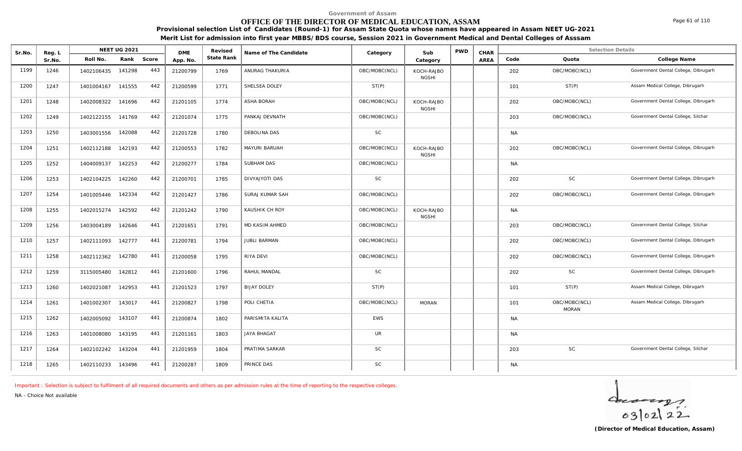## **OFFICE OF THE DIRECTOR OF MEDICAL EDUCATION, ASSAM**

**Provisional selection List of Candidates (Round-1) for Assam State Quota whose names have appeared in Assam NEET UG-2021 Merit List for admission into first year MBBS/BDS course, Session 2021 in Government Medical and Dental Colleges of Asssam**

| Sr.No. | Reg. L |            | <b>NEET UG 2021</b> |       | <b>DME</b> | Revised    | Name of The Candidate | Category      | Sub                        | <b>PWD</b> | CHAR |           | <b>Selection Details</b>      |                                      |
|--------|--------|------------|---------------------|-------|------------|------------|-----------------------|---------------|----------------------------|------------|------|-----------|-------------------------------|--------------------------------------|
|        | Sr.No. | Roll No.   | Rank                | Score | App. No.   | State Rank |                       |               | Category                   |            | AREA | Code      | Quota                         | College Name                         |
| 1199   | 1246   | 1402106435 | 141298              | 443   | 21200799   | 1769       | ANURAG THAKURIA       | OBC/MOBC(NCL) | KOCH-RAJBO<br><b>NGSHI</b> |            |      | 202       | OBC/MOBC(NCL)                 | Government Dental College, Dibrugarh |
| 1200   | 1247   | 1401004167 | 141555              | 442   | 21200599   | 1771       | SHELSEA DOLEY         | ST(P)         |                            |            |      | 101       | ST(P)                         | Assam Medical College, Dibrugarh     |
| 1201   | 1248   | 1402008322 | 141696              | 442   | 21201105   | 1774       | ASHA BORAH            | OBC/MOBC(NCL) | KOCH-RAJBO<br><b>NGSHI</b> |            |      | 202       | OBC/MOBC(NCL)                 | Government Dental College, Dibrugarh |
| 1202   | 1249   | 1402122155 | 141769              | 442   | 21201074   | 1775       | PANKAJ DEVNATH        | OBC/MOBC(NCL) |                            |            |      | 203       | OBC/MOBC(NCL)                 | Government Dental College, Silchar   |
| 1203   | 1250   | 1403001556 | 142088              | 442   | 21201728   | 1780       | DEBOLINA DAS          | SC            |                            |            |      | <b>NA</b> |                               |                                      |
| 1204   | 1251   | 1402112188 | 142193              | 442   | 21200553   | 1782       | MAYURI BARUAH         | OBC/MOBC(NCL) | KOCH-RAJBO<br><b>NGSHI</b> |            |      | 202       | OBC/MOBC(NCL)                 | Government Dental College, Dibrugarh |
| 1205   | 1252   | 1404009137 | 142253              | 442   | 21200277   | 1784       | SUBHAM DAS            | OBC/MOBC(NCL) |                            |            |      | <b>NA</b> |                               |                                      |
| 1206   | 1253   | 1402104225 | 142260              | 442   | 21200701   | 1785       | DIVYAJYOTI DAS        | <b>SC</b>     |                            |            |      | 202       | <b>SC</b>                     | Government Dental College, Dibrugarh |
| 1207   | 1254   | 1401005446 | 142334              | 442   | 21201427   | 1786       | SURAJ KUMAR SAH       | OBC/MOBC(NCL) |                            |            |      | 202       | OBC/MOBC(NCL)                 | Government Dental College, Dibrugarh |
| 1208   | 1255   | 1402015274 | 142592              | 442   | 21201242   | 1790       | KAUSHIK CH ROY        | OBC/MOBC(NCL) | KOCH-RAJBO<br><b>NGSHI</b> |            |      | <b>NA</b> |                               |                                      |
| 1209   | 1256   | 1403004189 | 142646              | 441   | 21201651   | 1791       | MD KASIM AHMED        | OBC/MOBC(NCL) |                            |            |      | 203       | OBC/MOBC(NCL)                 | Government Dental College, Silchar   |
| 1210   | 1257   | 1402111093 | 142777              | 441   | 21200781   | 1794       | <b>JUBLI BARMAN</b>   | OBC/MOBC(NCL) |                            |            |      | 202       | OBC/MOBC(NCL)                 | Government Dental College, Dibrugarh |
| 1211   | 1258   | 1402112362 | 142780              | 441   | 21200058   | 1795       | RIYA DEVI             | OBC/MOBC(NCL) |                            |            |      | 202       | OBC/MOBC(NCL)                 | Government Dental College, Dibrugarh |
| 1212   | 1259   | 3115005480 | 142812              | 441   | 21201600   | 1796       | RAHUL MANDAL          | SC            |                            |            |      | 202       | <b>SC</b>                     | Government Dental College, Dibrugarh |
| 1213   | 1260   | 1402021087 | 142953              | 441   | 21201523   | 1797       | <b>BIJAY DOLEY</b>    | ST(P)         |                            |            |      | 101       | ST(P)                         | Assam Medical College, Dibrugarh     |
| 1214   | 1261   | 1401002307 | 143017              | 441   | 21200827   | 1798       | POLI CHETIA           | OBC/MOBC(NCL) | <b>MORAN</b>               |            |      | 101       | OBC/MOBC(NCL)<br><b>MORAN</b> | Assam Medical College, Dibrugarh     |
| 1215   | 1262   | 1402005092 | 143107              | 441   | 21200874   | 1802       | PARISMITA KALITA      | <b>EWS</b>    |                            |            |      | <b>NA</b> |                               |                                      |
| 1216   | 1263   | 1401008080 | 143195              | 441   | 21201161   | 1803       | <b>JAYA BHAGAT</b>    | UR            |                            |            |      | <b>NA</b> |                               |                                      |
| 1217   | 1264   | 1402102242 | 143204              | 441   | 21201959   | 1804       | PRATIMA SARKAR        | $\mathsf{SC}$ |                            |            |      | 203       | <b>SC</b>                     | Government Dental College, Silchar   |
| 1218   | 1265   | 1402110233 | 143496              | 441   | 21200287   | 1809       | PRINCE DAS            | $\mathsf{SC}$ |                            |            |      | <b>NA</b> |                               |                                      |

*Important : Selection is subject to fulfilment of all required documents and others as per admission rules at the time of reporting to the respective colleges.*

DMF Revised

*NA - Choice Not available*

**Reg. | NEET UG 2021** 

 $40222$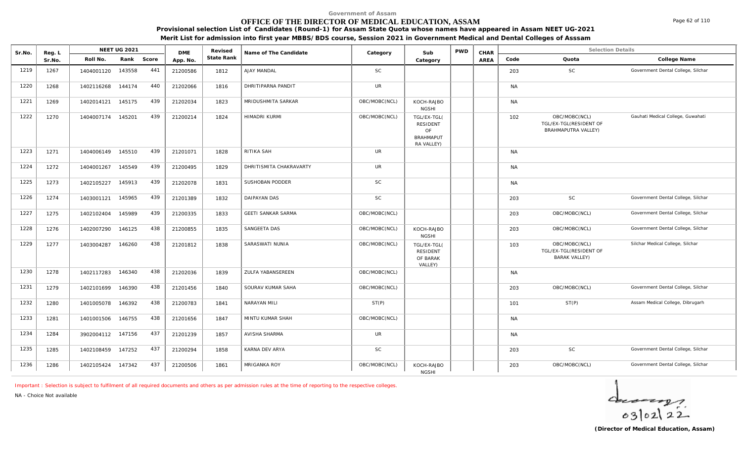## **OFFICE OF THE DIRECTOR OF MEDICAL EDUCATION, ASSAM**

**Provisional selection List of Candidates (Round-1) for Assam State Quota whose names have appeared in Assam NEET UG-2021**

**Merit List for admission into first year MBBS/BDS course, Session 2021 in Government Medical and Dental Colleges of Asssam**

| Sr.No. | Reg. L |            | <b>NEET UG 2021</b> |       | <b>DME</b> | Revised    | Name of The Candidate     | Category      | Sub                                                                    | <b>PWD</b> | CHAR |           | <b>Selection Details</b>                                              |                                    |
|--------|--------|------------|---------------------|-------|------------|------------|---------------------------|---------------|------------------------------------------------------------------------|------------|------|-----------|-----------------------------------------------------------------------|------------------------------------|
|        | Sr.No. | Roll No.   | Rank                | Score | App. No.   | State Rank |                           |               | Category                                                               |            | AREA | Code      | Quota                                                                 | College Name                       |
| 1219   | 1267   | 1404001120 | 143558              | 441   | 21200586   | 1812       | AJAY MANDAL               | <b>SC</b>     |                                                                        |            |      | 203       | <b>SC</b>                                                             | Government Dental College, Silchar |
| 1220   | 1268   | 1402116268 | 144174              | 440   | 21202066   | 1816       | DHRITIPARNA PANDIT        | <b>UR</b>     |                                                                        |            |      | <b>NA</b> |                                                                       |                                    |
| 1221   | 1269   | 1402014121 | 145175              | 439   | 21202034   | 1823       | MRIDUSHMITA SARKAR        | OBC/MOBC(NCL) | KOCH-RAJBO<br><b>NGSHI</b>                                             |            |      | <b>NA</b> |                                                                       |                                    |
| 1222   | 1270   | 1404007174 | 145201              | 439   | 21200214   | 1824       | HIMADRI KURMI             | OBC/MOBC(NCL) | TGL/EX-TGL(<br><b>RESIDENT</b><br>OF<br><b>BRAHMAPUT</b><br>RA VALLEY) |            |      | 102       | OBC/MOBC(NCL)<br>TGL/EX-TGL(RESIDENT OF<br><b>BRAHMAPUTRA VALLEY)</b> | Gauhati Medical College, Guwahati  |
| 1223   | 1271   | 1404006149 | 145510              | 439   | 21201071   | 1828       | RITIKA SAH                | UR            |                                                                        |            |      | <b>NA</b> |                                                                       |                                    |
| 1224   | 1272   | 1404001267 | 145549              | 439   | 21200495   | 1829       | DHRITISMITA CHAKRAVARTY   | UR            |                                                                        |            |      | <b>NA</b> |                                                                       |                                    |
| 1225   | 1273   | 1402105227 | 145913              | 439   | 21202078   | 1831       | SUSHOBAN PODDER           | <b>SC</b>     |                                                                        |            |      | <b>NA</b> |                                                                       |                                    |
| 1226   | 1274   | 1403001121 | 145965              | 439   | 21201389   | 1832       | <b>DAIPAYAN DAS</b>       | <b>SC</b>     |                                                                        |            |      | 203       | <b>SC</b>                                                             | Government Dental College, Silchar |
| 1227   | 1275   | 1402102404 | 145989              | 439   | 21200335   | 1833       | <b>GEETI SANKAR SARMA</b> | OBC/MOBC(NCL) |                                                                        |            |      | 203       | OBC/MOBC(NCL)                                                         | Government Dental College, Silchar |
| 1228   | 1276   | 1402007290 | 146125              | 438   | 21200855   | 1835       | SANGEETA DAS              | OBC/MOBC(NCL) | KOCH-RAJBO<br><b>NGSHI</b>                                             |            |      | 203       | OBC/MOBC(NCL)                                                         | Government Dental College, Silchar |
| 1229   | 1277   | 1403004287 | 146260              | 438   | 21201812   | 1838       | SARASWATI NUNIA           | OBC/MOBC(NCL) | TGL/EX-TGL(<br><b>RESIDENT</b><br>OF BARAK<br>VALLEY)                  |            |      | 103       | OBC/MOBC(NCL)<br>TGL/EX-TGL(RESIDENT OF<br><b>BARAK VALLEY)</b>       | Silchar Medical College, Silchar   |
| 1230   | 1278   | 1402117283 | 146340              | 438   | 21202036   | 1839       | ZULFA YABANSEREEN         | OBC/MOBC(NCL) |                                                                        |            |      | <b>NA</b> |                                                                       |                                    |
| 1231   | 1279   | 1402101699 | 146390              | 438   | 21201456   | 1840       | SOURAV KUMAR SAHA         | OBC/MOBC(NCL) |                                                                        |            |      | 203       | OBC/MOBC(NCL)                                                         | Government Dental College, Silchar |
| 1232   | 1280   | 1401005078 | 146392              | 438   | 21200783   | 1841       | NARAYAN MILI              | ST(P)         |                                                                        |            |      | 101       | ST(P)                                                                 | Assam Medical College, Dibrugarh   |
| 1233   | 1281   | 1401001506 | 146755              | 438   | 21201656   | 1847       | MINTU KUMAR SHAH          | OBC/MOBC(NCL) |                                                                        |            |      | <b>NA</b> |                                                                       |                                    |
| 1234   | 1284   | 3902004112 | 147156              | 437   | 21201239   | 1857       | AVISHA SHARMA             | UR            |                                                                        |            |      | <b>NA</b> |                                                                       |                                    |
| 1235   | 1285   | 1402108459 | 147252              | 437   | 21200294   | 1858       | KARNA DEV ARYA            | <b>SC</b>     |                                                                        |            |      | 203       | SC                                                                    | Government Dental College, Silchar |
| 1236   | 1286   | 1402105424 | 147342              | 437   | 21200506   | 1861       | MRIGANKA ROY              | OBC/MOBC(NCL) | KOCH-RAJBO<br><b>NGSHI</b>                                             |            |      | 203       | OBC/MOBC(NCL)                                                         | Government Dental College, Silchar |

*Important : Selection is subject to fulfilment of all required documents and others as per admission rules at the time of reporting to the respective colleges.*

*NA - Choice Not available*

 $40222$ 

Page 62 of 110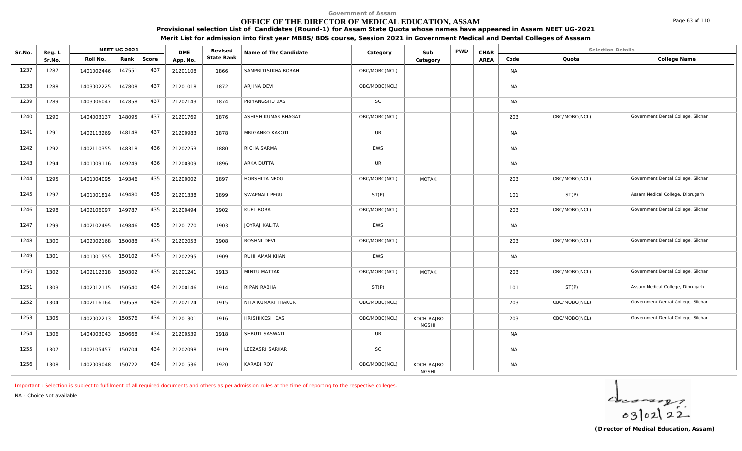## **OFFICE OF THE DIRECTOR OF MEDICAL EDUCATION, ASSAM**

**Provisional selection List of Candidates (Round-1) for Assam State Quota whose names have appeared in Assam NEET UG-2021**

**Merit List for admission into first year MBBS/BDS course, Session 2021 in Government Medical and Dental Colleges of Asssam**

| Sr.No. | Reg. L |            | <b>NEET UG 2021</b> |       | <b>DME</b> | Revised    | Name of The Candidate | Category      | Sub                        | <b>PWD</b> | CHAR |           | <b>Selection Details</b> |                                    |
|--------|--------|------------|---------------------|-------|------------|------------|-----------------------|---------------|----------------------------|------------|------|-----------|--------------------------|------------------------------------|
|        | Sr.No. | Roll No.   | Rank                | Score | App. No.   | State Rank |                       |               | Category                   |            | AREA | Code      | Quota                    | College Name                       |
| 1237   | 1287   | 1401002446 | 147551              | 437   | 21201108   | 1866       | SAMPRITISIKHA BORAH   | OBC/MOBC(NCL) |                            |            |      | <b>NA</b> |                          |                                    |
| 1238   | 1288   | 1403002225 | 147808              | 437   | 21201018   | 1872       | ARJINA DEVI           | OBC/MOBC(NCL) |                            |            |      | <b>NA</b> |                          |                                    |
| 1239   | 1289   | 1403006047 | 147858              | 437   | 21202143   | 1874       | PRIYANGSHU DAS        | <b>SC</b>     |                            |            |      | <b>NA</b> |                          |                                    |
| 1240   | 1290   | 1404003137 | 148095              | 437   | 21201769   | 1876       | ASHISH KUMAR BHAGAT   | OBC/MOBC(NCL) |                            |            |      | 203       | OBC/MOBC(NCL)            | Government Dental College, Silchar |
| 1241   | 1291   | 1402113269 | 148148              | 437   | 21200983   | 1878       | MRIGANKO KAKOTI       | <b>UR</b>     |                            |            |      | <b>NA</b> |                          |                                    |
| 1242   | 1292   | 1402110355 | 148318              | 436   | 21202253   | 1880       | RICHA SARMA           | <b>EWS</b>    |                            |            |      | <b>NA</b> |                          |                                    |
| 1243   | 1294   | 1401009116 | 149249              | 436   | 21200309   | 1896       | ARKA DUTTA            | <b>UR</b>     |                            |            |      | <b>NA</b> |                          |                                    |
| 1244   | 1295   | 1401004095 | 149346              | 435   | 21200002   | 1897       | HORSHITA NEOG         | OBC/MOBC(NCL) | <b>MOTAK</b>               |            |      | 203       | OBC/MOBC(NCL)            | Government Dental College, Silchar |
| 1245   | 1297   | 1401001814 | 149480              | 435   | 21201338   | 1899       | SWAPNALI PEGU         | ST(P)         |                            |            |      | 101       | ST(P)                    | Assam Medical College, Dibrugarh   |
| 1246   | 1298   | 1402106097 | 149787              | 435   | 21200494   | 1902       | KUEL BORA             | OBC/MOBC(NCL) |                            |            |      | 203       | OBC/MOBC(NCL)            | Government Dental College, Silchar |
| 1247   | 1299   | 1402102495 | 149846              | 435   | 21201770   | 1903       | JOYRAJ KALITA         | EWS           |                            |            |      | <b>NA</b> |                          |                                    |
| 1248   | 1300   | 1402002168 | 150088              | 435   | 21202053   | 1908       | ROSHNI DEVI           | OBC/MOBC(NCL) |                            |            |      | 203       | OBC/MOBC(NCL)            | Government Dental College, Silchar |
| 1249   | 1301   | 1401001555 | 150102              | 435   | 21202295   | 1909       | RUHI AMAN KHAN        | EWS           |                            |            |      | <b>NA</b> |                          |                                    |
| 1250   | 1302   | 1402112318 | 150302              | 435   | 21201241   | 1913       | <b>MINTU MATTAK</b>   | OBC/MOBC(NCL) | <b>MOTAK</b>               |            |      | 203       | OBC/MOBC(NCL)            | Government Dental College, Silchar |
| 1251   | 1303   | 1402012115 | 150540              | 434   | 21200146   | 1914       | <b>RIPAN RABHA</b>    | ST(P)         |                            |            |      | 101       | ST(P)                    | Assam Medical College, Dibrugarh   |
| 1252   | 1304   | 1402116164 | 150558              | 434   | 21202124   | 1915       | NITA KUMARI THAKUR    | OBC/MOBC(NCL) |                            |            |      | 203       | OBC/MOBC(NCL)            | Government Dental College, Silchar |
| 1253   | 1305   | 1402002213 | 150576              | 434   | 21201301   | 1916       | HRISHIKESH DAS        | OBC/MOBC(NCL) | KOCH-RAJBO<br><b>NGSHI</b> |            |      | 203       | OBC/MOBC(NCL)            | Government Dental College, Silchar |
| 1254   | 1306   | 1404003043 | 150668              | 434   | 21200539   | 1918       | SHRUTI SASWATI        | UR            |                            |            |      | <b>NA</b> |                          |                                    |
| 1255   | 1307   | 1402105457 | 150704              | 434   | 21202098   | 1919       | LEEZASRI SARKAR       | SC            |                            |            |      | <b>NA</b> |                          |                                    |
| 1256   | 1308   | 1402009048 | 150722              | 434   | 21201536   | 1920       | KARABI ROY            | OBC/MOBC(NCL) | KOCH-RAJBO<br><b>NGSHI</b> |            |      | <b>NA</b> |                          |                                    |

*Important : Selection is subject to fulfilment of all required documents and others as per admission rules at the time of reporting to the respective colleges.*

*NA - Choice Not available*

 $40222$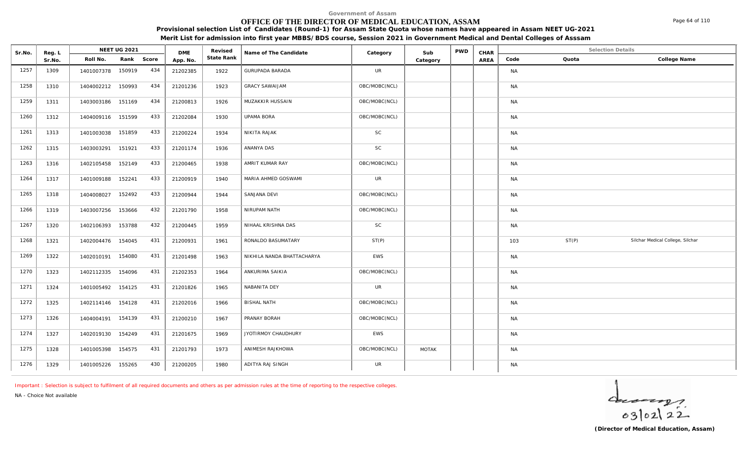# **OFFICE OF THE DIRECTOR OF MEDICAL EDUCATION, ASSAM**

**Provisional selection List of Candidates (Round-1) for Assam State Quota whose names have appeared in Assam NEET UG-2021 Merit List for admission into first year MBBS/BDS course, Session 2021 in Government Medical and Dental Colleges of Asssam**

| Sr.No. | Reg. L | <b>NEET UG 2021</b>         | <b>DME</b> | Revised    | Name of The Candidate      | Category      | Sub      | <b>PWD</b> | CHAR |               | <b>Selection Details</b>         |
|--------|--------|-----------------------------|------------|------------|----------------------------|---------------|----------|------------|------|---------------|----------------------------------|
|        | Sr.No. | Rank Score<br>Roll No.      | App. No.   | State Rank |                            |               | Category |            | AREA | Quota<br>Code | College Name                     |
| 1257   | 1309   | 434<br>1401007378 150919    | 21202385   | 1922       | <b>GURUPADA BARADA</b>     | <b>UR</b>     |          |            |      | <b>NA</b>     |                                  |
| 1258   | 1310   | 434<br>150993<br>1404002212 | 21201236   | 1923       | <b>GRACY SAWAIJAM</b>      | OBC/MOBC(NCL) |          |            |      | <b>NA</b>     |                                  |
| 1259   | 1311   | 434<br>151169<br>1403003186 | 21200813   | 1926       | MUZAKKIR HUSSAIN           | OBC/MOBC(NCL) |          |            |      | <b>NA</b>     |                                  |
| 1260   | 1312   | 433<br>151599<br>1404009116 | 21202084   | 1930       | UPAMA BORA                 | OBC/MOBC(NCL) |          |            |      | <b>NA</b>     |                                  |
| 1261   | 1313   | 433<br>151859<br>1401003038 | 21200224   | 1934       | NIKITA RAJAK               | <b>SC</b>     |          |            |      | <b>NA</b>     |                                  |
| 1262   | 1315   | 433<br>151921<br>1403003291 | 21201174   | 1936       | ANANYA DAS                 | <b>SC</b>     |          |            |      | <b>NA</b>     |                                  |
| 1263   | 1316   | 433<br>152149<br>1402105458 | 21200465   | 1938       | AMRIT KUMAR RAY            | OBC/MOBC(NCL) |          |            |      | <b>NA</b>     |                                  |
| 1264   | 1317   | 433<br>1401009188<br>152241 | 21200919   | 1940       | MARIA AHMED GOSWAMI        | <b>UR</b>     |          |            |      | <b>NA</b>     |                                  |
| 1265   | 1318   | 433<br>152492<br>1404008027 | 21200944   | 1944       | SANJANA DEVI               | OBC/MOBC(NCL) |          |            |      | <b>NA</b>     |                                  |
| 1266   | 1319   | 432<br>153666<br>1403007256 | 21201790   | 1958       | NIRUPAM NATH               | OBC/MOBC(NCL) |          |            |      | <b>NA</b>     |                                  |
| 1267   | 1320   | 432<br>153788<br>1402106393 | 21200445   | 1959       | NIHAAL KRISHNA DAS         | SC            |          |            |      | <b>NA</b>     |                                  |
| 1268   | 1321   | 431<br>1402004476 154045    | 21200931   | 1961       | RONALDO BASUMATARY         | ST(P)         |          |            |      | ST(P)<br>103  | Silchar Medical College, Silchar |
| 1269   | 1322   | 431<br>154080<br>1402010191 | 21201498   | 1963       | NIKHILA NANDA BHATTACHARYA | <b>EWS</b>    |          |            |      | <b>NA</b>     |                                  |
| 1270   | 1323   | 431<br>154096<br>1402112335 | 21202353   | 1964       | ANKURIMA SAIKIA            | OBC/MOBC(NCL) |          |            |      | <b>NA</b>     |                                  |
| 1271   | 1324   | 431<br>1401005492 154125    | 21201826   | 1965       | NABANITA DEY               | <b>UR</b>     |          |            |      | <b>NA</b>     |                                  |
| 1272   | 1325   | 431<br>1402114146 154128    | 21202016   | 1966       | <b>BISHAL NATH</b>         | OBC/MOBC(NCL) |          |            |      | <b>NA</b>     |                                  |
| 1273   | 1326   | 431<br>154139<br>1404004191 | 21200210   | 1967       | PRANAY BORAH               | OBC/MOBC(NCL) |          |            |      | <b>NA</b>     |                                  |
| 1274   | 1327   | 1402019130 154249<br>431    | 21201675   | 1969       | JYOTIRMOY CHAUDHURY        | <b>EWS</b>    |          |            |      | <b>NA</b>     |                                  |
| 1275   | 1328   | 431<br>1401005398 154575    | 21201793   | 1973       | ANIMESH RAJKHOWA           | OBC/MOBC(NCL) | MOTAK    |            |      | <b>NA</b>     |                                  |
| 1276   | 1329   | 430<br>1401005226 155265    | 21200205   | 1980       | ADITYA RAJ SINGH           | <b>UR</b>     |          |            |      | <b>NA</b>     |                                  |

*Important : Selection is subject to fulfilment of all required documents and others as per admission rules at the time of reporting to the respective colleges.*

*NA - Choice Not available*

**Reg. L NEET UG 2021** 

 $402122$ 

Page 64 of 110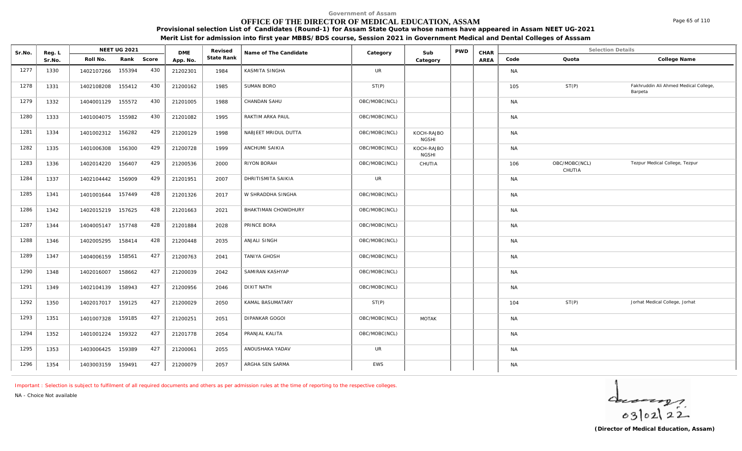## **OFFICE OF THE DIRECTOR OF MEDICAL EDUCATION, ASSAM**

**Provisional selection List of Candidates (Round-1) for Assam State Quota whose names have appeared in Assam NEET UG-2021**

**Merit List for admission into first year MBBS/BDS course, Session 2021 in Government Medical and Dental Colleges of Asssam**

| Sr.No. | Reg. L |                   | <b>NEET UG 2021</b> |       | <b>DME</b> | Revised    | Name of The Candidate      | Category      | Sub                        | <b>PWD</b> | CHAR |           | <b>Selection Details</b> |                                                  |
|--------|--------|-------------------|---------------------|-------|------------|------------|----------------------------|---------------|----------------------------|------------|------|-----------|--------------------------|--------------------------------------------------|
|        | Sr.No. | Roll No.          | Rank                | Score | App. No.   | State Rank |                            |               | Category                   |            | AREA | Code      | Quota                    | College Name                                     |
| 1277   | 1330   | 1402107266        | 155394              | 430   | 21202301   | 1984       | KASMITA SINGHA             | UR            |                            |            |      | <b>NA</b> |                          |                                                  |
| 1278   | 1331   | 1402108208        | 155412              | 430   | 21200162   | 1985       | <b>SUMAN BORO</b>          | ST(P)         |                            |            |      | 105       | ST(P)                    | Fakhruddin Ali Ahmed Medical College,<br>Barpeta |
| 1279   | 1332   | 1404001129 155572 |                     | 430   | 21201005   | 1988       | CHANDAN SAHU               | OBC/MOBC(NCL) |                            |            |      | <b>NA</b> |                          |                                                  |
| 1280   | 1333   | 1401004075        | 155982              | 430   | 21201082   | 1995       | RAKTIM ARKA PAUL           | OBC/MOBC(NCL) |                            |            |      | <b>NA</b> |                          |                                                  |
| 1281   | 1334   | 1401002312        | 156282              | 429   | 21200129   | 1998       | NABJEET MRIDUL DUTTA       | OBC/MOBC(NCL) | KOCH-RAJBO<br><b>NGSHI</b> |            |      | <b>NA</b> |                          |                                                  |
| 1282   | 1335   | 1401006308        | 156300              | 429   | 21200728   | 1999       | ANCHUMI SAIKIA             | OBC/MOBC(NCL) | KOCH-RAJBO<br><b>NGSHI</b> |            |      | <b>NA</b> |                          |                                                  |
| 1283   | 1336   | 1402014220        | 156407              | 429   | 21200536   | 2000       | RIYON BORAH                | OBC/MOBC(NCL) | CHUTIA                     |            |      | 106       | OBC/MOBC(NCL)<br>CHUTIA  | Tezpur Medical College, Tezpur                   |
| 1284   | 1337   | 1402104442        | 156909              | 429   | 21201951   | 2007       | DHRITISMITA SAIKIA         | UR            |                            |            |      | <b>NA</b> |                          |                                                  |
| 1285   | 1341   | 1401001644        | 157449              | 428   | 21201326   | 2017       | W SHRADDHA SINGHA          | OBC/MOBC(NCL) |                            |            |      | <b>NA</b> |                          |                                                  |
| 1286   | 1342   | 1402015219        | 157625              | 428   | 21201663   | 2021       | <b>BHAKTIMAN CHOWDHURY</b> | OBC/MOBC(NCL) |                            |            |      | <b>NA</b> |                          |                                                  |
| 1287   | 1344   | 1404005147        | 157748              | 428   | 21201884   | 2028       | PRINCE BORA                | OBC/MOBC(NCL) |                            |            |      | <b>NA</b> |                          |                                                  |
| 1288   | 1346   | 1402005295        | 158414              | 428   | 21200448   | 2035       | ANJALI SINGH               | OBC/MOBC(NCL) |                            |            |      | <b>NA</b> |                          |                                                  |
| 1289   | 1347   | 1404006159        | 158561              | 427   | 21200763   | 2041       | TANIYA GHOSH               | OBC/MOBC(NCL) |                            |            |      | <b>NA</b> |                          |                                                  |
| 1290   | 1348   | 1402016007        | 158662              | 427   | 21200039   | 2042       | SAMIRAN KASHYAP            | OBC/MOBC(NCL) |                            |            |      | <b>NA</b> |                          |                                                  |
| 1291   | 1349   | 1402104139        | 158943              | 427   | 21200956   | 2046       | <b>DIXIT NATH</b>          | OBC/MOBC(NCL) |                            |            |      | <b>NA</b> |                          |                                                  |
| 1292   | 1350   | 1402017017 159125 |                     | 427   | 21200029   | 2050       | KAMAL BASUMATARY           | ST(P)         |                            |            |      | 104       | ST(P)                    | Jorhat Medical College, Jorhat                   |
| 1293   | 1351   | 1401007328        | 159185              | 427   | 21200251   | 2051       | <b>DIPANKAR GOGOI</b>      | OBC/MOBC(NCL) | MOTAK                      |            |      | <b>NA</b> |                          |                                                  |
| 1294   | 1352   | 1401001224        | 159322              | 427   | 21201778   | 2054       | PRANJAL KALITA             | OBC/MOBC(NCL) |                            |            |      | <b>NA</b> |                          |                                                  |
| 1295   | 1353   | 1403006425        | 159389              | 427   | 21200061   | 2055       | ANOUSHAKA YADAV            | <b>UR</b>     |                            |            |      | <b>NA</b> |                          |                                                  |
| 1296   | 1354   | 1403003159        | 159491              | 427   | 21200079   | 2057       | ARGHA SEN SARMA            | <b>EWS</b>    |                            |            |      | <b>NA</b> |                          |                                                  |

*Important : Selection is subject to fulfilment of all required documents and others as per admission rules at the time of reporting to the respective colleges.*

*NA - Choice Not available*

 $402122$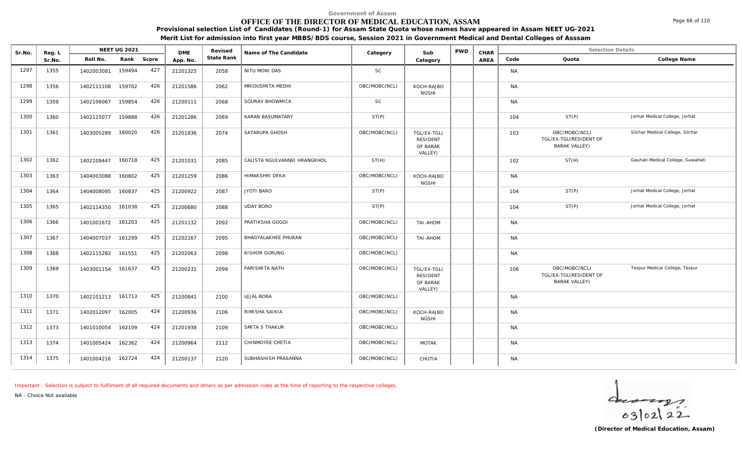## **OFFICE OF THE DIRECTOR OF MEDICAL EDUCATION, ASSAM**

**Provisional selection List of Candidates (Round-1) for Assam State Quota whose names have appeared in Assam NEET UG-2021**

**Merit List for admission into first year MBBS/BDS course, Session 2021 in Government Medical and Dental Colleges of Asssam**

| Sr.No. | Reg. L |                   | <b>NEET UG 2021</b> |       | <b>DME</b> | Revised    | Name of The Candidate        | Category      | Sub                                                   | <b>PWD</b> | CHAR |           | <b>Selection Details</b>                                        |                                   |
|--------|--------|-------------------|---------------------|-------|------------|------------|------------------------------|---------------|-------------------------------------------------------|------------|------|-----------|-----------------------------------------------------------------|-----------------------------------|
|        | Sr.No. | Roll No.          | Rank                | Score | App. No.   | State Rank |                              |               | Category                                              |            | AREA | Code      | Quota                                                           | College Name                      |
| 1297   | 1355   | 1402003081        | 159494              | 427   | 21201325   | 2058       | NITU MONI DAS                | SC            |                                                       |            |      | <b>NA</b> |                                                                 |                                   |
| 1298   | 1356   | 1402111108        | 159702              | 426   | 21201586   | 2062       | MRIDUSMITA MEDHI             | OBC/MOBC(NCL) | KOCH-RAJBO<br><b>NGSHI</b>                            |            |      | <b>NA</b> |                                                                 |                                   |
| 1299   | 1359   | 1402106067        | 159854              | 426   | 21200111   | 2068       | SOURAV BHOWMICK              | SC            |                                                       |            |      | <b>NA</b> |                                                                 |                                   |
| 1300   | 1360   | 1402115077        | 159888              | 426   | 21201286   | 2069       | KARAN BASUMATARY             | ST(P)         |                                                       |            |      | 104       | ST(P)                                                           | Jorhat Medical College, Jorhat    |
| 1301   | 1361   | 1403005289        | 160020              | 426   | 21201836   | 2074       | SATARUPA GHOSH               | OBC/MOBC(NCL) | TGL/EX-TGL(<br><b>RESIDENT</b><br>OF BARAK<br>VALLEY) |            |      | 103       | OBC/MOBC(NCL)<br>TGL/EX-TGL(RESIDENT OF<br><b>BARAK VALLEY)</b> | Silchar Medical College, Silchar  |
| 1302   | 1362   | 1402109447        | 160718              | 425   | 21201031   | 2085       | CALISTA NGULVANNEI HRANGKHOL | ST(H)         |                                                       |            |      | 102       | ST(H)                                                           | Gauhati Medical College, Guwahati |
| 1303   | 1363   | 1404003088        | 160802              | 425   | 21201259   | 2086       | HIMAKSHRI DEKA               | OBC/MOBC(NCL) | KOCH-RAJBO<br><b>NGSHI</b>                            |            |      | <b>NA</b> |                                                                 |                                   |
| 1304   | 1364   | 1404008095        | 160837              | 425   | 21200922   | 2087       | <b>JYOTI BARO</b>            | ST(P)         |                                                       |            |      | 104       | ST(P)                                                           | Jorhat Medical College, Jorhat    |
| 1305   | 1365   | 1402114350        | 161038              | 425   | 21200680   | 2088       | <b>UDAY BORO</b>             | ST(P)         |                                                       |            |      | 104       | ST(P)                                                           | Jorhat Medical College, Jorhat    |
| 1306   | 1366   | 1401001672 161203 |                     | 425   | 21201132   | 2092       | PRATIKSHA GOGOI              | OBC/MOBC(NCL) | TAI-AHOM                                              |            |      | <b>NA</b> |                                                                 |                                   |
| 1307   | 1367   | 1404007037        | 161299              | 425   | 21202167   | 2095       | BHAGYALAKHEE PHUKAN          | OBC/MOBC(NCL) | TAI-AHOM                                              |            |      | <b>NA</b> |                                                                 |                                   |
| 1308   | 1368   | 1402115282        | 161551              | 425   | 21202063   | 2098       | KISHOR GURUNG                | OBC/MOBC(NCL) |                                                       |            |      | <b>NA</b> |                                                                 |                                   |
| 1309   | 1369   | 1403001154        | 161637              | 425   | 21200231   | 2099       | PARISMITA NATH               | OBC/MOBC(NCL) | TGL/EX-TGL(<br><b>RESIDENT</b><br>OF BARAK<br>VALLEY) |            |      | 106       | OBC/MOBC(NCL)<br>TGL/EX-TGL(RESIDENT OF<br><b>BARAK VALLEY)</b> | Tezpur Medical College, Tezpur    |
| 1310   | 1370   | 1402101213 161713 |                     | 425   | 21200841   | 2100       | UJJAL BORA                   | OBC/MOBC(NCL) |                                                       |            |      | <b>NA</b> |                                                                 |                                   |
| 1311   | 1371   | 1402012097        | 162005              | 424   | 21200936   | 2106       | RIMISHA SAIKIA               | OBC/MOBC(NCL) | KOCH-RAJBO<br><b>NGSHI</b>                            |            |      | <b>NA</b> |                                                                 |                                   |
| 1312   | 1373   | 1401010054        | 162109              | 424   | 21201938   | 2109       | SMITA S THAKUR               | OBC/MOBC(NCL) |                                                       |            |      | <b>NA</b> |                                                                 |                                   |
| 1313   | 1374   | 1401005424        | 162362              | 424   | 21200964   | 2112       | CHINMOYEE CHETIA             | OBC/MOBC(NCL) | <b>MOTAK</b>                                          |            |      | <b>NA</b> |                                                                 |                                   |
| 1314   | 1375   | 1401004216        | 162724              | 424   | 21200137   | 2120       | SUBHASHISH PRASANNA          | OBC/MOBC(NCL) | CHUTIA                                                |            |      | <b>NA</b> |                                                                 |                                   |

*Important : Selection is subject to fulfilment of all required documents and others as per admission rules at the time of reporting to the respective colleges.*

*NA - Choice Not available*

 $402122$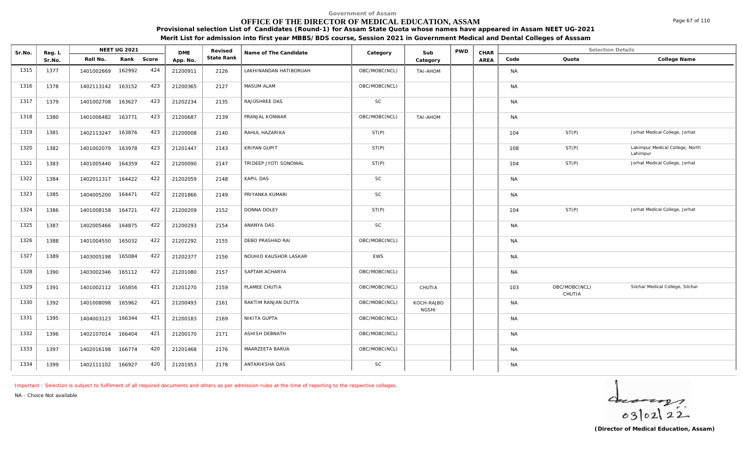## **OFFICE OF THE DIRECTOR OF MEDICAL EDUCATION, ASSAM**

**Provisional selection List of Candidates (Round-1) for Assam State Quota whose names have appeared in Assam NEET UG-2021**

**Merit List for admission into first year MBBS/BDS course, Session 2021 in Government Medical and Dental Colleges of Asssam**

| Sr.No. | Reg. L |                   | NEET UG 2021 |       | <b>DME</b> | Revised    | Name of The Candidate  | Category      | Sub                        | <b>PWD</b> | CHAR |           | <b>Selection Details</b> |                                             |
|--------|--------|-------------------|--------------|-------|------------|------------|------------------------|---------------|----------------------------|------------|------|-----------|--------------------------|---------------------------------------------|
|        | Sr.No. | Roll No.          | Rank         | Score | App. No.   | State Rank |                        |               | Category                   |            | AREA | Code      | Quota                    | College Name                                |
| 1315   | 1377   | 1401002669        | 162992       | 424   | 21200911   | 2126       | LAKHINANDAN HATIBORUAH | OBC/MOBC(NCL) | TAI-AHOM                   |            |      | <b>NA</b> |                          |                                             |
| 1316   | 1378   | 1402113142 163152 |              | 423   | 21200365   | 2127       | MASUM ALAM             | OBC/MOBC(NCL) |                            |            |      | <b>NA</b> |                          |                                             |
| 1317   | 1379   | 1401002708        | 163627       | 423   | 21202234   | 2135       | RAJOSHREE DAS          | SC            |                            |            |      | <b>NA</b> |                          |                                             |
| 1318   | 1380   | 1401006482        | 163771       | 423   | 21200687   | 2139       | PRANJAL KONWAR         | OBC/MOBC(NCL) | TAI-AHOM                   |            |      | <b>NA</b> |                          |                                             |
| 1319   | 1381   | 1402113247        | 163876       | 423   | 21200008   | 2140       | RAHUL HAZARIKA         | ST(P)         |                            |            |      | 104       | ST(P)                    | Jorhat Medical College, Jorhat              |
| 1320   | 1382   | 1401002079        | 163978       | 423   | 21201447   | 2143       | KRIPAN GUPIT           | ST(P)         |                            |            |      | 108       | ST(P)                    | Lakimpur Medical College, North<br>Lahimpur |
| 1321   | 1383   | 1401005440 164359 |              | 422   | 21200090   | 2147       | TRIDEEP JYOTI SONOWAL  | ST(P)         |                            |            |      | 104       | ST(P)                    | Jorhat Medical College, Jorhat              |
| 1322   | 1384   | 1402011317        | 164422       | 422   | 21202059   | 2148       | <b>KAPIL DAS</b>       | SC            |                            |            |      | <b>NA</b> |                          |                                             |
| 1323   | 1385   | 1404005200        | 164471       | 422   | 21201866   | 2149       | PRIYANKA KUMARI        | SC            |                            |            |      | <b>NA</b> |                          |                                             |
| 1324   | 1386   | 1401008158        | 164721       | 422   | 21200209   | 2152       | DONNA DOLEY            | ST(P)         |                            |            |      | 104       | ST(P)                    | Jorhat Medical College, Jorhat              |
| 1325   | 1387   | 1402005466        | 164875       | 422   | 21200293   | 2154       | ANANYA DAS             | <b>SC</b>     |                            |            |      | <b>NA</b> |                          |                                             |
| 1326   | 1388   | 1401004550        | 165032       | 422   | 21202292   | 2155       | DEBO PRASHAD RAI       | OBC/MOBC(NCL) |                            |            |      | <b>NA</b> |                          |                                             |
| 1327   | 1389   | 1403005198        | 165084       | 422   | 21202377   | 2156       | NOUHID KAUSHOR LASKAR  | EWS           |                            |            |      | <b>NA</b> |                          |                                             |
| 1328   | 1390   | 1403002346        | 165112       | 422   | 21201080   | 2157       | SAPTAM ACHARYA         | OBC/MOBC(NCL) |                            |            |      | <b>NA</b> |                          |                                             |
| 1329   | 1391   | 1401002112 165856 |              | 421   | 21201270   | 2159       | PLAMEE CHUTIA          | OBC/MOBC(NCL) | CHUTIA                     |            |      | 103       | OBC/MOBC(NCL)<br>CHUTIA  | Silchar Medical College, Silchar            |
| 1330   | 1392   | 1401008098        | 165962       | 421   | 21200493   | 2161       | RAKTIM RANJAN DUTTA    | OBC/MOBC(NCL) | KOCH-RAJBO<br><b>NGSHI</b> |            |      | <b>NA</b> |                          |                                             |
| 1331   | 1395   | 1404003123        | 166344       | 421   | 21200183   | 2169       | NIKITA GUPTA           | OBC/MOBC(NCL) |                            |            |      | <b>NA</b> |                          |                                             |
| 1332   | 1396   | 1402107014        | 166404       | 421   | 21200170   | 2171       | ASHISH DEBNATH         | OBC/MOBC(NCL) |                            |            |      | <b>NA</b> |                          |                                             |
| 1333   | 1397   | 1402016198        | 166774       | 420   | 21201468   | 2176       | MAARZEETA BARUA        | OBC/MOBC(NCL) |                            |            |      | <b>NA</b> |                          |                                             |
| 1334   | 1399   | 1402111102 166927 |              | 420   | 21201953   | 2178       | ANTARIKSHA DAS         | SC            |                            |            |      | <b>NA</b> |                          |                                             |

*Important : Selection is subject to fulfilment of all required documents and others as per admission rules at the time of reporting to the respective colleges.*

*NA - Choice Not available*

 $40222$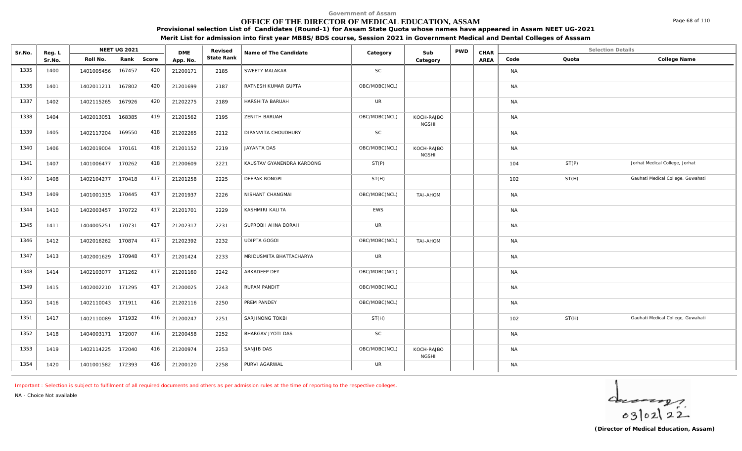## **OFFICE OF THE DIRECTOR OF MEDICAL EDUCATION, ASSAM**

**Provisional selection List of Candidates (Round-1) for Assam State Quota whose names have appeared in Assam NEET UG-2021**

**Merit List for admission into first year MBBS/BDS course, Session 2021 in Government Medical and Dental Colleges of Asssam**

| Sr.No. | Reg. L |                   | <b>NEET UG 2021</b> |       | <b>DME</b> | Revised    | Name of The Candidate     | Category      | Sub                        | <b>PWD</b> | CHAR |           | <b>Selection Details</b> |                                   |
|--------|--------|-------------------|---------------------|-------|------------|------------|---------------------------|---------------|----------------------------|------------|------|-----------|--------------------------|-----------------------------------|
|        | Sr.No. | Roll No.          | Rank                | Score | App. No.   | State Rank |                           |               | Category                   |            | AREA | Code      | Quota                    | College Name                      |
| 1335   | 1400   | 1401005456        | 167457              | 420   | 21200171   | 2185       | SWEETY MALAKAR            | <b>SC</b>     |                            |            |      | <b>NA</b> |                          |                                   |
| 1336   | 1401   | 1402011211        | 167802              | 420   | 21201699   | 2187       | RATNESH KUMAR GUPTA       | OBC/MOBC(NCL) |                            |            |      | <b>NA</b> |                          |                                   |
| 1337   | 1402   | 1402115265        | 167926              | 420   | 21202275   | 2189       | HARSHITA BARUAH           | <b>UR</b>     |                            |            |      | <b>NA</b> |                          |                                   |
| 1338   | 1404   | 1402013051        | 168385              | 419   | 21201562   | 2195       | ZENITH BARUAH             | OBC/MOBC(NCL) | KOCH-RAJBO<br><b>NGSHI</b> |            |      | <b>NA</b> |                          |                                   |
| 1339   | 1405   | 1402117204        | 169550              | 418   | 21202265   | 2212       | DIPANVITA CHOUDHURY       | SC            |                            |            |      | <b>NA</b> |                          |                                   |
| 1340   | 1406   | 1402019004 170161 |                     | 418   | 21201152   | 2219       | JAYANTA DAS               | OBC/MOBC(NCL) | KOCH-RAJBO<br><b>NGSHI</b> |            |      | <b>NA</b> |                          |                                   |
| 1341   | 1407   | 1401006477 170262 |                     | 418   | 21200609   | 2221       | KAUSTAV GYANENDRA KARDONG | ST(P)         |                            |            |      | 104       | ST(P)                    | Jorhat Medical College, Jorhat    |
| 1342   | 1408   | 1402104277 170418 |                     | 417   | 21201258   | 2225       | DEEPAK RONGPI             | ST(H)         |                            |            |      | 102       | ST(H)                    | Gauhati Medical College, Guwahati |
| 1343   | 1409   | 1401001315 170445 |                     | 417   | 21201937   | 2226       | NISHANT CHANGMAI          | OBC/MOBC(NCL) | TAI-AHOM                   |            |      | <b>NA</b> |                          |                                   |
| 1344   | 1410   | 1402003457 170722 |                     | 417   | 21201701   | 2229       | KASHMIRI KALITA           | EWS           |                            |            |      | <b>NA</b> |                          |                                   |
| 1345   | 1411   | 1404005251        | 170731              | 417   | 21202317   | 2231       | SUPROBH AHNA BORAH        | UR            |                            |            |      | <b>NA</b> |                          |                                   |
| 1346   | 1412   | 1402016262 170874 |                     | 417   | 21202392   | 2232       | UDIPTA GOGOI              | OBC/MOBC(NCL) | TAI-AHOM                   |            |      | <b>NA</b> |                          |                                   |
| 1347   | 1413   | 1402001629        | 170948              | 417   | 21201424   | 2233       | MRIDUSMITA BHATTACHARYA   | <b>UR</b>     |                            |            |      | NA        |                          |                                   |
| 1348   | 1414   | 1402103077        | 171262              | 417   | 21201160   | 2242       | ARKADEEP DEY              | OBC/MOBC(NCL) |                            |            |      | <b>NA</b> |                          |                                   |
| 1349   | 1415   | 1402002210 171295 |                     | 417   | 21200025   | 2243       | <b>RUPAM PANDIT</b>       | OBC/MOBC(NCL) |                            |            |      | <b>NA</b> |                          |                                   |
| 1350   | 1416   | 1402110043 171911 |                     | 416   | 21202116   | 2250       | PREM PANDEY               | OBC/MOBC(NCL) |                            |            |      | <b>NA</b> |                          |                                   |
| 1351   | 1417   | 1402110089 171932 |                     | 416   | 21200247   | 2251       | SARJINONG TOKBI           | ST(H)         |                            |            |      | 102       | ST(H)                    | Gauhati Medical College, Guwahati |
| 1352   | 1418   | 1404003171        | 172007              | 416   | 21200458   | 2252       | BHARGAV JYOTI DAS         | <b>SC</b>     |                            |            |      | <b>NA</b> |                          |                                   |
| 1353   | 1419   | 1402114225 172040 |                     | 416   | 21200974   | 2253       | SANJIB DAS                | OBC/MOBC(NCL) | KOCH-RAJBO<br><b>NGSHI</b> |            |      | <b>NA</b> |                          |                                   |
| 1354   | 1420   | 1401001582 172393 |                     | 416   | 21200120   | 2258       | PURVI AGARWAL             | UR            |                            |            |      | <b>NA</b> |                          |                                   |

*Important : Selection is subject to fulfilment of all required documents and others as per admission rules at the time of reporting to the respective colleges.*

*NA - Choice Not available*

 $402122$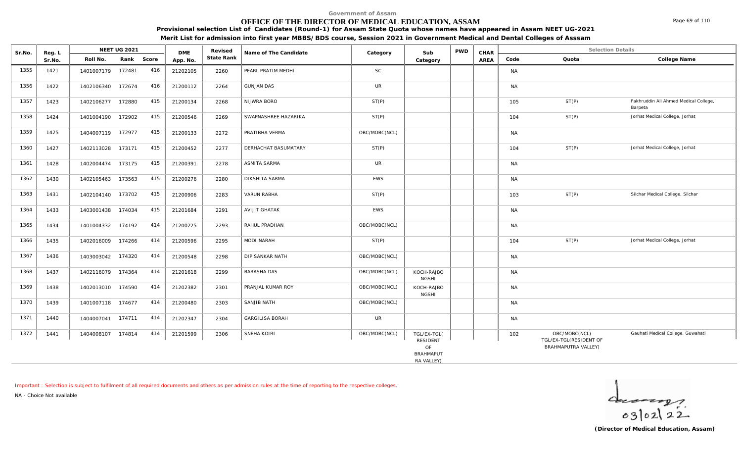## **OFFICE OF THE DIRECTOR OF MEDICAL EDUCATION, ASSAM**

**Provisional selection List of Candidates (Round-1) for Assam State Quota whose names have appeared in Assam NEET UG-2021**

| Merit List for admission into first year MBBS/BDS course, Session 2021 in Government Medical and Dental Colleges of Asssam |  |
|----------------------------------------------------------------------------------------------------------------------------|--|
|----------------------------------------------------------------------------------------------------------------------------|--|

| Sr.No. | Reg. L |                   | <b>NEET UG 2021</b> |     | <b>DME</b> | Revised    | Name of The Candidate  | Category      | Sub                                  | <b>PWD</b> | CHAR |           | <b>Selection Details</b>                                       |                                                  |
|--------|--------|-------------------|---------------------|-----|------------|------------|------------------------|---------------|--------------------------------------|------------|------|-----------|----------------------------------------------------------------|--------------------------------------------------|
|        | Sr.No. | Roll No.          | Rank Score          |     | App. No.   | State Rank |                        |               | Category                             |            | AREA | Code      | Quota                                                          | College Name                                     |
| 1355   | 1421   | 1401007179 172481 |                     | 416 | 21202105   | 2260       | PEARL PRATIM MEDHI     | <b>SC</b>     |                                      |            |      | <b>NA</b> |                                                                |                                                  |
| 1356   | 1422   | 1402106340 172674 |                     | 416 | 21200112   | 2264       | <b>GUNJAN DAS</b>      | <b>UR</b>     |                                      |            |      | <b>NA</b> |                                                                |                                                  |
| 1357   | 1423   | 1402106277 172880 |                     | 415 | 21200134   | 2268       | NIJWRA BORO            | ST(P)         |                                      |            |      | 105       | ST(P)                                                          | Fakhruddin Ali Ahmed Medical College,<br>Barpeta |
| 1358   | 1424   | 1401004190 172902 |                     | 415 | 21200546   | 2269       | SWAPNASHREE HAZARIKA   | ST(P)         |                                      |            |      | 104       | ST(P)                                                          | Jorhat Medical College, Jorhat                   |
| 1359   | 1425   | 1404007119 172977 |                     | 415 | 21200133   | 2272       | PRATIBHA VERMA         | OBC/MOBC(NCL) |                                      |            |      | <b>NA</b> |                                                                |                                                  |
| 1360   | 1427   | 1402113028 173171 |                     | 415 | 21200452   | 2277       | DERHACHAT BASUMATARY   | ST(P)         |                                      |            |      | 104       | ST(P)                                                          | Jorhat Medical College, Jorhat                   |
| 1361   | 1428   | 1402004474 173175 |                     | 415 | 21200391   | 2278       | <b>ASMITA SARMA</b>    | <b>UR</b>     |                                      |            |      | <b>NA</b> |                                                                |                                                  |
| 1362   | 1430   | 1402105463 173563 |                     | 415 | 21200276   | 2280       | <b>DIKSHITA SARMA</b>  | EWS           |                                      |            |      | <b>NA</b> |                                                                |                                                  |
| 1363   | 1431   | 1402104140 173702 |                     | 415 | 21200906   | 2283       | <b>VARUN RABHA</b>     | ST(P)         |                                      |            |      | 103       | ST(P)                                                          | Silchar Medical College, Silchar                 |
| 1364   | 1433   | 1403001438        | 174034              | 415 | 21201684   | 2291       | <b>AVIJIT GHATAK</b>   | EWS           |                                      |            |      | <b>NA</b> |                                                                |                                                  |
| 1365   | 1434   | 1401004332        | 174192              | 414 | 21200225   | 2293       | RAHUL PRADHAN          | OBC/MOBC(NCL) |                                      |            |      | <b>NA</b> |                                                                |                                                  |
| 1366   | 1435   | 1402016009        | 174266              | 414 | 21200596   | 2295       | MODI NARAH             | ST(P)         |                                      |            |      | 104       | ST(P)                                                          | Jorhat Medical College, Jorhat                   |
| 1367   | 1436   | 1403003042        | 174320              | 414 | 21200548   | 2298       | DIP SANKAR NATH        | OBC/MOBC(NCL) |                                      |            |      | <b>NA</b> |                                                                |                                                  |
| 1368   | 1437   | 1402116079 174364 |                     | 414 | 21201618   | 2299       | <b>BARASHA DAS</b>     | OBC/MOBC(NCL) | KOCH-RAJBO<br><b>NGSHI</b>           |            |      | <b>NA</b> |                                                                |                                                  |
| 1369   | 1438   | 1402013010 174590 |                     | 414 | 21202382   | 2301       | PRANJAL KUMAR ROY      | OBC/MOBC(NCL) | KOCH-RAJBO<br><b>NGSHI</b>           |            |      | <b>NA</b> |                                                                |                                                  |
| 1370   | 1439   | 1401007118 174677 |                     | 414 | 21200480   | 2303       | SANJIB NATH            | OBC/MOBC(NCL) |                                      |            |      | <b>NA</b> |                                                                |                                                  |
| 1371   | 1440   | 1404007041 174711 |                     | 414 | 21202347   | 2304       | <b>GARGILISA BORAH</b> | <b>UR</b>     |                                      |            |      | <b>NA</b> |                                                                |                                                  |
| 1372   | 1441   | 1404008107        | 174814              | 414 | 21201599   | 2306       | SNEHA KOIRI            | OBC/MOBC(NCL) | TGL/EX-TGL(<br><b>RESIDENT</b><br>OF |            |      | 102       | OBC/MOBC(NCL)<br>TGL/EX-TGL(RESIDENT OF<br>BRAHMAPUTRA VALLEY) | Gauhati Medical College, Guwahati                |
|        |        |                   |                     |     |            |            |                        |               | <b>BRAHMAPUT</b>                     |            |      |           |                                                                |                                                  |
|        |        |                   |                     |     |            |            |                        |               | RA VALLEY)                           |            |      |           |                                                                |                                                  |

*Important : Selection is subject to fulfilment of all required documents and others as per admission rules at the time of reporting to the respective colleges.*

*NA - Choice Not available*

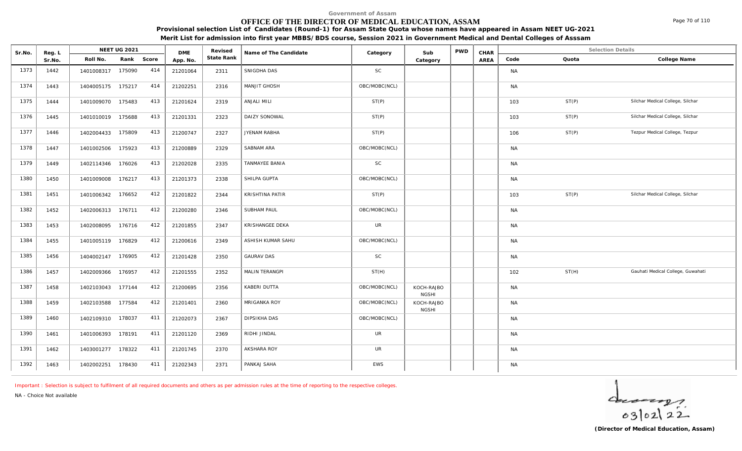## **OFFICE OF THE DIRECTOR OF MEDICAL EDUCATION, ASSAM**

**Provisional selection List of Candidates (Round-1) for Assam State Quota whose names have appeared in Assam NEET UG-2021 Merit List for admission into first year MBBS/BDS course, Session 2021 in Government Medical and Dental Colleges of Asssam**

| Sr.No. | Reg. L |                   | <b>NEET UG 2021</b> |     | <b>DME</b> | Revised    | Name of The Candidate  | Category      | Sub                        | <b>PWD</b> | CHAR |           | <b>Selection Details</b> |                                   |
|--------|--------|-------------------|---------------------|-----|------------|------------|------------------------|---------------|----------------------------|------------|------|-----------|--------------------------|-----------------------------------|
|        | Sr.No. | Roll No.          | Rank Score          |     | App. No.   | State Rank |                        |               | Category                   |            | AREA | Code      | Quota                    | College Name                      |
| 1373   | 1442   | 1401008317        | 175090              | 414 | 21201064   | 2311       | SNIGDHA DAS            | <b>SC</b>     |                            |            |      | <b>NA</b> |                          |                                   |
| 1374   | 1443   | 1404005175 175217 |                     | 414 | 21202251   | 2316       | MANJIT GHOSH           | OBC/MOBC(NCL) |                            |            |      | <b>NA</b> |                          |                                   |
| 1375   | 1444   | 1401009070        | 175483              | 413 | 21201624   | 2319       | ANJALI MILI            | ST(P)         |                            |            |      | 103       | ST(P)                    | Silchar Medical College, Silchar  |
| 1376   | 1445   | 1401010019 175688 |                     | 413 | 21201331   | 2323       | DAIZY SONOWAL          | ST(P)         |                            |            |      | 103       | ST(P)                    | Silchar Medical College, Silchar  |
| 1377   | 1446   | 1402004433        | 175809              | 413 | 21200747   | 2327       | JYENAM RABHA           | ST(P)         |                            |            |      | 106       | ST(P)                    | Tezpur Medical College, Tezpur    |
| 1378   | 1447   | 1401002506        | 175923              | 413 | 21200889   | 2329       | SABNAM ARA             | OBC/MOBC(NCL) |                            |            |      | <b>NA</b> |                          |                                   |
| 1379   | 1449   | 1402114346        | 176026              | 413 | 21202028   | 2335       | TANMAYEE BANIA         | <b>SC</b>     |                            |            |      | <b>NA</b> |                          |                                   |
| 1380   | 1450   | 1401009008        | 176217              | 413 | 21201373   | 2338       | SHILPA GUPTA           | OBC/MOBC(NCL) |                            |            |      | <b>NA</b> |                          |                                   |
| 1381   | 1451   | 1401006342 176652 |                     | 412 | 21201822   | 2344       | KRISHTINA PATIR        | ST(P)         |                            |            |      | 103       | ST(P)                    | Silchar Medical College, Silchar  |
| 1382   | 1452   | 1402006313 176711 |                     | 412 | 21200280   | 2346       | <b>SUBHAM PAUL</b>     | OBC/MOBC(NCL) |                            |            |      | <b>NA</b> |                          |                                   |
| 1383   | 1453   | 1402008095        | 176716              | 412 | 21201855   | 2347       | <b>KRISHANGEE DEKA</b> | <b>UR</b>     |                            |            |      | <b>NA</b> |                          |                                   |
| 1384   | 1455   | 1401005119 176829 |                     | 412 | 21200616   | 2349       | ASHISH KUMAR SAHU      | OBC/MOBC(NCL) |                            |            |      | <b>NA</b> |                          |                                   |
| 1385   | 1456   | 1404002147 176905 |                     | 412 | 21201428   | 2350       | <b>GAURAV DAS</b>      | <b>SC</b>     |                            |            |      | <b>NA</b> |                          |                                   |
| 1386   | 1457   | 1402009366 176957 |                     | 412 | 21201555   | 2352       | MALIN TERANGPI         | ST(H)         |                            |            |      | 102       | ST(H)                    | Gauhati Medical College, Guwahati |
| 1387   | 1458   | 1402103043        | 177144              | 412 | 21200695   | 2356       | KABERI DUTTA           | OBC/MOBC(NCL) | KOCH-RAJBO<br><b>NGSHI</b> |            |      | <b>NA</b> |                          |                                   |
| 1388   | 1459   | 1402103588        | 177584              | 412 | 21201401   | 2360       | MRIGANKA ROY           | OBC/MOBC(NCL) | KOCH-RAJBO<br><b>NGSHI</b> |            |      | <b>NA</b> |                          |                                   |
| 1389   | 1460   | 1402109310        | 178037              | 411 | 21202073   | 2367       | DIPSIKHA DAS           | OBC/MOBC(NCL) |                            |            |      | <b>NA</b> |                          |                                   |
| 1390   | 1461   | 1401006393 178191 |                     | 411 | 21201120   | 2369       | RIDHI JINDAL           | <b>UR</b>     |                            |            |      | <b>NA</b> |                          |                                   |
| 1391   | 1462   | 1403001277        | 178322              | 411 | 21201745   | 2370       | AKSHARA ROY            | <b>UR</b>     |                            |            |      | <b>NA</b> |                          |                                   |
| 1392   | 1463   | 1402002251 178430 |                     | 411 | 21202343   | 2371       | PANKAJ SAHA            | EWS           |                            |            |      | <b>NA</b> |                          |                                   |

*Important : Selection is subject to fulfilment of all required documents and others as per admission rules at the time of reporting to the respective colleges.*

*NA - Choice Not available*

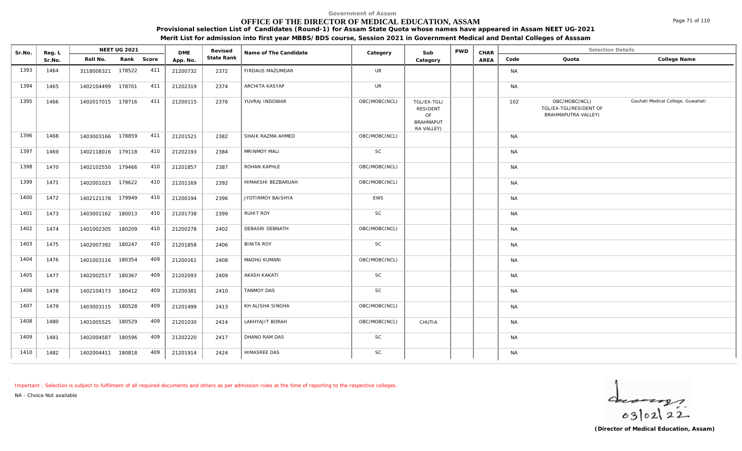## **OFFICE OF THE DIRECTOR OF MEDICAL EDUCATION, ASSAM**

**Provisional selection List of Candidates (Round-1) for Assam State Quota whose names have appeared in Assam NEET UG-2021**

**Merit List for admission into first year MBBS/BDS course, Session 2021 in Government Medical and Dental Colleges of Asssam**

| Sr.No. | Reg. L |                   | NEET UG 2021 |     | <b>DME</b> | Revised    | Name of The Candidate | Category      | Sub                                                             | <b>PWD</b> | CHAR |           | <b>Selection Details</b>                                       |                                   |
|--------|--------|-------------------|--------------|-----|------------|------------|-----------------------|---------------|-----------------------------------------------------------------|------------|------|-----------|----------------------------------------------------------------|-----------------------------------|
|        | Sr.No. | Roll No.          | Rank Score   |     | App. No.   | State Rank |                       |               | Category                                                        |            | AREA | Code      | Quota                                                          | College Name                      |
| 1393   | 1464   | 3118006321        | 178522       | 411 | 21200732   | 2372       | FIRDAUS MAZUMDAR      | <b>UR</b>     |                                                                 |            |      | <b>NA</b> |                                                                |                                   |
| 1394   | 1465   | 1402104499        | 178701       | 411 | 21202319   | 2374       | ARCHITA KASYAP        | <b>UR</b>     |                                                                 |            |      | <b>NA</b> |                                                                |                                   |
| 1395   | 1466   | 1402017015 178716 |              | 411 | 21200115   | 2376       | YUVRAJ INDOWAR        | OBC/MOBC(NCL) | TGL/EX-TGL(<br>RESIDENT<br>OF<br><b>BRAHMAPUT</b><br>RA VALLEY) |            |      | 102       | OBC/MOBC(NCL)<br>TGL/EX-TGL(RESIDENT OF<br>BRAHMAPUTRA VALLEY) | Gauhati Medical College, Guwahati |
| 1396   | 1468   | 1403003166 178859 |              | 411 | 21201521   | 2382       | SHAIK RAZMA AHMED     | OBC/MOBC(NCL) |                                                                 |            |      | <b>NA</b> |                                                                |                                   |
| 1397   | 1469   | 1402118016 179118 |              | 410 | 21202193   | 2384       | MRINMOY MALI          | SC            |                                                                 |            |      | <b>NA</b> |                                                                |                                   |
| 1398   | 1470   | 1402102550 179466 |              | 410 | 21201857   | 2387       | ROHAN KAPHLE          | OBC/MOBC(NCL) |                                                                 |            |      | <b>NA</b> |                                                                |                                   |
| 1399   | 1471   | 1402001023 179622 |              | 410 | 21201169   | 2392       | HIMAKSHI BEZBARUAH    | OBC/MOBC(NCL) |                                                                 |            |      | <b>NA</b> |                                                                |                                   |
| 1400   | 1472   | 1402121178 179949 |              | 410 | 21200194   | 2396       | JYOTIRMOY BAISHYA     | EWS           |                                                                 |            |      | <b>NA</b> |                                                                |                                   |
| 1401   | 1473   | 1403001162 180013 |              | 410 | 21201738   | 2399       | RUHIT ROY             | SC            |                                                                 |            |      | <b>NA</b> |                                                                |                                   |
| 1402   | 1474   | 1401002305        | 180209       | 410 | 21200278   | 2402       | DEBASRI DEBNATH       | OBC/MOBC(NCL) |                                                                 |            |      | <b>NA</b> |                                                                |                                   |
| 1403   | 1475   | 1402007392 180247 |              | 410 | 21201858   | 2406       | <b>BINITA ROY</b>     | SC            |                                                                 |            |      | <b>NA</b> |                                                                |                                   |
| 1404   | 1476   | 1401003116 180354 |              | 409 | 21200161   | 2408       | MADHU KUMARI          | OBC/MOBC(NCL) |                                                                 |            |      | <b>NA</b> |                                                                |                                   |
| 1405   | 1477   | 1402002517        | 180367       | 409 | 21202093   | 2409       | AKASH KAKATI          | SC            |                                                                 |            |      | <b>NA</b> |                                                                |                                   |
| 1406   | 1478   | 1402104173 180412 |              | 409 | 21200381   | 2410       | <b>TANMOY DAS</b>     | SC            |                                                                 |            |      | <b>NA</b> |                                                                |                                   |
| 1407   | 1479   | 1403003115 180528 |              | 409 | 21201499   | 2413       | KH ALISHA SINGHA      | OBC/MOBC(NCL) |                                                                 |            |      | <b>NA</b> |                                                                |                                   |
| 1408   | 1480   | 1401005525        | 180529       | 409 | 21201030   | 2414       | LAKHYAJIT BORAH       | OBC/MOBC(NCL) | CHUTIA                                                          |            |      | <b>NA</b> |                                                                |                                   |
| 1409   | 1481   | 1402004587        | 180596       | 409 | 21202220   | 2417       | DHANO RAM DAS         | SC            |                                                                 |            |      | <b>NA</b> |                                                                |                                   |
| 1410   | 1482   | 1402004411 180818 |              | 409 | 21201914   | 2424       | <b>HIMASREE DAS</b>   | SC            |                                                                 |            |      | <b>NA</b> |                                                                |                                   |

*Important : Selection is subject to fulfilment of all required documents and others as per admission rules at the time of reporting to the respective colleges.*

*NA - Choice Not available*

 $402122$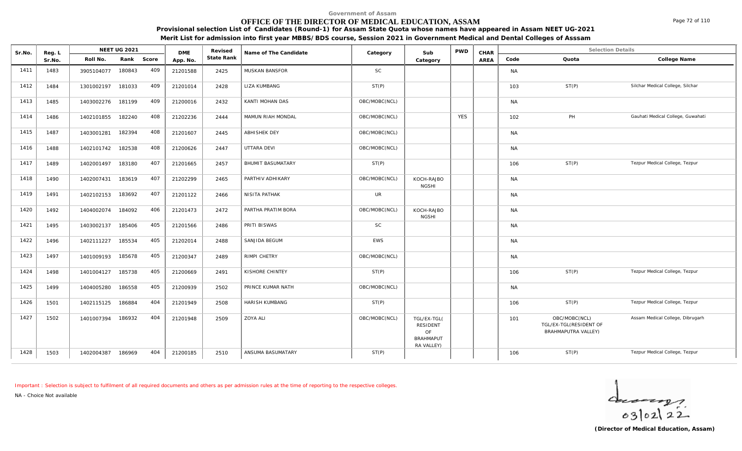## **OFFICE OF THE DIRECTOR OF MEDICAL EDUCATION, ASSAM**

**Provisional selection List of Candidates (Round-1) for Assam State Quota whose names have appeared in Assam NEET UG-2021 Merit List for admission into first year MBBS/BDS course, Session 2021 in Government Medical and Dental Colleges of Asssam**

|        |            | <b>NEET UG 2021</b> |                                       | <b>DME</b> | Revised    | Name of The Candidate    | Category      | Sub                                                             | <b>PWD</b> | CHAR |           | <b>Selection Details</b>                                       |                                   |
|--------|------------|---------------------|---------------------------------------|------------|------------|--------------------------|---------------|-----------------------------------------------------------------|------------|------|-----------|----------------------------------------------------------------|-----------------------------------|
| Sr.No. | Roll No.   | Rank                |                                       | App. No.   | State Rank |                          |               | Category                                                        |            | AREA | Code      | Quota                                                          | College Name                      |
| 1483   | 3905104077 | 180843              | 409                                   | 21201588   | 2425       | MUSKAN BANSFOR           | <b>SC</b>     |                                                                 |            |      | <b>NA</b> |                                                                |                                   |
| 1484   | 1301002197 | 181033              | 409                                   | 21201014   | 2428       | LIZA KUMBANG             | ST(P)         |                                                                 |            |      | 103       | ST(P)                                                          | Silchar Medical College, Silchar  |
| 1485   |            |                     | 409                                   | 21200016   | 2432       | KANTI MOHAN DAS          | OBC/MOBC(NCL) |                                                                 |            |      | <b>NA</b> |                                                                |                                   |
| 1486   | 1402101855 | 182240              | 408                                   | 21202236   | 2444       | MAMUN RIAH MONDAL        | OBC/MOBC(NCL) |                                                                 | <b>YES</b> |      | 102       | PH                                                             | Gauhati Medical College, Guwahati |
| 1487   | 1403001281 | 182394              | 408                                   | 21201607   | 2445       | <b>ABHISHEK DEY</b>      | OBC/MOBC(NCL) |                                                                 |            |      | <b>NA</b> |                                                                |                                   |
| 1488   | 1402101742 | 182538              | 408                                   | 21200626   | 2447       | UTTARA DEVI              | OBC/MOBC(NCL) |                                                                 |            |      | <b>NA</b> |                                                                |                                   |
| 1489   | 1402001497 | 183180              | 407                                   | 21201665   | 2457       | <b>BHUMIT BASUMATARY</b> | ST(P)         |                                                                 |            |      | 106       | ST(P)                                                          | Tezpur Medical College, Tezpur    |
| 1490   | 1402007431 | 183619              | 407                                   | 21202299   | 2465       | PARTHIV ADHIKARY         | OBC/MOBC(NCL) | KOCH-RAJBO<br><b>NGSHI</b>                                      |            |      | <b>NA</b> |                                                                |                                   |
| 1491   | 1402102153 | 183692              | 407                                   | 21201122   | 2466       | NISITA PATHAK            | UR            |                                                                 |            |      | <b>NA</b> |                                                                |                                   |
| 1492   | 1404002074 | 184092              | 406                                   | 21201473   | 2472       | PARTHA PRATIM BORA       | OBC/MOBC(NCL) | KOCH-RAJBO<br><b>NGSHI</b>                                      |            |      | <b>NA</b> |                                                                |                                   |
| 1495   | 1403002137 | 185406              | 405                                   | 21201566   | 2486       | PRITI BISWAS             | <b>SC</b>     |                                                                 |            |      | <b>NA</b> |                                                                |                                   |
| 1496   | 1402111227 | 185534              | 405                                   | 21202014   | 2488       | SANJIDA BEGUM            | <b>EWS</b>    |                                                                 |            |      | <b>NA</b> |                                                                |                                   |
| 1497   | 1401009193 | 185678              | 405                                   | 21200347   | 2489       | RIMPI CHETRY             | OBC/MOBC(NCL) |                                                                 |            |      | <b>NA</b> |                                                                |                                   |
| 1498   | 1401004127 | 185738              | 405                                   | 21200669   | 2491       | KISHORE CHINTEY          | ST(P)         |                                                                 |            |      | 106       | ST(P)                                                          | Tezpur Medical College, Tezpur    |
| 1499   | 1404005280 | 186558              | 405                                   | 21200939   | 2502       | PRINCE KUMAR NATH        | OBC/MOBC(NCL) |                                                                 |            |      | <b>NA</b> |                                                                |                                   |
| 1501   |            |                     | 404                                   | 21201949   | 2508       | HARISH KUMBANG           | ST(P)         |                                                                 |            |      | 106       | ST(P)                                                          | Tezpur Medical College, Tezpur    |
| 1502   | 1401007394 |                     | 404                                   | 21201948   | 2509       | <b>ZOYA ALI</b>          | OBC/MOBC(NCL) | TGL/EX-TGL(<br>RESIDENT<br>OF<br><b>BRAHMAPUT</b><br>RA VALLEY) |            |      | 101       | OBC/MOBC(NCL)<br>TGL/EX-TGL(RESIDENT OF<br>BRAHMAPUTRA VALLEY) | Assam Medical College, Dibrugarh  |
|        | Reg. L     | 1402115125          | 1403002276 181199<br>186884<br>186932 | Score      |            |                          |               |                                                                 |            |      |           |                                                                |                                   |

1428 | 1503 | 1402004387 186969 404 | 21200185 | 2510 | ANSUMA<code>BASUMATARY ST(P) ST(P) | | | | 106 ST(P) ST(P) Tezpur Medical College, Tezpur</code>

*Important : Selection is subject to fulfilment of all required documents and others as per admission rules at the time of reporting to the respective colleges.*

*NA - Choice Not available*

**Reg. L NEET UG 2021** 



Page 72 of 110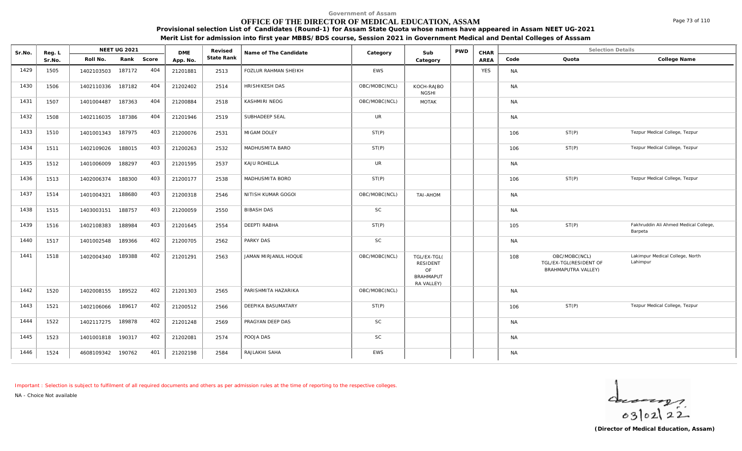### **OFFICE OF THE DIRECTOR OF MEDICAL EDUCATION, ASSAM**

**Provisional selection List of Candidates (Round-1) for Assam State Quota whose names have appeared in Assam NEET UG-2021 Merit List for admission into first year MBBS/BDS course, Session 2021 in Government Medical and Dental Colleges of Asssam**

| Sr.No. | Reg. L |                   | NEET UG 2021 |       | <b>DME</b> | Revised    | Name of The Candidate       | Category      | Sub                                                             | <b>PWD</b> | CHAR       |           | <b>Selection Details</b>                                       |                                                  |
|--------|--------|-------------------|--------------|-------|------------|------------|-----------------------------|---------------|-----------------------------------------------------------------|------------|------------|-----------|----------------------------------------------------------------|--------------------------------------------------|
|        | Sr.No. | Roll No.          | Rank         | Score | App. No.   | State Rank |                             |               | Category                                                        |            | AREA       | Code      | Quota                                                          | College Name                                     |
| 1429   | 1505   | 1402103503        | 187172       | 404   | 21201881   | 2513       | <b>FOZLUR RAHMAN SHEIKH</b> | EWS           |                                                                 |            | <b>YES</b> | <b>NA</b> |                                                                |                                                  |
| 1430   | 1506   | 1402110336        | 187182       | 404   | 21202402   | 2514       | HRISHIKESH DAS              | OBC/MOBC(NCL) | KOCH-RAJBO<br><b>NGSHI</b>                                      |            |            | <b>NA</b> |                                                                |                                                  |
| 1431   | 1507   | 1401004487        | 187363       | 404   | 21200884   | 2518       | KASHMIRI NEOG               | OBC/MOBC(NCL) | <b>MOTAK</b>                                                    |            |            | <b>NA</b> |                                                                |                                                  |
| 1432   | 1508   | 1402116035        | 187386       | 404   | 21201946   | 2519       | SUBHADEEP SEAL              | UR            |                                                                 |            |            | <b>NA</b> |                                                                |                                                  |
| 1433   | 1510   | 1401001343        | 187975       | 403   | 21200076   | 2531       | MIGAM DOLEY                 | ST(P)         |                                                                 |            |            | 106       | ST(P)                                                          | Tezpur Medical College, Tezpur                   |
| 1434   | 1511   | 1402109026        | 188015       | 403   | 21200263   | 2532       | MADHUSMITA BARO             | ST(P)         |                                                                 |            |            | 106       | ST(P)                                                          | Tezpur Medical College, Tezpur                   |
| 1435   | 1512   | 1401006009        | 188297       | 403   | 21201595   | 2537       | KAJU ROHELLA                | <b>UR</b>     |                                                                 |            |            | <b>NA</b> |                                                                |                                                  |
| 1436   | 1513   | 1402006374        | 188300       | 403   | 21200177   | 2538       | MADHUSMITA BORO             | ST(P)         |                                                                 |            |            | 106       | ST(P)                                                          | Tezpur Medical College, Tezpur                   |
| 1437   | 1514   | 1401004321        | 188680       | 403   | 21200318   | 2546       | NITISH KUMAR GOGOI          | OBC/MOBC(NCL) | TAI-AHOM                                                        |            |            | <b>NA</b> |                                                                |                                                  |
| 1438   | 1515   | 1403003151        | 188757       | 403   | 21200059   | 2550       | <b>BIBASH DAS</b>           | <b>SC</b>     |                                                                 |            |            | <b>NA</b> |                                                                |                                                  |
| 1439   | 1516   | 1402108383        | 188984       | 403   | 21201645   | 2554       | DEEPTI RABHA                | ST(P)         |                                                                 |            |            | 105       | ST(P)                                                          | Fakhruddin Ali Ahmed Medical College,<br>Barpeta |
| 1440   | 1517   | 1401002548        | 189366       | 402   | 21200705   | 2562       | PARKY DAS                   | <b>SC</b>     |                                                                 |            |            | <b>NA</b> |                                                                |                                                  |
| 1441   | 1518   | 1402004340        | 189388       | 402   | 21201291   | 2563       | JAMAN MIRJANUL HOQUE        | OBC/MOBC(NCL) | TGL/EX-TGL(<br>RESIDENT<br>OF<br><b>BRAHMAPUT</b><br>RA VALLEY) |            |            | 108       | OBC/MOBC(NCL)<br>TGL/EX-TGL(RESIDENT OF<br>BRAHMAPUTRA VALLEY) | Lakimpur Medical College, North<br>Lahimpur      |
| 1442   | 1520   | 1402008155        | 189522       | 402   | 21201303   | 2565       | PARISHMITA HAZARIKA         | OBC/MOBC(NCL) |                                                                 |            |            | <b>NA</b> |                                                                |                                                  |
| 1443   | 1521   | 1402106066        | 189617       | 402   | 21200512   | 2566       | DEEPIKA BASUMATARY          | ST(P)         |                                                                 |            |            | 106       | ST(P)                                                          | Tezpur Medical College, Tezpur                   |
| 1444   | 1522   | 1402117275        | 189878       | 402   | 21201248   | 2569       | PRAGYAN DEEP DAS            | SC            |                                                                 |            |            | <b>NA</b> |                                                                |                                                  |
| 1445   | 1523   | 1401001818 190317 |              | 402   | 21202081   | 2574       | POOJA DAS                   | SC            |                                                                 |            |            | <b>NA</b> |                                                                |                                                  |
| 1446   | 1524   | 4608109342 190762 |              | 401   | 21202198   | 2584       | RAJLAKHI SAHA               | <b>EWS</b>    |                                                                 |            |            | <b>NA</b> |                                                                |                                                  |

*Important : Selection is subject to fulfilment of all required documents and others as per admission rules at the time of reporting to the respective colleges.*

*NA - Choice Not available*



Page 73 of 110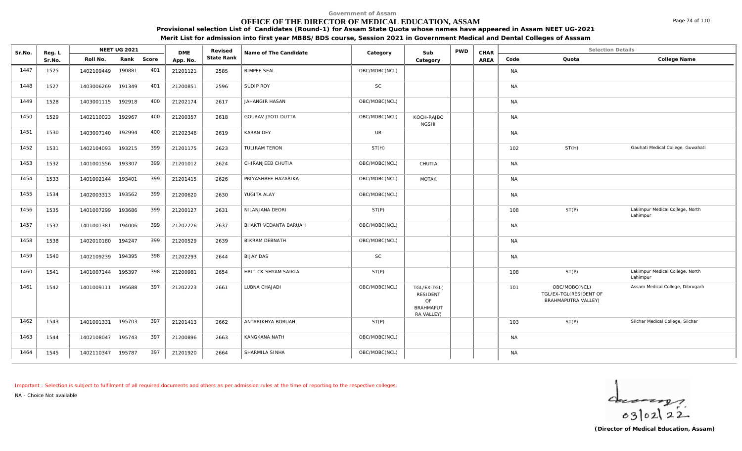### **OFFICE OF THE DIRECTOR OF MEDICAL EDUCATION, ASSAM**

**Provisional selection List of Candidates (Round-1) for Assam State Quota whose names have appeared in Assam NEET UG-2021**

**Merit List for admission into first year MBBS/BDS course, Session 2021 in Government Medical and Dental Colleges of Asssam**

| Sr.No. | Reg. L |                   | NEET UG 2021 |       | <b>DME</b> | Revised    | Name of The Candidate     | Category      | Sub                                                             | <b>PWD</b> | CHAR |           | <b>Selection Details</b>                                       |                                             |
|--------|--------|-------------------|--------------|-------|------------|------------|---------------------------|---------------|-----------------------------------------------------------------|------------|------|-----------|----------------------------------------------------------------|---------------------------------------------|
|        | Sr.No. | Roll No.          | Rank         | Score | App. No.   | State Rank |                           |               | Category                                                        |            | AREA | Code      | Quota                                                          | College Name                                |
| 1447   | 1525   | 1402109449        | 190881       | 401   | 21201121   | 2585       | RIMPEE SEAL               | OBC/MOBC(NCL) |                                                                 |            |      | <b>NA</b> |                                                                |                                             |
| 1448   | 1527   | 1403006269        | 191349       | 401   | 21200851   | 2596       | SUDIP ROY                 | SC            |                                                                 |            |      | <b>NA</b> |                                                                |                                             |
| 1449   | 1528   | 1403001115 192918 |              | 400   | 21202174   | 2617       | JAHANGIR HASAN            | OBC/MOBC(NCL) |                                                                 |            |      | <b>NA</b> |                                                                |                                             |
| 1450   | 1529   | 1402110023        | 192967       | 400   | 21200357   | 2618       | <b>GOURAV JYOTI DUTTA</b> | OBC/MOBC(NCL) | KOCH-RAJBO<br><b>NGSHI</b>                                      |            |      | <b>NA</b> |                                                                |                                             |
| 1451   | 1530   | 1403007140        | 192994       | 400   | 21202346   | 2619       | <b>KARAN DEY</b>          | <b>UR</b>     |                                                                 |            |      | <b>NA</b> |                                                                |                                             |
| 1452   | 1531   | 1402104093        | 193215       | 399   | 21201175   | 2623       | TULIRAM TERON             | ST(H)         |                                                                 |            |      | 102       | ST(H)                                                          | Gauhati Medical College, Guwahati           |
| 1453   | 1532   | 1401001556        | 193307       | 399   | 21201012   | 2624       | CHIRANJEEB CHUTIA         | OBC/MOBC(NCL) | CHUTIA                                                          |            |      | <b>NA</b> |                                                                |                                             |
| 1454   | 1533   | 1401002144        | 193401       | 399   | 21201415   | 2626       | PRIYASHREE HAZARIKA       | OBC/MOBC(NCL) | <b>MOTAK</b>                                                    |            |      | <b>NA</b> |                                                                |                                             |
| 1455   | 1534   | 1402003313        | 193562       | 399   | 21200620   | 2630       | YUGITA ALAY               | OBC/MOBC(NCL) |                                                                 |            |      | <b>NA</b> |                                                                |                                             |
| 1456   | 1535   | 1401007299        | 193686       | 399   | 21200127   | 2631       | NILANJANA DEORI           | ST(P)         |                                                                 |            |      | 108       | ST(P)                                                          | Lakimpur Medical College, North<br>Lahimpur |
| 1457   | 1537   | 1401001381        | 194006       | 399   | 21202226   | 2637       | BHAKTI VEDANTA BARUAH     | OBC/MOBC(NCL) |                                                                 |            |      | <b>NA</b> |                                                                |                                             |
| 1458   | 1538   | 1402010180        | 194247       | 399   | 21200529   | 2639       | BIKRAM DEBNATH            | OBC/MOBC(NCL) |                                                                 |            |      | <b>NA</b> |                                                                |                                             |
| 1459   | 1540   | 1402109239        | 194395       | 398   | 21202293   | 2644       | <b>BIJAY DAS</b>          | <b>SC</b>     |                                                                 |            |      | <b>NA</b> |                                                                |                                             |
| 1460   | 1541   | 1401007144        | 195397       | 398   | 21200981   | 2654       | HRITICK SHYAM SAIKIA      | ST(P)         |                                                                 |            |      | 108       | ST(P)                                                          | Lakimpur Medical College, North<br>Lahimpur |
| 1461   | 1542   | 1401009111        | 195688       | 397   | 21202223   | 2661       | LUBNA CHAJADI             | OBC/MOBC(NCL) | TGL/EX-TGL(<br>RESIDENT<br>OF<br><b>BRAHMAPUT</b><br>RA VALLEY) |            |      | 101       | OBC/MOBC(NCL)<br>TGL/EX-TGL(RESIDENT OF<br>BRAHMAPUTRA VALLEY) | Assam Medical College, Dibrugarh            |
| 1462   | 1543   | 1401001331        | 195703       | 397   | 21201413   | 2662       | ANTARIKHYA BORUAH         | ST(P)         |                                                                 |            |      | 103       | ST(P)                                                          | Silchar Medical College, Silchar            |
| 1463   | 1544   | 1402108047        | 195743       | 397   | 21200896   | 2663       | KANGKANA NATH             | OBC/MOBC(NCL) |                                                                 |            |      | <b>NA</b> |                                                                |                                             |
| 1464   | 1545   | 1402110347        | 195787       | 397   | 21201920   | 2664       | SHARMILA SINHA            | OBC/MOBC(NCL) |                                                                 |            |      | <b>NA</b> |                                                                |                                             |

*Important : Selection is subject to fulfilment of all required documents and others as per admission rules at the time of reporting to the respective colleges.*

*NA - Choice Not available*

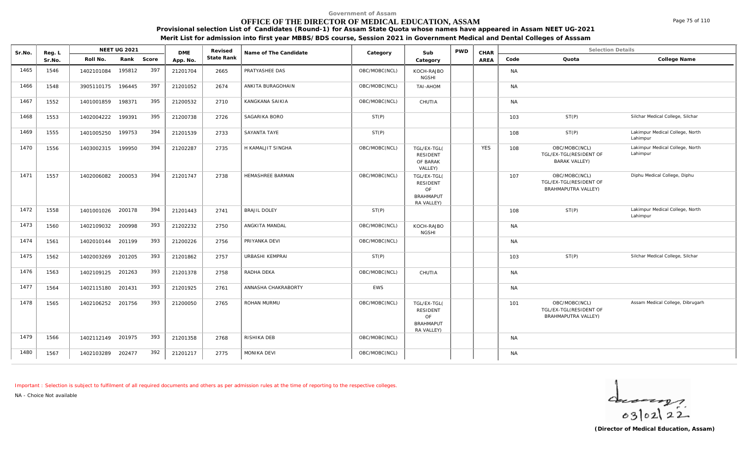### **OFFICE OF THE DIRECTOR OF MEDICAL EDUCATION, ASSAM**

**Provisional selection List of Candidates (Round-1) for Assam State Quota whose names have appeared in Assam NEET UG-2021**

**Merit List for admission into first year MBBS/BDS course, Session 2021 in Government Medical and Dental Colleges of Asssam**

| Sr.No. | Reg. L |                   | NEET UG 2021 |       | <b>DME</b> | Revised    | Name of The Candidate   | Category      | Sub                                                                    | <b>PWD</b> | CHAR       |           | <b>Selection Details</b>                                              |                                             |
|--------|--------|-------------------|--------------|-------|------------|------------|-------------------------|---------------|------------------------------------------------------------------------|------------|------------|-----------|-----------------------------------------------------------------------|---------------------------------------------|
|        | Sr.No. | Roll No.          | Rank         | Score | App. No    | State Rank |                         |               | Category                                                               |            | AREA       | Code      | Quota                                                                 | College Name                                |
| 1465   | 1546   | 1402101084        | 195812       | 397   | 21201704   | 2665       | PRATYASHEE DAS          | OBC/MOBC(NCL) | KOCH-RAJBO<br><b>NGSHI</b>                                             |            |            | <b>NA</b> |                                                                       |                                             |
| 1466   | 1548   | 3905110175        | 196445       | 397   | 21201052   | 2674       | ANKITA BURAGOHAIN       | OBC/MOBC(NCL) | TAI-AHOM                                                               |            |            | <b>NA</b> |                                                                       |                                             |
| 1467   | 1552   | 1401001859        | 198371       | 395   | 21200532   | 2710       | KANGKANA SAIKIA         | OBC/MOBC(NCL) | CHUTIA                                                                 |            |            | <b>NA</b> |                                                                       |                                             |
| 1468   | 1553   | 1402004222        | 199391       | 395   | 21200738   | 2726       | SAGARIKA BORO           | ST(P)         |                                                                        |            |            | 103       | ST(P)                                                                 | Silchar Medical College, Silchar            |
| 1469   | 1555   | 1401005250        | 199753       | 394   | 21201539   | 2733       | SAYANTA TAYE            | ST(P)         |                                                                        |            |            | 108       | ST(P)                                                                 | Lakimpur Medical College, North<br>Lahimpur |
| 1470   | 1556   | 1403002315        | 199950       | 394   | 21202287   | 2735       | H KAMALJIT SINGHA       | OBC/MOBC(NCL) | TGL/EX-TGL(<br><b>RESIDENT</b><br>OF BARAK<br>VALLEY)                  |            | <b>YES</b> | 108       | OBC/MOBC(NCL)<br>TGL/EX-TGL(RESIDENT OF<br><b>BARAK VALLEY)</b>       | Lakimpur Medical College, North<br>Lahimpur |
| 1471   | 1557   | 1402006082        | 200053       | 394   | 21201747   | 2738       | <b>HEMASHREE BARMAN</b> | OBC/MOBC(NCL) | TGL/EX-TGL(<br>RESIDENT<br>OF<br><b>BRAHMAPUT</b><br>RA VALLEY)        |            |            | 107       | OBC/MOBC(NCL)<br>TGL/EX-TGL(RESIDENT OF<br><b>BRAHMAPUTRA VALLEY)</b> | Diphu Medical College, Diphu                |
| 1472   | 1558   | 1401001026 200178 |              | 394   | 21201443   | 2741       | <b>BRAJIL DOLEY</b>     | ST(P)         |                                                                        |            |            | 108       | ST(P)                                                                 | Lakimpur Medical College, North<br>Lahimpur |
| 1473   | 1560   | 1402109032        | 200998       | 393   | 21202232   | 2750       | ANGKITA MANDAL          | OBC/MOBC(NCL) | KOCH-RAJBO<br><b>NGSHI</b>                                             |            |            | <b>NA</b> |                                                                       |                                             |
| 1474   | 1561   | 1402010144        | 201199       | 393   | 21200226   | 2756       | PRIYANKA DEVI           | OBC/MOBC(NCL) |                                                                        |            |            | <b>NA</b> |                                                                       |                                             |
| 1475   | 1562   | 1402003269        | 201205       | 393   | 21201862   | 2757       | URBASHI KEMPRAI         | ST(P)         |                                                                        |            |            | 103       | ST(P)                                                                 | Silchar Medical College, Silchar            |
| 1476   | 1563   | 1402109125        | 201263       | 393   | 21201378   | 2758       | RADHA DEKA              | OBC/MOBC(NCL) | CHUTIA                                                                 |            |            | <b>NA</b> |                                                                       |                                             |
| 1477   | 1564   | 1402115180        | 201431       | 393   | 21201925   | 2761       | ANNASHA CHAKRABORTY     | EWS           |                                                                        |            |            | <b>NA</b> |                                                                       |                                             |
| 1478   | 1565   | 1402106252 201756 |              | 393   | 21200050   | 2765       | ROHAN MURMU             | OBC/MOBC(NCL) | TGL/EX-TGL(<br><b>RESIDENT</b><br>OF<br><b>BRAHMAPUT</b><br>RA VALLEY) |            |            | 101       | OBC/MOBC(NCL)<br>TGL/EX-TGL(RESIDENT OF<br>BRAHMAPUTRA VALLEY)        | Assam Medical College, Dibrugarh            |
| 1479   | 1566   | 1402112149 201975 |              | 393   | 21201358   | 2768       | RISHIKA DEB             | OBC/MOBC(NCL) |                                                                        |            |            | <b>NA</b> |                                                                       |                                             |
| 1480   | 1567   | 1402103289        | 202477       | 392   | 21201217   | 2775       | <b>MONIKA DEVI</b>      | OBC/MOBC(NCL) |                                                                        |            |            | <b>NA</b> |                                                                       |                                             |

*Important : Selection is subject to fulfilment of all required documents and others as per admission rules at the time of reporting to the respective colleges.*

*NA - Choice Not available*

 $40222$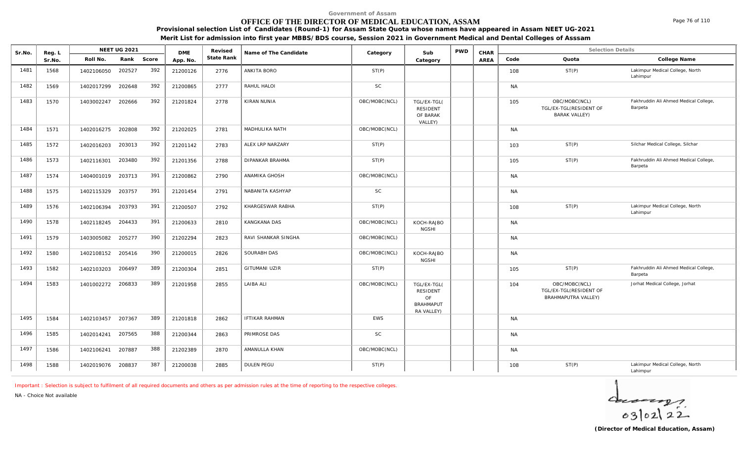### **OFFICE OF THE DIRECTOR OF MEDICAL EDUCATION, ASSAM**

**Provisional selection List of Candidates (Round-1) for Assam State Quota whose names have appeared in Assam NEET UG-2021**

**Merit List for admission into first year MBBS/BDS course, Session 2021 in Government Medical and Dental Colleges of Asssam**

| Sr.No. | Reg. L |            | <b>NEET UG 2021</b> |       | <b>DME</b> | Revised    | Name of The Candidate  | Category      | Sub                                                             | <b>PWD</b> | CHAR |           | <b>Selection Details</b>                                        |                                                  |
|--------|--------|------------|---------------------|-------|------------|------------|------------------------|---------------|-----------------------------------------------------------------|------------|------|-----------|-----------------------------------------------------------------|--------------------------------------------------|
|        | Sr.No. | Roll No.   | Rank                | Score | App. No.   | State Rank |                        |               | Category                                                        |            | AREA | Code      | Quota                                                           | College Name                                     |
| 1481   | 1568   | 1402106050 | 202527              | 392   | 21200126   | 2776       | ANKITA BORO            | ST(P)         |                                                                 |            |      | 108       | ST(P)                                                           | Lakimpur Medical College, North<br>Lahimpur      |
| 1482   | 1569   | 1402017299 | 202648              | 392   | 21200865   | 2777       | RAHUL HALOI            | <b>SC</b>     |                                                                 |            |      | <b>NA</b> |                                                                 |                                                  |
| 1483   | 1570   | 1403002247 | 202666              | 392   | 21201824   | 2778       | <b>KIRAN NUNIA</b>     | OBC/MOBC(NCL) | TGL/EX-TGL(<br><b>RESIDENT</b><br>OF BARAK<br>VALLEY)           |            |      | 105       | OBC/MOBC(NCL)<br>TGL/EX-TGL(RESIDENT OF<br><b>BARAK VALLEY)</b> | Fakhruddin Ali Ahmed Medical College,<br>Barpeta |
| 1484   | 1571   | 1402016275 | 202808              | 392   | 21202025   | 2781       | MADHULIKA NATH         | OBC/MOBC(NCL) |                                                                 |            |      | <b>NA</b> |                                                                 |                                                  |
| 1485   | 1572   | 1402016203 | 203013              | 392   | 21201142   | 2783       | ALEX LRP NARZARY       | ST(P)         |                                                                 |            |      | 103       | ST(P)                                                           | Silchar Medical College, Silchar                 |
| 1486   | 1573   | 1402116301 | 203480              | 392   | 21201356   | 2788       | <b>DIPANKAR BRAHMA</b> | ST(P)         |                                                                 |            |      | 105       | ST(P)                                                           | Fakhruddin Ali Ahmed Medical College,<br>Barpeta |
| 1487   | 1574   | 1404001019 | 203713              | 391   | 21200862   | 2790       | ANAMIKA GHOSH          | OBC/MOBC(NCL) |                                                                 |            |      | <b>NA</b> |                                                                 |                                                  |
| 1488   | 1575   | 1402115329 | 203757              | 391   | 21201454   | 2791       | NABANITA KASHYAP       | <b>SC</b>     |                                                                 |            |      | <b>NA</b> |                                                                 |                                                  |
| 1489   | 1576   | 1402106394 | 203793              | 391   | 21200507   | 2792       | KHARGESWAR RABHA       | ST(P)         |                                                                 |            |      | 108       | ST(P)                                                           | Lakimpur Medical College, North<br>Lahimpur      |
| 1490   | 1578   | 1402118245 | 204433              | 391   | 21200633   | 2810       | KANGKANA DAS           | OBC/MOBC(NCL) | KOCH-RAJBO<br><b>NGSHI</b>                                      |            |      | <b>NA</b> |                                                                 |                                                  |
| 1491   | 1579   | 1403005082 | 205277              | 390   | 21202294   | 2823       | RAVI SHANKAR SINGHA    | OBC/MOBC(NCL) |                                                                 |            |      | <b>NA</b> |                                                                 |                                                  |
| 1492   | 1580   | 1402108152 | 205416              | 390   | 21200015   | 2826       | SOURABH DAS            | OBC/MOBC(NCL) | KOCH-RAJBO<br><b>NGSHI</b>                                      |            |      | <b>NA</b> |                                                                 |                                                  |
| 1493   | 1582   | 1402103203 | 206497              | 389   | 21200304   | 2851       | <b>GITUMANI UZIR</b>   | ST(P)         |                                                                 |            |      | 105       | ST(P)                                                           | Fakhruddin Ali Ahmed Medical College,<br>Barpeta |
| 1494   | 1583   | 1401002272 | 206833              | 389   | 21201958   | 2855       | LAIBA ALI              | OBC/MOBC(NCL) | TGL/EX-TGL(<br>RESIDENT<br>OF<br><b>BRAHMAPUT</b><br>RA VALLEY) |            |      | 104       | OBC/MOBC(NCL)<br>TGL/EX-TGL(RESIDENT OF<br>BRAHMAPUTRA VALLEY)  | Jorhat Medical College, Jorhat                   |
| 1495   | 1584   | 1402103457 | 207367              | 389   | 21201818   | 2862       | <b>IFTIKAR RAHMAN</b>  | <b>EWS</b>    |                                                                 |            |      | <b>NA</b> |                                                                 |                                                  |
| 1496   | 1585   | 1402014241 | 207565              | 388   | 21200344   | 2863       | PRIMROSE DAS           | <b>SC</b>     |                                                                 |            |      | <b>NA</b> |                                                                 |                                                  |
| 1497   | 1586   | 1402106241 | 207887              | 388   | 21202389   | 2870       | AMANULLA KHAN          | OBC/MOBC(NCL) |                                                                 |            |      | <b>NA</b> |                                                                 |                                                  |
| 1498   | 1588   | 1402019076 | 208837              | 387   | 21200038   | 2885       | DULEN PEGU             | ST(P)         |                                                                 |            |      | 108       | ST(P)                                                           | Lakimpur Medical College, North<br>Lahimpur      |

*Important : Selection is subject to fulfilment of all required documents and others as per admission rules at the time of reporting to the respective colleges.*

*NA - Choice Not available*

 $402122$ 

Page 76 of 110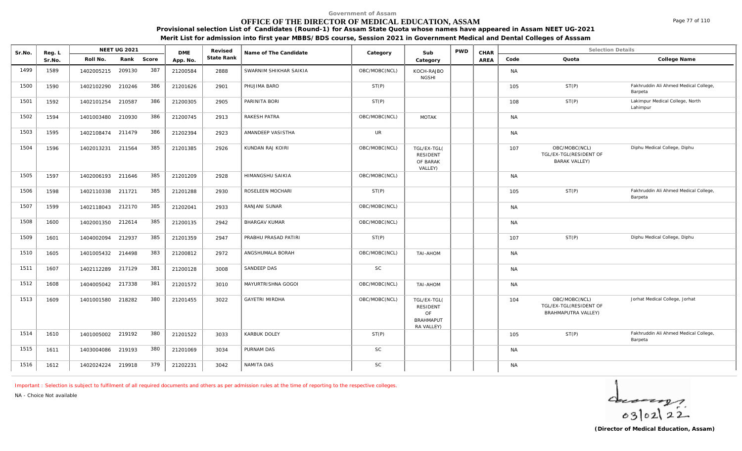### **OFFICE OF THE DIRECTOR OF MEDICAL EDUCATION, ASSAM**

**Provisional selection List of Candidates (Round-1) for Assam State Quota whose names have appeared in Assam NEET UG-2021**

**Merit List for admission into first year MBBS/BDS course, Session 2021 in Government Medical and Dental Colleges of Asssam**

| Sr.No. | Reg. L |                   | <b>NEET UG 2021</b> |       | <b>DME</b> | Revised    | Name of The Candidate  | Category      | Sub                                                                    | <b>PWD</b> | CHAR |           | <b>Selection Details</b>                                        |                                                  |
|--------|--------|-------------------|---------------------|-------|------------|------------|------------------------|---------------|------------------------------------------------------------------------|------------|------|-----------|-----------------------------------------------------------------|--------------------------------------------------|
|        | Sr.No. | Roll No.          | Rank                | Score | App. No.   | State Rank |                        |               | Category                                                               |            | AREA | Code      | Quota                                                           | College Name                                     |
| 1499   | 1589   | 1402005215        | 209130              | 387   | 21200584   | 2888       | SWARNIM SHIKHAR SAIKIA | OBC/MOBC(NCL) | KOCH-RAJBO<br><b>NGSHI</b>                                             |            |      | <b>NA</b> |                                                                 |                                                  |
| 1500   | 1590   | 1402102290 210246 |                     | 386   | 21201626   | 2901       | PHUJIMA BARO           | ST(P)         |                                                                        |            |      | 105       | ST(P)                                                           | Fakhruddin Ali Ahmed Medical College,<br>Barpeta |
| 1501   | 1592   | 1402101254 210587 |                     | 386   | 21200305   | 2905       | PARINITA BORI          | ST(P)         |                                                                        |            |      | 108       | ST(P)                                                           | Lakimpur Medical College, North<br>Lahimpur      |
| 1502   | 1594   | 1401003480        | 210930              | 386   | 21200745   | 2913       | RAKESH PATRA           | OBC/MOBC(NCL) | <b>MOTAK</b>                                                           |            |      | <b>NA</b> |                                                                 |                                                  |
| 1503   | 1595   | 1402108474 211479 |                     | 386   | 21202394   | 2923       | AMANDEEP VASISTHA      | <b>UR</b>     |                                                                        |            |      | <b>NA</b> |                                                                 |                                                  |
| 1504   | 1596   | 1402013231        | 211564              | 385   | 21201385   | 2926       | KUNDAN RAJ KOIRI       | OBC/MOBC(NCL) | TGL/EX-TGL(<br><b>RESIDENT</b><br>OF BARAK<br>VALLEY)                  |            |      | 107       | OBC/MOBC(NCL)<br>TGL/EX-TGL(RESIDENT OF<br><b>BARAK VALLEY)</b> | Diphu Medical College, Diphu                     |
| 1505   | 1597   | 1402006193 211646 |                     | 385   | 21201209   | 2928       | HIMANGSHU SAIKIA       | OBC/MOBC(NCL) |                                                                        |            |      | <b>NA</b> |                                                                 |                                                  |
| 1506   | 1598   | 1402110338        | 211721              | 385   | 21201288   | 2930       | ROSELEEN MOCHARI       | ST(P)         |                                                                        |            |      | 105       | ST(P)                                                           | Fakhruddin Ali Ahmed Medical College,<br>Barpeta |
| 1507   | 1599   | 1402118043 212170 |                     | 385   | 21202041   | 2933       | RANJANI SUNAR          | OBC/MOBC(NCL) |                                                                        |            |      | <b>NA</b> |                                                                 |                                                  |
| 1508   | 1600   | 1402001350        | 212614              | 385   | 21200135   | 2942       | <b>BHARGAV KUMAR</b>   | OBC/MOBC(NCL) |                                                                        |            |      | <b>NA</b> |                                                                 |                                                  |
| 1509   | 1601   | 1404002094 212937 |                     | 385   | 21201359   | 2947       | PRABHU PRASAD PATIRI   | ST(P)         |                                                                        |            |      | 107       | ST(P)                                                           | Diphu Medical College, Diphu                     |
| 1510   | 1605   | 1401005432        | 214498              | 383   | 21200812   | 2972       | ANGSHUMALA BORAH       | OBC/MOBC(NCL) | TAI-AHOM                                                               |            |      | <b>NA</b> |                                                                 |                                                  |
| 1511   | 1607   | 1402112289 217129 |                     | 381   | 21200128   | 3008       | SANDEEP DAS            | <b>SC</b>     |                                                                        |            |      | <b>NA</b> |                                                                 |                                                  |
| 1512   | 1608   | 1404005042        | 217338              | 381   | 21201572   | 3010       | MAYURTRISHNA GOGOI     | OBC/MOBC(NCL) | TAI-AHOM                                                               |            |      | <b>NA</b> |                                                                 |                                                  |
| 1513   | 1609   | 1401001580        | 218282              | 380   | 21201455   | 3022       | <b>GAYETRI MIRDHA</b>  | OBC/MOBC(NCL) | TGL/EX-TGL(<br><b>RESIDENT</b><br>OF<br><b>BRAHMAPUT</b><br>RA VALLEY) |            |      | 104       | OBC/MOBC(NCL)<br>TGL/EX-TGL(RESIDENT OF<br>BRAHMAPUTRA VALLEY)  | Jorhat Medical College, Jorhat                   |
| 1514   | 1610   | 1401005002 219192 |                     | 380   | 21201522   | 3033       | <b>KARBUK DOLEY</b>    | ST(P)         |                                                                        |            |      | 105       | ST(P)                                                           | Fakhruddin Ali Ahmed Medical College,<br>Barpeta |
| 1515   | 1611   | 1403004086        | 219193              | 380   | 21201069   | 3034       | PURNAM DAS             | <b>SC</b>     |                                                                        |            |      | <b>NA</b> |                                                                 |                                                  |
| 1516   | 1612   | 1402024224 219918 |                     | 379   | 21202231   | 3042       | NAMITA DAS             | SC            |                                                                        |            |      | <b>NA</b> |                                                                 |                                                  |

*Important : Selection is subject to fulfilment of all required documents and others as per admission rules at the time of reporting to the respective colleges.*

*NA - Choice Not available*

 $402122$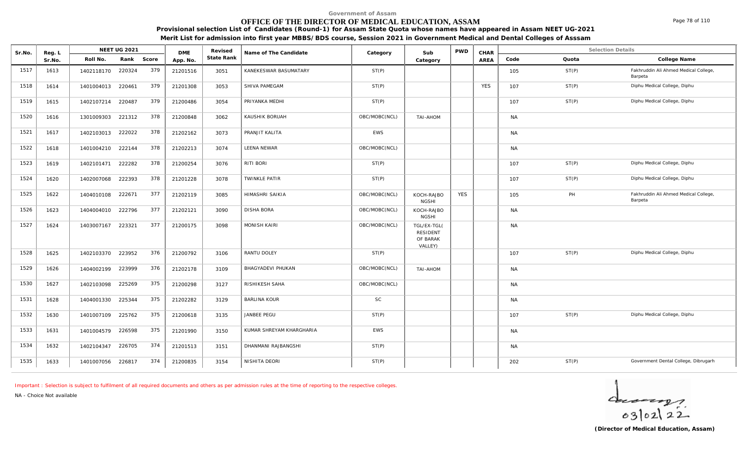#### **OFFICE OF THE DIRECTOR OF MEDICAL EDUCATION, ASSAM**

**Provisional selection List of Candidates (Round-1) for Assam State Quota whose names have appeared in Assam NEET UG-2021**

|  | Merit List for admission into first year MBBS/BDS course, Session 2021 in Government Medical and Dental Colleges of Asssam |
|--|----------------------------------------------------------------------------------------------------------------------------|
|  |                                                                                                                            |

| Sr.No. | Reg. L |                   | <b>NEET UG 2021</b> |            | <b>DME</b> | Revised    | Name of The Candidate    | Category      | Sub                                                   | <b>PWD</b> | CHAR       |           | <b>Selection Details</b> |                                                  |
|--------|--------|-------------------|---------------------|------------|------------|------------|--------------------------|---------------|-------------------------------------------------------|------------|------------|-----------|--------------------------|--------------------------------------------------|
|        | Sr.No. | Roll No.          |                     | Rank Score | App. No.   | State Rank |                          |               | Category                                              |            | AREA       | Code      | Quota                    | College Name                                     |
| 1517   | 1613   | 1402118170        | 220324              | 379        | 21201516   | 3051       | KANEKESWAR BASUMATARY    | ST(P)         |                                                       |            |            | 105       | ST(P)                    | Fakhruddin Ali Ahmed Medical College,<br>Barpeta |
| 1518   | 1614   | 1401004013 220461 |                     | 379        | 21201308   | 3053       | SHIVA PAMEGAM            | ST(P)         |                                                       |            | <b>YES</b> | 107       | ST(P)                    | Diphu Medical College, Diphu                     |
| 1519   | 1615   | 1402107214 220487 |                     | 379        | 21200486   | 3054       | PRIYANKA MEDHI           | ST(P)         |                                                       |            |            | 107       | ST(P)                    | Diphu Medical College, Diphu                     |
| 1520   | 1616   | 1301009303        | 221312              | 378        | 21200848   | 3062       | KAUSHIK BORUAH           | OBC/MOBC(NCL) | TAI-AHOM                                              |            |            | <b>NA</b> |                          |                                                  |
| 1521   | 1617   | 1402103013        | 222022              | 378        | 21202162   | 3073       | PRANJIT KALITA           | EWS           |                                                       |            |            | <b>NA</b> |                          |                                                  |
| 1522   | 1618   | 1401004210        | 222144              | 378        | 21202213   | 3074       | LEENA NEWAR              | OBC/MOBC(NCL) |                                                       |            |            | <b>NA</b> |                          |                                                  |
| 1523   | 1619   | 1402101471        | 222282              | 378        | 21200254   | 3076       | RITI BORI                | ST(P)         |                                                       |            |            | 107       | ST(P)                    | Diphu Medical College, Diphu                     |
| 1524   | 1620   | 1402007068        | 222393              | 378        | 21201228   | 3078       | TWINKLE PATIR            | ST(P)         |                                                       |            |            | 107       | ST(P)                    | Diphu Medical College, Diphu                     |
| 1525   | 1622   | 1404010108        | 222671              | 377        | 21202119   | 3085       | HIMASHRI SAIKIA          | OBC/MOBC(NCL) | KOCH-RAJBO<br><b>NGSHI</b>                            | <b>YES</b> |            | 105       | PH                       | Fakhruddin Ali Ahmed Medical College,<br>Barpeta |
| 1526   | 1623   | 1404004010 222796 |                     | 377        | 21202121   | 3090       | <b>DISHA BORA</b>        | OBC/MOBC(NCL) | KOCH-RAJBO<br><b>NGSHI</b>                            |            |            | <b>NA</b> |                          |                                                  |
| 1527   | 1624   | 1403007167        | 223321              | 377        | 21200175   | 3098       | <b>MONISH KAIRI</b>      | OBC/MOBC(NCL) | TGL/EX-TGL(<br><b>RESIDENT</b><br>OF BARAK<br>VALLEY) |            |            | <b>NA</b> |                          |                                                  |
| 1528   | 1625   | 1402103370 223952 |                     | 376        | 21200792   | 3106       | RANTU DOLEY              | ST(P)         |                                                       |            |            | 107       | ST(P)                    | Diphu Medical College, Diphu                     |
| 1529   | 1626   | 1404002199        | 223999              | 376        | 21202178   | 3109       | BHAGYADEVI PHUKAN        | OBC/MOBC(NCL) | <b>TAI-AHOM</b>                                       |            |            | <b>NA</b> |                          |                                                  |
| 1530   | 1627   | 1402103098        | 225269              | 375        | 21200298   | 3127       | RISHIKESH SAHA           | OBC/MOBC(NCL) |                                                       |            |            | <b>NA</b> |                          |                                                  |
| 1531   | 1628   | 1404001330        | 225344              | 375        | 21202282   | 3129       | <b>BARLINA KOUR</b>      | <b>SC</b>     |                                                       |            |            | <b>NA</b> |                          |                                                  |
| 1532   | 1630   | 1401007109        | 225762              | 375        | 21200618   | 3135       | JANBEE PEGU              | ST(P)         |                                                       |            |            | 107       | ST(P)                    | Diphu Medical College, Diphu                     |
| 1533   | 1631   | 1401004579        | 226598              | 375        | 21201990   | 3150       | KUMAR SHREYAM KHARGHARIA | EWS           |                                                       |            |            | <b>NA</b> |                          |                                                  |
| 1534   | 1632   | 1402104347        | 226705              | 374        | 21201513   | 3151       | DHANMANI RAJBANGSHI      | ST(P)         |                                                       |            |            | <b>NA</b> |                          |                                                  |
| 1535   | 1633   | 1401007056 226817 |                     | 374        | 21200835   | 3154       | NISHITA DEORI            | ST(P)         |                                                       |            |            | 202       | ST(P)                    | Government Dental College, Dibrugarh             |

*Important : Selection is subject to fulfilment of all required documents and others as per admission rules at the time of reporting to the respective colleges.*

*NA - Choice Not available*



Page 78 of 110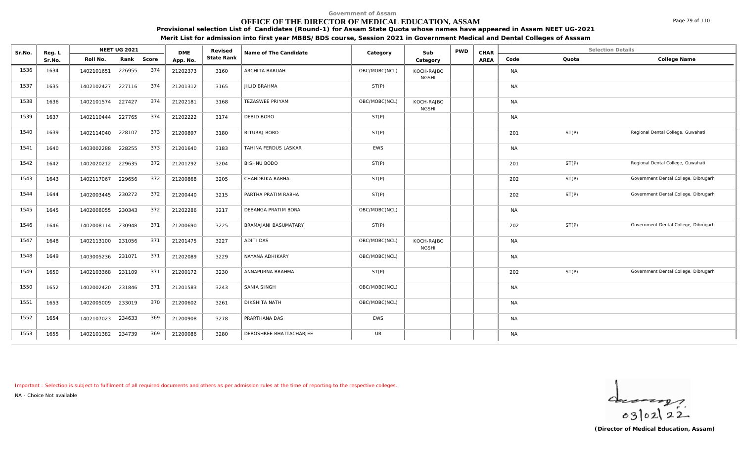### **OFFICE OF THE DIRECTOR OF MEDICAL EDUCATION, ASSAM**

**Provisional selection List of Candidates (Round-1) for Assam State Quota whose names have appeared in Assam NEET UG-2021**

**Merit List for admission into first year MBBS/BDS course, Session 2021 in Government Medical and Dental Colleges of Asssam**

| Sr.No. | Reg. L |                   | <b>NEET UG 2021</b> |            | <b>DME</b> | Revised    | Name of The Candidate   | Category      | Sub                        | <b>PWD</b> | CHAR |           |       | <b>Selection Details</b>             |
|--------|--------|-------------------|---------------------|------------|------------|------------|-------------------------|---------------|----------------------------|------------|------|-----------|-------|--------------------------------------|
|        | Sr.No. | Roll No.          |                     | Rank Score | App. No.   | State Rank |                         |               | Category                   |            | AREA | Code      | Quota | College Name                         |
| 1536   | 1634   | 1402101651        | 226955              | 374        | 21202373   | 3160       | ARCHITA BARUAH          | OBC/MOBC(NCL) | KOCH-RAJBO<br><b>NGSHI</b> |            |      | <b>NA</b> |       |                                      |
| 1537   | 1635   | 1402102427        | 227116              | 374        | 21201312   | 3165       | <b>JILID BRAHMA</b>     | ST(P)         |                            |            |      | <b>NA</b> |       |                                      |
| 1538   | 1636   | 1402101574        | 227427              | 374        | 21202181   | 3168       | <b>TEZASWEE PRIYAM</b>  | OBC/MOBC(NCL) | KOCH-RAJBO<br><b>NGSHI</b> |            |      | <b>NA</b> |       |                                      |
| 1539   | 1637   | 1402110444        | 227765              | 374        | 21202222   | 3174       | DEBID BORO              | ST(P)         |                            |            |      | <b>NA</b> |       |                                      |
| 1540   | 1639   | 1402114040        | 228107              | 373        | 21200897   | 3180       | RITURAJ BORO            | ST(P)         |                            |            |      | 201       | ST(P) | Regional Dental College, Guwahati    |
| 1541   | 1640   | 1403002288        | 228255              | 373        | 21201640   | 3183       | TAHINA FERDUS LASKAR    | EWS           |                            |            |      | <b>NA</b> |       |                                      |
| 1542   | 1642   | 1402020212        | 229635              | 372        | 21201292   | 3204       | <b>BISHNU BODO</b>      | ST(P)         |                            |            |      | 201       | ST(P) | Regional Dental College, Guwahati    |
| 1543   | 1643   | 1402117067        | 229656              | 372        | 21200868   | 3205       | CHANDRIKA RABHA         | ST(P)         |                            |            |      | 202       | ST(P) | Government Dental College, Dibrugarh |
| 1544   | 1644   | 1402003445        | 230272              | 372        | 21200440   | 3215       | PARTHA PRATIM RABHA     | ST(P)         |                            |            |      | 202       | ST(P) | Government Dental College, Dibrugarh |
| 1545   | 1645   | 1402008055        | 230343              | 372        | 21202286   | 3217       | DEBANGA PRATIM BORA     | OBC/MOBC(NCL) |                            |            |      | <b>NA</b> |       |                                      |
| 1546   | 1646   | 1402008114        | 230948              | 371        | 21200690   | 3225       | BRAMAJANI BASUMATARY    | ST(P)         |                            |            |      | 202       | ST(P) | Government Dental College, Dibrugarh |
| 1547   | 1648   | 1402113100        | 231056              | 371        | 21201475   | 3227       | <b>ADITI DAS</b>        | OBC/MOBC(NCL) | KOCH-RAJBO<br><b>NGSHI</b> |            |      | <b>NA</b> |       |                                      |
| 1548   | 1649   | 1403005236        | 231071              | 371        | 21202089   | 3229       | NAYANA ADHIKARY         | OBC/MOBC(NCL) |                            |            |      | <b>NA</b> |       |                                      |
| 1549   | 1650   | 1402103368        | 231109              | 371        | 21200172   | 3230       | ANNAPURNA BRAHMA        | ST(P)         |                            |            |      | 202       | ST(P) | Government Dental College, Dibrugarh |
| 1550   | 1652   | 1402002420        | 231846              | 371        | 21201583   | 3243       | SANIA SINGH             | OBC/MOBC(NCL) |                            |            |      | <b>NA</b> |       |                                      |
| 1551   | 1653   | 1402005009        | 233019              | 370        | 21200602   | 3261       | DIKSHITA NATH           | OBC/MOBC(NCL) |                            |            |      | <b>NA</b> |       |                                      |
| 1552   | 1654   | 1402107023        | 234633              | 369        | 21200908   | 3278       | PRARTHANA DAS           | EWS           |                            |            |      | <b>NA</b> |       |                                      |
| 1553   | 1655   | 1402101382 234739 |                     | 369        | 21200086   | 3280       | DEBOSHREE BHATTACHARJEE | UR            |                            |            |      | <b>NA</b> |       |                                      |

*Important : Selection is subject to fulfilment of all required documents and others as per admission rules at the time of reporting to the respective colleges.*

*NA - Choice Not available*

 $\frac{1}{63}$ [02] 22

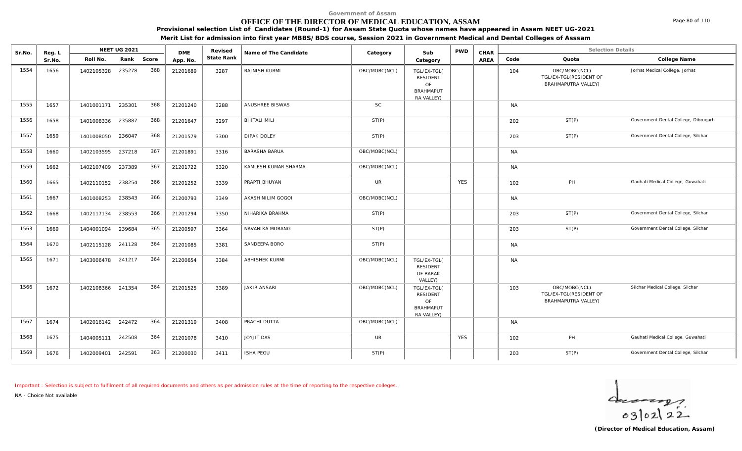### **OFFICE OF THE DIRECTOR OF MEDICAL EDUCATION, ASSAM**

**Provisional selection List of Candidates (Round-1) for Assam State Quota whose names have appeared in Assam NEET UG-2021**

**Merit List for admission into first year MBBS/BDS course, Session 2021 in Government Medical and Dental Colleges of Asssam**

| Sr.No. | Reg. L |                   | NEET UG 2021 |       | <b>DME</b> | Revised    | Name of The Candidate | Category      | Sub                                                                    | <b>PWD</b> | CHAR |           | <b>Selection Details</b>                                              |                                      |
|--------|--------|-------------------|--------------|-------|------------|------------|-----------------------|---------------|------------------------------------------------------------------------|------------|------|-----------|-----------------------------------------------------------------------|--------------------------------------|
|        | Sr.No. | Roll No.          | Rank         | Score | App. No.   | State Rank |                       |               | Category                                                               |            | AREA | Code      | Quota                                                                 | College Name                         |
| 1554   | 1656   | 1402105328        | 235278       | 368   | 21201689   | 3287       | RAJNISH KURMI         | OBC/MOBC(NCL) | TGL/EX-TGL(<br><b>RESIDENT</b><br>OF<br><b>BRAHMAPUT</b><br>RA VALLEY) |            |      | 104       | OBC/MOBC(NCL)<br>TGL/EX-TGL(RESIDENT OF<br><b>BRAHMAPUTRA VALLEY)</b> | Jorhat Medical College, Jorhat       |
| 1555   | 1657   | 1401001171        | 235301       | 368   | 21201240   | 3288       | ANUSHREE BISWAS       | SC            |                                                                        |            |      | <b>NA</b> |                                                                       |                                      |
| 1556   | 1658   | 1401008336        | 235887       | 368   | 21201647   | 3297       | <b>BHITALI MILI</b>   | ST(P)         |                                                                        |            |      | 202       | ST(P)                                                                 | Government Dental College, Dibrugarh |
| 1557   | 1659   | 1401008050        | 236047       | 368   | 21201579   | 3300       | DIPAK DOLEY           | ST(P)         |                                                                        |            |      | 203       | ST(P)                                                                 | Government Dental College, Silchar   |
| 1558   | 1660   | 1402103595        | 237218       | 367   | 21201891   | 3316       | <b>BARASHA BARUA</b>  | OBC/MOBC(NCL) |                                                                        |            |      | <b>NA</b> |                                                                       |                                      |
| 1559   | 1662   | 1402107409        | 237389       | 367   | 21201722   | 3320       | KAMLESH KUMAR SHARMA  | OBC/MOBC(NCL) |                                                                        |            |      | <b>NA</b> |                                                                       |                                      |
| 1560   | 1665   | 1402110152        | 238254       | 366   | 21201252   | 3339       | PRAPTI BHUYAN         | UR            |                                                                        | <b>YES</b> |      | 102       | PH                                                                    | Gauhati Medical College, Guwahati    |
| 1561   | 1667   | 1401008253        | 238543       | 366   | 21200793   | 3349       | AKASH NILIM GOGOI     | OBC/MOBC(NCL) |                                                                        |            |      | <b>NA</b> |                                                                       |                                      |
| 1562   | 1668   | 1402117134        | 238553       | 366   | 21201294   | 3350       | NIHARIKA BRAHMA       | ST(P)         |                                                                        |            |      | 203       | ST(P)                                                                 | Government Dental College, Silchar   |
| 1563   | 1669   | 1404001094        | 239684       | 365   | 21200597   | 3364       | NAVANIKA MORANG       | ST(P)         |                                                                        |            |      | 203       | ST(P)                                                                 | Government Dental College, Silchar   |
| 1564   | 1670   | 1402115128        | 241128       | 364   | 21201085   | 3381       | SANDEEPA BORO         | ST(P)         |                                                                        |            |      | <b>NA</b> |                                                                       |                                      |
| 1565   | 1671   | 1403006478        | 241217       | 364   | 21200654   | 3384       | <b>ABHISHEK KURMI</b> | OBC/MOBC(NCL) | TGL/EX-TGL(<br><b>RESIDENT</b><br>OF BARAK<br>VALLEY)                  |            |      | <b>NA</b> |                                                                       |                                      |
| 1566   | 1672   | 1402108366        | 241354       | 364   | 21201525   | 3389       | <b>JAKIR ANSARI</b>   | OBC/MOBC(NCL) | TGL/EX-TGL(<br><b>RESIDENT</b><br>OF<br><b>BRAHMAPUT</b><br>RA VALLEY) |            |      | 103       | OBC/MOBC(NCL)<br>TGL/EX-TGL(RESIDENT OF<br>BRAHMAPUTRA VALLEY)        | Silchar Medical College, Silchar     |
| 1567   | 1674   | 1402016142 242472 |              | 364   | 21201319   | 3408       | PRACHI DUTTA          | OBC/MOBC(NCL) |                                                                        |            |      | <b>NA</b> |                                                                       |                                      |
| 1568   | 1675   | 1404005111        | 242508       | 364   | 21201078   | 3410       | JOYJIT DAS            | UR            |                                                                        | <b>YES</b> |      | 102       | PH                                                                    | Gauhati Medical College, Guwahati    |
| 1569   | 1676   | 1402009401        | 242591       | 363   | 21200030   | 3411       | <b>ISHA PEGU</b>      | ST(P)         |                                                                        |            |      | 203       | ST(P)                                                                 | Government Dental College, Silchar   |

*Important : Selection is subject to fulfilment of all required documents and others as per admission rules at the time of reporting to the respective colleges.*

*NA - Choice Not available*

 $\frac{1}{63}$ [02] 22

Page 80 of 110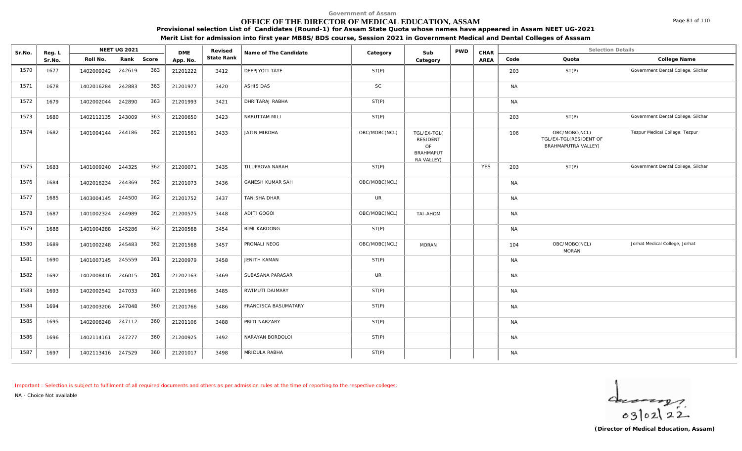### **OFFICE OF THE DIRECTOR OF MEDICAL EDUCATION, ASSAM**

**Provisional selection List of Candidates (Round-1) for Assam State Quota whose names have appeared in Assam NEET UG-2021**

**Merit List for admission into first year MBBS/BDS course, Session 2021 in Government Medical and Dental Colleges of Asssam**

| Sr.No. | Reg. L |                   | <b>NEET UG 2021</b> |     | <b>DME</b> | Revised    | Name of The Candidate   | Category      | Sub                                                                    | <b>PWD</b> | CHAR       |           | <b>Selection Details</b>                                       |                                    |
|--------|--------|-------------------|---------------------|-----|------------|------------|-------------------------|---------------|------------------------------------------------------------------------|------------|------------|-----------|----------------------------------------------------------------|------------------------------------|
|        | Sr.No. | Roll No.          | Rank Score          |     | App. No.   | State Rank |                         |               | Category                                                               |            | AREA       | Code      | Quota                                                          | College Name                       |
| 1570   | 1677   | 1402009242        | 242619              | 363 | 21201222   | 3412       | DEEPJYOTI TAYE          | ST(P)         |                                                                        |            |            | 203       | ST(P)                                                          | Government Dental College, Silchar |
| 1571   | 1678   | 1402016284        | 242883              | 363 | 21201977   | 3420       | ASHIS DAS               | <b>SC</b>     |                                                                        |            |            | <b>NA</b> |                                                                |                                    |
| 1572   | 1679   | 1402002044        | 242890              | 363 | 21201993   | 3421       | DHRITARAJ RABHA         | ST(P)         |                                                                        |            |            | <b>NA</b> |                                                                |                                    |
| 1573   | 1680   | 1402112135 243009 |                     | 363 | 21200650   | 3423       | NARUTTAM MILI           | ST(P)         |                                                                        |            |            | 203       | ST(P)                                                          | Government Dental College, Silchar |
| 1574   | 1682   | 1401004144        | 244186              | 362 | 21201561   | 3433       | <b>JATIN MIRDHA</b>     | OBC/MOBC(NCL) | TGL/EX-TGL(<br><b>RESIDENT</b><br>OF<br><b>BRAHMAPUT</b><br>RA VALLEY) |            |            | 106       | OBC/MOBC(NCL)<br>TGL/EX-TGL(RESIDENT OF<br>BRAHMAPUTRA VALLEY) | Tezpur Medical College, Tezpur     |
| 1575   | 1683   | 1401009240 244325 |                     | 362 | 21200071   | 3435       | TILUPROVA NARAH         | ST(P)         |                                                                        |            | <b>YES</b> | 203       | ST(P)                                                          | Government Dental College, Silchar |
| 1576   | 1684   | 1402016234        | 244369              | 362 | 21201073   | 3436       | <b>GANESH KUMAR SAH</b> | OBC/MOBC(NCL) |                                                                        |            |            | <b>NA</b> |                                                                |                                    |
| 1577   | 1685   | 1403004145        | 244500              | 362 | 21201752   | 3437       | TANISHA DHAR            | <b>UR</b>     |                                                                        |            |            | <b>NA</b> |                                                                |                                    |
| 1578   | 1687   | 1401002324        | 244989              | 362 | 21200575   | 3448       | ADITI GOGOI             | OBC/MOBC(NCL) | TAI-AHOM                                                               |            |            | <b>NA</b> |                                                                |                                    |
| 1579   | 1688   | 1401004288        | 245286              | 362 | 21200568   | 3454       | RIMI KARDONG            | ST(P)         |                                                                        |            |            | <b>NA</b> |                                                                |                                    |
| 1580   | 1689   | 1401002248 245483 |                     | 362 | 21201568   | 3457       | PRONALI NEOG            | OBC/MOBC(NCL) | <b>MORAN</b>                                                           |            |            | 104       | OBC/MOBC(NCL)<br><b>MORAN</b>                                  | Jorhat Medical College, Jorhat     |
| 1581   | 1690   | 1401007145 245559 |                     | 361 | 21200979   | 3458       | JENITH KAMAN            | ST(P)         |                                                                        |            |            | <b>NA</b> |                                                                |                                    |
| 1582   | 1692   | 1402008416 246015 |                     | 361 | 21202163   | 3469       | SUBASANA PARASAR        | <b>UR</b>     |                                                                        |            |            | <b>NA</b> |                                                                |                                    |
| 1583   | 1693   | 1402002542 247033 |                     | 360 | 21201966   | 3485       | RWIMUTI DAIMARY         | ST(P)         |                                                                        |            |            | <b>NA</b> |                                                                |                                    |
| 1584   | 1694   | 1402003206        | 247048              | 360 | 21201766   | 3486       | FRANCISCA BASUMATARY    | ST(P)         |                                                                        |            |            | <b>NA</b> |                                                                |                                    |
| 1585   | 1695   | 1402006248        | 247112              | 360 | 21201106   | 3488       | PRITI NARZARY           | ST(P)         |                                                                        |            |            | <b>NA</b> |                                                                |                                    |
| 1586   | 1696   | 1402114161 247277 |                     | 360 | 21200925   | 3492       | NARAYAN BORDOLOI        | ST(P)         |                                                                        |            |            | <b>NA</b> |                                                                |                                    |
| 1587   | 1697   | 1402113416 247529 |                     | 360 | 21201017   | 3498       | MRIDULA RABHA           | ST(P)         |                                                                        |            |            | <b>NA</b> |                                                                |                                    |

*Important : Selection is subject to fulfilment of all required documents and others as per admission rules at the time of reporting to the respective colleges.*

*NA - Choice Not available*

 $40222$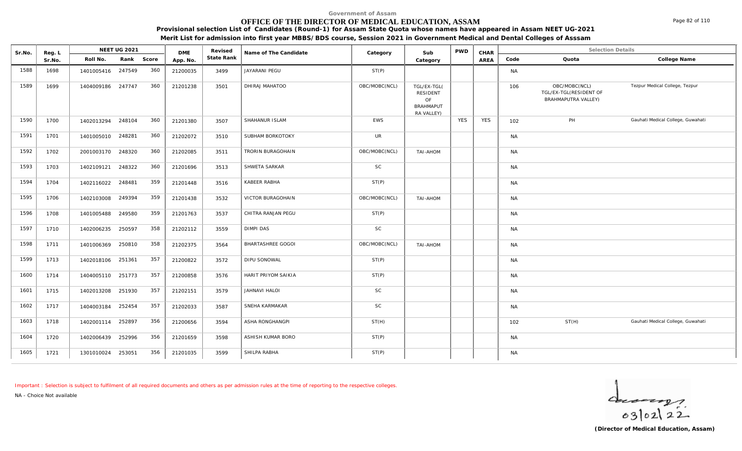# **OFFICE OF THE DIRECTOR OF MEDICAL EDUCATION, ASSAM**

**Provisional selection List of Candidates (Round-1) for Assam State Quota whose names have appeared in Assam NEET UG-2021**

**Merit List for admission into first year MBBS/BDS course, Session 2021 in Government Medical and Dental Colleges of Asssam**

| Sr.No. | Reg. L |                   | NEET UG 2021 |       | <b>DME</b> | Revised    | Name of The Candidate | Category      | Sub                                                             | <b>PWD</b> | CHAR       |           | <b>Selection Details</b>                                       |                                   |
|--------|--------|-------------------|--------------|-------|------------|------------|-----------------------|---------------|-----------------------------------------------------------------|------------|------------|-----------|----------------------------------------------------------------|-----------------------------------|
|        | Sr.No. | Roll No.          | Rank         | Score | App. No.   | State Rank |                       |               | Category                                                        |            | AREA       | Code      | Quota                                                          | College Name                      |
| 1588   | 1698   | 1401005416 247549 |              | 360   | 21200035   | 3499       | JAYARANI PEGU         | ST(P)         |                                                                 |            |            | <b>NA</b> |                                                                |                                   |
| 1589   | 1699   | 1404009186 247747 |              | 360   | 21201238   | 3501       | DHIRAJ MAHATOO        | OBC/MOBC(NCL) | TGL/EX-TGL(<br>RESIDENT<br>OF<br><b>BRAHMAPUT</b><br>RA VALLEY) |            |            | 106       | OBC/MOBC(NCL)<br>TGL/EX-TGL(RESIDENT OF<br>BRAHMAPUTRA VALLEY) | Tezpur Medical College, Tezpur    |
| 1590   | 1700   | 1402013294 248104 |              | 360   | 21201380   | 3507       | SHAHANUR ISLAM        | EWS           |                                                                 | <b>YES</b> | <b>YES</b> | 102       | PH                                                             | Gauhati Medical College, Guwahati |
| 1591   | 1701   | 1401005010        | 248281       | 360   | 21202072   | 3510       | SUBHAM BORKOTOKY      | <b>UR</b>     |                                                                 |            |            | <b>NA</b> |                                                                |                                   |
| 1592   | 1702   | 2001003170 248320 |              | 360   | 21202085   | 3511       | TRORIN BURAGOHAIN     | OBC/MOBC(NCL) | TAI-AHOM                                                        |            |            | <b>NA</b> |                                                                |                                   |
| 1593   | 1703   | 1402109121 248322 |              | 360   | 21201696   | 3513       | SHWETA SARKAR         | <b>SC</b>     |                                                                 |            |            | <b>NA</b> |                                                                |                                   |
| 1594   | 1704   | 1402116022        | 248481       | 359   | 21201448   | 3516       | KABEER RABHA          | ST(P)         |                                                                 |            |            | <b>NA</b> |                                                                |                                   |
| 1595   | 1706   | 1402103008        | 249394       | 359   | 21201438   | 3532       | VICTOR BURAGOHAIN     | OBC/MOBC(NCL) | TAI-AHOM                                                        |            |            | <b>NA</b> |                                                                |                                   |
| 1596   | 1708   | 1401005488        | 249580       | 359   | 21201763   | 3537       | CHITRA RANJAN PEGU    | ST(P)         |                                                                 |            |            | <b>NA</b> |                                                                |                                   |
| 1597   | 1710   | 1402006235        | 250597       | 358   | 21202112   | 3559       | <b>DIMPI DAS</b>      | <b>SC</b>     |                                                                 |            |            | <b>NA</b> |                                                                |                                   |
| 1598   | 1711   | 1401006369        | 250810       | 358   | 21202375   | 3564       | BHARTASHREE GOGOI     | OBC/MOBC(NCL) | TAI-AHOM                                                        |            |            | <b>NA</b> |                                                                |                                   |
| 1599   | 1713   | 1402018106 251361 |              | 357   | 21200822   | 3572       | DIPU SONOWAL          | ST(P)         |                                                                 |            |            | <b>NA</b> |                                                                |                                   |
| 1600   | 1714   | 1404005110 251773 |              | 357   | 21200858   | 3576       | HARIT PRIYOM SAIKIA   | ST(P)         |                                                                 |            |            | <b>NA</b> |                                                                |                                   |
| 1601   | 1715   | 1402013208        | 251930       | 357   | 21202151   | 3579       | JAHNAVI HALOI         | SC            |                                                                 |            |            | <b>NA</b> |                                                                |                                   |
| 1602   | 1717   | 1404003184 252454 |              | 357   | 21202033   | 3587       | SNEHA KARMAKAR        | SC            |                                                                 |            |            | <b>NA</b> |                                                                |                                   |
| 1603   | 1718   | 1402001114        | 252897       | 356   | 21200656   | 3594       | ASHA RONGHANGPI       | ST(H)         |                                                                 |            |            | 102       | ST(H)                                                          | Gauhati Medical College, Guwahati |
| 1604   | 1720   | 1402006439        | 252996       | 356   | 21201659   | 3598       | ASHISH KUMAR BORO     | ST(P)         |                                                                 |            |            | <b>NA</b> |                                                                |                                   |
| 1605   | 1721   | 1301010024 253051 |              | 356   | 21201035   | 3599       | SHILPA RABHA          | ST(P)         |                                                                 |            |            | <b>NA</b> |                                                                |                                   |

*Important : Selection is subject to fulfilment of all required documents and others as per admission rules at the time of reporting to the respective colleges.*

*NA - Choice Not available*

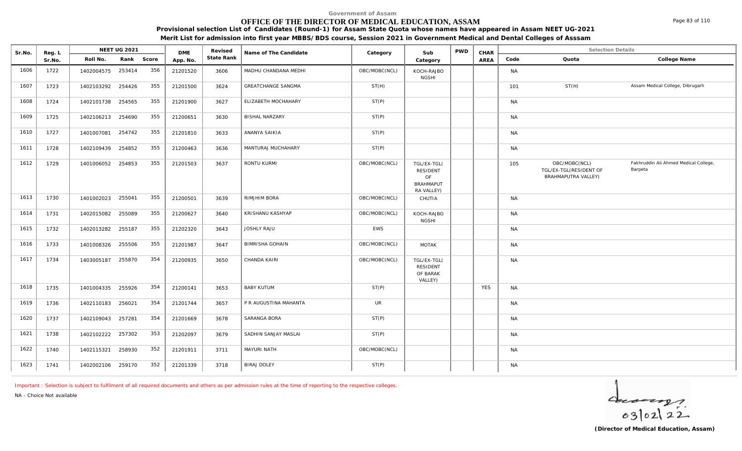# **OFFICE OF THE DIRECTOR OF MEDICAL EDUCATION, ASSAM**

Sr.No. Reg. L Reg.L **NEET UG 2021** ME Revised Name of The Candidate Category Sub PWD CHAR Selection Details Selection Details

**NEET UG 2021 Category CHAR**

**Name of The Candidate Revised**

**Provisional selection List of Candidates (Round-1) for Assam State Quota whose names have appeared in Assam NEET UG-2021 Merit List for admission into first year MBBS/BDS course, Session 2021 in Government Medical and Dental Colleges of Asssam**

AREA Code Quota

**State Rank Code Quota College Name**

**Category**

| 1606 | 1722 | 1402004575 253414    | 356 | 21201520 | 3606 | MADHU CHANDANA MEDHI   | OBC/MOBC(NCL) | KOCH-RAJBO<br><b>NGSHI</b>                                      |            | <b>NA</b> |                                                                       |                                                  |  |
|------|------|----------------------|-----|----------|------|------------------------|---------------|-----------------------------------------------------------------|------------|-----------|-----------------------------------------------------------------------|--------------------------------------------------|--|
| 1607 | 1723 | 254426<br>1402103292 | 355 | 21201500 | 3624 | GREATCHANGE SANGMA     | ST(H)         |                                                                 |            | 101       | ST(H)                                                                 | Assam Medical College, Dibrugarh                 |  |
| 1608 | 1724 | 254565<br>1402101738 | 355 | 21201900 | 3627 | ELIZABETH MOCHAHARY    | ST(P)         |                                                                 |            | <b>NA</b> |                                                                       |                                                  |  |
| 1609 | 1725 | 1402106213 254690    | 355 | 21200651 | 3630 | <b>BISHAL NARZARY</b>  | ST(P)         |                                                                 |            | <b>NA</b> |                                                                       |                                                  |  |
| 1610 | 1727 | 254742<br>1401007081 | 355 | 21201810 | 3633 | ANANYA SAIKIA          | ST(P)         |                                                                 |            | <b>NA</b> |                                                                       |                                                  |  |
| 1611 | 1728 | 254852<br>1402109439 | 355 | 21200463 | 3636 | MANTURAJ MUCHAHARY     | ST(P)         |                                                                 |            | <b>NA</b> |                                                                       |                                                  |  |
| 1612 | 1729 | 254853<br>1401006052 | 355 | 21201503 | 3637 | RONTU KURMI            | OBC/MOBC(NCL) | TGL/EX-TGL(<br>RESIDENT<br>OF<br><b>BRAHMAPUT</b><br>RA VALLEY) |            | 105       | OBC/MOBC(NCL)<br>TGL/EX-TGL(RESIDENT OF<br><b>BRAHMAPUTRA VALLEY)</b> | Fakhruddin Ali Ahmed Medical College,<br>Barpeta |  |
| 1613 | 1730 | 255041<br>1401002023 | 355 | 21200501 | 3639 | RIMJHIM BORA           | OBC/MOBC(NCL) | CHUTIA                                                          |            | <b>NA</b> |                                                                       |                                                  |  |
| 1614 | 1731 | 1402015082<br>255089 | 355 | 21200627 | 3640 | KRISHANU KASHYAP       | OBC/MOBC(NCL) | KOCH-RAJBO<br><b>NGSHI</b>                                      |            | <b>NA</b> |                                                                       |                                                  |  |
| 1615 | 1732 | 255187<br>1402013282 | 355 | 21202320 | 3643 | <b>JOSHLY RAJU</b>     | EWS           |                                                                 |            | <b>NA</b> |                                                                       |                                                  |  |
| 1616 | 1733 | 255506<br>1401008326 | 355 | 21201987 | 3647 | <b>BIMRISHA GOHAIN</b> | OBC/MOBC(NCL) | <b>MOTAK</b>                                                    |            | <b>NA</b> |                                                                       |                                                  |  |
| 1617 | 1734 | 255870<br>1403005187 | 354 | 21200935 | 3650 | CHANDA KAIRI           | OBC/MOBC(NCL) | TGL/EX-TGL(<br>RESIDENT<br>OF BARAK<br>VALLEY)                  |            | <b>NA</b> |                                                                       |                                                  |  |
| 1618 | 1735 | 1401004335 255926    | 354 | 21200141 | 3653 | <b>BABY KUTUM</b>      | ST(P)         |                                                                 | <b>YES</b> | <b>NA</b> |                                                                       |                                                  |  |
| 1619 | 1736 | 256021<br>1402110183 | 354 | 21201744 | 3657 | P R AUGUSTINA MAHANTA  | <b>UR</b>     |                                                                 |            | <b>NA</b> |                                                                       |                                                  |  |
| 1620 | 1737 | 1402109043 257281    | 354 | 21201669 | 3678 | SARANGA BORA           | ST(P)         |                                                                 |            | <b>NA</b> |                                                                       |                                                  |  |
| 1621 | 1738 | 1402102222 257302    | 353 | 21202097 | 3679 | SADHIN SANJAY MASLAI   | ST(P)         |                                                                 |            | <b>NA</b> |                                                                       |                                                  |  |
| 1622 | 1740 | 258930<br>1402115321 | 352 | 21201911 | 3711 | MAYURI NATH            | OBC/MOBC(NCL) |                                                                 |            | <b>NA</b> |                                                                       |                                                  |  |
| 1623 | 1741 | 259170<br>1402002106 | 352 | 21201339 | 3718 | <b>BIRAJ DOLEY</b>     | ST(P)         |                                                                 |            | <b>NA</b> |                                                                       |                                                  |  |

*Important : Selection is subject to fulfilment of all required documents and others as per admission rules at the time of reporting to the respective colleges.*

**DME** Revised<br>**PD\_NO** State Rank

*NA - Choice Not available*

Reg. L **NEET UG 2021**<br>Sr No Roll No. Rank

Sr.No. | Roll No. Rank Score | App.No. | State Ra



Page 83 of 110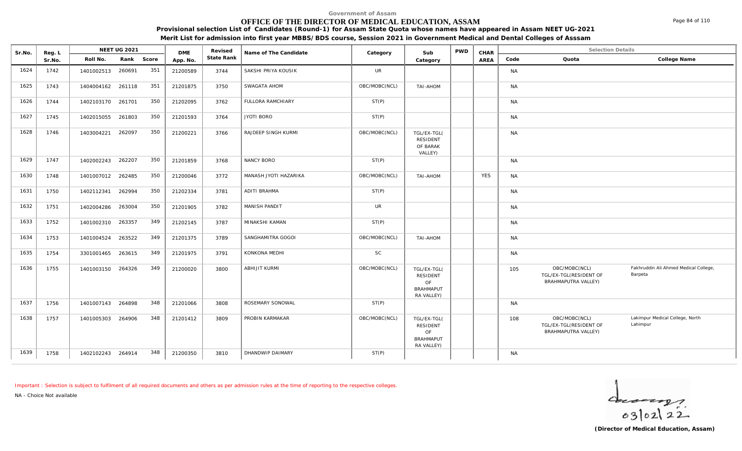# **OFFICE OF THE DIRECTOR OF MEDICAL EDUCATION, ASSAM**

**Provisional selection List of Candidates (Round-1) for Assam State Quota whose names have appeared in Assam NEET UG-2021**

**Merit List for admission into first year MBBS/BDS course, Session 2021 in Government Medical and Dental Colleges of Asssam**

| Sr.No. | Reg. L |                   | <b>NEET UG 2021</b> |     | <b>DME</b> | Revised    | Name of The Candidate    | Category      | Sub                                                             | <b>PWD</b> | CHAR       |           | <b>Selection Details</b>                                       |                                                  |
|--------|--------|-------------------|---------------------|-----|------------|------------|--------------------------|---------------|-----------------------------------------------------------------|------------|------------|-----------|----------------------------------------------------------------|--------------------------------------------------|
|        | Sr.No. | Roll No.          | Rank Score          |     | App. No.   | State Rank |                          |               | Category                                                        |            | AREA       | Code      | Quota                                                          | College Name                                     |
| 1624   | 1742   | 1401002513 260691 |                     | 351 | 21200589   | 3744       | SAKSHI PRIYA KOUSIK      | <b>UR</b>     |                                                                 |            |            | <b>NA</b> |                                                                |                                                  |
| 1625   | 1743   | 1404004162        | 261118              | 351 | 21201875   | 3750       | SWAGATA AHOM             | OBC/MOBC(NCL) | TAI-AHOM                                                        |            |            | <b>NA</b> |                                                                |                                                  |
| 1626   | 1744   | 1402103170 261701 |                     | 350 | 21202095   | 3762       | <b>FULLORA RAMCHIARY</b> | ST(P)         |                                                                 |            |            | <b>NA</b> |                                                                |                                                  |
| 1627   | 1745   | 1402015055 261803 |                     | 350 | 21201593   | 3764       | JYOTI BORO               | ST(P)         |                                                                 |            |            | <b>NA</b> |                                                                |                                                  |
| 1628   | 1746   | 1403004221        | 262097              | 350 | 21200221   | 3766       | RAJDEEP SINGH KURMI      | OBC/MOBC(NCL) | TGL/EX-TGL(<br>RESIDENT<br>OF BARAK<br>VALLEY)                  |            |            | <b>NA</b> |                                                                |                                                  |
| 1629   | 1747   | 1402002243 262207 |                     | 350 | 21201859   | 3768       | NANCY BORO               | ST(P)         |                                                                 |            |            | <b>NA</b> |                                                                |                                                  |
| 1630   | 1748   | 1401007012 262485 |                     | 350 | 21200046   | 3772       | MANASH JYOTI HAZARIKA    | OBC/MOBC(NCL) | TAI-AHOM                                                        |            | <b>YES</b> | <b>NA</b> |                                                                |                                                  |
| 1631   | 1750   | 1402112341 262994 |                     | 350 | 21202334   | 3781       | <b>ADITI BRAHMA</b>      | ST(P)         |                                                                 |            |            | <b>NA</b> |                                                                |                                                  |
| 1632   | 1751   | 1402004286        | 263004              | 350 | 21201905   | 3782       | MANISH PANDIT            | <b>UR</b>     |                                                                 |            |            | <b>NA</b> |                                                                |                                                  |
| 1633   | 1752   | 1401002310        | 263357              | 349 | 21202145   | 3787       | MINAKSHI KAMAN           | ST(P)         |                                                                 |            |            | <b>NA</b> |                                                                |                                                  |
| 1634   | 1753   | 1401004524 263522 |                     | 349 | 21201375   | 3789       | SANGHAMITRA GOGOI        | OBC/MOBC(NCL) | TAI-AHOM                                                        |            |            | <b>NA</b> |                                                                |                                                  |
| 1635   | 1754   | 3301001465 263615 |                     | 349 | 21201975   | 3791       | KONKONA MEDHI            | <b>SC</b>     |                                                                 |            |            | <b>NA</b> |                                                                |                                                  |
| 1636   | 1755   | 1401003150 264326 |                     | 349 | 21200020   | 3800       | <b>ABHIJIT KURMI</b>     | OBC/MOBC(NCL) | TGL/EX-TGL(<br>RESIDENT<br>OF<br><b>BRAHMAPUT</b><br>RA VALLEY) |            |            | 105       | OBC/MOBC(NCL)<br>TGL/EX-TGL(RESIDENT OF<br>BRAHMAPUTRA VALLEY) | Fakhruddin Ali Ahmed Medical College,<br>Barpeta |
| 1637   | 1756   | 1401007143 264898 |                     | 348 | 21201066   | 3808       | ROSEMARY SONOWAL         | ST(P)         |                                                                 |            |            | <b>NA</b> |                                                                |                                                  |
| 1638   | 1757   | 1401005303        | 264906              | 348 | 21201412   | 3809       | PROBIN KARMAKAR          | OBC/MOBC(NCL) | TGL/EX-TGL(<br>RESIDENT<br>OF<br><b>BRAHMAPUT</b><br>RA VALLEY) |            |            | 108       | OBC/MOBC(NCL)<br>TGL/EX-TGL(RESIDENT OF<br>BRAHMAPUTRA VALLEY) | Lakimpur Medical College, North<br>Lahimpur      |
| 1639   | 1758   | 1402102243 264914 |                     | 348 | 21200350   | 3810       | DHANDWIP DAIMARY         | ST(P)         |                                                                 |            |            | <b>NA</b> |                                                                |                                                  |

*Important : Selection is subject to fulfilment of all required documents and others as per admission rules at the time of reporting to the respective colleges.*

*NA - Choice Not available*

 $\frac{1}{63}$ [02] 22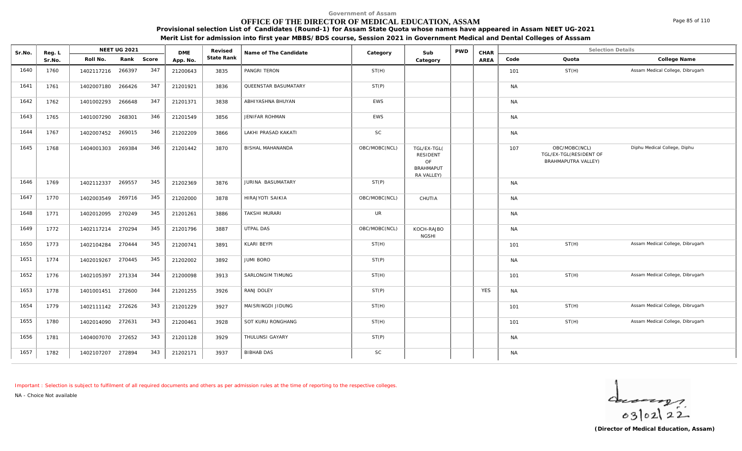### **OFFICE OF THE DIRECTOR OF MEDICAL EDUCATION, ASSAM**

**Provisional selection List of Candidates (Round-1) for Assam State Quota whose names have appeared in Assam NEET UG-2021 Merit List for admission into first year MBBS/BDS course, Session 2021 in Government Medical and Dental Colleges of Asssam**

| Sr.No. | Reg. L |                     | <b>NEET UG 2021</b> |       | <b>DME</b> | Revised    | Name of The Candidate   | Category      | Sub                                                                    | <b>PWD</b> | CHAR |            | <b>Selection Details</b>                                              |                                  |
|--------|--------|---------------------|---------------------|-------|------------|------------|-------------------------|---------------|------------------------------------------------------------------------|------------|------|------------|-----------------------------------------------------------------------|----------------------------------|
|        | Sr.No. | Roll No.            | Rank                | Score | App. No.   | State Rank |                         |               | Category                                                               |            | AREA | Code       | Quota                                                                 | College Name                     |
| 1640   | 1760   | 1402117216 266397   |                     | 347   | 21200643   | 3835       | PANGRI TERON            | ST(H)         |                                                                        |            |      | 101        | ST(H)                                                                 | Assam Medical College, Dibrugarh |
| 1641   | 1761   | 1402007180          | 266426              | 347   | 21201921   | 3836       | QUEENSTAR BASUMATARY    | ST(P)         |                                                                        |            |      | <b>NA</b>  |                                                                       |                                  |
| 1642   | 1762   | 1401002293 266648   |                     | 347   | 21201371   | 3838       | ABHIYASHNA BHUYAN       | <b>EWS</b>    |                                                                        |            |      | <b>NA</b>  |                                                                       |                                  |
| 1643   | 1765   | 1401007290 268301   |                     | 346   | 21201549   | 3856       | <b>JENIFAR ROHMAN</b>   | <b>EWS</b>    |                                                                        |            |      | <b>NA</b>  |                                                                       |                                  |
| 1644   | 1767   | 1402007452 269015   |                     | 346   | 21202209   | 3866       | LAKHI PRASAD KAKATI     | <b>SC</b>     |                                                                        |            |      | <b>NA</b>  |                                                                       |                                  |
| 1645   | 1768   | 1404001303          | 269384              | 346   | 21201442   | 3870       | BISHAL MAHANANDA        | OBC/MOBC(NCL) | TGL/EX-TGL(<br><b>RESIDENT</b><br>OF<br><b>BRAHMAPUT</b><br>RA VALLEY) |            |      | 107        | OBC/MOBC(NCL)<br>TGL/EX-TGL(RESIDENT OF<br><b>BRAHMAPUTRA VALLEY)</b> | Diphu Medical College, Diphu     |
| 1646   | 1769   | 1402112337          | 269557              | 345   | 21202369   | 3876       | JURINA BASUMATARY       | ST(P)         |                                                                        |            |      | <b>NA</b>  |                                                                       |                                  |
| 1647   | 1770   | 1402003549 269716   |                     | 345   | 21202000   | 3878       | <b>HIRAJYOTI SAIKIA</b> | OBC/MOBC(NCL) | CHUTIA                                                                 |            |      | <b>NA</b>  |                                                                       |                                  |
| 1648   | 1771   | 1402012095 270249   |                     | 345   | 21201261   | 3886       | TAKSHI MURARI           | UR            |                                                                        |            |      | <b>NA</b>  |                                                                       |                                  |
| 1649   | 1772   | 1402117214 270294   |                     | 345   | 21201796   | 3887       | UTPAL DAS               | OBC/MOBC(NCL) | KOCH-RAJBO<br><b>NGSHI</b>                                             |            |      | <b>NA</b>  |                                                                       |                                  |
| 1650   | 1773   | $1102101281 270111$ |                     | 345   | 21200741   | 3801       | KIARI BEYPI             | ST(H)         |                                                                        |            |      | $1 \cap 1$ | ST(H)                                                                 | Assam Medical College. Dibrugarh |

1649 1772 1402117214 270294 345 <sup>21201796</sup> <sup>3887</sup> UTPAL DAS OBC/MOBC(NCL) KOCH-RAJBO NA NGSHI 1650 | 1773 | 1402104284 270444 345 | 21200741 | 3891 | KLARI BEYPI | ST(H) | | | | | | 101 ST(H) ST(H) Assam Medical College, Dibrugarh | | 1651 | 1774 | 1402019267 270445 345 | 21202002 | 3892 | JUMI BORO | ST(P) | ST(P) | | | | | | | | | | | | | | | 1652 | 1776 | 1402105397 271334 344 | 21200098 | 3913 | SARLONGIM TIMUNG | ST(H) | | | | | | | | 101 ST(H) Assam Medical College, Dibrugarh | 1653 1778 | 1401001451 272600 344 | 21201255 | 3926 | RANJ DOLEY | ST(P) | | | | YES | NA 1654 1779 | 1402111142 272626 343 | 21201229 | 3927 | MAISRINGDI JIDUNG | ST(H) | | | | | 101 ST(H) ST(H) Assam Medical College, Dibrugarh | | 1655 | 1780 | 1402014090 272631 343 | 21200461 | 3928 | SOT KURU RONGHANG | ST(H) | | | | | 101 ST(H) ST(H) Assam Medical College, Dibrugarh | | 1656 1781 | 1404007070 272652 343 | 21201128 | 3929 | THULUNSI GAYARY NATHALL ST(P) | NATHALL NATHALL NATHALL NA 1657 | 1782 | 1402107207 272894 343 | 21202171 | 3937 | BIBHAB DAS NA

*Important : Selection is subject to fulfilment of all required documents and others as per admission rules at the time of reporting to the respective colleges.*

*NA - Choice Not available*

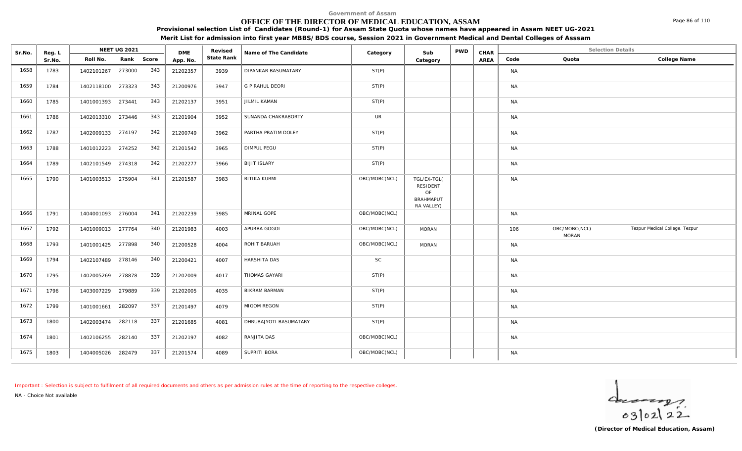### **OFFICE OF THE DIRECTOR OF MEDICAL EDUCATION, ASSAM**

**Provisional selection List of Candidates (Round-1) for Assam State Quota whose names have appeared in Assam NEET UG-2021**

**Merit List for admission into first year MBBS/BDS course, Session 2021 in Government Medical and Dental Colleges of Asssam**

| Sr.No. | Reg. L |                   | NEET UG 2021 |            | <b>DME</b> | Revised    | Name of The Candidate  | Category      | Sub                                                             | PWD | CHAR |           | <b>Selection Details</b>      |                                |
|--------|--------|-------------------|--------------|------------|------------|------------|------------------------|---------------|-----------------------------------------------------------------|-----|------|-----------|-------------------------------|--------------------------------|
|        | Sr.No. | Roll No.          |              | Rank Score | App. No.   | State Rank |                        |               | Category                                                        |     | AREA | Code      | Quota                         | College Name                   |
| 1658   | 1783   | 1402101267        | 273000       | 343        | 21202357   | 3939       | DIPANKAR BASUMATARY    | ST(P)         |                                                                 |     |      | <b>NA</b> |                               |                                |
| 1659   | 1784   | 1402118100        | 273323       | 343        | 21200976   | 3947       | <b>G P RAHUL DEORI</b> | ST(P)         |                                                                 |     |      | <b>NA</b> |                               |                                |
| 1660   | 1785   | 1401001393 273441 |              | 343        | 21202137   | 3951       | JILMIL KAMAN           | ST(P)         |                                                                 |     |      | <b>NA</b> |                               |                                |
| 1661   | 1786   | 1402013310 273446 |              | 343        | 21201904   | 3952       | SUNANDA CHAKRABORTY    | <b>UR</b>     |                                                                 |     |      | <b>NA</b> |                               |                                |
| 1662   | 1787   | 1402009133 274197 |              | 342        | 21200749   | 3962       | PARTHA PRATIM DOLEY    | ST(P)         |                                                                 |     |      | <b>NA</b> |                               |                                |
| 1663   | 1788   | 1401012223 274252 |              | 342        | 21201542   | 3965       | <b>DIMPUL PEGU</b>     | ST(P)         |                                                                 |     |      | <b>NA</b> |                               |                                |
| 1664   | 1789   | 1402101549 274318 |              | 342        | 21202277   | 3966       | <b>BIJIT ISLARY</b>    | ST(P)         |                                                                 |     |      | <b>NA</b> |                               |                                |
| 1665   | 1790   | 1401003513 275904 |              | 341        | 21201587   | 3983       | RITIKA KURMI           | OBC/MOBC(NCL) | TGL/EX-TGL(<br>RESIDENT<br>OF<br><b>BRAHMAPUT</b><br>RA VALLEY) |     |      | <b>NA</b> |                               |                                |
| 1666   | 1791   | 1404001093 276004 |              | 341        | 21202239   | 3985       | MRINAL GOPE            | OBC/MOBC(NCL) |                                                                 |     |      | <b>NA</b> |                               |                                |
| 1667   | 1792   | 1401009013 277764 |              | 340        | 21201983   | 4003       | APURBA GOGOI           | OBC/MOBC(NCL) | <b>MORAN</b>                                                    |     |      | 106       | OBC/MOBC(NCL)<br><b>MORAN</b> | Tezpur Medical College, Tezpur |
| 1668   | 1793   | 1401001425 277898 |              | 340        | 21200528   | 4004       | ROHIT BARUAH           | OBC/MOBC(NCL) | <b>MORAN</b>                                                    |     |      | <b>NA</b> |                               |                                |
| 1669   | 1794   | 1402107489 278146 |              | 340        | 21200421   | 4007       | HARSHITA DAS           | <b>SC</b>     |                                                                 |     |      | <b>NA</b> |                               |                                |
| 1670   | 1795   | 1402005269 278878 |              | 339        | 21202009   | 4017       | THOMAS GAYARI          | ST(P)         |                                                                 |     |      | <b>NA</b> |                               |                                |
| 1671   | 1796   | 1403007229        | 279889       | 339        | 21202005   | 4035       | <b>BIKRAM BARMAN</b>   | ST(P)         |                                                                 |     |      | <b>NA</b> |                               |                                |
| 1672   | 1799   | 1401001661        | 282097       | 337        | 21201497   | 4079       | MIGOM REGON            | ST(P)         |                                                                 |     |      | <b>NA</b> |                               |                                |
| 1673   | 1800   | 1402003474        | 282118       | 337        | 21201685   | 4081       | DHRUBAJYOTI BASUMATARY | ST(P)         |                                                                 |     |      | <b>NA</b> |                               |                                |
| 1674   | 1801   | 1402106255        | 282140       | 337        | 21202197   | 4082       | RANJITA DAS            | OBC/MOBC(NCL) |                                                                 |     |      | <b>NA</b> |                               |                                |
| 1675   | 1803   | 1404005026 282479 |              | 337        | 21201574   | 4089       | SUPRITI BORA           | OBC/MOBC(NCL) |                                                                 |     |      | <b>NA</b> |                               |                                |

*Important : Selection is subject to fulfilment of all required documents and others as per admission rules at the time of reporting to the respective colleges.*

*NA - Choice Not available*

 $402122$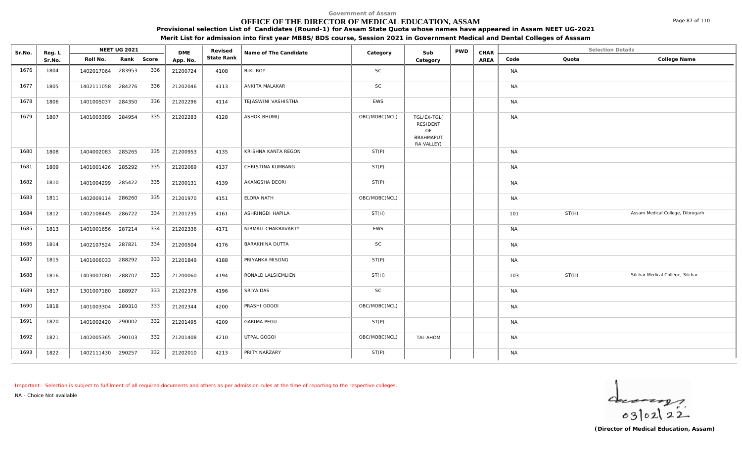# **OFFICE OF THE DIRECTOR OF MEDICAL EDUCATION, ASSAM**

Sr.No. Reg. L Reg.L **NEET UG 2021** ME Revised Name of The Candidate Category Sub PWD CHAR Selection Details Selection Details

NEET UG 2021 **Name of The Candidate Name of The Candidate Category CALC Sub** PWD **CHAR** 

**Provisional selection List of Candidates (Round-1) for Assam State Quota whose names have appeared in Assam NEET UG-2021 Merit List for admission into first year MBBS/BDS course, Session 2021 in Government Medical and Dental Colleges of Asssam**

|      | Sr.No. | Roll No.          | Rank   | Score | App. No. | State Rank |                     |               | Category                                                        | AREA | Code      | Quota | College Name                     |
|------|--------|-------------------|--------|-------|----------|------------|---------------------|---------------|-----------------------------------------------------------------|------|-----------|-------|----------------------------------|
| 1676 | 1804   | 1402017064        | 283953 | 336   | 21200724 | 4108       | <b>BIKI ROY</b>     | <b>SC</b>     |                                                                 |      | <b>NA</b> |       |                                  |
| 1677 | 1805   | 1402111058 284276 |        | 336   | 21202046 | 4113       | ANKITA MALAKAR      | SC            |                                                                 |      | <b>NA</b> |       |                                  |
| 1678 | 1806   | 1401005037        | 284350 | 336   | 21202296 | 4114       | TEJASWINI VASHISTHA | EWS           |                                                                 |      | <b>NA</b> |       |                                  |
| 1679 | 1807   | 1401003389        | 284954 | 335   | 21202283 | 4128       | ASHOK BHUMIJ        | OBC/MOBC(NCL) | TGL/EX-TGL(<br>RESIDENT<br>OF<br><b>BRAHMAPUT</b><br>RA VALLEY) |      | <b>NA</b> |       |                                  |
| 1680 | 1808   | 1404002083 285265 |        | 335   | 21200953 | 4135       | KRISHNA KANTA REGON | ST(P)         |                                                                 |      | <b>NA</b> |       |                                  |
| 1681 | 1809   | 1401001426 285292 |        | 335   | 21202069 | 4137       | CHRISTINA KUMBANG   | ST(P)         |                                                                 |      | <b>NA</b> |       |                                  |
| 1682 | 1810   | 1401004299 285422 |        | 335   | 21200131 | 4139       | AKANGSHA DEORI      | ST(P)         |                                                                 |      | <b>NA</b> |       |                                  |
| 1683 | 1811   | 1402009114 286260 |        | 335   | 21201970 | 4151       | ELORA NATH          | OBC/MOBC(NCL) |                                                                 |      | <b>NA</b> |       |                                  |
| 1684 | 1812   | 1402108445 286722 |        | 334   | 21201235 | 4161       | ASHRINGDI HAPILA    | ST(H)         |                                                                 |      | 101       | ST(H) | Assam Medical College, Dibrugarh |
| 1685 | 1813   | 1401001656 287214 |        | 334   | 21202336 | 4171       | NIRMALI CHAKRAVARTY | EWS           |                                                                 |      | <b>NA</b> |       |                                  |
| 1686 | 1814   | 1402107524        | 287821 | 334   | 21200504 | 4176       | BARAKHINA DUTTA     | <b>SC</b>     |                                                                 |      | <b>NA</b> |       |                                  |
| 1687 | 1815   | 1401006033        | 288292 | 333   | 21201849 | 4188       | PRIYANKA MISONG     | ST(P)         |                                                                 |      | <b>NA</b> |       |                                  |
| 1688 | 1816   | 1403007080        | 288707 | 333   | 21200060 | 4194       | RONALD LALSIEMLIEN  | ST(H)         |                                                                 |      | 103       | ST(H) | Silchar Medical College, Silchar |
| 1689 | 1817   | 1301007180        | 288927 | 333   | 21202378 | 4196       | SRIYA DAS           | <b>SC</b>     |                                                                 |      | <b>NA</b> |       |                                  |
| 1690 | 1818   | 1401003304        | 289310 | 333   | 21202344 | 4200       | PRASHI GOGOI        | OBC/MOBC(NCL) |                                                                 |      | <b>NA</b> |       |                                  |
| 1691 | 1820   | 1401002420        | 290002 | 332   | 21201495 | 4209       | <b>GARIMA PEGU</b>  | ST(P)         |                                                                 |      | <b>NA</b> |       |                                  |
| 1692 | 1821   | 1402005365 290103 |        | 332   | 21201408 | 4210       | UTPAL GOGOI         | OBC/MOBC(NCL) | TAI-AHOM                                                        |      | <b>NA</b> |       |                                  |
| 1693 | 1822   | 1402111430 290257 |        | 332   | 21202010 | 4213       | PRITY NARZARY       | ST(P)         |                                                                 |      | <b>NA</b> |       |                                  |

*Important : Selection is subject to fulfilment of all required documents and others as per admission rules at the time of reporting to the respective colleges.*

DMF Revised

*NA - Choice Not available*

**Reg. L NEET UG 2021** 



Page 87 of 110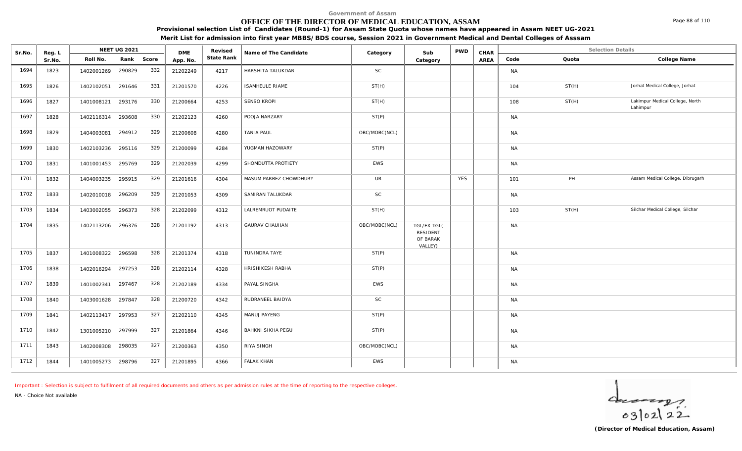# **OFFICE OF THE DIRECTOR OF MEDICAL EDUCATION, ASSAM**

**Provisional selection List of Candidates (Round-1) for Assam State Quota whose names have appeared in Assam NEET UG-2021 Merit List for admission into first year MBBS/BDS course, Session 2021 in Government Medical and Dental Colleges of Asssam**

| Sr.No. | Reg. L | NEET UG 2021              | <b>DME</b>      | Revised    | Name of The Candidate  | Category      | Sub                                            | <b>PWD</b> | CHAR |           | Selection Details |                                             |
|--------|--------|---------------------------|-----------------|------------|------------------------|---------------|------------------------------------------------|------------|------|-----------|-------------------|---------------------------------------------|
|        | Sr.No. | Roll No.<br>Rank<br>Score | App. No.        | State Rank |                        |               | Category                                       |            | AREA | Code      | Quota             | College Name                                |
| 1694   | 1823   | 1402001269<br>290829      | 332<br>21202249 | 4217       | HARSHITA TALUKDAR      | SC            |                                                |            |      | <b>NA</b> |                   |                                             |
| 1695   | 1826   | 291646<br>1402102051      | 331<br>21201570 | 4226       | <b>ISAMHEULE RIAME</b> | ST(H)         |                                                |            |      | 104       | ST(H)             | Jorhat Medical College, Jorhat              |
| 1696   | 1827   | 293176<br>1401008121      | 330<br>21200664 | 4253       | <b>SENSO KROPI</b>     | ST(H)         |                                                |            |      | 108       | ST(H)             | Lakimpur Medical College, North<br>Lahimpur |
| 1697   | 1828   | 293608<br>1402116314      | 330<br>21202123 | 4260       | POOJA NARZARY          | ST(P)         |                                                |            |      | <b>NA</b> |                   |                                             |
| 1698   | 1829   | 294912<br>1404003081      | 329<br>21200608 | 4280       | <b>TANIA PAUL</b>      | OBC/MOBC(NCL) |                                                |            |      | <b>NA</b> |                   |                                             |
| 1699   | 1830   | 295116<br>1402103236      | 329<br>21200099 | 4284       | YUGMAN HAZOWARY        | ST(P)         |                                                |            |      | <b>NA</b> |                   |                                             |
| 1700   | 1831   | 1401001453 295769         | 329<br>21202039 | 4299       | SHOMDUTTA PROTIETY     | EWS           |                                                |            |      | <b>NA</b> |                   |                                             |
| 1701   | 1832   | 295915<br>1404003235      | 329<br>21201616 | 4304       | MASUM PARBEZ CHOWDHURY | <b>UR</b>     |                                                | <b>YES</b> |      | 101       | PH                | Assam Medical College, Dibrugarh            |
| 1702   | 1833   | 1402010018 296209         | 329<br>21201053 | 4309       | SAMIRAN TALUKDAR       | <b>SC</b>     |                                                |            |      | <b>NA</b> |                   |                                             |
| 1703   | 1834   | 296373<br>1403002055      | 328<br>21202099 | 4312       | LALREMRUOT PUDAITE     | ST(H)         |                                                |            |      | 103       | ST(H)             | Silchar Medical College, Silchar            |
| 1704   | 1835   | 1402113206 296376         | 328<br>21201192 | 4313       | <b>GAURAV CHAUHAN</b>  | OBC/MOBC(NCL) | TGL/EX-TGL(<br>RESIDENT<br>OF BARAK<br>VALLEY) |            |      | <b>NA</b> |                   |                                             |
| 1705   | 1837   | 1401008322 296598         | 328<br>21201374 | 4318       | TUNINDRA TAYE          | ST(P)         |                                                |            |      | <b>NA</b> |                   |                                             |
| 1706   | 1838   | 1402016294 297253         | 328<br>21202114 | 4328       | HRISHIKESH RABHA       | ST(P)         |                                                |            |      | <b>NA</b> |                   |                                             |
| 1707   | 1839   | 297467<br>1401002341      | 328<br>21202189 | 4334       | PAYAL SINGHA           | EWS           |                                                |            |      | <b>NA</b> |                   |                                             |
| 1708   | 1840   | 1403001628<br>297847      | 328<br>21200720 | 4342       | RUDRANEEL BAIDYA       | <b>SC</b>     |                                                |            |      | <b>NA</b> |                   |                                             |
| 1709   | 1841   | 1402113417<br>297953      | 327<br>21202110 | 4345       | MANUJ PAYENG           | ST(P)         |                                                |            |      | <b>NA</b> |                   |                                             |
| 1710   | 1842   | 1301005210 297999         | 327<br>21201864 | 4346       | BAHKNI SIKHA PEGU      | ST(P)         |                                                |            |      | <b>NA</b> |                   |                                             |
| 1711   | 1843   | 1402008308<br>298035      | 327<br>21200363 | 4350       | RIYA SINGH             | OBC/MOBC(NCL) |                                                |            |      | <b>NA</b> |                   |                                             |
| 1712   | 1844   | 1401005273 298796         | 327<br>21201895 | 4366       | <b>FALAK KHAN</b>      | <b>EWS</b>    |                                                |            |      | <b>NA</b> |                   |                                             |

*Important : Selection is subject to fulfilment of all required documents and others as per admission rules at the time of reporting to the respective colleges.*

*NA - Choice Not available*

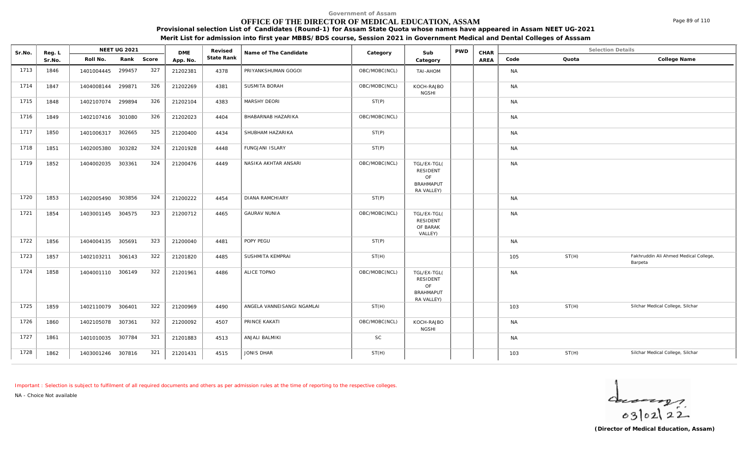### **OFFICE OF THE DIRECTOR OF MEDICAL EDUCATION, ASSAM**

**Provisional selection List of Candidates (Round-1) for Assam State Quota whose names have appeared in Assam NEET UG-2021**

**Merit List for admission into first year MBBS/BDS course, Session 2021 in Government Medical and Dental Colleges of Asssam**

| Sr.No. | Reg. L |                   | NEET UG 2021 |       | <b>DME</b> | Revised    | Name of The Candidate      | Category      | Sub                                                             | <b>PWD</b> | CHAR |           |       | <b>Selection Details</b>                         |
|--------|--------|-------------------|--------------|-------|------------|------------|----------------------------|---------------|-----------------------------------------------------------------|------------|------|-----------|-------|--------------------------------------------------|
|        | Sr.No. | Roll No.          | Rank         | Score | App. No.   | State Rank |                            |               | Category                                                        |            | AREA | Code      | Quota | College Name                                     |
| 1713   | 1846   | 1401004445        | 299457       | 327   | 21202381   | 4378       | PRIYANKSHUMAN GOGOI        | OBC/MOBC(NCL) | TAI-AHOM                                                        |            |      | <b>NA</b> |       |                                                  |
| 1714   | 1847   | 1404008144        | 299871       | 326   | 21202269   | 4381       | SUSMITA BORAH              | OBC/MOBC(NCL) | KOCH-RAJBO<br><b>NGSHI</b>                                      |            |      | <b>NA</b> |       |                                                  |
| 1715   | 1848   | 1402107074 299894 |              | 326   | 21202104   | 4383       | MARSHY DEORI               | ST(P)         |                                                                 |            |      | <b>NA</b> |       |                                                  |
| 1716   | 1849   | 1402107416 301080 |              | 326   | 21202023   | 4404       | BHABARNAB HAZARIKA         | OBC/MOBC(NCL) |                                                                 |            |      | <b>NA</b> |       |                                                  |
| 1717   | 1850   | 1401006317        | 302665       | 325   | 21200400   | 4434       | SHUBHAM HAZARIKA           | ST(P)         |                                                                 |            |      | <b>NA</b> |       |                                                  |
| 1718   | 1851   | 1402005380        | 303282       | 324   | 21201928   | 4448       | <b>FUNGJANI ISLARY</b>     | ST(P)         |                                                                 |            |      | <b>NA</b> |       |                                                  |
| 1719   | 1852   | 1404002035        | 303361       | 324   | 21200476   | 4449       | NASIKA AKHTAR ANSARI       | OBC/MOBC(NCL) | TGL/EX-TGL(<br>RESIDENT<br>OF<br><b>BRAHMAPUT</b><br>RA VALLEY) |            |      | <b>NA</b> |       |                                                  |
| 1720   | 1853   | 1402005490        | 303856       | 324   | 21200222   | 4454       | <b>DIANA RAMCHIARY</b>     | ST(P)         |                                                                 |            |      | <b>NA</b> |       |                                                  |
| 1721   | 1854   | 1403001145 304575 |              | 323   | 21200712   | 4465       | <b>GAURAV NUNIA</b>        | OBC/MOBC(NCL) | TGL/EX-TGL(<br><b>RESIDENT</b><br>OF BARAK<br>VALLEY)           |            |      | <b>NA</b> |       |                                                  |
| 1722   | 1856   | 1404004135 305691 |              | 323   | 21200040   | 4481       | POPY PEGU                  | ST(P)         |                                                                 |            |      | <b>NA</b> |       |                                                  |
| 1723   | 1857   | 1402103211        | 306143       | 322   | 21201820   | 4485       | SUSHMITA KEMPRAI           | ST(H)         |                                                                 |            |      | 105       | ST(H) | Fakhruddin Ali Ahmed Medical College,<br>Barpeta |
| 1724   | 1858   | 1404001110 306149 |              | 322   | 21201961   | 4486       | ALICE TOPNO                | OBC/MOBC(NCL) | TGL/EX-TGL(<br>RESIDENT<br>OF<br><b>BRAHMAPUT</b><br>RA VALLEY) |            |      | <b>NA</b> |       |                                                  |
| 1725   | 1859   | 1402110079 306401 |              | 322   | 21200969   | 4490       | ANGELA VANNEISANGI NGAMLAI | ST(H)         |                                                                 |            |      | 103       | ST(H) | Silchar Medical College, Silchar                 |
| 1726   | 1860   | 1402105078        | 307361       | 322   | 21200092   | 4507       | PRINCE KAKATI              | OBC/MOBC(NCL) | KOCH-RAJBO<br><b>NGSHI</b>                                      |            |      | <b>NA</b> |       |                                                  |
| 1727   | 1861   | 1401010035 307784 |              | 321   | 21201883   | 4513       | ANJALI BALMIKI             | <b>SC</b>     |                                                                 |            |      | <b>NA</b> |       |                                                  |
| 1728   | 1862   | 1403001246 307816 |              | 321   | 21201431   | 4515       | JONIS DHAR                 | ST(H)         |                                                                 |            |      | 103       | ST(H) | Silchar Medical College, Silchar                 |

*Important : Selection is subject to fulfilment of all required documents and others as per admission rules at the time of reporting to the respective colleges.*

*NA - Choice Not available*



Page 89 of 110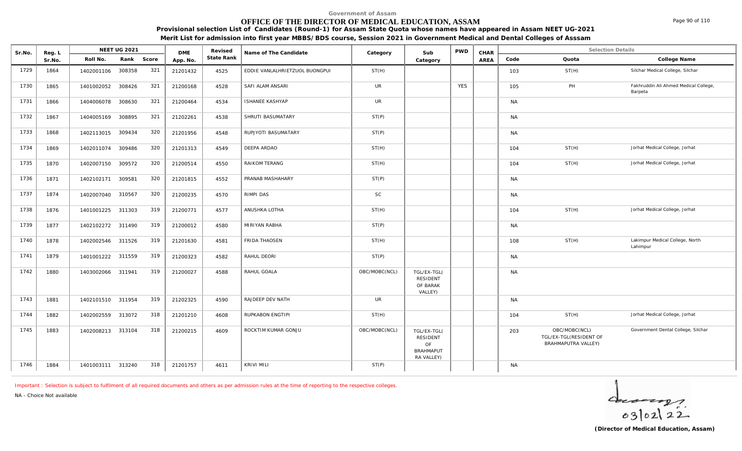# **OFFICE OF THE DIRECTOR OF MEDICAL EDUCATION, ASSAM**

**Provisional selection List of Candidates (Round-1) for Assam State Quota whose names have appeared in Assam NEET UG-2021 Merit List for admission into first year MBBS/BDS course, Session 2021 in Government Medical and Dental Colleges of Asssam**

| Sr.No. | Reg. L |                   | <b>NEET UG 2021</b> |       | <b>DME</b> | Revised    | Name of The Candidate          | Category      | Sub                                                                    | <b>PWD</b> | CHAR |           | <b>Selection Details</b>                                       |                                                  |
|--------|--------|-------------------|---------------------|-------|------------|------------|--------------------------------|---------------|------------------------------------------------------------------------|------------|------|-----------|----------------------------------------------------------------|--------------------------------------------------|
|        | Sr.No. | Roll No.          | Rank                | Score | App. No.   | State Rank |                                |               | Category                                                               |            | AREA | Code      | Quota                                                          | College Name                                     |
| 1729   | 1864   | 1402001106        | 308358              | 321   | 21201432   | 4525       | EDDIE VANLALHRIETZUOL BUONGPUI | ST(H)         |                                                                        |            |      | 103       | ST(H)                                                          | Silchar Medical College, Silchar                 |
| 1730   | 1865   | 1401002052        | 308426              | 321   | 21200168   | 4528       | SAFI ALAM ANSARI               | <b>UR</b>     |                                                                        | <b>YES</b> |      | 105       | PH                                                             | Fakhruddin Ali Ahmed Medical College,<br>Barpeta |
| 1731   | 1866   | 1404006078        | 308630              | 321   | 21200464   | 4534       | <b>ISHANEE KASHYAP</b>         | <b>UR</b>     |                                                                        |            |      | <b>NA</b> |                                                                |                                                  |
| 1732   | 1867   | 1404005169        | 308895              | 321   | 21202261   | 4538       | SHRUTI BASUMATARY              | ST(P)         |                                                                        |            |      | <b>NA</b> |                                                                |                                                  |
| 1733   | 1868   | 1402113015        | 309434              | 320   | 21201956   | 4548       | RUPJYOTI BASUMATARY            | ST(P)         |                                                                        |            |      | NA        |                                                                |                                                  |
| 1734   | 1869   | 1402011074        | 309486              | 320   | 21201313   | 4549       | DEEPA ARDAO                    | ST(H)         |                                                                        |            |      | 104       | ST(H)                                                          | Jorhat Medical College, Jorhat                   |
| 1735   | 1870   | 1402007150        | 309572              | 320   | 21200514   | 4550       | RAIKOM TERANG                  | ST(H)         |                                                                        |            |      | 104       | ST(H)                                                          | Jorhat Medical College, Jorhat                   |
| 1736   | 1871   | 1402102171        | 309581              | 320   | 21201815   | 4552       | PRANAB MASHAHARY               | ST(P)         |                                                                        |            |      | <b>NA</b> |                                                                |                                                  |
| 1737   | 1874   | 1402007040        | 310567              | 320   | 21200235   | 4570       | RIMPI DAS                      | <b>SC</b>     |                                                                        |            |      | NA        |                                                                |                                                  |
| 1738   | 1876   | 1401001225        | 311303              | 319   | 21200771   | 4577       | ANUSHKA LOTHA                  | ST(H)         |                                                                        |            |      | 104       | ST(H)                                                          | Jorhat Medical College, Jorhat                   |
| 1739   | 1877   | 1402102272 311490 |                     | 319   | 21200012   | 4580       | MIRIYAN RABHA                  | ST(P)         |                                                                        |            |      | NA        |                                                                |                                                  |
| 1740   | 1878   | 1402002546        | 311526              | 319   | 21201630   | 4581       | FRIDA THAOSEN                  | ST(H)         |                                                                        |            |      | 108       | ST(H)                                                          | Lakimpur Medical College, North<br>Lahimpur      |
| 1741   | 1879   | 1401001222        | 311559              | 319   | 21200323   | 4582       | RAHUL DEORI                    | ST(P)         |                                                                        |            |      | NA        |                                                                |                                                  |
| 1742   | 1880   | 1403002066        | 311941              | 319   | 21200027   | 4588       | RAHUL GOALA                    | OBC/MOBC(NCL) | TGL/EX-TGL(<br><b>RESIDENT</b><br>OF BARAK<br>VALLEY)                  |            |      | <b>NA</b> |                                                                |                                                  |
| 1743   | 1881   | 1402101510 311954 |                     | 319   | 21202325   | 4590       | RAJDEEP DEV NATH               | <b>UR</b>     |                                                                        |            |      | NA        |                                                                |                                                  |
| 1744   | 1882   | 1402002559        | 313072              | 318   | 21201210   | 4608       | RUPKABON ENGTIPI               | ST(H)         |                                                                        |            |      | 104       | ST(H)                                                          | Jorhat Medical College, Jorhat                   |
| 1745   | 1883   | 1402008213 313104 |                     | 318   | 21200215   | 4609       | ROCKTIM KUMAR GONJU            | OBC/MOBC(NCL) | TGL/EX-TGL(<br><b>RESIDENT</b><br>OF<br><b>BRAHMAPUT</b><br>RA VALLEY) |            |      | 203       | OBC/MOBC(NCL)<br>TGL/EX-TGL(RESIDENT OF<br>BRAHMAPUTRA VALLEY) | Government Dental College, Silchar               |
| 1746   | 1884   | 1401003111 313240 |                     | 318   | 21201757   | 4611       | <b>KRIVI MILI</b>              | ST(P)         |                                                                        |            |      | NA        |                                                                |                                                  |

*Important : Selection is subject to fulfilment of all required documents and others as per admission rules at the time of reporting to the respective colleges.*

*NA - Choice Not available*

 $40222$ 

Page 90 of 110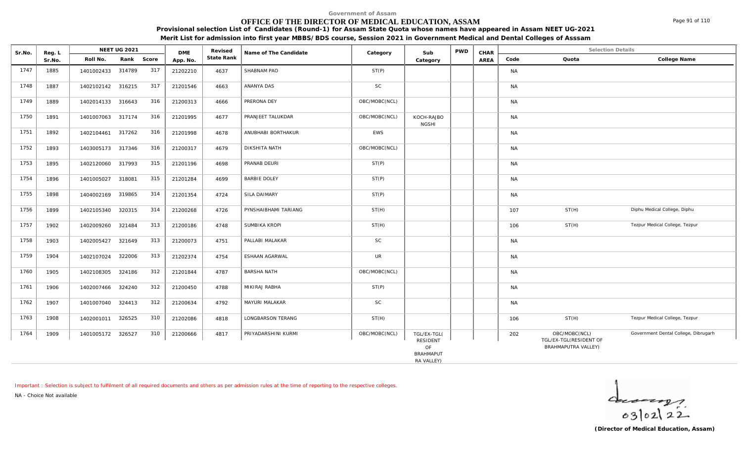# **OFFICE OF THE DIRECTOR OF MEDICAL EDUCATION, ASSAM**

**Provisional selection List of Candidates (Round-1) for Assam State Quota whose names have appeared in Assam NEET UG-2021 Merit List for admission into first year MBBS/BDS course, Session 2021 in Government Medical and Dental Colleges of Asssam**

| Sr.No. | Reg. L |                   | <b>NEET UG 2021</b> |       | <b>DME</b> | Revised    | Name of The Candidate | Category      | Sub                        | <b>PWD</b> | CHAR |           | <b>Selection Details</b>                |                                      |
|--------|--------|-------------------|---------------------|-------|------------|------------|-----------------------|---------------|----------------------------|------------|------|-----------|-----------------------------------------|--------------------------------------|
|        | Sr.No. | Roll No.          | Rank                | Score | App. No.   | State Rank |                       |               | Category                   |            | AREA | Code      | Quota                                   | College Name                         |
| 1747   | 1885   | 1401002433 314789 |                     | 317   | 21202210   | 4637       | SHABNAM PAO           | ST(P)         |                            |            |      | <b>NA</b> |                                         |                                      |
| 1748   | 1887   | 1402102142 316215 |                     | 317   | 21201546   | 4663       | ANANYA DAS            | SC            |                            |            |      | <b>NA</b> |                                         |                                      |
| 1749   | 1889   | 1402014133 316643 |                     | 316   | 21200313   | 4666       | PRERONA DEY           | OBC/MOBC(NCL) |                            |            |      | <b>NA</b> |                                         |                                      |
| 1750   | 1891   | 1401007063 317174 |                     | 316   | 21201995   | 4677       | PRANJEET TALUKDAR     | OBC/MOBC(NCL) | KOCH-RAJBO<br><b>NGSHI</b> |            |      | <b>NA</b> |                                         |                                      |
| 1751   | 1892   | 1402104461 317262 |                     | 316   | 21201998   | 4678       | ANUBHABI BORTHAKUR    | EWS           |                            |            |      | <b>NA</b> |                                         |                                      |
| 1752   | 1893   | 1403005173 317346 |                     | 316   | 21200317   | 4679       | DIKSHITA NATH         | OBC/MOBC(NCL) |                            |            |      | <b>NA</b> |                                         |                                      |
| 1753   | 1895   | 1402120060 317993 |                     | 315   | 21201196   | 4698       | PRANAB DEURI          | ST(P)         |                            |            |      | <b>NA</b> |                                         |                                      |
| 1754   | 1896   | 1401005027        | 318081              | 315   | 21201284   | 4699       | <b>BARBIE DOLEY</b>   | ST(P)         |                            |            |      | <b>NA</b> |                                         |                                      |
| 1755   | 1898   | 1404002169 319865 |                     | 314   | 21201354   | 4724       | <b>SILA DAIMARY</b>   | ST(P)         |                            |            |      | <b>NA</b> |                                         |                                      |
| 1756   | 1899   | 1402105340 320315 |                     | 314   | 21200268   | 4726       | PYNSHAIBHAMI TARIANG  | ST(H)         |                            |            |      | 107       | ST(H)                                   | Diphu Medical College, Diphu         |
| 1757   | 1902   | 1402009260        | 321484              | 313   | 21200186   | 4748       | SUMBIKA KROPI         | ST(H)         |                            |            |      | 106       | ST(H)                                   | Tezpur Medical College, Tezpur       |
| 1758   | 1903   | 1402005427        | 321649              | 313   | 21200073   | 4751       | PALLABI MALAKAR       | SC            |                            |            |      | <b>NA</b> |                                         |                                      |
| 1759   | 1904   | 1402107024 322006 |                     | 313   | 21202374   | 4754       | ESHAAN AGARWAL        | <b>UR</b>     |                            |            |      | <b>NA</b> |                                         |                                      |
| 1760   | 1905   | 1402108305 324186 |                     | 312   | 21201844   | 4787       | <b>BARSHA NATH</b>    | OBC/MOBC(NCL) |                            |            |      | <b>NA</b> |                                         |                                      |
| 1761   | 1906   | 1402007466        | 324240              | 312   | 21200450   | 4788       | MIKIRAJ RABHA         | ST(P)         |                            |            |      | <b>NA</b> |                                         |                                      |
| 1762   | 1907   | 1401007040 324413 |                     | 312   | 21200634   | 4792       | MAYURI MALAKAR        | SC            |                            |            |      | <b>NA</b> |                                         |                                      |
| 1763   | 1908   | 1402001011        | 326525              | 310   | 21202086   | 4818       | LONGBARSON TERANG     | ST(H)         |                            |            |      | 106       | ST(H)                                   | Tezpur Medical College, Tezpur       |
| 1764   | 1909   | 1401005172 326527 |                     | 310   | 21200666   | 4817       | PRIYADARSHINI KURMI   | OBC/MOBC(NCL) | TGL/EX-TGL(<br>RESIDENT    |            |      | 202       | OBC/MOBC(NCL)<br>TGL/EX-TGL(RESIDENT OF | Government Dental College, Dibrugarh |
|        |        |                   |                     |       |            |            |                       |               | OF                         |            |      |           | BRAHMAPUTRA VALLEY)                     |                                      |
|        |        |                   |                     |       |            |            |                       |               | <b>BRAHMAPUT</b>           |            |      |           |                                         |                                      |
|        |        |                   |                     |       |            |            |                       |               |                            |            |      |           |                                         |                                      |

RA VALLEY)

*Important : Selection is subject to fulfilment of all required documents and others as per admission rules at the time of reporting to the respective colleges.*

*NA - Choice Not available*

**Reg. L NEET UG 2021** 

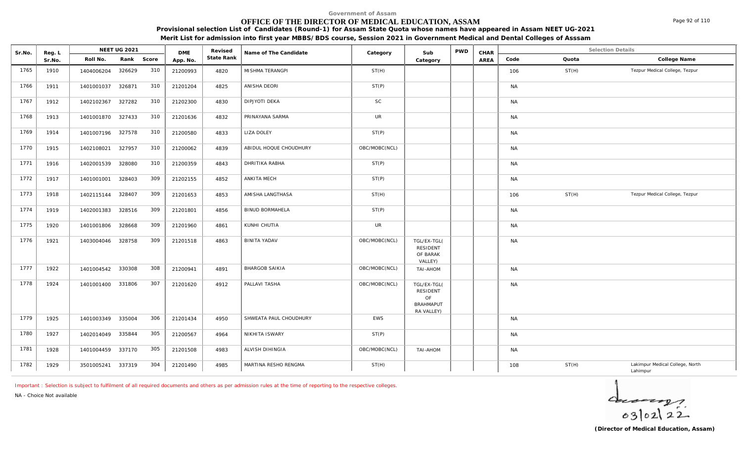# **OFFICE OF THE DIRECTOR OF MEDICAL EDUCATION, ASSAM**

Sr.No. Reg. L Reg.L **NEET UG 2021** ME Revised Name of The Candidate Category Sub PWD CHAR Selection Details Selection Details

**NEET UG 2021 Category CHAR**

**Name of The Candidate Revised**

**Provisional selection List of Candidates (Round-1) for Assam State Quota whose names have appeared in Assam NEET UG-2021 Merit List for admission into first year MBBS/BDS course, Session 2021 in Government Medical and Dental Colleges of Asssam**

AREA Code Quota

**State Rank Code Quota College Name**

**Category**

| 1765 | 1910 | 1404006204        | 326629 | 310 | 21200993 | 4820 | MISHMA TERANGPI        | ST(H)         |                                                                 |  | 106       | ST(H) | Tezpur Medical College, Tezpur              |
|------|------|-------------------|--------|-----|----------|------|------------------------|---------------|-----------------------------------------------------------------|--|-----------|-------|---------------------------------------------|
| 1766 | 1911 | 1401001037        | 326871 | 310 | 21201204 | 4825 | ANISHA DEORI           | ST(P)         |                                                                 |  | <b>NA</b> |       |                                             |
| 1767 | 1912 | 1402102367 327282 |        | 310 | 21202300 | 4830 | DIPJYOTI DEKA          | <b>SC</b>     |                                                                 |  | <b>NA</b> |       |                                             |
| 1768 | 1913 | 1401001870 327433 |        | 310 | 21201636 | 4832 | PRINAYANA SARMA        | <b>UR</b>     |                                                                 |  | <b>NA</b> |       |                                             |
| 1769 | 1914 | 1401007196 327578 |        | 310 | 21200580 | 4833 | <b>LIZA DOLEY</b>      | ST(P)         |                                                                 |  | <b>NA</b> |       |                                             |
| 1770 | 1915 | 1402108021        | 327957 | 310 | 21200062 | 4839 | ABIDUL HOQUE CHOUDHURY | OBC/MOBC(NCL) |                                                                 |  | <b>NA</b> |       |                                             |
| 1771 | 1916 | 1402001539 328080 |        | 310 | 21200359 | 4843 | DHRITIKA RABHA         | ST(P)         |                                                                 |  | <b>NA</b> |       |                                             |
| 1772 | 1917 | 1401001001 328403 |        | 309 | 21202155 | 4852 | ANKITA MECH            | ST(P)         |                                                                 |  | <b>NA</b> |       |                                             |
| 1773 | 1918 | 1402115144        | 328407 | 309 | 21201653 | 4853 | AMISHA LANGTHASA       | ST(H)         |                                                                 |  | 106       | ST(H) | Tezpur Medical College, Tezpur              |
| 1774 | 1919 | 1402001383        | 328516 | 309 | 21201801 | 4856 | <b>BINUD BORMAHELA</b> | ST(P)         |                                                                 |  | <b>NA</b> |       |                                             |
| 1775 | 1920 | 1401001806 328668 |        | 309 | 21201960 | 4861 | KUNHI CHUTIA           | UR            |                                                                 |  | <b>NA</b> |       |                                             |
| 1776 | 1921 | 1403004046 328758 |        | 309 | 21201518 | 4863 | <b>BINITA YADAV</b>    | OBC/MOBC(NCL) | TGL/EX-TGL(<br>RESIDENT<br>OF BARAK<br>VALLEY)                  |  | <b>NA</b> |       |                                             |
| 1777 | 1922 | 1401004542 330308 |        | 308 | 21200941 | 4891 | <b>BHARGOB SAIKIA</b>  | OBC/MOBC(NCL) | <b>TAI-AHOM</b>                                                 |  | <b>NA</b> |       |                                             |
| 1778 | 1924 | 1401001400 331806 |        | 307 | 21201620 | 4912 | PALLAVI TASHA          | OBC/MOBC(NCL) | TGL/EX-TGL(<br>RESIDENT<br>OF<br><b>BRAHMAPUT</b><br>RA VALLEY) |  | <b>NA</b> |       |                                             |
| 1779 | 1925 | 1401003349 335004 |        | 306 | 21201434 | 4950 | SHWEATA PAUL CHOUDHURY | EWS           |                                                                 |  | <b>NA</b> |       |                                             |
| 1780 | 1927 | 1402014049        | 335844 | 305 | 21200567 | 4964 | NIKHITA ISWARY         | ST(P)         |                                                                 |  | <b>NA</b> |       |                                             |
| 1781 | 1928 | 1401004459 337170 |        | 305 | 21201508 | 4983 | ALVISH DIHINGIA        | OBC/MOBC(NCL) | <b>TAI-AHOM</b>                                                 |  | <b>NA</b> |       |                                             |
| 1782 | 1929 | 3501005241 337319 |        | 304 | 21201490 | 4985 | MARTINA RESHO RENGMA   | ST(H)         |                                                                 |  | 108       | ST(H) | Lakimpur Medical College, North<br>Lahimpur |

*Important : Selection is subject to fulfilment of all required documents and others as per admission rules at the time of reporting to the respective colleges.*

**DME** Revised<br>**PD\_NO** State Rank

*NA - Choice Not available*

Reg. L **NEET UG 2021**<br>Sr No Roll No. Rank

Sr.No. | Roll No. Rank Score | App.No. | State Ra



Page 92 of 110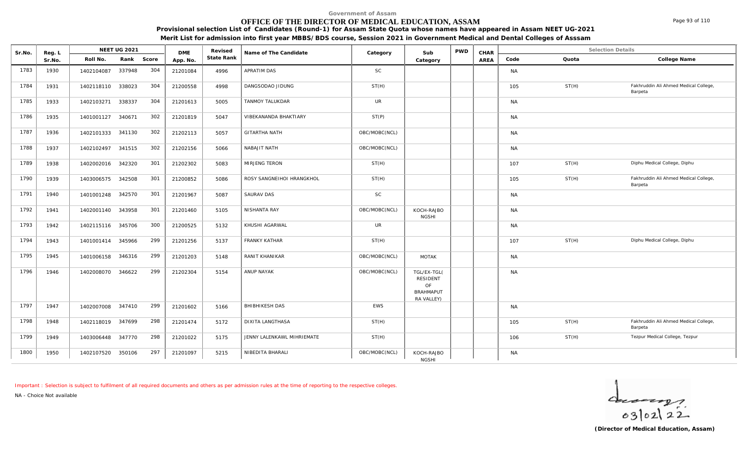# **OFFICE OF THE DIRECTOR OF MEDICAL EDUCATION, ASSAM**

**Provisional selection List of Candidates (Round-1) for Assam State Quota whose names have appeared in Assam NEET UG-2021**

|  | Merit List for admission into first year MBBS/BDS course, Session 2021 in Government Medical and Dental Colleges of Asssam |
|--|----------------------------------------------------------------------------------------------------------------------------|
|  |                                                                                                                            |

| Sr.No. | Reg. L |                   | NEET UG 2021 |       | <b>DME</b> | Revised    | Name of The Candidate      | Category      | Sub                                                             | PWD | CHAR |           |       | <b>Selection Details</b>                         |
|--------|--------|-------------------|--------------|-------|------------|------------|----------------------------|---------------|-----------------------------------------------------------------|-----|------|-----------|-------|--------------------------------------------------|
|        | Sr.No. | Roll No.          | Rank         | Score | App. No.   | State Rank |                            |               | Category                                                        |     | AREA | Code      | Quota | College Name                                     |
| 1783   | 1930   | 1402104087        | 337948       | 304   | 21201084   | 4996       | APRATIM DAS                | SC            |                                                                 |     |      | <b>NA</b> |       |                                                  |
| 1784   | 1931   | 1402118110        | 338023       | 304   | 21200558   | 4998       | DANGSODAO JIDUNG           | ST(H)         |                                                                 |     |      | 105       | ST(H) | Fakhruddin Ali Ahmed Medical College,<br>Barpeta |
| 1785   | 1933   | 1402103271        | 338337       | 304   | 21201613   | 5005       | TANMOY TALUKDAR            | <b>UR</b>     |                                                                 |     |      | <b>NA</b> |       |                                                  |
| 1786   | 1935   | 1401001127 340671 |              | 302   | 21201819   | 5047       | VIBEKANANDA BHAKTIARY      | ST(P)         |                                                                 |     |      | <b>NA</b> |       |                                                  |
| 1787   | 1936   | 1402101333        | 341130       | 302   | 21202113   | 5057       | <b>GITARTHA NATH</b>       | OBC/MOBC(NCL) |                                                                 |     |      | <b>NA</b> |       |                                                  |
| 1788   | 1937   | 1402102497        | 341515       | 302   | 21202156   | 5066       | NABAJIT NATH               | OBC/MOBC(NCL) |                                                                 |     |      | <b>NA</b> |       |                                                  |
| 1789   | 1938   | 1402002016        | 342320       | 301   | 21202302   | 5083       | MIRJENG TERON              | ST(H)         |                                                                 |     |      | 107       | ST(H) | Diphu Medical College, Diphu                     |
| 1790   | 1939   | 1403006575        | 342508       | 301   | 21200852   | 5086       | ROSY SANGNEIHOI HRANGKHOL  | ST(H)         |                                                                 |     |      | 105       | ST(H) | Fakhruddin Ali Ahmed Medical College,<br>Barpeta |
| 1791   | 1940   | 1401001248 342570 |              | 301   | 21201967   | 5087       | SAURAV DAS                 | <b>SC</b>     |                                                                 |     |      | <b>NA</b> |       |                                                  |
| 1792   | 1941   | 1402001140 343958 |              | 301   | 21201460   | 5105       | NISHANTA RAY               | OBC/MOBC(NCL) | KOCH-RAJBO<br><b>NGSHI</b>                                      |     |      | <b>NA</b> |       |                                                  |
| 1793   | 1942   | 1402115116 345706 |              | 300   | 21200525   | 5132       | KHUSHI AGARWAL             | <b>UR</b>     |                                                                 |     |      | <b>NA</b> |       |                                                  |
| 1794   | 1943   | 1401001414        | 345966       | 299   | 21201256   | 5137       | <b>FRANKY KATHAR</b>       | ST(H)         |                                                                 |     |      | 107       | ST(H) | Diphu Medical College, Diphu                     |
| 1795   | 1945   | 1401006158        | 346316       | 299   | 21201203   | 5148       | RANIT KHANIKAR             | OBC/MOBC(NCL) | <b>MOTAK</b>                                                    |     |      | <b>NA</b> |       |                                                  |
| 1796   | 1946   | 1402008070 346622 |              | 299   | 21202304   | 5154       | ANUP NAYAK                 | OBC/MOBC(NCL) | TGL/EX-TGL(<br>RESIDENT<br>OF<br><b>BRAHMAPUT</b><br>RA VALLEY) |     |      | <b>NA</b> |       |                                                  |
| 1797   | 1947   | 1402007008        | 347410       | 299   | 21201602   | 5166       | BHIBHIKESH DAS             | <b>EWS</b>    |                                                                 |     |      | <b>NA</b> |       |                                                  |
| 1798   | 1948   | 1402118019 347699 |              | 298   | 21201474   | 5172       | <b>DIXITA LANGTHASA</b>    | ST(H)         |                                                                 |     |      | 105       | ST(H) | Fakhruddin Ali Ahmed Medical College,<br>Barpeta |
| 1799   | 1949   | 1403006448        | 347770       | 298   | 21201022   | 5175       | JENNY LALENKAWL MIHRIEMATE | ST(H)         |                                                                 |     |      | 106       | ST(H) | Tezpur Medical College, Tezpur                   |
| 1800   | 1950   | 1402107520        | 350106       | 297   | 21201097   | 5215       | NIBEDITA BHARALI           | OBC/MOBC(NCL) | KOCH-RAJBO<br><b>NGSHI</b>                                      |     |      | <b>NA</b> |       |                                                  |

*Important : Selection is subject to fulfilment of all required documents and others as per admission rules at the time of reporting to the respective colleges.*

*NA - Choice Not available*

 $40222$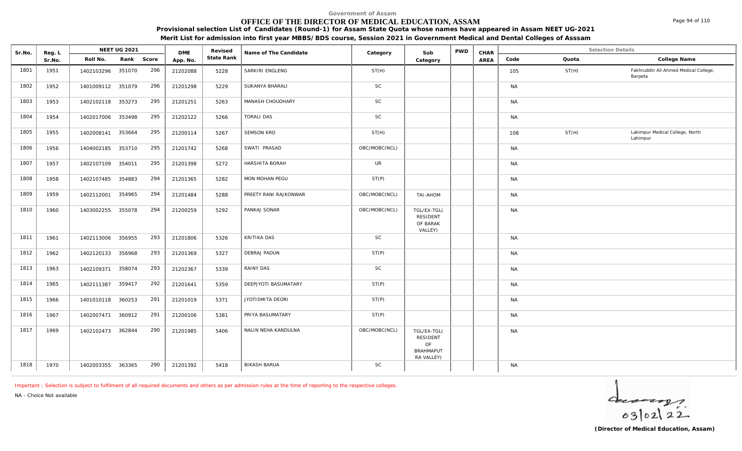### **OFFICE OF THE DIRECTOR OF MEDICAL EDUCATION, ASSAM**

**Provisional selection List of Candidates (Round-1) for Assam State Quota whose names have appeared in Assam NEET UG-2021**

**Merit List for admission into first year MBBS/BDS course, Session 2021 in Government Medical and Dental Colleges of Asssam**

| Sr.No. | Reg. L |                   | <b>NEET UG 2021</b> |     | <b>DME</b> | Revised    | Name of The Candidate | Category      | Sub                                                             | <b>PWD</b> | CHAR |           | <b>Selection Details</b> |                                                  |
|--------|--------|-------------------|---------------------|-----|------------|------------|-----------------------|---------------|-----------------------------------------------------------------|------------|------|-----------|--------------------------|--------------------------------------------------|
|        | Sr.No. | Roll No.          | Rank Score          |     | App. No.   | State Rank |                       |               | Category                                                        |            | AREA | Code      | Quota                    | College Name                                     |
| 1801   | 1951   | 1402103296        | 351070              | 296 | 21202088   | 5228       | SARKIRI ENGLENG       | ST(H)         |                                                                 |            |      | 105       | ST(H)                    | Fakhruddin Ali Ahmed Medical College,<br>Barpeta |
| 1802   | 1952   | 1401009112 351079 |                     | 296 | 21201298   | 5229       | SUKANYA BHARALI       | <b>SC</b>     |                                                                 |            |      | <b>NA</b> |                          |                                                  |
| 1803   | 1953   | 1402102118 353273 |                     | 295 | 21201251   | 5263       | MANASH CHOUDHARY      | <b>SC</b>     |                                                                 |            |      | <b>NA</b> |                          |                                                  |
| 1804   | 1954   | 1402017006 353498 |                     | 295 | 21202122   | 5266       | <b>TORALI DAS</b>     | SC            |                                                                 |            |      | <b>NA</b> |                          |                                                  |
| 1805   | 1955   | 1402008141 353664 |                     | 295 | 21200114   | 5267       | SEMSON KRO            | ST(H)         |                                                                 |            |      | 108       | ST(H)                    | Lakimpur Medical College, North<br>Lahimpur      |
| 1806   | 1956   | 1404002185        | 353710              | 295 | 21201742   | 5268       | SWATI PRASAD          | OBC/MOBC(NCL) |                                                                 |            |      | <b>NA</b> |                          |                                                  |
| 1807   | 1957   | 1402107109 354011 |                     | 295 | 21201398   | 5272       | HARSHITA BORAH        | <b>UR</b>     |                                                                 |            |      | <b>NA</b> |                          |                                                  |
| 1808   | 1958   | 1402107485        | 354883              | 294 | 21201365   | 5282       | MON MOHAN PEGU        | ST(P)         |                                                                 |            |      | <b>NA</b> |                          |                                                  |
| 1809   | 1959   | 1402112001        | 354965              | 294 | 21201484   | 5288       | PREETY RANI RAJKONWAR | OBC/MOBC(NCL) | TAI-AHOM                                                        |            |      | ΝA        |                          |                                                  |
| 1810   | 1960   | 1403002255        | 355078              | 294 | 21200259   | 5292       | PANKAJ SONAR          | OBC/MOBC(NCL) | TGL/EX-TGL(<br><b>RESIDENT</b><br>OF BARAK<br>VALLEY)           |            |      | <b>NA</b> |                          |                                                  |
| 1811   | 1961   | 1402113006 356955 |                     | 293 | 21201806   | 5326       | KRITIKA DAS           | <b>SC</b>     |                                                                 |            |      | <b>NA</b> |                          |                                                  |
| 1812   | 1962   | 1402120133        | 356968              | 293 | 21201369   | 5327       | DEBRAJ PADUN          | ST(P)         |                                                                 |            |      | <b>NA</b> |                          |                                                  |
| 1813   | 1963   | 1402109371 358074 |                     | 293 | 21202367   | 5339       | RAINY DAS             | SC            |                                                                 |            |      | <b>NA</b> |                          |                                                  |
| 1814   | 1965   | 1402111387        | 359417              | 292 | 21201641   | 5359       | DEEPJYOTI BASUMATARY  | ST(P)         |                                                                 |            |      | <b>NA</b> |                          |                                                  |
| 1815   | 1966   | 1401010118 360253 |                     | 291 | 21201019   | 5371       | JYOTISMITA DEORI      | ST(P)         |                                                                 |            |      | <b>NA</b> |                          |                                                  |
| 1816   | 1967   | 1402007471 360912 |                     | 291 | 21200106   | 5381       | PRIYA BASUMATARY      | ST(P)         |                                                                 |            |      | <b>NA</b> |                          |                                                  |
| 1817   | 1969   | 1402102473 362844 |                     | 290 | 21201985   | 5406       | NALIN NEHA KANDULNA   | OBC/MOBC(NCL) | TGL/EX-TGL(<br>RESIDENT<br>OF<br><b>BRAHMAPUT</b><br>RA VALLEY) |            |      | <b>NA</b> |                          |                                                  |
| 1818   | 1970   | 1402003355 363365 |                     | 290 | 21201392   | 5418       | <b>BIKASH BARUA</b>   | SC            |                                                                 |            |      | <b>NA</b> |                          |                                                  |

*Important : Selection is subject to fulfilment of all required documents and others as per admission rules at the time of reporting to the respective colleges.*

*NA - Choice Not available*

 $4 - 22$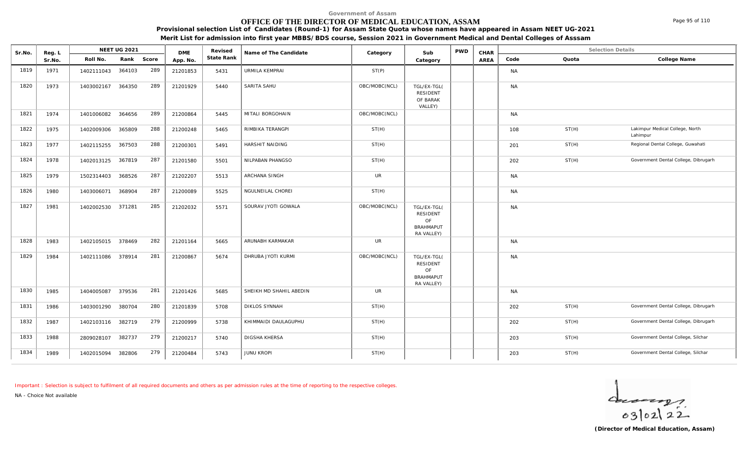### **OFFICE OF THE DIRECTOR OF MEDICAL EDUCATION, ASSAM**

**Provisional selection List of Candidates (Round-1) for Assam State Quota whose names have appeared in Assam NEET UG-2021**

**Merit List for admission into first year MBBS/BDS course, Session 2021 in Government Medical and Dental Colleges of Asssam**

| Sr.No. | Reg. L | NEET UG 2021      |               | <b>DME</b> | Revised    | Name of The Candidate   | Category      | Sub                                                             | <b>PWD</b> | CHAR |           |       | <b>Selection Details</b>                    |
|--------|--------|-------------------|---------------|------------|------------|-------------------------|---------------|-----------------------------------------------------------------|------------|------|-----------|-------|---------------------------------------------|
|        | Sr.No. | Roll No.          | Rank Score    | App. No.   | State Rank |                         |               | Category                                                        |            | AREA | Code      | Quota | College Name                                |
| 1819   | 1971   | 1402111043        | 289<br>364103 | 21201853   | 5431       | URMILA KEMPRAI          | ST(P)         |                                                                 |            |      | <b>NA</b> |       |                                             |
| 1820   | 1973   | 1403002167        | 289<br>364350 | 21201929   | 5440       | SARITA SAHU             | OBC/MOBC(NCL) | TGL/EX-TGL(<br><b>RESIDENT</b><br>OF BARAK<br>VALLEY)           |            |      | <b>NA</b> |       |                                             |
| 1821   | 1974   | 1401006082        | 289<br>364656 | 21200864   | 5445       | MITALI BORGOHAIN        | OBC/MOBC(NCL) |                                                                 |            |      | <b>NA</b> |       |                                             |
| 1822   | 1975   | 1402009306        | 288<br>365809 | 21200248   | 5465       | RIMBIKA TERANGPI        | ST(H)         |                                                                 |            |      | 108       | ST(H) | Lakimpur Medical College, North<br>Lahimpur |
| 1823   | 1977   | 1402115255        | 288<br>367503 | 21200301   | 5491       | HARSHIT NAIDING         | ST(H)         |                                                                 |            |      | 201       | ST(H) | Regional Dental College, Guwahati           |
| 1824   | 1978   | 1402013125        | 287<br>367819 | 21201580   | 5501       | NILPABAN PHANGSO        | ST(H)         |                                                                 |            |      | 202       | ST(H) | Government Dental College, Dibrugarh        |
| 1825   | 1979   | 1502314403        | 287<br>368526 | 21202207   | 5513       | ARCHANA SINGH           | UR            |                                                                 |            |      | <b>NA</b> |       |                                             |
| 1826   | 1980   | 1403006071        | 287<br>368904 | 21200089   | 5525       | NGULNEILAL CHOREI       | ST(H)         |                                                                 |            |      | <b>NA</b> |       |                                             |
| 1827   | 1981   | 1402002530        | 285<br>371281 | 21202032   | 5571       | SOURAV JYOTI GOWALA     | OBC/MOBC(NCL) | TGL/EX-TGL(<br>RESIDENT<br>OF<br><b>BRAHMAPUT</b><br>RA VALLEY) |            |      | <b>NA</b> |       |                                             |
| 1828   | 1983   | 1402105015 378469 | 282           | 21201164   | 5665       | ARUNABH KARMAKAR        | UR            |                                                                 |            |      | <b>NA</b> |       |                                             |
| 1829   | 1984   | 1402111086        | 281<br>378914 | 21200867   | 5674       | DHRUBA JYOTI KURMI      | OBC/MOBC(NCL) | TGL/EX-TGL(<br>RESIDENT<br>OF<br><b>BRAHMAPUT</b><br>RA VALLEY) |            |      | <b>NA</b> |       |                                             |
| 1830   | 1985   | 1404005087        | 281<br>379536 | 21201426   | 5685       | SHEIKH MD SHAHIL ABEDIN | <b>UR</b>     |                                                                 |            |      | <b>NA</b> |       |                                             |
| 1831   | 1986   | 1403001290        | 280<br>380704 | 21201839   | 5708       | <b>DIKLOS SYNNAH</b>    | ST(H)         |                                                                 |            |      | 202       | ST(H) | Government Dental College, Dibrugarh        |
| 1832   | 1987   | 1402103116        | 279<br>382719 | 21200999   | 5738       | KHIMMAIDI DAULAGUPHU    | ST(H)         |                                                                 |            |      | 202       | ST(H) | Government Dental College, Dibrugarh        |
| 1833   | 1988   | 2809028107        | 279<br>382737 | 21200217   | 5740       | DIGSHA KHERSA           | ST(H)         |                                                                 |            |      | 203       | ST(H) | Government Dental College, Silchar          |
| 1834   | 1989   | 1402015094        | 279<br>382806 | 21200484   | 5743       | <b>JUNU KROPI</b>       | ST(H)         |                                                                 |            |      | 203       | ST(H) | Government Dental College, Silchar          |

*Important : Selection is subject to fulfilment of all required documents and others as per admission rules at the time of reporting to the respective colleges.*

*NA - Choice Not available*

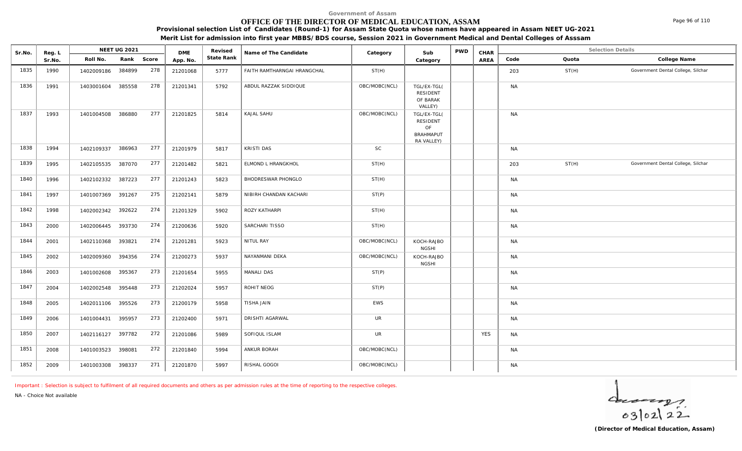### **OFFICE OF THE DIRECTOR OF MEDICAL EDUCATION, ASSAM**

**Provisional selection List of Candidates (Round-1) for Assam State Quota whose names have appeared in Assam NEET UG-2021**

**Merit List for admission into first year MBBS/BDS course, Session 2021 in Government Medical and Dental Colleges of Asssam**

| Sr.No. | Reg. L |                   | NEET UG 2021 |     | <b>DME</b> | Revised    | Name of The Candidate       | Category      | Sub                                                                    | <b>PWD</b> | CHAR       |           | <b>Selection Details</b> |                                    |
|--------|--------|-------------------|--------------|-----|------------|------------|-----------------------------|---------------|------------------------------------------------------------------------|------------|------------|-----------|--------------------------|------------------------------------|
|        | Sr.No. | Roll No.          | Rank Score   |     | App. No.   | State Rank |                             |               | Category                                                               |            | AREA       | Code      | Quota                    | College Name                       |
| 1835   | 1990   | 1402009186        | 384899       | 278 | 21201068   | 5777       | FAITH RAMTHARNGAI HRANGCHAL | ST(H)         |                                                                        |            |            | 203       | ST(H)                    | Government Dental College, Silchar |
| 1836   | 1991   | 1403001604 385558 |              | 278 | 21201341   | 5792       | ABDUL RAZZAK SIDDIQUE       | OBC/MOBC(NCL) | TGL/EX-TGL(<br><b>RESIDENT</b><br>OF BARAK<br>VALLEY)                  |            |            | <b>NA</b> |                          |                                    |
| 1837   | 1993   | 1401004508        | 386880       | 277 | 21201825   | 5814       | KAJAL SAHU                  | OBC/MOBC(NCL) | TGL/EX-TGL(<br><b>RESIDENT</b><br>OF<br><b>BRAHMAPUT</b><br>RA VALLEY) |            |            | <b>NA</b> |                          |                                    |
| 1838   | 1994   | 1402109337        | 386963       | 277 | 21201979   | 5817       | KRISTI DAS                  | <b>SC</b>     |                                                                        |            |            | <b>NA</b> |                          |                                    |
| 1839   | 1995   | 1402105535        | 387070       | 277 | 21201482   | 5821       | ELMOND L HRANGKHOL          | ST(H)         |                                                                        |            |            | 203       | ST(H)                    | Government Dental College, Silchar |
| 1840   | 1996   | 1402102332        | 387223       | 277 | 21201243   | 5823       | BHODRESWAR PHONGLO          | ST(H)         |                                                                        |            |            | <b>NA</b> |                          |                                    |
| 1841   | 1997   | 1401007369        | 391267       | 275 | 21202141   | 5879       | NIBIRH CHANDAN KACHARI      | ST(P)         |                                                                        |            |            | <b>NA</b> |                          |                                    |
| 1842   | 1998   | 1402002342        | 392622       | 274 | 21201329   | 5902       | ROZY KATHARPI               | ST(H)         |                                                                        |            |            | <b>NA</b> |                          |                                    |
| 1843   | 2000   | 1402006445        | 393730       | 274 | 21200636   | 5920       | SARCHARI TISSO              | ST(H)         |                                                                        |            |            | <b>NA</b> |                          |                                    |
| 1844   | 2001   | 1402110368        | 393821       | 274 | 21201281   | 5923       | NITUL RAY                   | OBC/MOBC(NCL) | KOCH-RAJBO<br><b>NGSHI</b>                                             |            |            | <b>NA</b> |                          |                                    |
| 1845   | 2002   | 1402009360        | 394356       | 274 | 21200273   | 5937       | NAYANMANI DEKA              | OBC/MOBC(NCL) | KOCH-RAJBO<br><b>NGSHI</b>                                             |            |            | <b>NA</b> |                          |                                    |
| 1846   | 2003   | 1401002608        | 395367       | 273 | 21201654   | 5955       | MANALI DAS                  | ST(P)         |                                                                        |            |            | <b>NA</b> |                          |                                    |
| 1847   | 2004   | 1402002548 395448 |              | 273 | 21202024   | 5957       | ROHIT NEOG                  | ST(P)         |                                                                        |            |            | <b>NA</b> |                          |                                    |
| 1848   | 2005   | 1402011106 395526 |              | 273 | 21200179   | 5958       | TISHA JAIN                  | EWS           |                                                                        |            |            | <b>NA</b> |                          |                                    |
| 1849   | 2006   | 1401004431        | 395957       | 273 | 21202400   | 5971       | <b>DRISHTI AGARWAL</b>      | <b>UR</b>     |                                                                        |            |            | <b>NA</b> |                          |                                    |
| 1850   | 2007   | 1402116127 397782 |              | 272 | 21201086   | 5989       | SOFIQUL ISLAM               | UR            |                                                                        |            | <b>YES</b> | <b>NA</b> |                          |                                    |
| 1851   | 2008   | 1401003523        | 398081       | 272 | 21201840   | 5994       | ANKUR BORAH                 | OBC/MOBC(NCL) |                                                                        |            |            | <b>NA</b> |                          |                                    |
| 1852   | 2009   | 1401003308 398337 |              | 271 | 21201870   | 5997       | RISHAL GOGOI                | OBC/MOBC(NCL) |                                                                        |            |            | <b>NA</b> |                          |                                    |

*Important : Selection is subject to fulfilment of all required documents and others as per admission rules at the time of reporting to the respective colleges.*

*NA - Choice Not available*

 $4 - 22$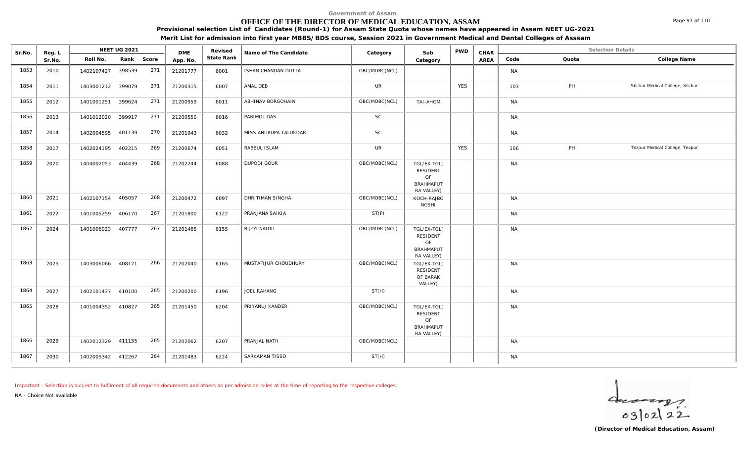### **OFFICE OF THE DIRECTOR OF MEDICAL EDUCATION, ASSAM**

**Provisional selection List of Candidates (Round-1) for Assam State Quota whose names have appeared in Assam NEET UG-2021**

**Merit List for admission into first year MBBS/BDS course, Session 2021 in Government Medical and Dental Colleges of Asssam**

| Sr.No. | Reg. L |                   | NEET UG 2021 |     | <b>DME</b> | Revised    | Name of The Candidate | Category      | Sub                                                                    | <b>PWD</b> | CHAR |           |       | <b>Selection Details</b>         |
|--------|--------|-------------------|--------------|-----|------------|------------|-----------------------|---------------|------------------------------------------------------------------------|------------|------|-----------|-------|----------------------------------|
|        | Sr.No. | Roll No.          | Rank Score   |     | App. No.   | State Rank |                       |               | Category                                                               |            | AREA | Code      | Quota | College Name                     |
| 1853   | 2010   | 1402107427        | 398539       | 271 | 21201777   | 6001       | ISHAN CHANDAN DUTTA   | OBC/MOBC(NCL) |                                                                        |            |      | <b>NA</b> |       |                                  |
| 1854   | 2011   | 1403001212        | 399079       | 271 | 21200315   | 6007       | AMAL DEB              | <b>UR</b>     |                                                                        | <b>YES</b> |      | 103       | PH    | Silchar Medical College, Silchar |
| 1855   | 2012   | 1401001251        | 399624       | 271 | 21200959   | 6011       | ABHINAV BORGOHAIN     | OBC/MOBC(NCL) | TAI-AHOM                                                               |            |      | <b>NA</b> |       |                                  |
| 1856   | 2013   | 1401012020 399917 |              | 271 | 21200550   | 6016       | PARIMOL DAS           | <b>SC</b>     |                                                                        |            |      | <b>NA</b> |       |                                  |
| 1857   | 2014   | 1402004595 401139 |              | 270 | 21201943   | 6032       | MISS ANURUPA TALUKDAR | SC            |                                                                        |            |      | <b>NA</b> |       |                                  |
| 1858   | 2017   | 1402024195 402215 |              | 269 | 21200674   | 6051       | RABBUL ISLAM          | <b>UR</b>     |                                                                        | <b>YES</b> |      | 106       | PH    | Tezpur Medical College, Tezpur   |
| 1859   | 2020   | 1404002053        | 404439       | 268 | 21202244   | 6088       | DUPODI GOUR           | OBC/MOBC(NCL) | TGL/EX-TGL(<br>RESIDENT<br>OF<br><b>BRAHMAPUT</b><br>RA VALLEY)        |            |      | <b>NA</b> |       |                                  |
| 1860   | 2021   | 1402107154 405057 |              | 268 | 21200472   | 6097       | DHRITIMAN SINGHA      | OBC/MOBC(NCL) | KOCH-RAJBO<br><b>NGSHI</b>                                             |            |      | <b>NA</b> |       |                                  |
| 1861   | 2022   | 1401005259        | 406170       | 267 | 21201800   | 6122       | PRANJANA SAIKIA       | ST(P)         |                                                                        |            |      | <b>NA</b> |       |                                  |
| 1862   | 2024   | 1401006023        | 407777       | 267 | 21201465   | 6155       | <b>BIJOY NAIDU</b>    | OBC/MOBC(NCL) | TGL/EX-TGL(<br><b>RESIDENT</b><br>OF<br><b>BRAHMAPUT</b><br>RA VALLEY) |            |      | <b>NA</b> |       |                                  |
| 1863   | 2025   | 1403006066 408171 |              | 266 | 21202040   | 6165       | MUSTAFIJUR CHOUDHURY  | OBC/MOBC(NCL) | TGL/EX-TGL(<br><b>RESIDENT</b><br>OF BARAK<br>VALLEY)                  |            |      | <b>NA</b> |       |                                  |
| 1864   | 2027   | 1402101437 410100 |              | 265 | 21200200   | 6196       | JOEL RAHANG           | ST(H)         |                                                                        |            |      | <b>NA</b> |       |                                  |
| 1865   | 2028   | 1401004352 410827 |              | 265 | 21201450   | 6204       | PRIYANUJ KANDER       | OBC/MOBC(NCL) | TGL/EX-TGL(<br>RESIDENT<br>OF<br><b>BRAHMAPUT</b><br>RA VALLEY)        |            |      | <b>NA</b> |       |                                  |
| 1866   | 2029   | 1402012329 411155 |              | 265 | 21202062   | 6207       | PRANJAL NATH          | OBC/MOBC(NCL) |                                                                        |            |      | <b>NA</b> |       |                                  |
| 1867   | 2030   | 1402005342 412267 |              | 264 | 21201483   | 6224       | SARKAMAN TISSO        | ST(H)         |                                                                        |            |      | <b>NA</b> |       |                                  |

*Important : Selection is subject to fulfilment of all required documents and others as per admission rules at the time of reporting to the respective colleges.*

*NA - Choice Not available*

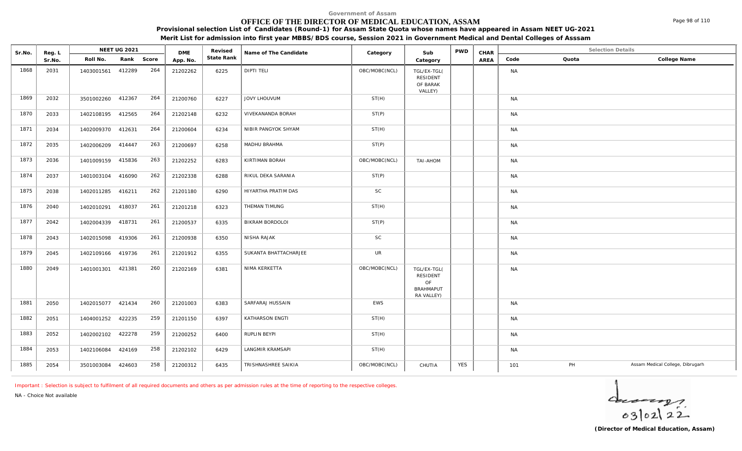### **OFFICE OF THE DIRECTOR OF MEDICAL EDUCATION, ASSAM**

**Provisional selection List of Candidates (Round-1) for Assam State Quota whose names have appeared in Assam NEET UG-2021**

**Merit List for admission into first year MBBS/BDS course, Session 2021 in Government Medical and Dental Colleges of Asssam**

| Sr.No. | Reg. L |                   | NEET UG 2021 |     | <b>DME</b> | Revised    | Name of The Candidate | Category      | Sub                                                             | <b>PWD</b> | CHAR |           | <b>Selection Details</b> |                                  |
|--------|--------|-------------------|--------------|-----|------------|------------|-----------------------|---------------|-----------------------------------------------------------------|------------|------|-----------|--------------------------|----------------------------------|
|        | Sr.No. | Roll No.          | Rank Score   |     | App. No.   | State Rank |                       |               | Category                                                        |            | AREA | Code      | Quota                    | College Name                     |
| 1868   | 2031   | 1403001561 412289 |              | 264 | 21202262   | 6225       | <b>DIPTI TELI</b>     | OBC/MOBC(NCL) | TGL/EX-TGL(<br><b>RESIDENT</b><br>OF BARAK<br>VALLEY)           |            |      | <b>NA</b> |                          |                                  |
| 1869   | 2032   | 3501002260 412367 |              | 264 | 21200760   | 6227       | JOVY LHOUVUM          | ST(H)         |                                                                 |            |      | <b>NA</b> |                          |                                  |
| 1870   | 2033   | 1402108195 412565 |              | 264 | 21202148   | 6232       | VIVEKANANDA BORAH     | ST(P)         |                                                                 |            |      | <b>NA</b> |                          |                                  |
| 1871   | 2034   | 1402009370 412631 |              | 264 | 21200604   | 6234       | NIBIR PANGYOK SHYAM   | ST(H)         |                                                                 |            |      | <b>NA</b> |                          |                                  |
| 1872   | 2035   | 1402006209 414447 |              | 263 | 21200697   | 6258       | MADHU BRAHMA          | ST(P)         |                                                                 |            |      | <b>NA</b> |                          |                                  |
| 1873   | 2036   | 1401009159 415836 |              | 263 | 21202252   | 6283       | KIRTIMAN BORAH        | OBC/MOBC(NCL) | TAI-AHOM                                                        |            |      | <b>NA</b> |                          |                                  |
| 1874   | 2037   | 1401003104 416090 |              | 262 | 21202338   | 6288       | RIKUL DEKA SARANIA    | ST(P)         |                                                                 |            |      | <b>NA</b> |                          |                                  |
| 1875   | 2038   | 1402011285 416211 |              | 262 | 21201180   | 6290       | HIYARTHA PRATIM DAS   | SC            |                                                                 |            |      | <b>NA</b> |                          |                                  |
| 1876   | 2040   | 1402010291 418037 |              | 261 | 21201218   | 6323       | THEMAN TIMUNG         | ST(H)         |                                                                 |            |      | <b>NA</b> |                          |                                  |
| 1877   | 2042   | 1402004339 418731 |              | 261 | 21200537   | 6335       | BIKRAM BORDOLOI       | ST(P)         |                                                                 |            |      | <b>NA</b> |                          |                                  |
| 1878   | 2043   | 1402015098 419306 |              | 261 | 21200938   | 6350       | NISHA RAJAK           | <b>SC</b>     |                                                                 |            |      | <b>NA</b> |                          |                                  |
| 1879   | 2045   | 1402109166 419736 |              | 261 | 21201912   | 6355       | SUKANTA BHATTACHARJEE | <b>UR</b>     |                                                                 |            |      | <b>NA</b> |                          |                                  |
| 1880   | 2049   | 1401001301 421381 |              | 260 | 21202169   | 6381       | NIMA KERKETTA         | OBC/MOBC(NCL) | TGL/EX-TGL(<br>RESIDENT<br>OF<br><b>BRAHMAPUT</b><br>RA VALLEY) |            |      | <b>NA</b> |                          |                                  |
| 1881   | 2050   | 1402015077 421434 |              | 260 | 21201003   | 6383       | SARFARAJ HUSSAIN      | EWS           |                                                                 |            |      | <b>NA</b> |                          |                                  |
| 1882   | 2051   | 1404001252 422235 |              | 259 | 21201150   | 6397       | KATHARSON ENGTI       | ST(H)         |                                                                 |            |      | <b>NA</b> |                          |                                  |
| 1883   | 2052   | 1402002102        | 422278       | 259 | 21200252   | 6400       | RUPLIN BEYPI          | ST(H)         |                                                                 |            |      | <b>NA</b> |                          |                                  |
| 1884   | 2053   | 1402106084 424169 |              | 258 | 21202102   | 6429       | LANGMIR KRAMSAPI      | ST(H)         |                                                                 |            |      | <b>NA</b> |                          |                                  |
| 1885   | 2054   | 3501003084 424603 |              | 258 | 21200312   | 6435       | TRISHNASHREE SAIKIA   | OBC/MOBC(NCL) | CHUTIA                                                          | <b>YES</b> |      | 101       | PH                       | Assam Medical College, Dibrugarh |

*Important : Selection is subject to fulfilment of all required documents and others as per admission rules at the time of reporting to the respective colleges.*

*NA - Choice Not available*

 $4 - 22$ 

Page 98 of 110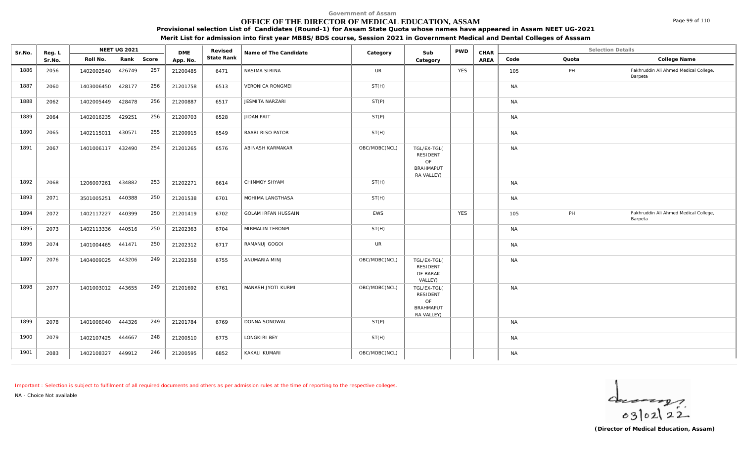# **OFFICE OF THE DIRECTOR OF MEDICAL EDUCATION, ASSAM**

**Provisional selection List of Candidates (Round-1) for Assam State Quota whose names have appeared in Assam NEET UG-2021 Merit List for admission into first year MBBS/BDS course, Session 2021 in Government Medical and Dental Colleges of Asssam**

| Sr.No. | Reg. L |                   | NEET UG 2021 |     | <b>DME</b> | Revised    | Name of The Candidate      | Category      | Sub                                                             | <b>PWD</b> | CHAR |           |       | <b>Selection Details</b>                         |
|--------|--------|-------------------|--------------|-----|------------|------------|----------------------------|---------------|-----------------------------------------------------------------|------------|------|-----------|-------|--------------------------------------------------|
|        | Sr.No. | Roll No.          | Rank Score   |     | App. No.   | State Rank |                            |               | Category                                                        |            | AREA | Code      | Quota | College Name                                     |
| 1886   | 2056   | 1402002540        | 426749       | 257 | 21200485   | 6471       | NASIMA SIRINA              | <b>UR</b>     |                                                                 | <b>YES</b> |      | 105       | PH    | Fakhruddin Ali Ahmed Medical College,<br>Barpeta |
| 1887   | 2060   | 1403006450        | 428177       | 256 | 21201758   | 6513       | <b>VERONICA RONGMEI</b>    | ST(H)         |                                                                 |            |      | <b>NA</b> |       |                                                  |
| 1888   | 2062   | 1402005449        | 428478       | 256 | 21200887   | 6517       | JESMITA NARZARI            | ST(P)         |                                                                 |            |      | <b>NA</b> |       |                                                  |
| 1889   | 2064   | 1402016235        | 429251       | 256 | 21200703   | 6528       | JIDAN PAIT                 | ST(P)         |                                                                 |            |      | <b>NA</b> |       |                                                  |
| 1890   | 2065   | 1402115011 430571 |              | 255 | 21200915   | 6549       | RAABI RISO PATOR           | ST(H)         |                                                                 |            |      | <b>NA</b> |       |                                                  |
| 1891   | 2067   | 1401006117 432490 |              | 254 | 21201265   | 6576       | ABINASH KARMAKAR           | OBC/MOBC(NCL) | TGL/EX-TGL(<br>RESIDENT<br>OF<br><b>BRAHMAPUT</b><br>RA VALLEY) |            |      | <b>NA</b> |       |                                                  |
| 1892   | 2068   | 1206007261 434882 |              | 253 | 21202271   | 6614       | CHINMOY SHYAM              | ST(H)         |                                                                 |            |      | <b>NA</b> |       |                                                  |
| 1893   | 2071   | 3501005251 440388 |              | 250 | 21201538   | 6701       | MOHIMA LANGTHASA           | ST(H)         |                                                                 |            |      | <b>NA</b> |       |                                                  |
| 1894   | 2072   | 1402117227 440399 |              | 250 | 21201419   | 6702       | <b>GOLAM IRFAN HUSSAIN</b> | EWS           |                                                                 | <b>YES</b> |      | 105       | PH    | Fakhruddin Ali Ahmed Medical College,<br>Barpeta |
| 1895   | 2073   | 1402113336        | 440516       | 250 | 21202363   | 6704       | MIRMALIN TERONPI           | ST(H)         |                                                                 |            |      | <b>NA</b> |       |                                                  |
| 1896   | 2074   | 1401004465 441471 |              | 250 | 21202312   | 6717       | RAMANUJ GOGOI              | <b>UR</b>     |                                                                 |            |      | <b>NA</b> |       |                                                  |
| 1897   | 2076   | 1404009025        | 443206       | 249 | 21202358   | 6755       | ANUMARIA MINJ              | OBC/MOBC(NCL) | TGL/EX-TGL(<br>RESIDENT<br>OF BARAK<br>VALLEY)                  |            |      | <b>NA</b> |       |                                                  |
| 1898   | 2077   | 1401003012 443655 |              | 249 | 21201692   | 6761       | MANASH JYOTI KURMI         | OBC/MOBC(NCL) | TGL/EX-TGL(<br>RESIDENT<br>OF<br><b>BRAHMAPUT</b><br>RA VALLEY) |            |      | <b>NA</b> |       |                                                  |
| 1899   | 2078   | 1401006040        | 444326       | 249 | 21201784   | 6769       | DONNA SONOWAL              | ST(P)         |                                                                 |            |      | <b>NA</b> |       |                                                  |
| 1900   | 2079   | 1402107425 444667 |              | 248 | 21200510   | 6775       | LONGKIRI BEY               | ST(H)         |                                                                 |            |      | <b>NA</b> |       |                                                  |

*Important : Selection is subject to fulfilment of all required documents and others as per admission rules at the time of reporting to the respective colleges.*

1901 2083 | 1402108327 449912 246 | 21200595 | 6852 | KAKALI KUMARI NAMI | OBC/MOBC(NCL) | | | | | | | | | | |

*NA - Choice Not available*

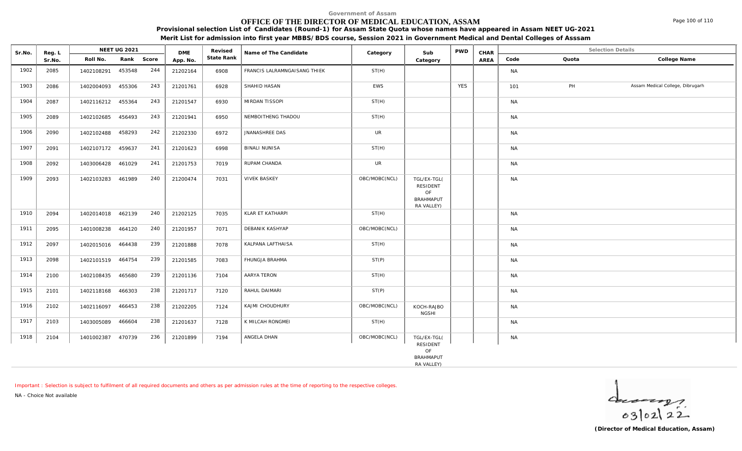### **OFFICE OF THE DIRECTOR OF MEDICAL EDUCATION, ASSAM**

**Provisional selection List of Candidates (Round-1) for Assam State Quota whose names have appeared in Assam NEET UG-2021**

**Merit List for admission into first year MBBS/BDS course, Session 2021 in Government Medical and Dental Colleges of Asssam**

| Sr.No. | Reg. L |                   | NEET UG 2021 |     | <b>DME</b> | Revised    | Name of The Candidate        | Category      | Sub                                                             | <b>PWD</b> | CHAR |           | <b>Selection Details</b> |                                  |
|--------|--------|-------------------|--------------|-----|------------|------------|------------------------------|---------------|-----------------------------------------------------------------|------------|------|-----------|--------------------------|----------------------------------|
|        | Sr.No. | Roll No.          | Rank Score   |     | App. No.   | State Rank |                              |               | Category                                                        |            | AREA | Code      | Quota                    | College Name                     |
| 1902   | 2085   | 1402108291        | 453548       | 244 | 21202164   | 6908       | FRANCIS LALRAMNGAISANG THIEK | ST(H)         |                                                                 |            |      | <b>NA</b> |                          |                                  |
| 1903   | 2086   | 1402004093        | 455306       | 243 | 21201761   | 6928       | SHAHID HASAN                 | EWS           |                                                                 | <b>YES</b> |      | 101       | PH                       | Assam Medical College, Dibrugarh |
| 1904   | 2087   | 1402116212 455364 |              | 243 | 21201547   | 6930       | MIRDAN TISSOPI               | ST(H)         |                                                                 |            |      | <b>NA</b> |                          |                                  |
| 1905   | 2089   | 1402102685        | 456493       | 243 | 21201941   | 6950       | NEMBOITHENG THADOU           | ST(H)         |                                                                 |            |      | <b>NA</b> |                          |                                  |
| 1906   | 2090   | 1402102488        | 458293       | 242 | 21202330   | 6972       | JNANASHREE DAS               | <b>UR</b>     |                                                                 |            |      | <b>NA</b> |                          |                                  |
| 1907   | 2091   | 1402107172 459637 |              | 241 | 21201623   | 6998       | <b>BINALI NUNISA</b>         | ST(H)         |                                                                 |            |      | <b>NA</b> |                          |                                  |
| 1908   | 2092   | 1403006428        | 461029       | 241 | 21201753   | 7019       | RUPAM CHANDA                 | <b>UR</b>     |                                                                 |            |      | <b>NA</b> |                          |                                  |
| 1909   | 2093   | 1402103283 461989 |              | 240 | 21200474   | 7031       | <b>VIVEK BASKEY</b>          | OBC/MOBC(NCL) | TGL/EX-TGL(<br>RESIDENT<br>OF<br><b>BRAHMAPUT</b><br>RA VALLEY) |            |      | <b>NA</b> |                          |                                  |
| 1910   | 2094   | 1402014018 462139 |              | 240 | 21202125   | 7035       | KLAR ET KATHARPI             | ST(H)         |                                                                 |            |      | <b>NA</b> |                          |                                  |
| 1911   | 2095   | 1401008238        | 464120       | 240 | 21201957   | 7071       | DEBANIK KASHYAP              | OBC/MOBC(NCL) |                                                                 |            |      | <b>NA</b> |                          |                                  |
| 1912   | 2097   | 1402015016 464438 |              | 239 | 21201888   | 7078       | KALPANA LAFTHAISA            | ST(H)         |                                                                 |            |      | <b>NA</b> |                          |                                  |
| 1913   | 2098   | 1402101519 464754 |              | 239 | 21201585   | 7083       | FHUNGJA BRAHMA               | ST(P)         |                                                                 |            |      | <b>NA</b> |                          |                                  |
| 1914   | 2100   | 1402108435 465680 |              | 239 | 21201136   | 7104       | AARYA TERON                  | ST(H)         |                                                                 |            |      | <b>NA</b> |                          |                                  |
| 1915   | 2101   | 1402118168 466303 |              | 238 | 21201717   | 7120       | RAHUL DAIMARI                | ST(P)         |                                                                 |            |      | <b>NA</b> |                          |                                  |
| 1916   | 2102   | 1402116097        | 466453       | 238 | 21202205   | 7124       | KAJMI CHOUDHURY              | OBC/MOBC(NCL) | KOCH-RAJBO<br><b>NGSHI</b>                                      |            |      | <b>NA</b> |                          |                                  |
| 1917   | 2103   | 1403005089        | 466604       | 238 | 21201637   | 7128       | K MILCAH RONGMEI             | ST(H)         |                                                                 |            |      | NA        |                          |                                  |
| 1918   | 2104   | 1401002387        | 470739       | 236 | 21201899   | 7194       | ANGELA DHAN                  | OBC/MOBC(NCL) | TGL/EX-TGL(<br>RESIDENT<br>OF<br><b>BRAHMAPUT</b><br>RA VALLEY) |            |      | <b>NA</b> |                          |                                  |

*Important : Selection is subject to fulfilment of all required documents and others as per admission rules at the time of reporting to the respective colleges.*

*NA - Choice Not available*

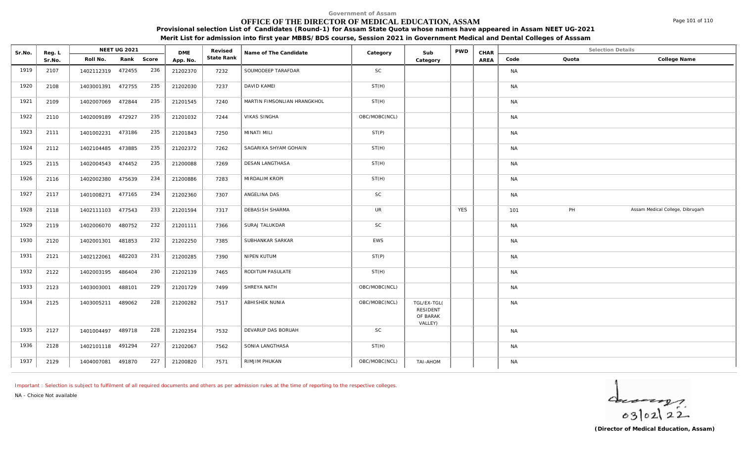# **OFFICE OF THE DIRECTOR OF MEDICAL EDUCATION, ASSAM**

**Provisional selection List of Candidates (Round-1) for Assam State Quota whose names have appeared in Assam NEET UG-2021 Merit List for admission into first year MBBS/BDS course, Session 2021 in Government Medical and Dental Colleges of Asssam**

| Sr.No. | Reg. L |                   | NEET UG 2021 |       | <b>DME</b> | Revised    | Name of The Candidate       | Category      | Sub                                                   | <b>PWD</b> | CHAR |           | <b>Selection Details</b> |                                  |
|--------|--------|-------------------|--------------|-------|------------|------------|-----------------------------|---------------|-------------------------------------------------------|------------|------|-----------|--------------------------|----------------------------------|
|        | Sr.No. | Roll No.          | Rank         | Score | App. No.   | State Rank |                             |               | Category                                              |            | AREA | Code      | Quota                    | College Name                     |
| 1919   | 2107   | 1402112319 472455 |              | 236   | 21202370   | 7232       | SOUMODEEP TARAFDAR          | SC            |                                                       |            |      | <b>NA</b> |                          |                                  |
| 1920   | 2108   | 1403001391 472755 |              | 235   | 21202030   | 7237       | DAVID KAMEI                 | ST(H)         |                                                       |            |      | <b>NA</b> |                          |                                  |
| 1921   | 2109   | 1402007069 472844 |              | 235   | 21201545   | 7240       | MARTIN FIMSONLIAN HRANGKHOL | ST(H)         |                                                       |            |      | <b>NA</b> |                          |                                  |
| 1922   | 2110   | 1402009189        | 472927       | 235   | 21201032   | 7244       | <b>VIKAS SINGHA</b>         | OBC/MOBC(NCL) |                                                       |            |      | <b>NA</b> |                          |                                  |
| 1923   | 2111   | 1401002231        | 473186       | 235   | 21201843   | 7250       | MINATI MILI                 | ST(P)         |                                                       |            |      | <b>NA</b> |                          |                                  |
| 1924   | 2112   | 1402104485        | 473885       | 235   | 21202372   | 7262       | SAGARIKA SHYAM GOHAIN       | ST(H)         |                                                       |            |      | <b>NA</b> |                          |                                  |
| 1925   | 2115   | 1402004543        | 474452       | 235   | 21200088   | 7269       | DESAN LANGTHASA             | ST(H)         |                                                       |            |      | <b>NA</b> |                          |                                  |
| 1926   | 2116   | 1402002380        | 475639       | 234   | 21200886   | 7283       | MIRDALIM KROPI              | ST(H)         |                                                       |            |      | <b>NA</b> |                          |                                  |
| 1927   | 2117   | 1401008271        | 477165       | 234   | 21202360   | 7307       | ANGELINA DAS                | <b>SC</b>     |                                                       |            |      | <b>NA</b> |                          |                                  |
| 1928   | 2118   | 1402111103        | 477543       | 233   | 21201594   | 7317       | <b>DEBASISH SHARMA</b>      | <b>UR</b>     |                                                       | <b>YES</b> |      | 101       | PH                       | Assam Medical College, Dibrugarh |
| 1929   | 2119   | 1402006070        | 480752       | 232   | 21201111   | 7366       | SURAJ TALUKDAR              | SC            |                                                       |            |      | <b>NA</b> |                          |                                  |
| 1930   | 2120   | 1402001301        | 481853       | 232   | 21202250   | 7385       | SUBHANKAR SARKAR            | <b>EWS</b>    |                                                       |            |      | <b>NA</b> |                          |                                  |
| 1931   | 2121   | 1402122061        | 482203       | 231   | 21200285   | 7390       | NIPEN KUTUM                 | ST(P)         |                                                       |            |      | <b>NA</b> |                          |                                  |
| 1932   | 2122   | 1402003195        | 486404       | 230   | 21202139   | 7465       | RODITUM PASULATE            | ST(H)         |                                                       |            |      | <b>NA</b> |                          |                                  |
| 1933   | 2123   | 1403003001        | 488101       | 229   | 21201729   | 7499       | SHREYA NATH                 | OBC/MOBC(NCL) |                                                       |            |      | <b>NA</b> |                          |                                  |
| 1934   | 2125   | 1403005211        | 489062       | 228   | 21200282   | 7517       | ABHISHEK NUNIA              | OBC/MOBC(NCL) | TGL/EX-TGL(<br><b>RESIDENT</b><br>OF BARAK<br>VALLEY) |            |      | <b>NA</b> |                          |                                  |
| 1935   | 2127   | 1401004497        | 489718       | 228   | 21202354   | 7532       | DEVARUP DAS BORUAH          | <b>SC</b>     |                                                       |            |      | <b>NA</b> |                          |                                  |
| 1936   | 2128   | 1402101118 491294 |              | 227   | 21202067   | 7562       | SONIA LANGTHASA             | ST(H)         |                                                       |            |      | <b>NA</b> |                          |                                  |
| 1937   | 2129   | 1404007081        | 491870       | 227   | 21200820   | 7571       | RIMJIM PHUKAN               | OBC/MOBC(NCL) | TAI-AHOM                                              |            |      | <b>NA</b> |                          |                                  |

*Important : Selection is subject to fulfilment of all required documents and others as per admission rules at the time of reporting to the respective colleges.*

*NA - Choice Not available*

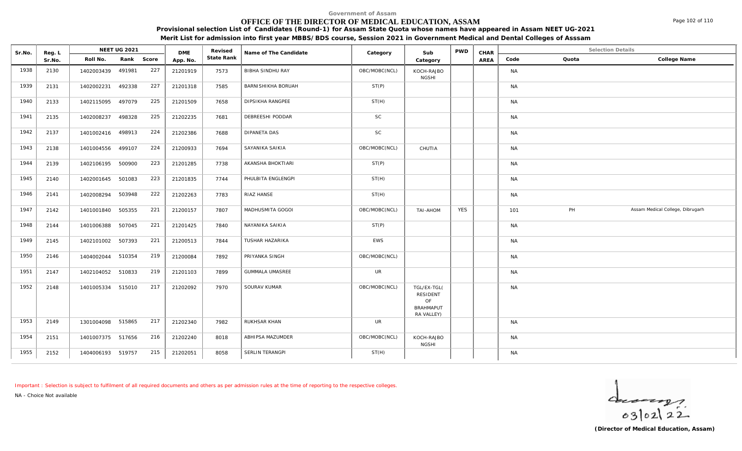# **OFFICE OF THE DIRECTOR OF MEDICAL EDUCATION, ASSAM**

**Provisional selection List of Candidates (Round-1) for Assam State Quota whose names have appeared in Assam NEET UG-2021**

**Merit List for admission into first year MBBS/BDS course, Session 2021 in Government Medical and Dental Colleges of Asssam**

| Sr.No. | Reg. L |                   | <b>NEET UG 2021</b> |     | <b>DME</b> | Revised    | Name of The Candidate     | Category      | Sub                                                                    | <b>PWD</b> | CHAR |           | <b>Selection Details</b> |                                  |
|--------|--------|-------------------|---------------------|-----|------------|------------|---------------------------|---------------|------------------------------------------------------------------------|------------|------|-----------|--------------------------|----------------------------------|
|        | Sr.No. | Roll No.          | Rank Score          |     | App. No.   | State Rank |                           |               | Category                                                               |            | AREA | Code      | Quota                    | College Name                     |
| 1938   | 2130   | 1402003439        | 491981              | 227 | 21201919   | 7573       | BIBHA SINDHU RAY          | OBC/MOBC(NCL) | KOCH-RAJBO<br><b>NGSHI</b>                                             |            |      | <b>NA</b> |                          |                                  |
| 1939   | 2131   | 1402002231        | 492338              | 227 | 21201318   | 7585       | <b>BARNISHIKHA BORUAH</b> | ST(P)         |                                                                        |            |      | <b>NA</b> |                          |                                  |
| 1940   | 2133   | 1402115095        | 497079              | 225 | 21201509   | 7658       | DIPSIKHA RANGPEE          | ST(H)         |                                                                        |            |      | <b>NA</b> |                          |                                  |
| 1941   | 2135   | 1402008237        | 498328              | 225 | 21202235   | 7681       | DEBREESHI PODDAR          | <b>SC</b>     |                                                                        |            |      | <b>NA</b> |                          |                                  |
| 1942   | 2137   | 1401002416 498913 |                     | 224 | 21202386   | 7688       | DIPANETA DAS              | <b>SC</b>     |                                                                        |            |      | <b>NA</b> |                          |                                  |
| 1943   | 2138   | 1401004556        | 499107              | 224 | 21200933   | 7694       | SAYANIKA SAIKIA           | OBC/MOBC(NCL) | CHUTIA                                                                 |            |      | <b>NA</b> |                          |                                  |
| 1944   | 2139   | 1402106195 500900 |                     | 223 | 21201285   | 7738       | AKANSHA BHOKTIARI         | ST(P)         |                                                                        |            |      | <b>NA</b> |                          |                                  |
| 1945   | 2140   | 1402001645        | 501083              | 223 | 21201835   | 7744       | PHULBITA ENGLENGPI        | ST(H)         |                                                                        |            |      | <b>NA</b> |                          |                                  |
| 1946   | 2141   | 1402008294 503948 |                     | 222 | 21202263   | 7783       | RIAZ HANSE                | ST(H)         |                                                                        |            |      | <b>NA</b> |                          |                                  |
| 1947   | 2142   | 1401001840 505355 |                     | 221 | 21200157   | 7807       | MADHUSMITA GOGOI          | OBC/MOBC(NCL) | <b>TAI-AHOM</b>                                                        | <b>YES</b> |      | 101       | PH                       | Assam Medical College, Dibrugarh |
| 1948   | 2144   | 1401006388        | 507045              | 221 | 21201425   | 7840       | NAYANIKA SAIKIA           | ST(P)         |                                                                        |            |      | <b>NA</b> |                          |                                  |
| 1949   | 2145   | 1402101002        | 507393              | 221 | 21200513   | 7844       | TUSHAR HAZARIKA           | EWS           |                                                                        |            |      | <b>NA</b> |                          |                                  |
| 1950   | 2146   | 1404002044 510354 |                     | 219 | 21200084   | 7892       | PRIYANKA SINGH            | OBC/MOBC(NCL) |                                                                        |            |      | <b>NA</b> |                          |                                  |
| 1951   | 2147   | 1402104052        | 510833              | 219 | 21201103   | 7899       | <b>GUMMALA UMASREE</b>    | UR            |                                                                        |            |      | <b>NA</b> |                          |                                  |
| 1952   | 2148   | 1401005334 515010 |                     | 217 | 21202092   | 7970       | SOURAV KUMAR              | OBC/MOBC(NCL) | TGL/EX-TGL(<br><b>RESIDENT</b><br>OF<br><b>BRAHMAPUT</b><br>RA VALLEY) |            |      | <b>NA</b> |                          |                                  |
| 1953   | 2149   | 1301004098 515865 |                     | 217 | 21202340   | 7982       | RUKHSAR KHAN              | <b>UR</b>     |                                                                        |            |      | <b>NA</b> |                          |                                  |
| 1954   | 2151   | 1401007375 517656 |                     | 216 | 21202240   | 8018       | ABHIPSA MAZUMDER          | OBC/MOBC(NCL) | KOCH-RAJBO<br><b>NGSHI</b>                                             |            |      | <b>NA</b> |                          |                                  |
| 1955   | 2152   | 1404006193 519757 |                     | 215 | 21202051   | 8058       | SERLIN TERANGPI           | ST(H)         |                                                                        |            |      | <b>NA</b> |                          |                                  |

*Important : Selection is subject to fulfilment of all required documents and others as per admission rules at the time of reporting to the respective colleges.*

*NA - Choice Not available*

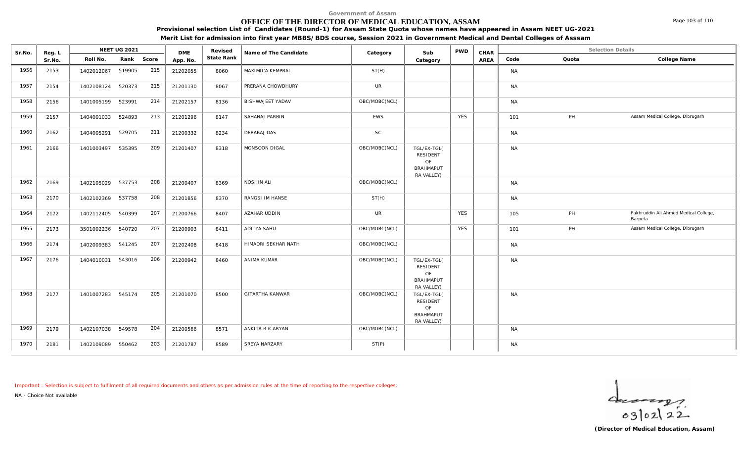### **OFFICE OF THE DIRECTOR OF MEDICAL EDUCATION, ASSAM**

**Provisional selection List of Candidates (Round-1) for Assam State Quota whose names have appeared in Assam NEET UG-2021**

**Merit List for admission into first year MBBS/BDS course, Session 2021 in Government Medical and Dental Colleges of Asssam**

| Sr.No. | Reg. L |                   | NEET UG 2021 |       | <b>DME</b> | Revised    | Name of The Candidate   | Category      | Sub                                                             | <b>PWD</b> | CHAR |           |       | <b>Selection Details</b>                         |
|--------|--------|-------------------|--------------|-------|------------|------------|-------------------------|---------------|-----------------------------------------------------------------|------------|------|-----------|-------|--------------------------------------------------|
|        | Sr.No. | Roll No.          | Rank         | Score | App. No.   | State Rank |                         |               | Category                                                        |            | AREA | Code      | Quota | College Name                                     |
| 1956   | 2153   | 1402012067        | 519905       | 215   | 21202055   | 8060       | MAXIMICA KEMPRAI        | ST(H)         |                                                                 |            |      | <b>NA</b> |       |                                                  |
| 1957   | 2154   | 1402108124 520373 |              | 215   | 21201130   | 8067       | PRERANA CHOWDHURY       | <b>UR</b>     |                                                                 |            |      | <b>NA</b> |       |                                                  |
| 1958   | 2156   | 1401005199        | 523991       | 214   | 21202157   | 8136       | <b>BISHWAJEET YADAV</b> | OBC/MOBC(NCL) |                                                                 |            |      | <b>NA</b> |       |                                                  |
| 1959   | 2157   | 1404001033        | 524893       | 213   | 21201296   | 8147       | SAHANAJ PARBIN          | EWS           |                                                                 | <b>YES</b> |      | 101       | PH    | Assam Medical College, Dibrugarh                 |
| 1960   | 2162   | 1404005291        | 529705       | 211   | 21200332   | 8234       | DEBARAJ DAS             | <b>SC</b>     |                                                                 |            |      | <b>NA</b> |       |                                                  |
| 1961   | 2166   | 1401003497        | 535395       | 209   | 21201407   | 8318       | MONSOON DIGAL           | OBC/MOBC(NCL) | TGL/EX-TGL(<br>RESIDENT<br>OF<br><b>BRAHMAPUT</b><br>RA VALLEY) |            |      | <b>NA</b> |       |                                                  |
| 1962   | 2169   | 1402105029        | 537753       | 208   | 21200407   | 8369       | NOSHIN ALI              | OBC/MOBC(NCL) |                                                                 |            |      | <b>NA</b> |       |                                                  |
| 1963   | 2170   | 1402102369 537758 |              | 208   | 21201856   | 8370       | RANGSI IM HANSE         | ST(H)         |                                                                 |            |      | <b>NA</b> |       |                                                  |
| 1964   | 2172   | 1402112405 540399 |              | 207   | 21200766   | 8407       | AZAHAR UDDIN            | <b>UR</b>     |                                                                 | <b>YES</b> |      | 105       | PH    | Fakhruddin Ali Ahmed Medical College,<br>Barpeta |
| 1965   | 2173   | 3501002236        | 540720       | 207   | 21200903   | 8411       | ADITYA SAHU             | OBC/MOBC(NCL) |                                                                 | <b>YES</b> |      | 101       | PH    | Assam Medical College, Dibrugarh                 |
| 1966   | 2174   | 1402009383        | 541245       | 207   | 21202408   | 8418       | HIMADRI SEKHAR NATH     | OBC/MOBC(NCL) |                                                                 |            |      | <b>NA</b> |       |                                                  |
| 1967   | 2176   | 1404010031        | 543016       | 206   | 21200942   | 8460       | ANIMA KUMAR             | OBC/MOBC(NCL) | TGL/EX-TGL(<br>RESIDENT<br>OF<br><b>BRAHMAPUT</b><br>RA VALLEY) |            |      | <b>NA</b> |       |                                                  |
| 1968   | 2177   | 1401007283 545174 |              | 205   | 21201070   | 8500       | <b>GITARTHA KANWAR</b>  | OBC/MOBC(NCL) | TGL/EX-TGL(<br>RESIDENT<br>OF<br><b>BRAHMAPUT</b><br>RA VALLEY) |            |      | <b>NA</b> |       |                                                  |
| 1969   | 2179   | 1402107038 549578 |              | 204   | 21200566   | 8571       | ANKITA R K ARYAN        | OBC/MOBC(NCL) |                                                                 |            |      | <b>NA</b> |       |                                                  |
| 1970   | 2181   | 1402109089        | 550462       | 203   | 21201787   | 8589       | SREYA NARZARY           | ST(P)         |                                                                 |            |      | <b>NA</b> |       |                                                  |

*Important : Selection is subject to fulfilment of all required documents and others as per admission rules at the time of reporting to the respective colleges.*

*NA - Choice Not available*

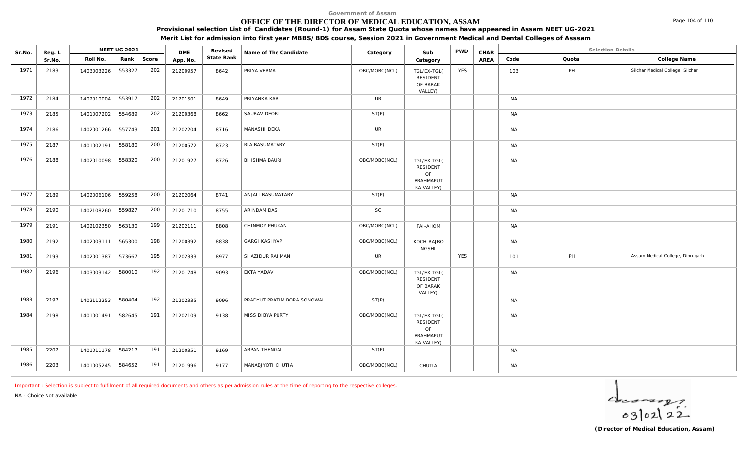# **OFFICE OF THE DIRECTOR OF MEDICAL EDUCATION, ASSAM**

**Provisional selection List of Candidates (Round-1) for Assam State Quota whose names have appeared in Assam NEET UG-2021**

**Merit List for admission into first year MBBS/BDS course, Session 2021 in Government Medical and Dental Colleges of Asssam**

| Sr.No. | Reg. L | <b>NEET UG 2021</b>  |            | <b>DME</b> | Revised    | Name of The Candidate       | Category      | Sub                                                             | <b>PWD</b> | CHAR |           | <b>Selection Details</b> |                                  |
|--------|--------|----------------------|------------|------------|------------|-----------------------------|---------------|-----------------------------------------------------------------|------------|------|-----------|--------------------------|----------------------------------|
|        | Sr.No. | Roll No.             | Rank Score | App. No.   | State Rank |                             |               | Category                                                        |            | AREA | Code      | Quota                    | College Name                     |
| 1971   | 2183   | 1403003226 553327    | 202        | 21200957   | 8642       | PRIYA VERMA                 | OBC/MOBC(NCL) | TGL/EX-TGL(<br><b>RESIDENT</b><br>OF BARAK<br>VALLEY)           | <b>YES</b> |      | 103       | PH                       | Silchar Medical College, Silchar |
| 1972   | 2184   | 1402010004 553917    | 202        | 21201501   | 8649       | PRIYANKA KAR                | UR            |                                                                 |            |      | <b>NA</b> |                          |                                  |
| 1973   | 2185   | 1401007202 554689    | 202        | 21200368   | 8662       | SAURAV DEORI                | ST(P)         |                                                                 |            |      | <b>NA</b> |                          |                                  |
| 1974   | 2186   | 1402001266 557743    | 201        | 21202204   | 8716       | MANASHI DEKA                | <b>UR</b>     |                                                                 |            |      | <b>NA</b> |                          |                                  |
| 1975   | 2187   | 1401002191 558180    | 200        | 21200572   | 8723       | RIA BASUMATARY              | ST(P)         |                                                                 |            |      | <b>NA</b> |                          |                                  |
| 1976   | 2188   | 1402010098<br>558320 | 200        | 21201927   | 8726       | BHISHMA BAURI               | OBC/MOBC(NCL) | TGL/EX-TGL(<br>RESIDENT<br>OF<br><b>BRAHMAPUT</b><br>RA VALLEY) |            |      | <b>NA</b> |                          |                                  |
| 1977   | 2189   | 1402006106 559258    | 200        | 21202064   | 8741       | ANJALI BASUMATARY           | ST(P)         |                                                                 |            |      | <b>NA</b> |                          |                                  |
| 1978   | 2190   | 559827<br>1402108260 | 200        | 21201710   | 8755       | ARINDAM DAS                 | SC            |                                                                 |            |      | <b>NA</b> |                          |                                  |
| 1979   | 2191   | 1402102350 563130    | 199        | 21202111   | 8808       | CHINMOY PHUKAN              | OBC/MOBC(NCL) | TAI-AHOM                                                        |            |      | <b>NA</b> |                          |                                  |
| 1980   | 2192   | 565300<br>1402003111 | 198        | 21200392   | 8838       | <b>GARGI KASHYAP</b>        | OBC/MOBC(NCL) | KOCH-RAJBO<br><b>NGSHI</b>                                      |            |      | <b>NA</b> |                          |                                  |
| 1981   | 2193   | 573667<br>1402001387 | 195        | 21202333   | 8977       | SHAZIDUR RAHMAN             | <b>UR</b>     |                                                                 | <b>YES</b> |      | 101       | PH                       | Assam Medical College, Dibrugarh |
| 1982   | 2196   | 1403003142 580010    | 192        | 21201748   | 9093       | EKTA YADAV                  | OBC/MOBC(NCL) | TGL/EX-TGL(<br><b>RESIDENT</b><br>OF BARAK<br>VALLEY)           |            |      | <b>NA</b> |                          |                                  |
| 1983   | 2197   | 1402112253 580404    | 192        | 21202335   | 9096       | PRADYUT PRATIM BORA SONOWAL | ST(P)         |                                                                 |            |      | <b>NA</b> |                          |                                  |
| 1984   | 2198   | 582645<br>1401001491 | 191        | 21202109   | 9138       | MISS DIBYA PURTY            | OBC/MOBC(NCL) | TGL/EX-TGL(<br>RESIDENT<br>OF<br><b>BRAHMAPUT</b><br>RA VALLEY) |            |      | <b>NA</b> |                          |                                  |
| 1985   | 2202   | 1401011178 584217    | 191        | 21200351   | 9169       | ARPAN THENGAL               | ST(P)         |                                                                 |            |      | <b>NA</b> |                          |                                  |
| 1986   | 2203   | 1401005245 584652    | 191        | 21201996   | 9177       | MANABJYOTI CHUTIA           | OBC/MOBC(NCL) | CHUTIA                                                          |            |      | <b>NA</b> |                          |                                  |

*Important : Selection is subject to fulfilment of all required documents and others as per admission rules at the time of reporting to the respective colleges.*

*NA - Choice Not available*

 $4 - 22$ 

Page 104 of 110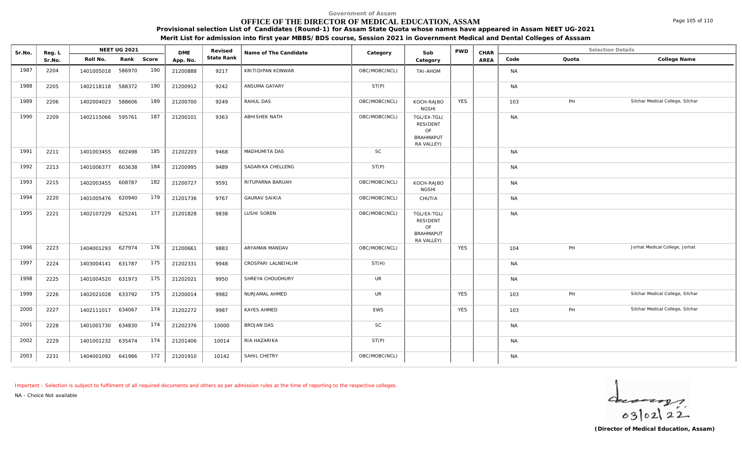### **OFFICE OF THE DIRECTOR OF MEDICAL EDUCATION, ASSAM**

**Provisional selection List of Candidates (Round-1) for Assam State Quota whose names have appeared in Assam NEET UG-2021**

**Merit List for admission into first year MBBS/BDS course, Session 2021 in Government Medical and Dental Colleges of Asssam**

| Sr.No. | Reg. L |                   | NEET UG 2021 |     | <b>DME</b> | Revised    | Name of The Candidate | Category      | Sub                                                                    | <b>PWD</b> | CHAR |           | <b>Selection Details</b> |                                  |
|--------|--------|-------------------|--------------|-----|------------|------------|-----------------------|---------------|------------------------------------------------------------------------|------------|------|-----------|--------------------------|----------------------------------|
|        | Sr.No. | Roll No.          | Rank Score   |     | App. No.   | State Rank |                       |               | Category                                                               |            | AREA | Code      | Quota                    | College Name                     |
| 1987   | 2204   | 1401005018        | 586970       | 190 | 21200888   | 9217       | KRITIDIPAN KONWAR     | OBC/MOBC(NCL) | TAI-AHOM                                                               |            |      | <b>NA</b> |                          |                                  |
| 1988   | 2205   | 1402118118        | 588372       | 190 | 21200912   | 9242       | ANSUMA GAYARY         | ST(P)         |                                                                        |            |      | <b>NA</b> |                          |                                  |
| 1989   | 2206   | 1402004023        | 588606       | 189 | 21200700   | 9249       | RAHUL DAS             | OBC/MOBC(NCL) | KOCH-RAJBO<br><b>NGSHI</b>                                             | <b>YES</b> |      | 103       | PH                       | Silchar Medical College, Silchar |
| 1990   | 2209   | 1402115066        | 595761       | 187 | 21200101   | 9363       | ABHISHEK NATH         | OBC/MOBC(NCL) | TGL/EX-TGL(<br><b>RESIDENT</b><br>OF<br><b>BRAHMAPUT</b><br>RA VALLEY) |            |      | <b>NA</b> |                          |                                  |
| 1991   | 2211   | 1401003455        | 602498       | 185 | 21202203   | 9468       | MADHUMITA DAS         | <b>SC</b>     |                                                                        |            |      | <b>NA</b> |                          |                                  |
| 1992   | 2213   | 1401006377        | 603638       | 184 | 21200995   | 9489       | SAGARIKA CHELLENG     | ST(P)         |                                                                        |            |      | <b>NA</b> |                          |                                  |
| 1993   | 2215   | 1402003455        | 608787       | 182 | 21200727   | 9591       | RITUPARNA BARUAH      | OBC/MOBC(NCL) | KOCH-RAJBO<br><b>NGSHI</b>                                             |            |      | <b>NA</b> |                          |                                  |
| 1994   | 2220   | 1401005476        | 620940       | 179 | 21201736   | 9767       | <b>GAURAV SAIKIA</b>  | OBC/MOBC(NCL) | CHUTIA                                                                 |            |      | <b>NA</b> |                          |                                  |
| 1995   | 2221   | 1402107229        | 625241       | 177 | 21201828   | 9838       | LUSHI SOREN           | OBC/MOBC(NCL) | TGL/EX-TGL(<br>RESIDENT<br>OF<br><b>BRAHMAPUT</b><br>RA VALLEY)        |            |      | <b>NA</b> |                          |                                  |
| 1996   | 2223   | 1404001293        | 627974       | 176 | 21200661   | 9883       | ARYAMAN MANDAV        | OBC/MOBC(NCL) |                                                                        | <b>YES</b> |      | 104       | PH                       | Jorhat Medical College, Jorhat   |
| 1997   | 2224   | 1403004141 631787 |              | 175 | 21202331   | 9948       | CROSPARI LALNEIHLIM   | ST(H)         |                                                                        |            |      | <b>NA</b> |                          |                                  |
| 1998   | 2225   | 1401004520        | 631973       | 175 | 21202021   | 9950       | SHREYA CHOUDHURY      | <b>UR</b>     |                                                                        |            |      | <b>NA</b> |                          |                                  |
| 1999   | 2226   | 1402021028        | 633792       | 175 | 21200014   | 9982       | NURJAMAL AHMED        | <b>UR</b>     |                                                                        | <b>YES</b> |      | 103       | PH                       | Silchar Medical College, Silchar |
| 2000   | 2227   | 1402111017        | 634067       | 174 | 21202272   | 9987       | <b>KAYES AHMED</b>    | EWS           |                                                                        | <b>YES</b> |      | 103       | PH                       | Silchar Medical College, Silchar |
| 2001   | 2228   | 1401001730        | 634830       | 174 | 21202376   | 10000      | <b>BROJAN DAS</b>     | SC            |                                                                        |            |      | <b>NA</b> |                          |                                  |
| 2002   | 2229   | 1401001232 635474 |              | 174 | 21201406   | 10014      | RIA HAZARIKA          | ST(P)         |                                                                        |            |      | <b>NA</b> |                          |                                  |
| 2003   | 2231   | 1404001092 641986 |              | 172 | 21201910   | 10142      | SAHIL CHETRY          | OBC/MOBC(NCL) |                                                                        |            |      | <b>NA</b> |                          |                                  |

*Important : Selection is subject to fulfilment of all required documents and others as per admission rules at the time of reporting to the respective colleges.*

*NA - Choice Not available*

 $\frac{d}{1}$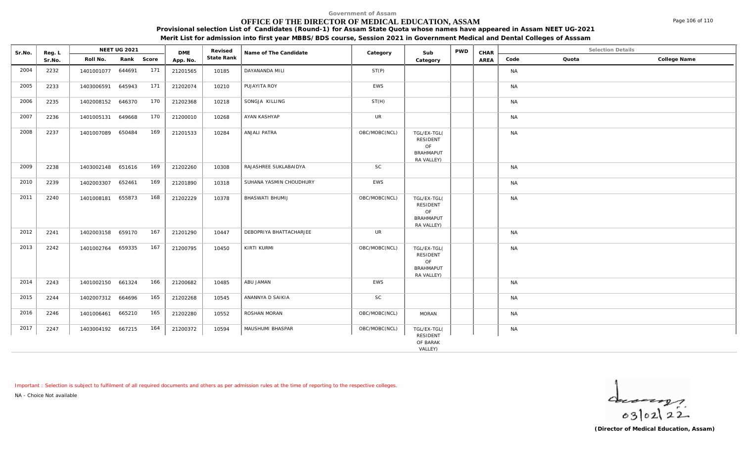# **OFFICE OF THE DIRECTOR OF MEDICAL EDUCATION, ASSAM**

**Provisional selection List of Candidates (Round-1) for Assam State Quota whose names have appeared in Assam NEET UG-2021**

**Merit List for admission into first year MBBS/BDS course, Session 2021 in Government Medical and Dental Colleges of Asssam**

| Sr.No. | Reg. L |                   | NEET UG 2021 |     | <b>DME</b> | Revised    | Name of The Candidate   | Category      | Sub                                                             | PWD | CHAR |           | <b>Selection Details</b> |              |
|--------|--------|-------------------|--------------|-----|------------|------------|-------------------------|---------------|-----------------------------------------------------------------|-----|------|-----------|--------------------------|--------------|
|        | Sr.No. | Roll No.          | Rank Score   |     | App. No.   | State Rank |                         |               | Category                                                        |     | AREA | Code      | Quota                    | College Name |
| 2004   | 2232   | 1401001077 644691 |              | 171 | 21201565   | 10185      | DAYANANDA MILI          | ST(P)         |                                                                 |     |      | <b>NA</b> |                          |              |
| 2005   | 2233   | 1403006591        | 645943       | 171 | 21202074   | 10210      | PUJAYITA ROY            | EWS           |                                                                 |     |      | <b>NA</b> |                          |              |
| 2006   | 2235   | 1402008152        | 646370       | 170 | 21202368   | 10218      | SONGJA KILLING          | ST(H)         |                                                                 |     |      | <b>NA</b> |                          |              |
| 2007   | 2236   | 1401005131        | 649668       | 170 | 21200010   | 10268      | AYAN KASHYAP            | <b>UR</b>     |                                                                 |     |      | <b>NA</b> |                          |              |
| 2008   | 2237   | 1401007089 650484 |              | 169 | 21201533   | 10284      | ANJALI PATRA            | OBC/MOBC(NCL) | TGL/EX-TGL(<br>RESIDENT<br>OF<br><b>BRAHMAPUT</b><br>RA VALLEY) |     |      | <b>NA</b> |                          |              |
| 2009   | 2238   | 1403002148 651616 |              | 169 | 21202260   | 10308      | RAJASHREE SUKLABAIDYA   | SC            |                                                                 |     |      | <b>NA</b> |                          |              |
| 2010   | 2239   | 1402003307        | 652461       | 169 | 21201890   | 10318      | SUHANA YASMIN CHOUDHURY | EWS           |                                                                 |     |      | <b>NA</b> |                          |              |
| 2011   | 2240   | 1401008181 655873 |              | 168 | 21202229   | 10378      | BHASWATI BHUMIJ         | OBC/MOBC(NCL) | TGL/EX-TGL(<br>RESIDENT<br>OF<br><b>BRAHMAPUT</b><br>RA VALLEY) |     |      | <b>NA</b> |                          |              |
| 2012   | 2241   | 1402003158 659170 |              | 167 | 21201290   | 10447      | DEBOPRIYA BHATTACHARJEE | UR            |                                                                 |     |      | <b>NA</b> |                          |              |
| 2013   | 2242   | 1401002764 659335 |              | 167 | 21200795   | 10450      | KIRTI KURMI             | OBC/MOBC(NCL) | TGL/EX-TGL(<br>RESIDENT<br>OF<br><b>BRAHMAPUT</b><br>RA VALLEY) |     |      | <b>NA</b> |                          |              |
| 2014   | 2243   | 1401002150 661324 |              | 166 | 21200682   | 10485      | ABU JAMAN               | EWS           |                                                                 |     |      | <b>NA</b> |                          |              |
| 2015   | 2244   | 1402007312 664696 |              | 165 | 21202268   | 10545      | ANANNYA D SAIKIA        | <b>SC</b>     |                                                                 |     |      | <b>NA</b> |                          |              |
| 2016   | 2246   | 1401006461        | 665210       | 165 | 21202280   | 10552      | ROSHAN MORAN            | OBC/MOBC(NCL) | <b>MORAN</b>                                                    |     |      | <b>NA</b> |                          |              |
| 2017   | 2247   | 1403004192 667215 |              | 164 | 21200372   | 10594      | MAUSHUMI BHASPAR        | OBC/MOBC(NCL) | TGL/EX-TGL(<br><b>RESIDENT</b><br>OF BARAK                      |     |      | <b>NA</b> |                          |              |
|        |        |                   |              |     |            |            |                         |               | VALLEY)                                                         |     |      |           |                          |              |

*Important : Selection is subject to fulfilment of all required documents and others as per admission rules at the time of reporting to the respective colleges.*

*NA - Choice Not available*

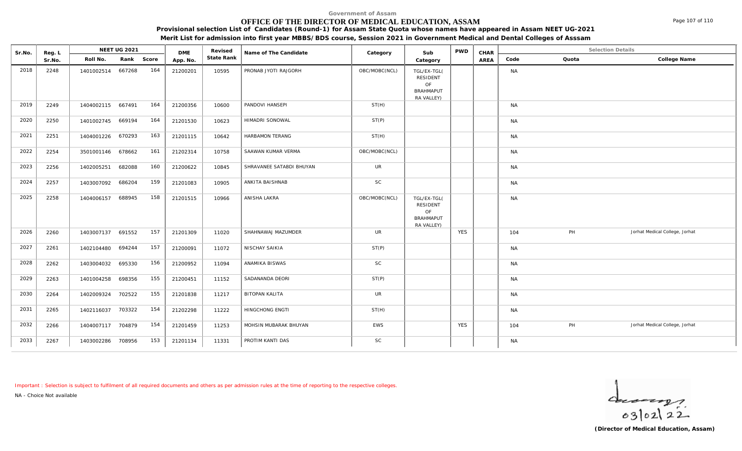### **OFFICE OF THE DIRECTOR OF MEDICAL EDUCATION, ASSAM**

**Provisional selection List of Candidates (Round-1) for Assam State Quota whose names have appeared in Assam NEET UG-2021**

**Merit List for admission into first year MBBS/BDS course, Session 2021 in Government Medical and Dental Colleges of Asssam**

| Sr.No. | Reg. L | <b>NEET UG 2021</b> |            |     | <b>DME</b> | Revised    | Name of The Candidate    | Category      | Sub                                                             | <b>PWD</b> | CHAR | <b>Selection Details</b> |       |                                |
|--------|--------|---------------------|------------|-----|------------|------------|--------------------------|---------------|-----------------------------------------------------------------|------------|------|--------------------------|-------|--------------------------------|
|        | Sr.No. | Roll No.            | Rank Score |     | App. No.   | State Rank |                          |               | Category                                                        |            | AREA | Code                     | Quota | College Name                   |
| 2018   | 2248   | 1401002514 667268   |            | 164 | 21200201   | 10595      | PRONAB JYOTI RAJGORH     | OBC/MOBC(NCL) | TGL/EX-TGL(<br>RESIDENT<br>OF<br><b>BRAHMAPUT</b><br>RA VALLEY) |            |      | <b>NA</b>                |       |                                |
| 2019   | 2249   | 1404002115 667491   |            | 164 | 21200356   | 10600      | PANDOVI HANSEPI          | ST(H)         |                                                                 |            |      | <b>NA</b>                |       |                                |
| 2020   | 2250   | 1401002745 669194   |            | 164 | 21201530   | 10623      | HIMADRI SONOWAL          | ST(P)         |                                                                 |            |      | <b>NA</b>                |       |                                |
| 2021   | 2251   | 1404001226 670293   |            | 163 | 21201115   | 10642      | HARBAMON TERANG          | ST(H)         |                                                                 |            |      | <b>NA</b>                |       |                                |
| 2022   | 2254   | 3501001146 678662   |            | 161 | 21202314   | 10758      | SAAWAN KUMAR VERMA       | OBC/MOBC(NCL) |                                                                 |            |      | <b>NA</b>                |       |                                |
| 2023   | 2256   | 1402005251          | 682088     | 160 | 21200622   | 10845      | SHRAVANEE SATABDI BHUYAN | <b>UR</b>     |                                                                 |            |      | <b>NA</b>                |       |                                |
| 2024   | 2257   | 1403007092          | 686204     | 159 | 21201083   | 10905      | ANKITA BAISHNAB          | SC            |                                                                 |            |      | <b>NA</b>                |       |                                |
| 2025   | 2258   | 1404006157          | 688945     | 158 | 21201515   | 10966      | ANISHA LAKRA             | OBC/MOBC(NCL) | TGL/EX-TGL(<br>RESIDENT<br>OF<br><b>BRAHMAPUT</b><br>RA VALLEY) |            |      | <b>NA</b>                |       |                                |
| 2026   | 2260   | 1403007137 691552   |            | 157 | 21201309   | 11020      | SHAHNAWAJ MAZUMDER       | <b>UR</b>     |                                                                 | <b>YES</b> |      | 104                      | PH    | Jorhat Medical College, Jorhat |
| 2027   | 2261   | 1402104480 694244   |            | 157 | 21200091   | 11072      | NISCHAY SAIKIA           | ST(P)         |                                                                 |            |      | <b>NA</b>                |       |                                |
| 2028   | 2262   | 1403004032          | 695330     | 156 | 21200952   | 11094      | ANAMIKA BISWAS           | SC            |                                                                 |            |      | <b>NA</b>                |       |                                |
| 2029   | 2263   | 1401004258          | 698356     | 155 | 21200451   | 11152      | SADANANDA DEORI          | ST(P)         |                                                                 |            |      | <b>NA</b>                |       |                                |
| 2030   | 2264   | 1402009324          | 702522     | 155 | 21201838   | 11217      | BITOPAN KALITA           | <b>UR</b>     |                                                                 |            |      | <b>NA</b>                |       |                                |
| 2031   | 2265   | 1402116037          | 703322     | 154 | 21202298   | 11222      | HINGCHONG ENGTI          | ST(H)         |                                                                 |            |      | <b>NA</b>                |       |                                |
| 2032   | 2266   | 1404007117 704879   |            | 154 | 21201459   | 11253      | MOHSIN MUBARAK BHUYAN    | EWS           |                                                                 | <b>YES</b> |      | 104                      | PH    | Jorhat Medical College, Jorhat |
| 2033   | 2267   | 1403002286 708956   |            | 153 | 21201134   | 11331      | PROTIM KANTI DAS         | SC            |                                                                 |            |      | <b>NA</b>                |       |                                |

*Important : Selection is subject to fulfilment of all required documents and others as per admission rules at the time of reporting to the respective colleges.*

*NA - Choice Not available*

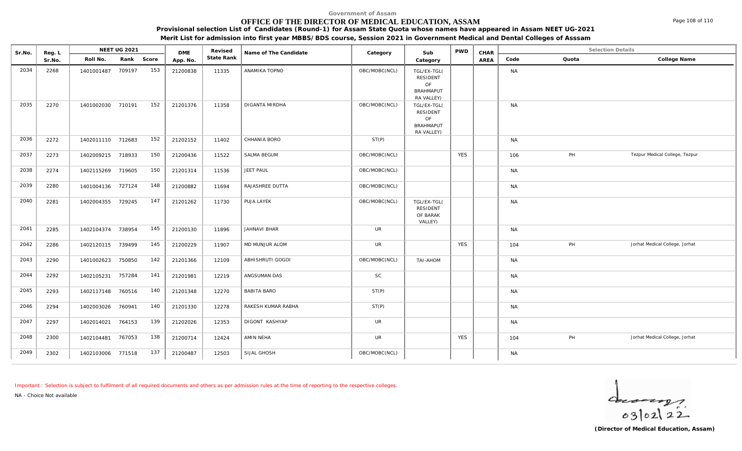### **OFFICE OF THE DIRECTOR OF MEDICAL EDUCATION, ASSAM**

**Provisional selection List of Candidates (Round-1) for Assam State Quota whose names have appeared in Assam NEET UG-2021**

**Merit List for admission into first year MBBS/BDS course, Session 2021 in Government Medical and Dental Colleges of Asssam**

| Sr.No. | Reg. L |                   | NEET UG 2021 |       |                        | Revised    | Name of The Candidate | Category      | Sub                                                                    | <b>PWD</b> | CHAR | <b>Selection Details</b> |       |                                |
|--------|--------|-------------------|--------------|-------|------------------------|------------|-----------------------|---------------|------------------------------------------------------------------------|------------|------|--------------------------|-------|--------------------------------|
|        | Sr.No. | Roll No.          | Rank         | Score | <b>DME</b><br>App. No. | State Rank |                       |               | Category                                                               |            | AREA | Code                     | Quota | College Name                   |
| 2034   | 2268   | 1401001487        | 709197       | 153   | 21200838               | 11335      | ANAMIKA TOPNO         | OBC/MOBC(NCL) | TGL/EX-TGL(<br><b>RESIDENT</b><br>OF<br><b>BRAHMAPUT</b><br>RA VALLEY) |            |      | <b>NA</b>                |       |                                |
| 2035   | 2270   | 1401002030 710191 |              | 152   | 21201376               | 11358      | DIGANTA MIRDHA        | OBC/MOBC(NCL) | TGL/EX-TGL(<br>RESIDENT<br>OF<br><b>BRAHMAPUT</b><br>RA VALLEY)        |            |      | <b>NA</b>                |       |                                |
| 2036   | 2272   | 1402011110 712683 |              | 152   | 21202152               | 11402      | CHHANIA BORO          | ST(P)         |                                                                        |            |      | <b>NA</b>                |       |                                |
| 2037   | 2273   | 1402009215 718933 |              | 150   | 21200436               | 11522      | SALMA BEGUM           | OBC/MOBC(NCL) |                                                                        | <b>YES</b> |      | 106                      | PH    | Tezpur Medical College, Tezpur |
| 2038   | 2274   | 1402115269 719605 |              | 150   | 21201314               | 11536      | JEET PAUL             | OBC/MOBC(NCL) |                                                                        |            |      | <b>NA</b>                |       |                                |
| 2039   | 2280   | 1401004136 727124 |              | 148   | 21200882               | 11694      | RAJASHREE DUTTA       | OBC/MOBC(NCL) |                                                                        |            |      | <b>NA</b>                |       |                                |
| 2040   | 2281   | 1402004355 729245 |              | 147   | 21201262               | 11730      | PUJA LAYEK            | OBC/MOBC(NCL) | TGL/EX-TGL(<br>RESIDENT<br>OF BARAK<br>VALLEY)                         |            |      | <b>NA</b>                |       |                                |
| 2041   | 2285   | 1402104374 738954 |              | 145   | 21200130               | 11896      | JAHNAVI BHAR          | <b>UR</b>     |                                                                        |            |      | <b>NA</b>                |       |                                |
| 2042   | 2286   | 1402120115 739499 |              | 145   | 21200229               | 11907      | MD MUNJUR ALOM        | <b>UR</b>     |                                                                        | <b>YES</b> |      | 104                      | PH    | Jorhat Medical College, Jorhat |
| 2043   | 2290   | 1401002623        | 750850       | 142   | 21201366               | 12109      | ABHISHRUTI GOGOI      | OBC/MOBC(NCL) | TAI-AHOM                                                               |            |      | <b>NA</b>                |       |                                |
| 2044   | 2292   | 1402105231        | 757284       | 141   | 21201981               | 12219      | ANGSUMAN DAS          | SC            |                                                                        |            |      | <b>NA</b>                |       |                                |
| 2045   | 2293   | 1402117148        | 760516       | 140   | 21201348               | 12270      | <b>BABITA BARO</b>    | ST(P)         |                                                                        |            |      | <b>NA</b>                |       |                                |
| 2046   | 2294   | 1402003026        | 760941       | 140   | 21201330               | 12278      | RAKESH KUMAR RABHA    | ST(P)         |                                                                        |            |      | <b>NA</b>                |       |                                |
| 2047   | 2297   | 1402014021        | 764153       | 139   | 21202026               | 12353      | DIGONT KASHYAP        | <b>UR</b>     |                                                                        |            |      | <b>NA</b>                |       |                                |
| 2048   | 2300   | 1402104481        | 767053       | 138   | 21200714               | 12424      | AMIN NEHA             | <b>UR</b>     |                                                                        | <b>YES</b> |      | 104                      | PH    | Jorhat Medical College, Jorhat |
| 2049   | 2302   | 1402103006        | 771518       | 137   | 21200487               | 12503      | SIJAL GHOSH           | OBC/MOBC(NCL) |                                                                        |            |      | <b>NA</b>                |       |                                |

*Important : Selection is subject to fulfilment of all required documents and others as per admission rules at the time of reporting to the respective colleges.*

*NA - Choice Not available*

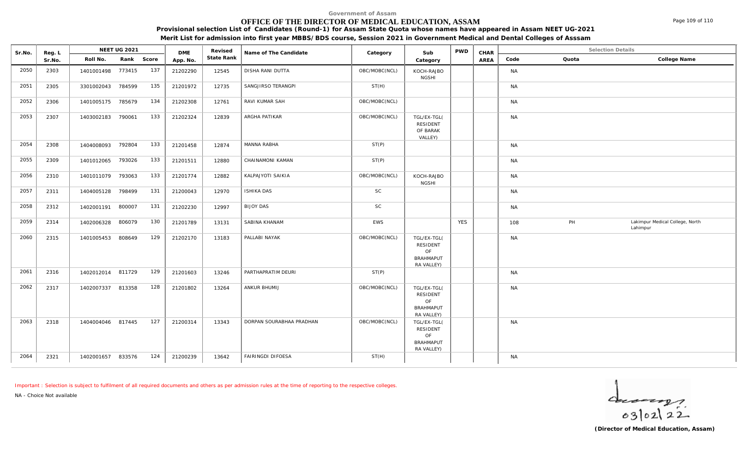**Government of Assam**

## **OFFICE OF THE DIRECTOR OF MEDICAL EDUCATION, ASSAM**

**Provisional selection List of Candidates (Round-1) for Assam State Quota whose names have appeared in Assam NEET UG-2021**

**Merit List for admission into first year MBBS/BDS course, Session 2021 in Government Medical and Dental Colleges of Asssam**

| Sr.No. | Reg. L | NEET UG 2021      |            |     | <b>DME</b> | Revised    | Name of The Candidate    | Category      | Sub                                                                    | <b>PWD</b> | CHAR | <b>Selection Details</b> |       |                                             |
|--------|--------|-------------------|------------|-----|------------|------------|--------------------------|---------------|------------------------------------------------------------------------|------------|------|--------------------------|-------|---------------------------------------------|
|        | Sr.No. | Roll No.          | Rank Score |     | App. No.   | State Rank |                          |               | Category                                                               |            | AREA | Code                     | Quota | College Name                                |
| 2050   | 2303   | 1401001498 773415 |            | 137 | 21202290   | 12545      | DISHA RANI DUTTA         | OBC/MOBC(NCL) | KOCH-RAJBO<br><b>NGSHI</b>                                             |            |      | <b>NA</b>                |       |                                             |
| 2051   | 2305   | 3301002043        | 784599     | 135 | 21201972   | 12735      | SANGJIRSO TERANGPI       | ST(H)         |                                                                        |            |      | <b>NA</b>                |       |                                             |
| 2052   | 2306   | 1401005175 785679 |            | 134 | 21202308   | 12761      | RAVI KUMAR SAH           | OBC/MOBC(NCL) |                                                                        |            |      | <b>NA</b>                |       |                                             |
| 2053   | 2307   | 1403002183        | 790061     | 133 | 21202324   | 12839      | ARGHA PATIKAR            | OBC/MOBC(NCL) | TGL/EX-TGL(<br><b>RESIDENT</b><br>OF BARAK<br>VALLEY)                  |            |      | <b>NA</b>                |       |                                             |
| 2054   | 2308   | 1404008093        | 792804     | 133 | 21201458   | 12874      | MANNA RABHA              | ST(P)         |                                                                        |            |      | <b>NA</b>                |       |                                             |
| 2055   | 2309   | 1401012065 793026 |            | 133 | 21201511   | 12880      | CHAINAMONI KAMAN         | ST(P)         |                                                                        |            |      | <b>NA</b>                |       |                                             |
| 2056   | 2310   | 1401011079 793063 |            | 133 | 21201774   | 12882      | KALPAJYOTI SAIKIA        | OBC/MOBC(NCL) | KOCH-RAJBO<br><b>NGSHI</b>                                             |            |      | <b>NA</b>                |       |                                             |
| 2057   | 2311   | 1404005128 798499 |            | 131 | 21200043   | 12970      | <b>ISHIKA DAS</b>        | <b>SC</b>     |                                                                        |            |      | <b>NA</b>                |       |                                             |
| 2058   | 2312   | 1402001191        | 800007     | 131 | 21202230   | 12997      | <b>BIJOY DAS</b>         | <b>SC</b>     |                                                                        |            |      | <b>NA</b>                |       |                                             |
| 2059   | 2314   | 1402006328        | 806079     | 130 | 21201789   | 13131      | SABINA KHANAM            | EWS           |                                                                        | <b>YES</b> |      | 108                      | PH    | Lakimpur Medical College, North<br>Lahimpur |
| 2060   | 2315   | 1401005453 808649 |            | 129 | 21202170   | 13183      | PALLABI NAYAK            | OBC/MOBC(NCL) | TGL/EX-TGL(<br><b>RESIDENT</b><br>OF<br><b>BRAHMAPUT</b><br>RA VALLEY) |            |      | <b>NA</b>                |       |                                             |
| 2061   | 2316   | 1402012014 811729 |            | 129 | 21201603   | 13246      | PARTHAPRATIM DEURI       | ST(P)         |                                                                        |            |      | <b>NA</b>                |       |                                             |
| 2062   | 2317   | 1402007337 813358 |            | 128 | 21201802   | 13264      | ANKUR BHUMIJ             | OBC/MOBC(NCL) | TGL/EX-TGL(<br>RESIDENT<br>OF<br><b>BRAHMAPUT</b><br>RA VALLEY)        |            |      | <b>NA</b>                |       |                                             |
| 2063   | 2318   | 1404004046 817445 |            | 127 | 21200314   | 13343      | DORPAN SOURABHAA PRADHAN | OBC/MOBC(NCL) | TGL/EX-TGL(<br>RESIDENT<br>OF<br><b>BRAHMAPUT</b><br>RA VALLEY)        |            |      | <b>NA</b>                |       |                                             |
| 2064   | 2321   | 1402001657        | 833576     | 124 | 21200239   | 13642      | FAIRINGDI DIFOESA        | ST(H)         |                                                                        |            |      | <b>NA</b>                |       |                                             |

*Important : Selection is subject to fulfilment of all required documents and others as per admission rules at the time of reporting to the respective colleges.*

*NA - Choice Not available*

 $402122$ 

Page 109 of 110

**(Director of Medical Education, Assam)**